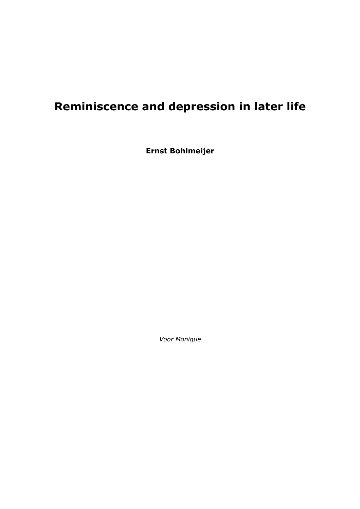# **Reminiscence and depression in later life**

**Ernst Bohlmeijer** 

*Voor Monique*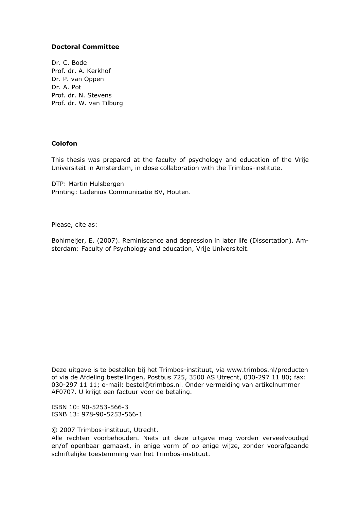#### **Doctoral Committee**

Dr. C. Bode Prof. dr. A. Kerkhof Dr. P. van Oppen Dr. A. Pot Prof. dr. N. Stevens Prof. dr. W. van Tilburg

#### **Colofon**

This thesis was prepared at the faculty of psychology and education of the Vrije Universiteit in Amsterdam, in close collaboration with the Trimbos-institute.

DTP: Martin Hulsbergen Printing: Ladenius Communicatie BV, Houten.

Please, cite as:

Bohlmeijer, E. (2007). Reminiscence and depression in later life (Dissertation). Amsterdam: Faculty of Psychology and education, Vrije Universiteit.

Deze uitgave is te bestellen bij het Trimbos-instituut, via www.trimbos.nl/producten of via de Afdeling bestellingen, Postbus 725, 3500 AS Utrecht, 030-297 11 80; fax: 030-297 11 11; e-mail: bestel@trimbos.nl. Onder vermelding van artikelnummer AF0707. U krijgt een factuur voor de betaling.

ISBN 10: 90-5253-566-3 ISNB 13: 978-90-5253-566-1

© 2007 Trimbos-instituut, Utrecht.

Alle rechten voorbehouden. Niets uit deze uitgave mag worden verveelvoudigd en/of openbaar gemaakt, in enige vorm of op enige wijze, zonder voorafgaande schriftelijke toestemming van het Trimbos-instituut.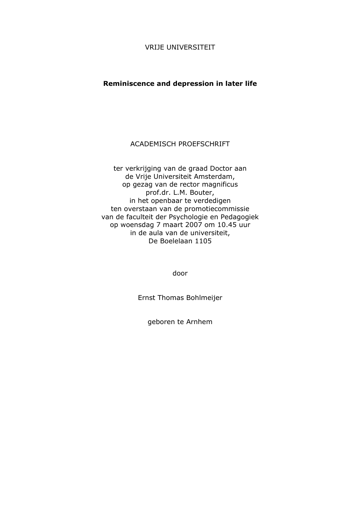#### VRIJE UNIVERSITEIT

### **Reminiscence and depression in later life**

## ACADEMISCH PROEFSCHRIFT

ter verkrijging van de graad Doctor aan de Vrije Universiteit Amsterdam, op gezag van de rector magnificus prof.dr. L.M. Bouter, in het openbaar te verdedigen ten overstaan van de promotiecommissie van de faculteit der Psychologie en Pedagogiek op woensdag 7 maart 2007 om 10.45 uur in de aula van de universiteit, De Boelelaan 1105

door

Ernst Thomas Bohlmeijer

geboren te Arnhem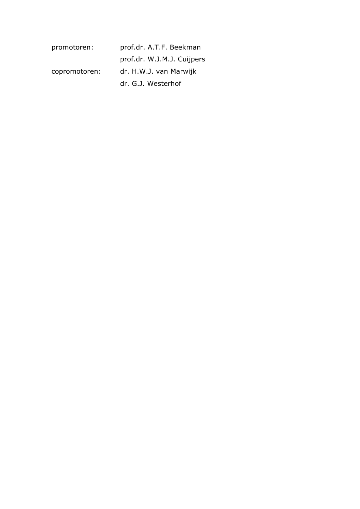| promotoren:   | prof.dr. A.T.F. Beekman    |
|---------------|----------------------------|
|               | prof.dr. W.J.M.J. Cuijpers |
| copromotoren: | dr. H.W.J. van Marwijk     |
|               | dr. G.J. Westerhof         |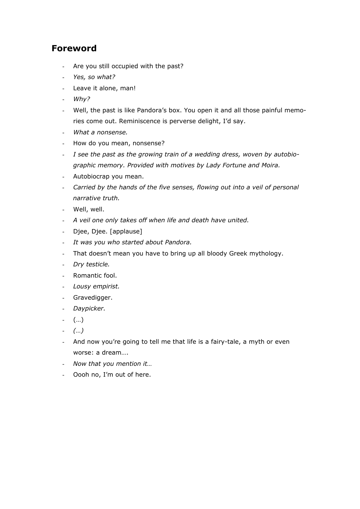## **Foreword**

- Are you still occupied with the past?
- *Yes, so what?*
- Leave it alone, man!
- *Why?*
- Well, the past is like Pandora's box. You open it and all those painful memories come out. Reminiscence is perverse delight, I'd say.
- *What a nonsense.*
- How do you mean, nonsense?
- *I see the past as the growing train of a wedding dress, woven by autobiographic memory. Provided with motives by Lady Fortune and Moira.*
- Autobiocrap you mean.
- *Carried by the hands of the five senses, flowing out into a veil of personal narrative truth.*
- Well, well.
- *A veil one only takes off when life and death have united.*
- Djee, Djee. [applause]
- *It was you who started about Pandora.*
- That doesn't mean you have to bring up all bloody Greek mythology.
- *Dry testicle.*
- Romantic fool.
- *Lousy empirist.*
- Gravedigger.
- *Daypicker.*
- (…)
- *(…)*
- And now you're going to tell me that life is a fairy-tale, a myth or even worse: a dream….
- *Now that you mention it…*
- Oooh no, I'm out of here.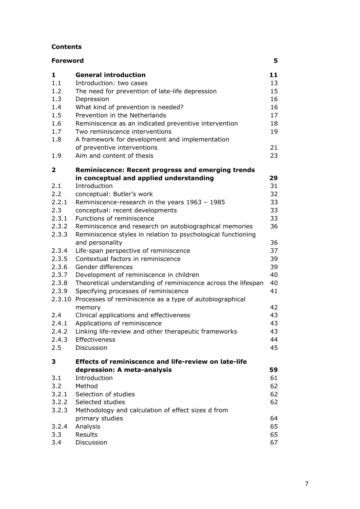#### **Contents**

| <b>Foreword</b> |                                                                |    |
|-----------------|----------------------------------------------------------------|----|
| 1               | <b>General introduction</b>                                    | 11 |
| 1.1             | Introduction: two cases                                        | 13 |
| 1.2             | The need for prevention of late-life depression                | 15 |
| 1.3             | Depression                                                     | 16 |
| 1.4             | What kind of prevention is needed?                             | 16 |
| 1.5             | Prevention in the Netherlands                                  | 17 |
| 1.6             | Reminiscence as an indicated preventive intervention           | 18 |
| 1.7             | Two reminiscence interventions                                 | 19 |
| 1.8             | A framework for development and implementation                 |    |
|                 | of preventive interventions                                    | 21 |
| 1.9             | Aim and content of thesis                                      | 23 |
| $\mathbf{2}$    | <b>Reminiscence: Recent progress and emerging trends</b>       | 29 |
| 2.1             | in conceptual and applied understanding<br>Introduction        | 31 |
| 2.2             | conceptual: Butler's work                                      | 32 |
| 2.2.1           | Reminiscence-research in the years 1963 - 1985                 | 33 |
| 2.3             | conceptual: recent developments                                | 33 |
| 2.3.1           | Functions of reminiscence                                      | 33 |
| 2.3.2           | Reminiscence and research on autobiographical memories         | 36 |
| 2.3.3           | Reminiscence styles in relation to psychological functioning   |    |
|                 | and personality                                                | 36 |
| 2.3.4           | Life-span perspective of reminiscence                          | 37 |
| 2.3.5           | Contextual factors in reminiscence                             | 39 |
| 2.3.6           | Gender differences                                             | 39 |
| 2.3.7           | Development of reminiscence in children                        | 40 |
| 2.3.8           | Theoretical understanding of reminiscence across the lifespan  | 40 |
| 2.3.9           | Specifying processes of reminiscence                           | 41 |
|                 | 2.3.10 Processes of reminiscence as a type of autobiographical |    |
|                 | memory                                                         | 42 |
| 2.4             | Clinical applications and effectiveness                        | 43 |
| 2.4.1           | Applications of reminiscence                                   | 43 |
| 2.4.2           | Linking life-review and other therapeutic frameworks           | 43 |
| 2.4.3           | Effectiveness                                                  | 44 |
| 2.5             | Discussion                                                     | 45 |
| 3               | <b>Effects of reminiscence and life-review on late-life</b>    |    |
|                 | depression: A meta-analysis                                    | 59 |
| 3.1             | Introduction                                                   | 61 |
| 3.2             | Method                                                         | 62 |
| 3.2.1           | Selection of studies                                           | 62 |
| 3.2.2           | Selected studies                                               | 62 |
| 3.2.3           | Methodology and calculation of effect sizes d from             |    |
|                 | primary studies                                                | 64 |
| 3.2.4           | Analysis                                                       | 65 |
| 3.3             | Results                                                        | 65 |
| 3.4             | Discussion                                                     | 67 |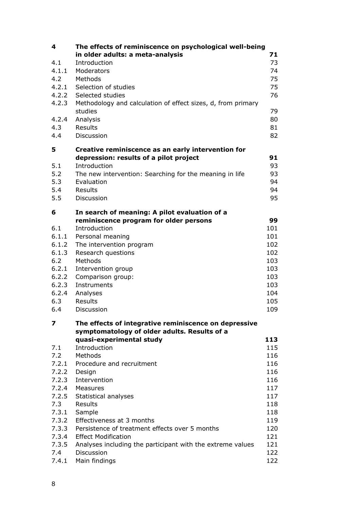| 4     | The effects of reminiscence on psychological well-being      |     |
|-------|--------------------------------------------------------------|-----|
|       | in older adults: a meta-analysis                             | 71  |
| 4.1   | Introduction                                                 | 73  |
| 4.1.1 | Moderators                                                   | 74  |
| 4.2   | Methods                                                      | 75  |
| 4.2.1 | Selection of studies                                         | 75  |
| 4.2.2 | Selected studies                                             | 76  |
| 4.2.3 | Methodology and calculation of effect sizes, d, from primary |     |
|       | studies                                                      | 79  |
| 4.2.4 | Analysis                                                     | 80  |
| 4.3   | Results                                                      | 81  |
| 4.4   | Discussion                                                   | 82  |
| 5     | Creative reminiscence as an early intervention for           |     |
|       | depression: results of a pilot project                       | 91  |
| 5.1   | Introduction                                                 | 93  |
| 5.2   | The new intervention: Searching for the meaning in life      | 93  |
| 5.3   | Evaluation                                                   | 94  |
| 5.4   | <b>Results</b>                                               | 94  |
| 5.5   | Discussion                                                   | 95  |
| 6     | In search of meaning: A pilot evaluation of a                |     |
|       | reminiscence program for older persons                       | 99  |
| 6.1   | Introduction                                                 | 101 |
| 6.1.1 | Personal meaning                                             | 101 |
| 6.1.2 | The intervention program                                     | 102 |
| 6.1.3 | Research questions                                           | 102 |
| 6.2   | Methods                                                      | 103 |
| 6.2.1 | Intervention group                                           | 103 |
| 6.2.2 | Comparison group:                                            | 103 |
| 6.2.3 | Instruments                                                  | 103 |
| 6.2.4 | Analyses                                                     | 104 |
| 6.3   | Results                                                      | 105 |
| 6.4   | Discussion                                                   | 109 |
| 7     | The effects of integrative reminiscence on depressive        |     |
|       | symptomatology of older adults. Results of a                 |     |
|       | quasi-experimental study                                     | 113 |
| 7.1   | Introduction                                                 | 115 |
| 7.2   | Methods                                                      | 116 |
| 7.2.1 | Procedure and recruitment                                    | 116 |
| 7.2.2 | Design                                                       | 116 |
| 7.2.3 | Intervention                                                 | 116 |
| 7.2.4 | Measures                                                     | 117 |
| 7.2.5 | Statistical analyses                                         | 117 |
| 7.3   | Results                                                      | 118 |
| 7.3.1 | Sample                                                       | 118 |
| 7.3.2 | Effectiveness at 3 months                                    | 119 |
| 7.3.3 | Persistence of treatment effects over 5 months               | 120 |
| 7.3.4 | <b>Effect Modification</b>                                   | 121 |
| 7.3.5 | Analyses including the participant with the extreme values   | 121 |
| 7.4   | <b>Discussion</b>                                            | 122 |
| 7.4.1 | Main findings                                                | 122 |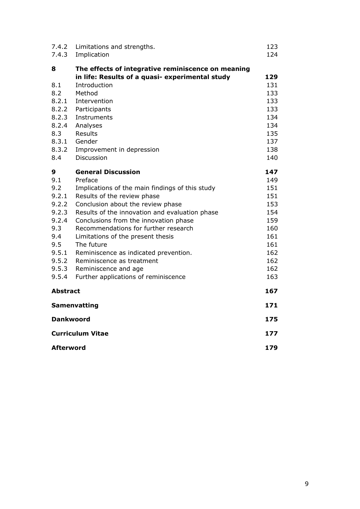| 7.4.2<br>7.4.3                                                                                               | Limitations and strengths.<br>Implication                                                                                                                                                                                                                                                                                                                                                                                                                                               | 123<br>124                                                                                     |
|--------------------------------------------------------------------------------------------------------------|-----------------------------------------------------------------------------------------------------------------------------------------------------------------------------------------------------------------------------------------------------------------------------------------------------------------------------------------------------------------------------------------------------------------------------------------------------------------------------------------|------------------------------------------------------------------------------------------------|
| 8<br>8.1<br>8.2<br>8.2.1<br>8.2.2<br>8.2.3<br>8.2.4<br>8.3<br>8.3.1<br>8.3.2<br>8.4                          | The effects of integrative reminiscence on meaning<br>in life: Results of a quasi- experimental study<br>Introduction<br>Method<br>Intervention<br>Participants<br>Instruments<br>Analyses<br>Results<br>Gender<br>Improvement in depression<br>Discussion                                                                                                                                                                                                                              | 129<br>131<br>133<br>133<br>133<br>134<br>134<br>135<br>137<br>138<br>140                      |
| 9<br>9.1<br>9.2<br>9.2.1<br>9.2.2<br>9.2.3<br>9.2.4<br>9.3<br>9.4<br>9.5<br>9.5.1<br>9.5.2<br>9.5.3<br>9.5.4 | <b>General Discussion</b><br>Preface<br>Implications of the main findings of this study<br>Results of the review phase<br>Conclusion about the review phase<br>Results of the innovation and evaluation phase<br>Conclusions from the innovation phase<br>Recommendations for further research<br>Limitations of the present thesis<br>The future<br>Reminiscence as indicated prevention.<br>Reminiscence as treatment<br>Reminiscence and age<br>Further applications of reminiscence | 147<br>149<br>151<br>151<br>153<br>154<br>159<br>160<br>161<br>161<br>162<br>162<br>162<br>163 |
| <b>Abstract</b>                                                                                              |                                                                                                                                                                                                                                                                                                                                                                                                                                                                                         | 167                                                                                            |
|                                                                                                              | Samenvatting                                                                                                                                                                                                                                                                                                                                                                                                                                                                            | 171                                                                                            |
| <b>Dankwoord</b>                                                                                             |                                                                                                                                                                                                                                                                                                                                                                                                                                                                                         | 175                                                                                            |
| <b>Curriculum Vitae</b>                                                                                      |                                                                                                                                                                                                                                                                                                                                                                                                                                                                                         | 177                                                                                            |
| Afterword                                                                                                    |                                                                                                                                                                                                                                                                                                                                                                                                                                                                                         | 179                                                                                            |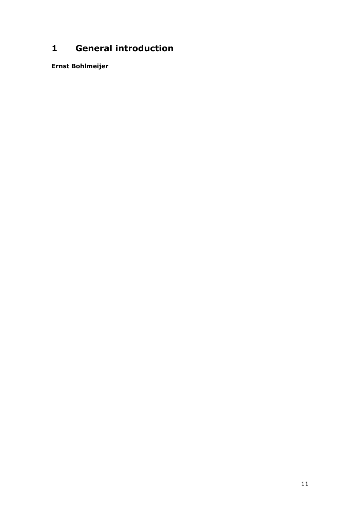## **General introduction**

**Ernst Bohlmeijer**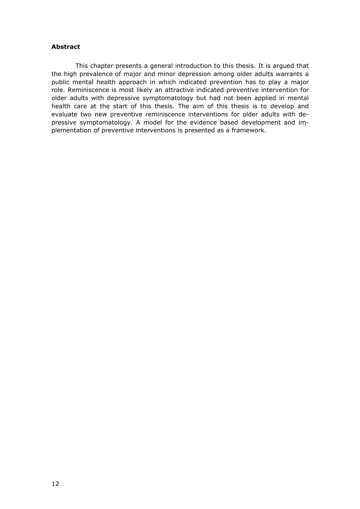#### **Abstract**

 This chapter presents a general introduction to this thesis. It is argued that the high prevalence of major and minor depression among older adults warrants a public mental health approach in which indicated prevention has to play a major role. Reminiscence is most likely an attractive indicated preventive intervention for older adults with depressive symptomatology but had not been applied in mental health care at the start of this thesis. The aim of this thesis is to develop and evaluate two new preventive reminiscence interventions for older adults with depressive symptomatology. A model for the evidence based development and implementation of preventive interventions is presented as a framework.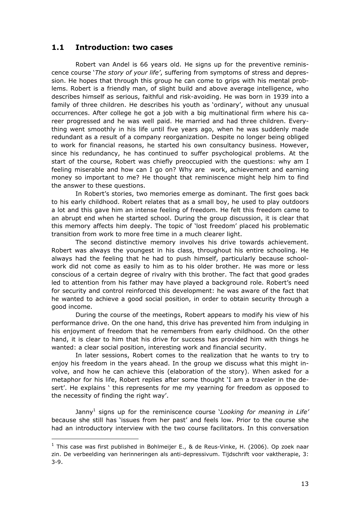## **1.1 Introduction: two cases**

 Robert van Andel is 66 years old. He signs up for the preventive reminiscence course '*The story of your life'*, suffering from symptoms of stress and depression. He hopes that through this group he can come to grips with his mental problems. Robert is a friendly man, of slight build and above average intelligence, who describes himself as serious, faithful and risk-avoiding. He was born in 1939 into a family of three children. He describes his youth as 'ordinary', without any unusual occurrences. After college he got a job with a big multinational firm where his career progressed and he was well paid. He married and had three children. Everything went smoothly in his life until five years ago, when he was suddenly made redundant as a result of a company reorganization. Despite no longer being obliged to work for financial reasons, he started his own consultancy business. However, since his redundancy, he has continued to suffer psychological problems. At the start of the course, Robert was chiefly preoccupied with the questions: why am I feeling miserable and how can I go on? Why are work, achievement and earning money so important to me? He thought that reminiscence might help him to find the answer to these questions.

 In Robert's stories, two memories emerge as dominant. The first goes back to his early childhood. Robert relates that as a small boy, he used to play outdoors a lot and this gave him an intense feeling of freedom. He felt this freedom came to an abrupt end when he started school. During the group discussion, it is clear that this memory affects him deeply. The topic of 'lost freedom' placed his problematic transition from work to more free time in a much clearer light.

 The second distinctive memory involves his drive towards achievement. Robert was always the youngest in his class, throughout his entire schooling. He always had the feeling that he had to push himself, particularly because schoolwork did not come as easily to him as to his older brother. He was more or less conscious of a certain degree of rivalry with this brother. The fact that good grades led to attention from his father may have played a background role. Robert's need for security and control reinforced this development: he was aware of the fact that he wanted to achieve a good social position, in order to obtain security through a good income.

 During the course of the meetings, Robert appears to modify his view of his performance drive. On the one hand, this drive has prevented him from indulging in his enjoyment of freedom that he remembers from early childhood. On the other hand, it is clear to him that his drive for success has provided him with things he wanted: a clear social position, interesting work and financial security.

 In later sessions, Robert comes to the realization that he wants to try to enjoy his freedom in the years ahead. In the group we discuss what this might involve, and how he can achieve this (elaboration of the story). When asked for a metaphor for his life, Robert replies after some thought 'I am a traveler in the desert'. He explains ' this represents for me my yearning for freedom as opposed to the necessity of finding the right way'.

Janny<sup>1</sup> signs up for the reminiscence course *'Looking for meaning in Life'* because she still has 'issues from her past' and feels low. Prior to the course she had an introductory interview with the two course facilitators. In this conversation

ł

 $1$  This case was first published in Bohlmeijer E., & de Reus-Vinke, H. (2006). Op zoek naar zin. De verbeelding van herinneringen als anti-depressivum. Tijdschrift voor vaktherapie, 3: 3-9.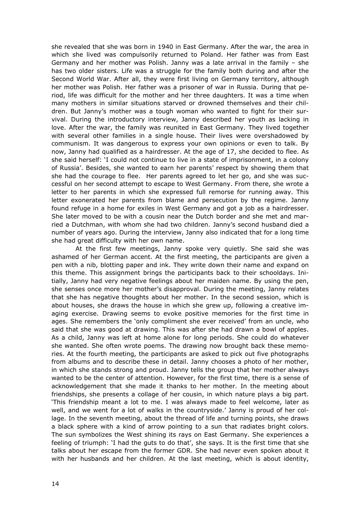she revealed that she was born in 1940 in East Germany. After the war, the area in which she lived was compulsorily returned to Poland. Her father was from East Germany and her mother was Polish. Janny was a late arrival in the family – she has two older sisters. Life was a struggle for the family both during and after the Second World War. After all, they were first living on Germany territory, although her mother was Polish. Her father was a prisoner of war in Russia. During that period, life was difficult for the mother and her three daughters. It was a time when many mothers in similar situations starved or drowned themselves and their children. But Janny's mother was a tough woman who wanted to fight for their survival. During the introductory interview, Janny described her youth as lacking in love. After the war, the family was reunited in East Germany. They lived together with several other families in a single house. Their lives were overshadowed by communism. It was dangerous to express your own opinions or even to talk. By now, Janny had qualified as a hairdresser. At the age of 17, she decided to flee. As she said herself: 'I could not continue to live in a state of imprisonment, in a colony of Russia'. Besides, she wanted to earn her parents' respect by showing them that she had the courage to flee. Her parents agreed to let her go, and she was successful on her second attempt to escape to West Germany. From there, she wrote a letter to her parents in which she expressed full remorse for running away. This letter exonerated her parents from blame and persecution by the regime. Janny found refuge in a home for exiles in West Germany and got a job as a hairdresser. She later moved to be with a cousin near the Dutch border and she met and married a Dutchman, with whom she had two children. Janny's second husband died a number of years ago. During the interview, Janny also indicated that for a long time she had great difficulty with her own name.

 At the first few meetings, Janny spoke very quietly. She said she was ashamed of her German accent. At the first meeting, the participants are given a pen with a nib, blotting paper and ink. They write down their name and expand on this theme. This assignment brings the participants back to their schooldays. Initially, Janny had very negative feelings about her maiden name. By using the pen, she senses once more her mother's disapproval. During the meeting, Janny relates that she has negative thoughts about her mother. In the second session, which is about houses, she draws the house in which she grew up, following a creative imaging exercise. Drawing seems to evoke positive memories for the first time in ages. She remembers the 'only compliment she ever received' from an uncle, who said that she was good at drawing. This was after she had drawn a bowl of apples. As a child, Janny was left at home alone for long periods. She could do whatever she wanted. She often wrote poems. The drawing now brought back these memories. At the fourth meeting, the participants are asked to pick out five photographs from albums and to describe these in detail. Janny chooses a photo of her mother, in which she stands strong and proud. Janny tells the group that her mother always wanted to be the center of attention. However, for the first time, there is a sense of acknowledgement that she made it thanks to her mother. In the meeting about friendships, she presents a collage of her cousin, in which nature plays a big part. 'This friendship meant a lot to me. I was always made to feel welcome, later as well, and we went for a lot of walks in the countryside.' Janny is proud of her collage. In the seventh meeting, about the thread of life and turning points, she draws a black sphere with a kind of arrow pointing to a sun that radiates bright colors. The sun symbolizes the West shining its rays on East Germany. She experiences a feeling of triumph: 'I had the guts to do that', she says. It is the first time that she talks about her escape from the former GDR. She had never even spoken about it with her husbands and her children. At the last meeting, which is about identity,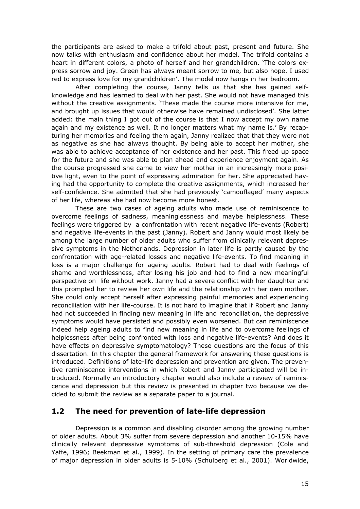the participants are asked to make a trifold about past, present and future. She now talks with enthusiasm and confidence about her model. The trifold contains a heart in different colors, a photo of herself and her grandchildren. 'The colors express sorrow and joy. Green has always meant sorrow to me, but also hope. I used red to express love for my grandchildren'. The model now hangs in her bedroom.

 After completing the course, Janny tells us that she has gained selfknowledge and has learned to deal with her past. She would not have managed this without the creative assignments. 'These made the course more intensive for me, and brought up issues that would otherwise have remained undisclosed'. She latter added: the main thing I got out of the course is that I now accept my own name again and my existence as well. It no longer matters what my name is.' By recapturing her memories and feeling them again, Janny realized that that they were not as negative as she had always thought. By being able to accept her mother, she was able to achieve acceptance of her existence and her past. This freed up space for the future and she was able to plan ahead and experience enjoyment again. As the course progressed she came to view her mother in an increasingly more positive light, even to the point of expressing admiration for her. She appreciated having had the opportunity to complete the creative assignments, which increased her self-confidence. She admitted that she had previously 'camouflaged' many aspects of her life, whereas she had now become more honest.

 These are two cases of ageing adults who made use of reminiscence to overcome feelings of sadness, meaninglessness and maybe helplessness. These feelings were triggered by a confrontation with recent negative life-events (Robert) and negative life-events in the past (Janny). Robert and Janny would most likely be among the large number of older adults who suffer from clinically relevant depressive symptoms in the Netherlands. Depression in later life is partly caused by the confrontation with age-related losses and negative life-events. To find meaning in loss is a major challenge for ageing adults. Robert had to deal with feelings of shame and worthlessness, after losing his job and had to find a new meaningful perspective on life without work. Janny had a severe conflict with her daughter and this prompted her to review her own life and the relationship with her own mother. She could only accept herself after expressing painful memories and experiencing reconciliation with her life-course. It is not hard to imagine that if Robert and Janny had not succeeded in finding new meaning in life and reconciliation, the depressive symptoms would have persisted and possibly even worsened. But can reminiscence indeed help ageing adults to find new meaning in life and to overcome feelings of helplessness after being confronted with loss and negative life-events? And does it have effects on depressive symptomatology? These questions are the focus of this dissertation. In this chapter the general framework for answering these questions is introduced. Definitions of late-life depression and prevention are given. The preventive reminiscence interventions in which Robert and Janny participated will be introduced. Normally an introductory chapter would also include a review of reminiscence and depression but this review is presented in chapter two because we decided to submit the review as a separate paper to a journal.

## **1.2 The need for prevention of late-life depression**

 Depression is a common and disabling disorder among the growing number of older adults. About 3% suffer from severe depression and another 10-15% have clinically relevant depressive symptoms of sub-threshold depression (Cole and Yaffe, 1996; Beekman et al., 1999). In the setting of primary care the prevalence of major depression in older adults is 5-10% (Schulberg et al., 2001). Worldwide,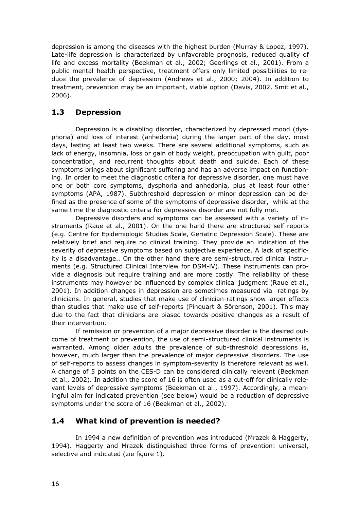depression is among the diseases with the highest burden (Murray & Lopez, 1997). Late-life depression is characterized by unfavorable prognosis, reduced quality of life and excess mortality (Beekman et al., 2002; Geerlings et al., 2001). From a public mental health perspective, treatment offers only limited possibilities to reduce the prevalence of depression (Andrews et al., 2000; 2004). In addition to treatment, prevention may be an important, viable option (Davis, 2002, Smit et al., 2006).

## **1.3 Depression**

 Depression is a disabling disorder, characterized by depressed mood (dysphoria) and loss of interest (anhedonia) during the larger part of the day, most days, lasting at least two weeks. There are several additional symptoms, such as lack of energy, insomnia, loss or gain of body weight, preoccupation with guilt, poor concentration, and recurrent thoughts about death and suicide. Each of these symptoms brings about significant suffering and has an adverse impact on functioning. In order to meet the diagnostic criteria for depressive disorder, one must have one or both core symptoms, dysphoria and anhedonia, plus at least four other symptoms (APA, 1987). Subthreshold depression or minor depression can be defined as the presence of some of the symptoms of depressive disorder, while at the same time the diagnostic criteria for depressive disorder are not fully met.

 Depressive disorders and symptoms can be assessed with a variety of instruments (Raue et al., 2001). On the one hand there are structured self-reports (e.g. Centre for Epidemiologic Studies Scale, Geriatric Depression Scale). These are relatively brief and require no clinical training. They provide an indication of the severity of depressive symptoms based on subjective experience. A lack of specificity is a disadvantage.. On the other hand there are semi-structured clinical instruments (e.g. Structured Clinical Interview for DSM-lV). These instruments can provide a diagnosis but require training and are more costly. The reliability of these instruments may however be influenced by complex clinical judgment (Raue et al., 2001). In addition changes in depression are sometimes measured via ratings by clinicians. In general, studies that make use of clinician-ratings show larger effects than studies that make use of self-reports (Pinquart & Sörenson, 2001). This may due to the fact that clinicians are biased towards positive changes as a result of their intervention.

 If remission or prevention of a major depressive disorder is the desired outcome of treatment or prevention, the use of semi-structured clinical instruments is warranted. Among older adults the prevalence of sub-threshold depressions is, however, much larger than the prevalence of major depressive disorders. The use of self-reports to assess changes in symptom-severity is therefore relevant as well. A change of 5 points on the CES-D can be considered clinically relevant (Beekman et al., 2002). In addition the score of 16 is often used as a cut-off for clinically relevant levels of depressive symptoms (Beekman et al., 1997). Accordingly, a meaningful aim for indicated prevention (see below) would be a reduction of depressive symptoms under the score of 16 (Beekman et al., 2002).

## **1.4 What kind of prevention is needed?**

 In 1994 a new definition of prevention was introduced (Mrazek & Haggerty, 1994). Haggerty and Mrazek distinguished three forms of prevention: universal, selective and indicated (zie figure 1).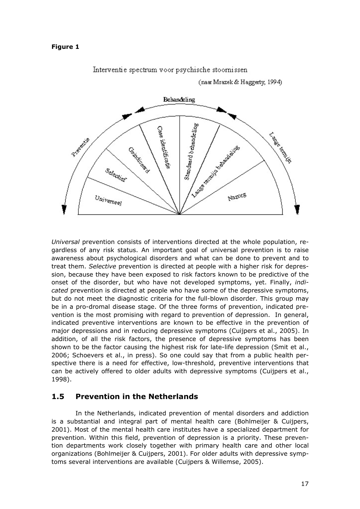#### **Figure 1**



Interventie spectrum voor psychische stoornissen

(naar Mrazek & Haggerty, 1994)

*Universal* prevention consists of interventions directed at the whole population, regardless of any risk status. An important goal of universal prevention is to raise awareness about psychological disorders and what can be done to prevent and to treat them. *Selective* prevention is directed at people with a higher risk for depression, because they have been exposed to risk factors known to be predictive of the onset of the disorder, but who have not developed symptoms, yet. Finally, *indicated* prevention is directed at people who have some of the depressive symptoms, but do not meet the diagnostic criteria for the full-blown disorder. This group may be in a pro-dromal disease stage. Of the three forms of prevention, indicated prevention is the most promising with regard to prevention of depression. In general, indicated preventive interventions are known to be effective in the prevention of major depressions and in reducing depressive symptoms (Cuijpers et al., 2005). In addition, of all the risk factors, the presence of depressive symptoms has been shown to be the factor causing the highest risk for late-life depression (Smit et al., 2006; Schoevers et al., in press). So one could say that from a public health perspective there is a need for effective, low-threshold, preventive interventions that can be actively offered to older adults with depressive symptoms (Cuijpers et al., 1998).

## **1.5 Prevention in the Netherlands**

 In the Netherlands, indicated prevention of mental disorders and addiction is a substantial and integral part of mental health care (Bohlmeijer & Cuijpers, 2001). Most of the mental health care institutes have a specialized department for prevention. Within this field, prevention of depression is a priority. These prevention departments work closely together with primary health care and other local organizations (Bohlmeijer & Cuijpers, 2001). For older adults with depressive symptoms several interventions are available (Cuijpers & Willemse, 2005).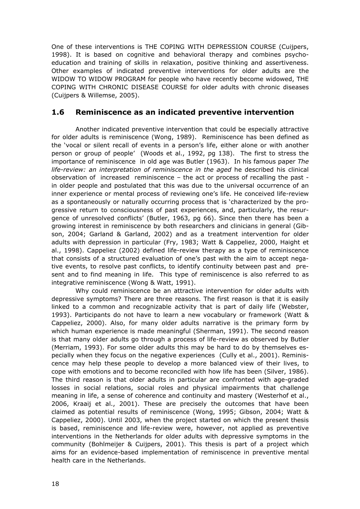One of these interventions is THE COPING WITH DEPRESSION COURSE (Cuijpers, 1998). It is based on cognitive and behavioral therapy and combines psychoeducation and training of skills in relaxation, positive thinking and assertiveness. Other examples of indicated preventive interventions for older adults are the WIDOW TO WIDOW PROGRAM for people who have recently become widowed, THE COPING WITH CHRONIC DISEASE COURSE for older adults with chronic diseases (Cuijpers & Willemse, 2005).

## **1.6 Reminiscence as an indicated preventive intervention**

 Another indicated preventive intervention that could be especially attractive for older adults is reminiscence (Wong, 1989). Reminiscence has been defined as the 'vocal or silent recall of events in a person's life, either alone or with another person or group of people' (Woods et al., 1992, pg 138). The first to stress the importance of reminiscence in old age was Butler (1963). In his famous paper *The life-review: an interpretation of reminiscence in the aged* he described his clinical observation of increased reminiscence – the act or process of recalling the past in older people and postulated that this was due to the universal occurrence of an inner experience or mental process of reviewing one's life. He conceived life-review as a spontaneously or naturally occurring process that is 'characterized by the progressive return to consciousness of past experiences, and, particularly, the resurgence of unresolved conflicts' (Butler, 1963, pg 66). Since then there has been a growing interest in reminiscence by both researchers and clinicians in general (Gibson, 2004; Garland & Garland, 2002) and as a treatment intervention for older adults with depression in particular (Fry, 1983; Watt & Cappeliez, 2000, Haight et al., 1998). Cappeliez (2002) defined life-review therapy as a type of reminiscence that consists of a structured evaluation of one's past with the aim to accept negative events, to resolve past conflicts, to identify continuity between past and present and to find meaning in life. This type of reminiscence is also referred to as integrative reminiscence (Wong & Watt, 1991).

 Why could reminiscence be an attractive intervention for older adults with depressive symptoms? There are three reasons. The first reason is that it is easily linked to a common and recognizable activity that is part of daily life (Webster, 1993). Participants do not have to learn a new vocabulary or framework (Watt & Cappeliez, 2000). Also, for many older adults narrative is the primary form by which human experience is made meaningful (Sherman, 1991). The second reason is that many older adults go through a process of life-review as observed by Butler (Merriam, 1993). For some older adults this may be hard to do by themselves especially when they focus on the negative experiences (Cully et al., 2001). Reminiscence may help these people to develop a more balanced view of their lives, to cope with emotions and to become reconciled with how life has been (Silver, 1986). The third reason is that older adults in particular are confronted with age-graded losses in social relations, social roles and physical impairments that challenge meaning in life, a sense of coherence and continuity and mastery (Westerhof et al., 2006, Kraaij et al., 2001). These are precisely the outcomes that have been claimed as potential results of reminiscence (Wong, 1995; Gibson, 2004; Watt & Cappeliez, 2000). Until 2003, when the project started on which the present thesis is based, reminiscence and life-review were, however, not applied as preventive interventions in the Netherlands for older adults with depressive symptoms in the community (Bohlmeijer & Cuijpers, 2001). This thesis is part of a project which aims for an evidence-based implementation of reminiscence in preventive mental health care in the Netherlands.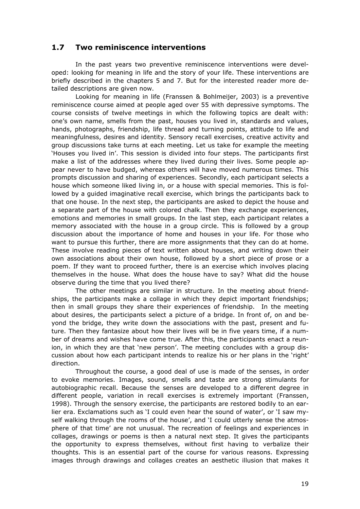## **1.7 Two reminiscence interventions**

 In the past years two preventive reminiscence interventions were developed: looking for meaning in life and the story of your life. These interventions are briefly described in the chapters 5 and 7. But for the interested reader more detailed descriptions are given now.

 Looking for meaning in life (Franssen & Bohlmeijer, 2003) is a preventive reminiscence course aimed at people aged over 55 with depressive symptoms. The course consists of twelve meetings in which the following topics are dealt with: one's own name, smells from the past, houses you lived in, standards and values, hands, photographs, friendship, life thread and turning points, attitude to life and meaningfulness, desires and identity. Sensory recall exercises, creative activity and group discussions take turns at each meeting. Let us take for example the meeting 'Houses you lived in'. This session is divided into four steps. The participants first make a list of the addresses where they lived during their lives. Some people appear never to have budged, whereas others will have moved numerous times. This prompts discussion and sharing of experiences. Secondly, each participant selects a house which someone liked living in, or a house with special memories. This is followed by a guided imaginative recall exercise, which brings the participants back to that one house. In the next step, the participants are asked to depict the house and a separate part of the house with colored chalk. Then they exchange experiences, emotions and memories in small groups. In the last step, each participant relates a memory associated with the house in a group circle. This is followed by a group discussion about the importance of home and houses in your life. For those who want to pursue this further, there are more assignments that they can do at home. These involve reading pieces of text written about houses, and writing down their own associations about their own house, followed by a short piece of prose or a poem. If they want to proceed further, there is an exercise which involves placing themselves in the house. What does the house have to say? What did the house observe during the time that you lived there?

 The other meetings are similar in structure. In the meeting about friendships, the participants make a collage in which they depict important friendships; then in small groups they share their experiences of friendship. In the meeting about desires, the participants select a picture of a bridge. In front of, on and beyond the bridge, they write down the associations with the past, present and future. Then they fantasize about how their lives will be in five years time, if a number of dreams and wishes have come true. After this, the participants enact a reunion, in which they are that 'new person'. The meeting concludes with a group discussion about how each participant intends to realize his or her plans in the 'right' direction.

 Throughout the course, a good deal of use is made of the senses, in order to evoke memories. Images, sound, smells and taste are strong stimulants for autobiographic recall. Because the senses are developed to a different degree in different people, variation in recall exercises is extremely important (Franssen, 1998). Through the sensory exercise, the participants are restored bodily to an earlier era. Exclamations such as 'I could even hear the sound of water', or 'I saw myself walking through the rooms of the house', and 'I could utterly sense the atmosphere of that time' are not unusual. The recreation of feelings and experiences in collages, drawings or poems is then a natural next step. It gives the participants the opportunity to express themselves, without first having to verbalize their thoughts. This is an essential part of the course for various reasons. Expressing images through drawings and collages creates an aesthetic illusion that makes it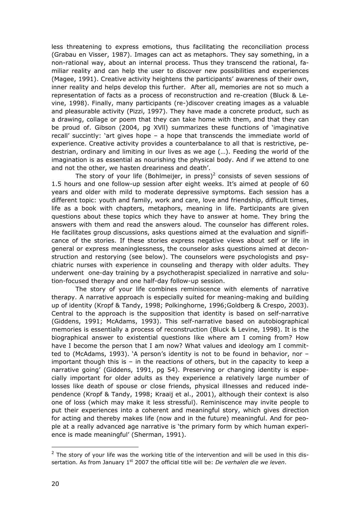less threatening to express emotions, thus facilitating the reconciliation process (Grabau en Visser, 1987). Images can act as metaphors. They say something, in a non-rational way, about an internal process. Thus they transcend the rational, familiar reality and can help the user to discover new possibilities and experiences (Magee, 1991). Creative activity heightens the participants' awareness of their own, inner reality and helps develop this further. After all, memories are not so much a representation of facts as a process of reconstruction and re-creation (Bluck & Levine, 1998). Finally, many participants (re-)discover creating images as a valuable and pleasurable activity (Pizzi, 1997). They have made a concrete product, such as a drawing, collage or poem that they can take home with them, and that they can be proud of. Gibson (2004, pg XVll) summarizes these functions of 'imaginative recall' succintly: 'art gives hope – a hope that transcends the immediate world of experience. Creative activity provides a counterbalance to all that is restrictive, pedestrian, ordinary and limiting in our lives as we age (…). Feeding the world of the imagination is as essential as nourishing the physical body. And if we attend to one and not the other, we hasten dreariness and death'.

The story of your life (Bohlmeijer, in press)<sup>2</sup> consists of seven sessions of 1.5 hours and one follow-up session after eight weeks. It's aimed at people of 60 years and older with mild to moderate depressive symptoms. Each session has a different topic: youth and family, work and care, love and friendship, difficult times, life as a book with chapters, metaphors, meaning in life. Participants are given questions about these topics which they have to answer at home. They bring the answers with them and read the answers aloud. The counselor has different roles. He facilitates group discussions, asks questions aimed at the evaluation and significance of the stories. If these stories express negative views about self or life in general or express meaninglessness, the counselor asks questions aimed at deconstruction and restorying (see below). The counselors were psychologists and psychiatric nurses with experience in counseling and therapy with older adults. They underwent one-day training by a psychotherapist specialized in narrative and solution-focused therapy and one half-day follow-up session.

 The story of your life combines reminiscence with elements of narrative therapy. A narrative approach is especially suited for meaning-making and building up of identity (Kropf & Tandy, 1998; Polkinghorne, 1996;Goldberg & Crespo, 2003). Central to the approach is the supposition that identity is based on self-narrative (Giddens, 1991; McAdams, 1993). This self-narrative based on autobiographical memories is essentially a process of reconstruction (Bluck & Levine, 1998). It is the biographical answer to existential questions like where am I coming from? How have I become the person that I am now? What values and ideology am I committed to (McAdams, 1993). 'A person's identity is not to be found in behavior, nor – important though this is – in the reactions of others, but in the capacity to keep a narrative going' (Giddens, 1991, pg 54). Preserving or changing identity is especially important for older adults as they experience a relatively large number of losses like death of spouse or close friends, physical illnesses and reduced independence (Kropf & Tandy, 1998; Kraaij et al., 2001), although their context is also one of loss (which may make it less stressful). Reminiscence may invite people to put their experiences into a coherent and meaningful story, which gives direction for acting and thereby makes life (now and in the future) meaningful. And for people at a really advanced age narrative is 'the primary form by which human experience is made meaningful' (Sherman, 1991).

l

 $2$  The story of your life was the working title of the intervention and will be used in this dissertation. As from January 1<sup>st</sup> 2007 the official title will be: *De verhalen die we leven*.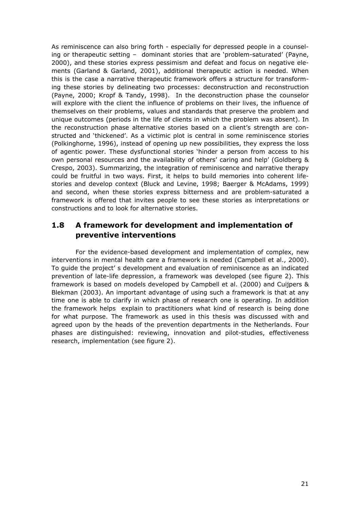As reminiscence can also bring forth - especially for depressed people in a counseling or therapeutic setting – dominant stories that are 'problem-saturated' (Payne, 2000), and these stories express pessimism and defeat and focus on negative elements (Garland & Garland, 2001), additional therapeutic action is needed. When this is the case a narrative therapeutic framework offers a structure for transforming these stories by delineating two processes: deconstruction and reconstruction (Payne, 2000; Kropf & Tandy, 1998). In the deconstruction phase the counselor will explore with the client the influence of problems on their lives, the influence of themselves on their problems, values and standards that preserve the problem and unique outcomes (periods in the life of clients in which the problem was absent). In the reconstruction phase alternative stories based on a client's strength are constructed and 'thickened'. As a victimic plot is central in some reminiscence stories (Polkinghorne, 1996), instead of opening up new possibilities, they express the loss of agentic power. These dysfunctional stories 'hinder a person from access to his own personal resources and the availability of others' caring and help' (Goldberg & Crespo, 2003). Summarizing, the integration of reminiscence and narrative therapy could be fruitful in two ways. First, it helps to build memories into coherent lifestories and develop context (Bluck and Levine, 1998; Baerger & McAdams, 1999) and second, when these stories express bitterness and are problem-saturated a framework is offered that invites people to see these stories as interpretations or constructions and to look for alternative stories.

## **1.8 A framework for development and implementation of preventive interventions**

 For the evidence-based development and implementation of complex, new interventions in mental health care a framework is needed (Campbell et al., 2000). To guide the project' s development and evaluation of reminiscence as an indicated prevention of late-life depression, a framework was developed (see figure 2). This framework is based on models developed by Campbell et al. (2000) and Cuijpers & Blekman (2003). An important advantage of using such a framework is that at any time one is able to clarify in which phase of research one is operating. In addition the framework helps explain to practitioners what kind of research is being done for what purpose. The framework as used in this thesis was discussed with and agreed upon by the heads of the prevention departments in the Netherlands. Four phases are distinguished: reviewing, innovation and pilot-studies, effectiveness research, implementation (see figure 2).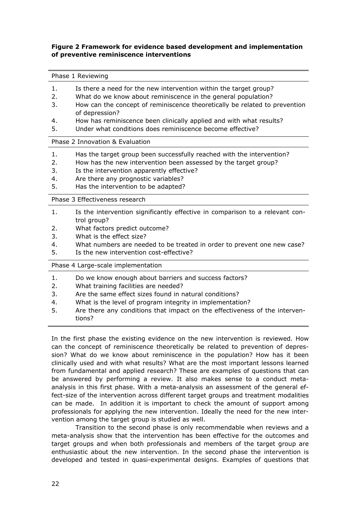#### **Figure 2 Framework for evidence based development and implementation of preventive reminiscence interventions**

#### Phase 1 Reviewing

- 1. Is there a need for the new intervention within the target group?
- 2. What do we know about reminiscence in the general population?
- 3. How can the concept of reminiscence theoretically be related to prevention of depression?
- 4. How has reminiscence been clinically applied and with what results?
- 5. Under what conditions does reminiscence become effective?

#### Phase 2 Innovation & Evaluation

- 1. Has the target group been successfully reached with the intervention?
- 2. How has the new intervention been assessed by the target group?
- 3. Is the intervention apparently effective?
- 4. Are there any prognostic variables?
- 5. Has the intervention to be adapted?

Phase 3 Effectiveness research

- 1. Is the intervention significantly effective in comparison to a relevant control group?
- 2. What factors predict outcome?
- 3. What is the effect size?
- 4. What numbers are needed to be treated in order to prevent one new case?
- 5. Is the new intervention cost-effective?

Phase 4 Large-scale implementation

- 1. Do we know enough about barriers and success factors?
- 2. What training facilities are needed?
- 3. Are the same effect sizes found in natural conditions?
- 4. What is the level of program integrity in implementation?
- 5. Are there any conditions that impact on the effectiveness of the interventions?

In the first phase the existing evidence on the new intervention is reviewed. How can the concept of reminiscence theoretically be related to prevention of depression? What do we know about reminiscence in the population? How has it been clinically used and with what results? What are the most important lessons learned from fundamental and applied research? These are examples of questions that can be answered by performing a review. It also makes sense to a conduct metaanalysis in this first phase. With a meta-analysis an assessment of the general effect-size of the intervention across different target groups and treatment modalities can be made. In addition it is important to check the amount of support among professionals for applying the new intervention. Ideally the need for the new intervention among the target group is studied as well.

 Transition to the second phase is only recommendable when reviews and a meta-analysis show that the intervention has been effective for the outcomes and target groups and when both professionals and members of the target group are enthusiastic about the new intervention. In the second phase the intervention is developed and tested in quasi-experimental designs. Examples of questions that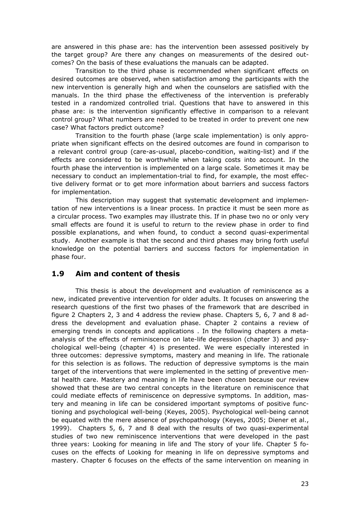are answered in this phase are: has the intervention been assessed positively by the target group? Are there any changes on measurements of the desired outcomes? On the basis of these evaluations the manuals can be adapted.

 Transition to the third phase is recommended when significant effects on desired outcomes are observed, when satisfaction among the participants with the new intervention is generally high and when the counselors are satisfied with the manuals. In the third phase the effectiveness of the intervention is preferably tested in a randomized controlled trial. Questions that have to answered in this phase are: is the intervention significantly effective in comparison to a relevant control group? What numbers are needed to be treated in order to prevent one new case? What factors predict outcome?

 Transition to the fourth phase (large scale implementation) is only appropriate when significant effects on the desired outcomes are found in comparison to a relevant control group (care-as-usual, placebo-condition, waiting-list) and if the effects are considered to be worthwhile when taking costs into account. In the fourth phase the intervention is implemented on a large scale. Sometimes it may be necessary to conduct an implementation-trial to find, for example, the most effective delivery format or to get more information about barriers and success factors for implementation.

 This description may suggest that systematic development and implementation of new interventions is a linear process. In practice it must be seen more as a circular process. Two examples may illustrate this. If in phase two no or only very small effects are found it is useful to return to the review phase in order to find possible explanations, and when found, to conduct a second quasi-experimental study. Another example is that the second and third phases may bring forth useful knowledge on the potential barriers and success factors for implementation in phase four.

## **1.9 Aim and content of thesis**

 This thesis is about the development and evaluation of reminiscence as a new, indicated preventive intervention for older adults. It focuses on answering the research questions of the first two phases of the framework that are described in figure 2 Chapters 2, 3 and 4 address the review phase. Chapters 5, 6, 7 and 8 address the development and evaluation phase. Chapter 2 contains a review of emerging trends in concepts and applications . In the following chapters a metaanalysis of the effects of reminiscence on late-life depression (chapter 3) and psychological well-being (chapter 4) is presented. We were especially interested in three outcomes: depressive symptoms, mastery and meaning in life. The rationale for this selection is as follows. The reduction of depressive symptoms is the main target of the interventions that were implemented in the setting of preventive mental health care. Mastery and meaning in life have been chosen because our review showed that these are two central concepts in the literature on reminiscence that could mediate effects of reminiscence on depressive symptoms. In addition, mastery and meaning in life can be considered important symptoms of positive functioning and psychological well-being (Keyes, 2005). Psychological well-being cannot be equated with the mere absence of psychopathology (Keyes, 2005; Diener et al., 1999). Chapters 5, 6, 7 and 8 deal with the results of two quasi-experimental studies of two new reminiscence interventions that were developed in the past three years: Looking for meaning in life and The story of your life. Chapter 5 focuses on the effects of Looking for meaning in life on depressive symptoms and mastery. Chapter 6 focuses on the effects of the same intervention on meaning in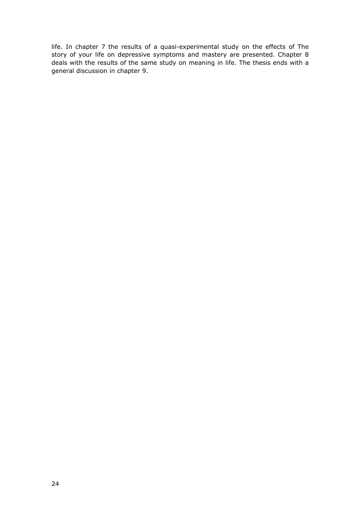life. In chapter 7 the results of a quasi-experimental study on the effects of The story of your life on depressive symptoms and mastery are presented. Chapter 8 deals with the results of the same study on meaning in life. The thesis ends with a general discussion in chapter 9.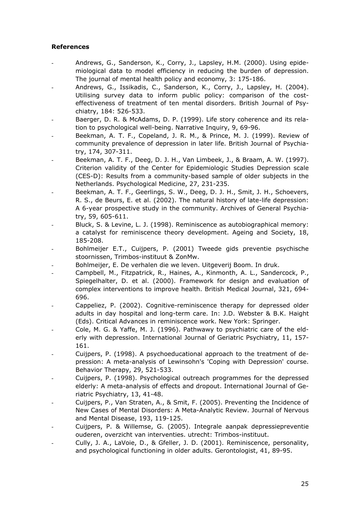### **References**

- Andrews, G., Sanderson, K., Corry, J., Lapsley, H.M. (2000). Using epidemiological data to model efficiency in reducing the burden of depression. The journal of mental health policy and economy, 3: 175-186.
- Andrews, G., Issikadis, C., Sanderson, K., Corry, J., Lapsley, H. (2004). Utilising survey data to inform public policy: comparison of the costeffectiveness of treatment of ten mental disorders. British Journal of Psychiatry, 184: 526-533.
- Baerger, D. R. & McAdams, D. P. (1999). Life story coherence and its relation to psychological well-being. Narrative Inquiry, 9, 69-96.
- Beekman, A. T. F., Copeland, J. R. M., & Prince, M. J. (1999). Review of community prevalence of depression in later life. British Journal of Psychiatry, 174, 307-311.
- Beekman, A. T. F., Deeg, D. J. H., Van Limbeek, J., & Braam, A. W. (1997). Criterion validity of the Center for Epidemiologic Studies Depression scale (CES-D): Results from a community-based sample of older subjects in the Netherlands. Psychological Medicine, 27, 231-235.
- Beekman, A. T. F., Geerlings, S. W., Deeg, D. J. H., Smit, J. H., Schoevers, R. S., de Beurs, E. et al. (2002). The natural history of late-life depression: A 6-year prospective study in the community. Archives of General Psychiatry, 59, 605-611.
- Bluck, S. & Levine, L. J. (1998). Reminiscence as autobiographical memory: a catalyst for reminiscence theory development. Ageing and Society, 18, 185-208.
- Bohlmeijer E.T., Cuijpers, P. (2001) Tweede gids preventie psychische stoornissen, Trimbos-instituut & ZonMw.
- Bohlmeijer, E. De verhalen die we leven. Uitgeverij Boom. In druk.
- Campbell, M., Fitzpatrick, R., Haines, A., Kinmonth, A. L., Sandercock, P., Spiegelhalter, D. et al. (2000). Framework for design and evaluation of complex interventions to improve health. British Medical Journal, 321, 694- 696.
- Cappeliez, P. (2002). Cognitive-reminiscence therapy for depressed older adults in day hospital and long-term care. In: J.D. Webster & B.K. Haight (Eds). Critical Advances in reminiscence work. New York: Springer.
- Cole, M. G. & Yaffe, M. J. (1996). Pathwawy to psychiatric care of the elderly with depression. International Journal of Geriatric Psychiatry, 11, 157- 161.
- Cuijpers, P. (1998). A psychoeducational approach to the treatment of depression: A meta-analysis of Lewinsohn's 'Coping with Depression' course. Behavior Therapy, 29, 521-533.
- Cuijpers, P. (1998). Psychological outreach programmes for the depressed elderly: A meta-analysis of effects and dropout. International Journal of Geriatric Psychiatry, 13, 41-48.
- Cuijpers, P., Van Straten, A., & Smit, F. (2005). Preventing the Incidence of New Cases of Mental Disorders: A Meta-Analytic Review. Journal of Nervous and Mental Disease, 193, 119-125.
- Cuijpers, P. & Willemse, G. (2005). Integrale aanpak depressiepreventie ouderen, overzicht van interventies. utrecht: Trimbos-instituut.
- Cully, J. A., LaVoie, D., & Gfeller, J. D. (2001). Reminiscence, personality, and psychological functioning in older adults. Gerontologist, 41, 89-95.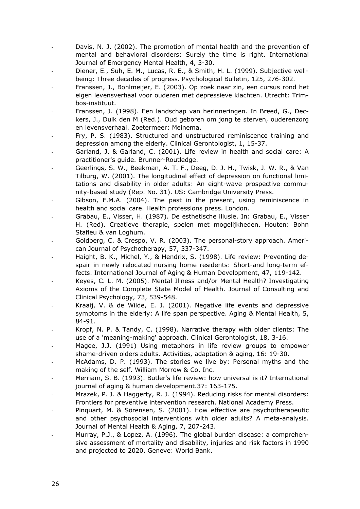- Davis, N. J. (2002). The promotion of mental health and the prevention of mental and behavioral disorders: Surely the time is right. International Journal of Emergency Mental Health, 4, 3-30.
- Diener, E., Suh, E. M., Lucas, R. E., & Smith, H. L. (1999). Subjective wellbeing: Three decades of progress. Psychological Bulletin, 125, 276-302.
- Franssen, J., Bohlmeijer, E. (2003). Op zoek naar zin, een cursus rond het eigen levensverhaal voor ouderen met depressieve klachten. Utrecht: Trimbos-instituut.
- Franssen, J. (1998). Een landschap van herinneringen. In Breed, G., Deckers, J., Dulk den M (Red.). Oud geboren om jong te sterven, ouderenzorg en levensverhaal. Zoetermeer: Meinema.
- Fry, P. S. (1983). Structured and unstructured reminiscence training and depression among the elderly. Clinical Gerontologist, 1, 15-37.
- Garland, J. & Garland, C. (2001). Life review in health and social care: A practitioner's guide. Brunner-Routledge.
- Geerlings, S. W., Beekman, A. T. F., Deeg, D. J. H., Twisk, J. W. R., & Van Tilburg, W. (2001). The longitudinal effect of depression on functional limitations and disability in older adults: An eight-wave prospective community-based study (Rep. No. 31). US: Cambridge University Press.
- Gibson, F.M.A. (2004). The past in the present, using reminiscence in health and social care. Health professions press. London.
- Grabau, E., Visser, H. (1987). De esthetische illusie. In: Grabau, E., Visser H. (Red). Creatieve therapie, spelen met mogelijkheden. Houten: Bohn Stafleu & van Loghum.
- Goldberg, C. & Crespo, V. R. (2003). The personal-story approach. American Journal of Psychotherapy, 57, 337-347.
- Haight, B. K., Michel, Y., & Hendrix, S. (1998). Life review: Preventing despair in newly relocated nursing home residents: Short-and long-term effects. International Journal of Aging & Human Development, 47, 119-142.
- Keyes, C. L. M. (2005). Mental Illness and/or Mental Health? Investigating Axioms of the Complete State Model of Health. Journal of Consulting and Clinical Psychology, 73, 539-548.
- Kraaij, V. & de Wilde, E. J. (2001). Negative life events and depressive symptoms in the elderly: A life span perspective. Aging & Mental Health, 5, 84-91.
- Kropf, N. P. & Tandy, C. (1998). Narrative therapy with older clients: The use of a 'meaning-making' approach. Clinical Gerontologist, 18, 3-16.
- Magee, J.J. (1991) Using metaphors in life review groups to empower shame-driven olders adults. Activities, adaptation & aging, 16: 19-30.
- McAdams, D. P. (1993). The stories we live by: Personal myths and the making of the self. William Morrow & Co, Inc.
- Merriam, S. B. (1993). Butler's life review: how universal is it? International journal of aging & human development.37: 163-175.
- Mrazek, P. J. & Haggerty, R. J. (1994). Reducing risks for mental disorders: Frontiers for preventive intervention research. National Academy Press.
- Pinquart, M. & Sörensen, S. (2001). How effective are psychotherapeutic and other psychosocial interventions with older adults? A meta-analysis. Journal of Mental Health & Aging, 7, 207-243.
- Murray, P.J., & Lopez, A. (1996). The global burden disease: a comprehensive assessment of mortality and disability, injuries and risk factors in 1990 and projected to 2020. Geneve: World Bank.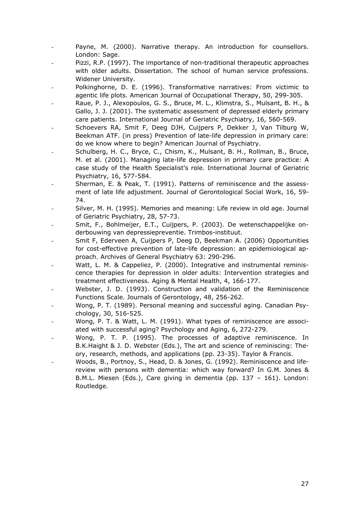- Payne, M. (2000). Narrative therapy. An introduction for counsellors. London: Sage.
- Pizzi, R.P. (1997). The importance of non-traditional therapeutic approaches with older adults. Dissertation. The school of human service professions. Widener University.
- Polkinghorne, D. E. (1996). Transformative narratives: From victimic to agentic life plots. American Journal of Occupational Therapy, 50, 299-305.
- Raue, P. J., Alexopoulos, G. S., Bruce, M. L., Klimstra, S., Mulsant, B. H., & Gallo, J. J. (2001). The systematic assessment of depressed elderly primary care patients. International Journal of Geriatric Psychiatry, 16, 560-569.
- Schoevers RA, Smit F, Deeg DJH, Cuijpers P, Dekker J, Van Tilburg W, Beekman ATF. (in press) Prevention of late-life depression in primary care: do we know where to begin? American Journal of Psychiatry.
- Schulberg, H. C., Bryce, C., Chism, K., Mulsant, B. H., Rollman, B., Bruce, M. et al. (2001). Managing late-life depression in primary care practice: A case study of the Health Specialist's role. International Journal of Geriatric Psychiatry, 16, 577-584.
- Sherman, E. & Peak, T. (1991). Patterns of reminiscence and the assessment of late life adjustment. Journal of Gerontological Social Work, 16, 59- 74.
- Silver, M. H. (1995). Memories and meaning: Life review in old age. Journal of Geriatric Psychiatry, 28, 57-73.
- Smit, F., Bohlmeijer, E.T., Cuijpers, P. (2003). De wetenschappelijke onderbouwing van depressiepreventie. Trimbos-instituut.
- Smit F, Ederveen A, Cuijpers P, Deeg D, Beekman A. (2006) Opportunities for cost-effective prevention of late-life depression: an epidemiological approach. Archives of General Psychiatry 63: 290-296.
- Watt, L. M. & Cappeliez, P. (2000). Integrative and instrumental reminiscence therapies for depression in older adults: Intervention strategies and treatment effectiveness. Aging & Mental Health, 4, 166-177.
- Webster, J. D. (1993). Construction and validation of the Reminiscence Functions Scale. Journals of Gerontology, 48, 256-262.
- Wong, P. T. (1989). Personal meaning and successful aging. Canadian Psychology, 30, 516-525.
- Wong, P. T. & Watt, L. M. (1991). What types of reminiscence are associated with successful aging? Psychology and Aging, 6, 272-279.
- Wong, P. T. P. (1995). The processes of adaptive reminiscence. In B.K.Haight & J. D. Webster (Eds.), The art and science of reminiscing: Theory, research, methods, and applications (pp. 23-35). Taylor & Francis.
- Woods, B., Portnoy, S., Head, D. & Jones, G. (1992). Reminiscence and lifereview with persons with dementia: which way forward? In G.M. Jones & B.M.L. Miesen (Eds.), Care giving in dementia (pp. 137 – 161). London: Routledge.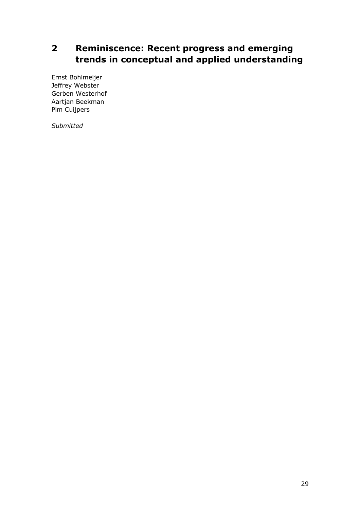## **2 Reminiscence: Recent progress and emerging trends in conceptual and applied understanding**

Ernst Bohlmeijer Jeffrey Webster Gerben Westerhof Aartjan Beekman Pim Cuijpers

*Submitted*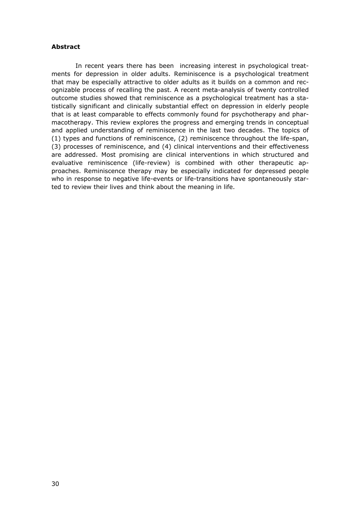#### **Abstract**

 In recent years there has been increasing interest in psychological treatments for depression in older adults. Reminiscence is a psychological treatment that may be especially attractive to older adults as it builds on a common and recognizable process of recalling the past. A recent meta-analysis of twenty controlled outcome studies showed that reminiscence as a psychological treatment has a statistically significant and clinically substantial effect on depression in elderly people that is at least comparable to effects commonly found for psychotherapy and pharmacotherapy. This review explores the progress and emerging trends in conceptual and applied understanding of reminiscence in the last two decades. The topics of (1) types and functions of reminiscence, (2) reminiscence throughout the life-span, (3) processes of reminiscence, and (4) clinical interventions and their effectiveness are addressed. Most promising are clinical interventions in which structured and evaluative reminiscence (life-review) is combined with other therapeutic approaches. Reminiscence therapy may be especially indicated for depressed people who in response to negative life-events or life-transitions have spontaneously started to review their lives and think about the meaning in life.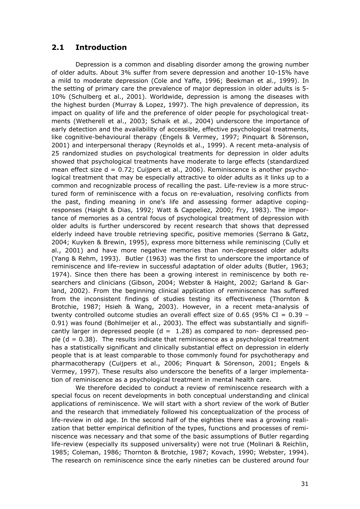## **2.1 Introduction**

 Depression is a common and disabling disorder among the growing number of older adults. About 3% suffer from severe depression and another 10-15% have a mild to moderate depression (Cole and Yaffe, 1996; Beekman et al., 1999). In the setting of primary care the prevalence of major depression in older adults is 5- 10% (Schulberg et al., 2001). Worldwide, depression is among the diseases with the highest burden (Murray & Lopez, 1997). The high prevalence of depression, its impact on quality of life and the preference of older people for psychological treatments (Wetherell et al., 2003; Schaik et al., 2004) underscore the importance of early detection and the availability of accessible, effective psychological treatments, like cognitive-behavioural therapy (Engels & Vermey, 1997; Pinquart & Sörenson, 2001) and interpersonal therapy (Reynolds et al., 1999). A recent meta-analysis of 25 randomized studies on psychological treatments for depression in older adults showed that psychological treatments have moderate to large effects (standardized mean effect size  $d = 0.72$ ; Cuijpers et al., 2006). Reminiscence is another psychological treatment that may be especially attractive to older adults as it links up to a common and recognizable process of recalling the past. Life-review is a more structured form of reminiscence with a focus on re-evaluation, resolving conflicts from the past, finding meaning in one's life and assessing former adaptive copingresponses (Haight & Dias, 1992; Watt & Cappeliez, 2000; Fry, 1983). The importance of memories as a central focus of psychological treatment of depression with older adults is further underscored by recent research that shows that depressed elderly indeed have trouble retrieving specific, positive memories (Serrano & Gatz, 2004; Kuyken & Brewin, 1995), express more bitterness while reminiscing (Cully et al., 2001) and have more negative memories than non-depressed older adults (Yang & Rehm, 1993). Butler (1963) was the first to underscore the importance of reminiscence and life-review in successful adaptation of older adults (Butler, 1963; 1974). Since then there has been a growing interest in reminiscence by both researchers and clinicians (Gibson, 2004; Webster & Haight, 2002; Garland & Garland, 2002). From the beginning clinical application of reminiscence has suffered from the inconsistent findings of studies testing its effectiveness (Thornton & Brotchie, 1987; Hsieh & Wang, 2003). However, in a recent meta-analysis of twenty controlled outcome studies an overall effect size of 0.65 (95% CI =  $0.39$  -0.91) was found (Bohlmeijer et al., 2003). The effect was substantially and significantly larger in depressed people  $(d = 1.28)$  as compared to non- depressed people  $(d = 0.38)$ . The results indicate that reminiscence as a psychological treatment has a statistically significant and clinically substantial effect on depression in elderly people that is at least comparable to those commonly found for psychotherapy and pharmacotherapy (Cuijpers et al., 2006; Pinquart & Sörenson, 2001; Engels & Vermey, 1997). These results also underscore the benefits of a larger implementation of reminiscence as a psychological treatment in mental health care.

 We therefore decided to conduct a review of reminiscence research with a special focus on recent developments in both conceptual understanding and clinical applications of reminiscence. We will start with a short review of the work of Butler and the research that immediately followed his conceptualization of the process of life-review in old age. In the second half of the eighties there was a growing realization that better empirical definition of the types, functions and processes of reminiscence was necessary and that some of the basic assumptions of Butler regarding life-review (especially its supposed universality) were not true (Molinari & Reichlin, 1985; Coleman, 1986; Thornton & Brotchie, 1987; Kovach, 1990; Webster, 1994). The research on reminiscence since the early nineties can be clustered around four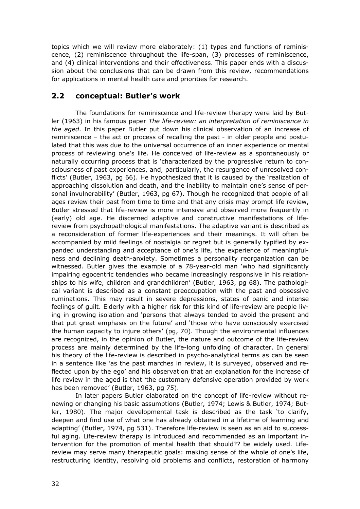topics which we will review more elaborately: (1) types and functions of reminiscence, (2) reminiscence throughout the life-span, (3) processes of reminiscence, and (4) clinical interventions and their effectiveness. This paper ends with a discussion about the conclusions that can be drawn from this review, recommendations for applications in mental health care and priorities for research.

## **2.2 conceptual: Butler's work**

 The foundations for reminiscence and life-review therapy were laid by Butler (1963) in his famous paper *The life-review: an interpretation of reminiscence in the aged*. In this paper Butler put down his clinical observation of an increase of reminiscence – the act or process of recalling the past - in older people and postulated that this was due to the universal occurrence of an inner experience or mental process of reviewing one's life. He conceived of life-review as a spontaneously or naturally occurring process that is 'characterized by the progressive return to consciousness of past experiences, and, particularly, the resurgence of unresolved conflicts' (Butler, 1963, pg 66). He hypothesized that it is caused by the 'realization of approaching dissolution and death, and the inability to maintain one's sense of personal invulnerability' (Butler, 1963, pg 67). Though he recognized that people of all ages review their past from time to time and that any crisis may prompt life review, Butler stressed that life-review is more intensive and observed more frequently in (early) old age. He discerned adaptive and constructive manifestations of lifereview from psychopathological manifestations. The adaptive variant is described as a reconsideration of former life-experiences and their meanings. It will often be accompanied by mild feelings of nostalgia or regret but is generally typified by expanded understanding and acceptance of one's life, the experience of meaningfulness and declining death-anxiety. Sometimes a personality reorganization can be witnessed. Butler gives the example of a 78-year-old man 'who had significantly impairing egocentric tendencies who became increasingly responsive in his relationships to his wife, children and grandchildren' (Butler, 1963, pg 68). The pathological variant is described as a constant preoccupation with the past and obsessive ruminations. This may result in severe depressions, states of panic and intense feelings of guilt. Elderly with a higher risk for this kind of life-review are people living in growing isolation and 'persons that always tended to avoid the present and that put great emphasis on the future' and 'those who have consciously exercised the human capacity to injure others' (pg, 70). Though the environmental influences are recognized, in the opinion of Butler, the nature and outcome of the life-review process are mainly determined by the life-long unfolding of character. In general his theory of the life-review is described in psycho-analytical terms as can be seen in a sentence like 'as the past marches in review, it is surveyed, observed and reflected upon by the ego' and his observation that an explanation for the increase of life review in the aged is that 'the customary defensive operation provided by work has been removed' (Butler, 1963, pg 75).

 In later papers Butler elaborated on the concept of life-review without renewing or changing his basic assumptions (Butler, 1974; Lewis & Butler, 1974; Butler, 1980). The major developmental task is described as the task 'to clarify, deepen and find use of what one has already obtained in a lifetime of learning and adapting' (Butler, 1974, pg 531). Therefore life-review is seen as an aid to successful aging. Life-review therapy is introduced and recommended as an important intervention for the promotion of mental health that should?? be widely used. Lifereview may serve many therapeutic goals: making sense of the whole of one's life, restructuring identity, resolving old problems and conflicts, restoration of harmony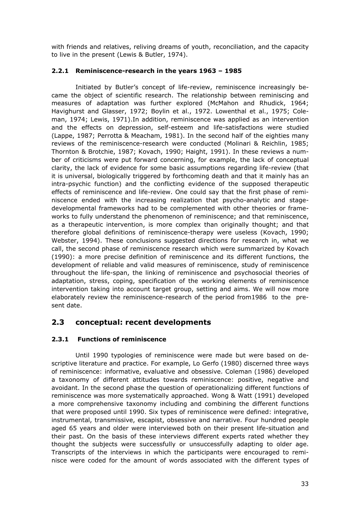with friends and relatives, reliving dreams of youth, reconciliation, and the capacity to live in the present (Lewis & Butler, 1974).

## **2.2.1 Reminiscence-research in the years 1963 – 1985**

 Initiated by Butler's concept of life-review, reminiscence increasingly became the object of scientific research. The relationship between reminiscing and measures of adaptation was further explored (McMahon and Rhudick, 1964; Havighurst and Glasser, 1972; Boylin et al., 1972. Lowenthal et al., 1975; Coleman, 1974; Lewis, 1971).In addition, reminiscence was applied as an intervention and the effects on depression, self-esteem and life-satisfactions were studied (Lappe, 1987; Perrotta & Meacham, 1981). In the second half of the eighties many reviews of the reminiscence-research were conducted (Molinari & Reichlin, 1985; Thornton & Brotchie, 1987; Kovach, 1990; Haight, 1991). In these reviews a number of criticisms were put forward concerning, for example, the lack of conceptual clarity, the lack of evidence for some basic assumptions regarding life-review (that it is universal, biologically triggered by forthcoming death and that it mainly has an intra-psychic function) and the conflicting evidence of the supposed therapeutic effects of reminiscence and life-review. One could say that the first phase of reminiscence ended with the increasing realization that psycho-analytic and stagedevelopmental frameworks had to be complemented with other theories or frameworks to fully understand the phenomenon of reminiscence; and that reminiscence, as a therapeutic intervention, is more complex than originally thought; and that therefore global definitions of reminiscence-therapy were useless (Kovach, 1990; Webster, 1994). These conclusions suggested directions for research in, what we call, the second phase of reminiscence research which were summarized by Kovach (1990): a more precise definition of reminiscence and its different functions, the development of reliable and valid measures of reminiscence, study of reminiscence throughout the life-span, the linking of reminiscence and psychosocial theories of adaptation, stress, coping, specification of the working elements of reminiscence intervention taking into account target group, setting and aims. We will now more elaborately review the reminiscence-research of the period from1986 to the present date.

## **2.3 conceptual: recent developments**

## **2.3.1 Functions of reminiscence**

 Until 1990 typologies of reminiscence were made but were based on descriptive literature and practice. For example, Lo Gerfo (1980) discerned three ways of reminiscence: informative, evaluative and obsessive. Coleman (1986) developed a taxonomy of different attitudes towards reminiscence: positive, negative and avoidant. In the second phase the question of operationalizing different functions of reminiscence was more systematically approached. Wong & Watt (1991) developed a more comprehensive taxonomy including and combining the different functions that were proposed until 1990. Six types of reminiscence were defined: integrative, instrumental, transmissive, escapist, obsessive and narrative. Four hundred people aged 65 years and older were interviewed both on their present life-situation and their past. On the basis of these interviews different experts rated whether they thought the subjects were successfully or unsuccessfully adapting to older age. Transcripts of the interviews in which the participants were encouraged to reminisce were coded for the amount of words associated with the different types of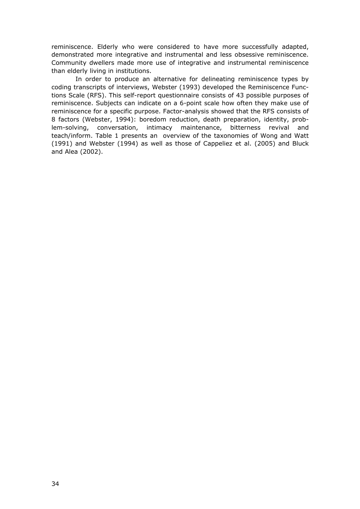reminiscence. Elderly who were considered to have more successfully adapted, demonstrated more integrative and instrumental and less obsessive reminiscence. Community dwellers made more use of integrative and instrumental reminiscence than elderly living in institutions.

 In order to produce an alternative for delineating reminiscence types by coding transcripts of interviews, Webster (1993) developed the Reminiscence Functions Scale (RFS). This self-report questionnaire consists of 43 possible purposes of reminiscence. Subjects can indicate on a 6-point scale how often they make use of reminiscence for a specific purpose. Factor-analysis showed that the RFS consists of 8 factors (Webster, 1994): boredom reduction, death preparation, identity, problem-solving, conversation, intimacy maintenance, bitterness revival and teach/inform. Table 1 presents an overview of the taxonomies of Wong and Watt (1991) and Webster (1994) as well as those of Cappeliez et al. (2005) and Bluck and Alea (2002).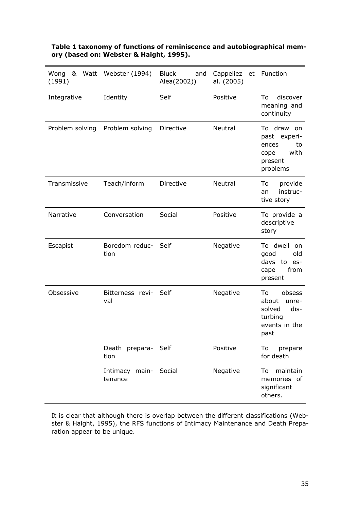| Wong<br>(1991)  | & Watt Webster (1994)        | Bluck<br>and<br>Alea(2002)) | Cappeliez<br>al. (2005) | et Function                                                                          |
|-----------------|------------------------------|-----------------------------|-------------------------|--------------------------------------------------------------------------------------|
| Integrative     | Identity                     | Self                        | Positive                | discover<br>To<br>meaning and<br>continuity                                          |
| Problem solving | Problem solving              | Directive                   | Neutral                 | To draw<br>on<br>past experi-<br>ences<br>to<br>with<br>cope<br>present<br>problems  |
| Transmissive    | Teach/inform                 | Directive                   | Neutral                 | provide<br>To<br>instruc-<br>an<br>tive story                                        |
| Narrative       | Conversation                 | Social                      | Positive                | To provide a<br>descriptive<br>story                                                 |
| Escapist        | Boredom reduc- Self<br>tion  |                             | Negative                | To dwell<br><sub>on</sub><br>good<br>old<br>days to es-<br>from<br>cape<br>present   |
| Obsessive       | Bitterness revi- Self<br>val |                             | Negative                | To<br>obsess<br>about<br>unre-<br>solved<br>dis-<br>turbing<br>events in the<br>past |
|                 | Death prepara-<br>tion       | Self                        | Positive                | To<br>prepare<br>for death                                                           |
|                 | Intimacy main-<br>tenance    | Social                      | Negative                | maintain<br>To<br>memories of<br>significant<br>others.                              |

### **Table 1 taxonomy of functions of reminiscence and autobiographical memory (based on: Webster & Haight, 1995).**

It is clear that although there is overlap between the different classifications (Webster & Haight, 1995), the RFS functions of Intimacy Maintenance and Death Preparation appear to be unique.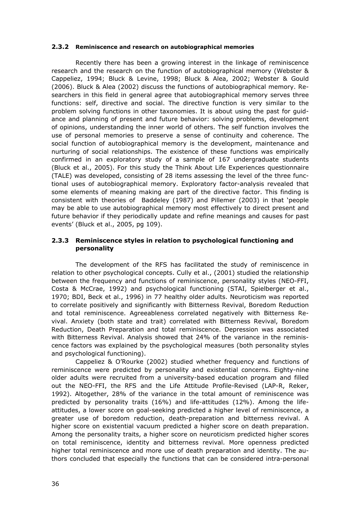#### **2.3.2 Reminiscence and research on autobiographical memories**

 Recently there has been a growing interest in the linkage of reminiscence research and the research on the function of autobiographical memory (Webster & Cappeliez, 1994; Bluck & Levine, 1998; Bluck & Alea, 2002; Webster & Gould (2006). Bluck & Alea (2002) discuss the functions of autobiographical memory. Researchers in this field in general agree that autobiographical memory serves three functions: self, directive and social. The directive function is very similar to the problem solving functions in other taxonomies. It is about using the past for guidance and planning of present and future behavior: solving problems, development of opinions, understanding the inner world of others. The self function involves the use of personal memories to preserve a sense of continuity and coherence. The social function of autobiographical memory is the development, maintenance and nurturing of social relationships. The existence of these functions was empirically confirmed in an exploratory study of a sample of 167 undergraduate students (Bluck et al., 2005). For this study the Think About Life Experiences questionnaire (TALE) was developed, consisting of 28 items assessing the level of the three functional uses of autobiographical memory. Exploratory factor-analysis revealed that some elements of meaning making are part of the directive factor. This finding is consistent with theories of Baddeley (1987) and Pillemer (2003) in that 'people may be able to use autobiographical memory most effectively to direct present and future behavior if they periodically update and refine meanings and causes for past events' (Bluck et al., 2005, pg 109).

#### **2.3.3 Reminiscence styles in relation to psychological functioning and personality**

 The development of the RFS has facilitated the study of reminiscence in relation to other psychological concepts. Cully et al., (2001) studied the relationship between the frequency and functions of reminiscence, personality styles (NEO-FFI, Costa & McCrae, 1992) and psychological functioning (STAI, Spielberger et al., 1970; BDI, Beck et al., 1996) in 77 healthy older adults. Neuroticism was reported to correlate positively and significantly with Bitterness Revival, Boredom Reduction and total reminiscence. Agreeableness correlated negatively with Bitterness Revival. Anxiety (both state and trait) correlated with Bitterness Revival, Boredom Reduction, Death Preparation and total reminiscence. Depression was associated with Bitterness Revival. Analysis showed that 24% of the variance in the reminiscence factors was explained by the psychological measures (both personality styles and psychological functioning).

 Cappeliez & O'Rourke (2002) studied whether frequency and functions of reminiscence were predicted by personality and existential concerns. Eighty-nine older adults were recruited from a university-based education program and filled out the NEO-FFI, the RFS and the Life Attitude Profile-Revised (LAP-R, Reker, 1992). Altogether, 28% of the variance in the total amount of reminiscence was predicted by personality traits (16%) and life-attitudes (12%). Among the lifeattitudes, a lower score on goal-seeking predicted a higher level of reminiscence, a greater use of boredom reduction, death-preparation and bitterness revival. A higher score on existential vacuum predicted a higher score on death preparation. Among the personality traits, a higher score on neuroticism predicted higher scores on total reminiscence, identity and bitterness revival. More openness predicted higher total reminiscence and more use of death preparation and identity. The authors concluded that especially the functions that can be considered intra-personal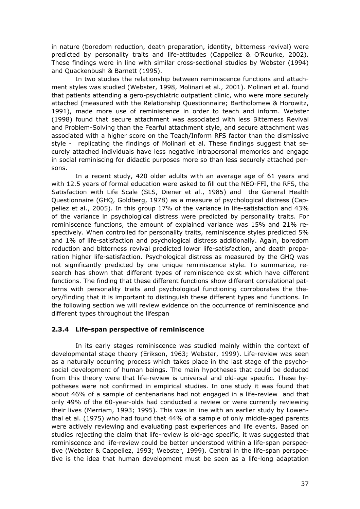in nature (boredom reduction, death preparation, identity, bitterness revival) were predicted by personality traits and life-attitudes (Cappeliez & O'Rourke, 2002). These findings were in line with similar cross-sectional studies by Webster (1994) and Quackenbush & Barnett (1995).

 In two studies the relationship between reminiscence functions and attachment styles was studied (Webster, 1998, Molinari et al., 2001). Molinari et al. found that patients attending a gero-psychiatric outpatient clinic, who were more securely attached (measured with the Relationship Questionnaire; Bartholomew & Horowitz, 1991), made more use of reminiscence in order to teach and inform. Webster (1998) found that secure attachment was associated with less Bitterness Revival and Problem-Solving than the Fearful attachment style, and secure attachment was associated with a higher score on the Teach/Inform RFS factor than the dismissive style - replicating the findings of Molinari et al. These findings suggest that securely attached individuals have less negative intrapersonal memories and engage in social reminiscing for didactic purposes more so than less securely attached persons.

 In a recent study, 420 older adults with an average age of 61 years and with 12.5 years of formal education were asked to fill out the NEO-FFI, the RFS, the Satisfaction with Life Scale (SLS, Diener et al., 1985) and the General Health Questionnaire (GHQ, Goldberg, 1978) as a measure of psychological distress (Cappeliez et al., 2005). In this group 17% of the variance in life-satisfaction and 43% of the variance in psychological distress were predicted by personality traits. For reminiscence functions, the amount of explained variance was 15% and 21% respectively. When controlled for personality traits, reminiscence styles predicted 5% and 1% of life-satisfaction and psychological distress additionally. Again, boredom reduction and bitterness revival predicted lower life-satisfaction, and death preparation higher life-satisfaction. Psychological distress as measured by the GHQ was not significantly predicted by one unique reminiscence style. To summarize, research has shown that different types of reminiscence exist which have different functions. The finding that these different functions show different correlational patterns with personality traits and psychological functioning corroborates the theory/finding that it is important to distinguish these different types and functions. In the following section we will review evidence on the occurrence of reminiscence and different types throughout the lifespan

### **2.3.4 Life-span perspective of reminiscence**

 In its early stages reminiscence was studied mainly within the context of developmental stage theory (Erikson, 1963; Webster, 1999). Life-review was seen as a naturally occurring process which takes place in the last stage of the psychosocial development of human beings. The main hypotheses that could be deduced from this theory were that life-review is universal and old-age specific. These hypotheses were not confirmed in empirical studies. In one study it was found that about 46% of a sample of centenarians had not engaged in a life-review and that only 49% of the 60-year-olds had conducted a review or were currently reviewing their lives (Merriam, 1993; 1995). This was in line with an earlier study by Lowenthal et al. (1975) who had found that 44% of a sample of only middle-aged parents were actively reviewing and evaluating past experiences and life events. Based on studies rejecting the claim that life-review is old-age specific, it was suggested that reminiscence and life-review could be better understood within a life-span perspective (Webster & Cappeliez, 1993; Webster, 1999). Central in the life-span perspective is the idea that human development must be seen as a life-long adaptation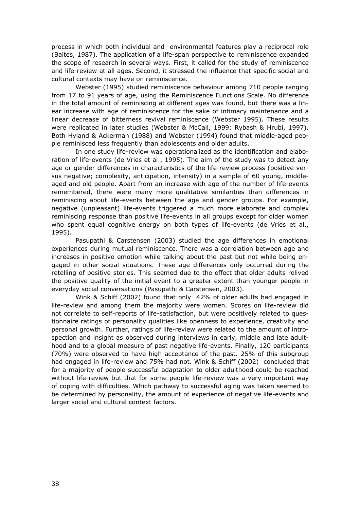process in which both individual and environmental features play a reciprocal role (Baltes, 1987). The application of a life-span perspective to reminiscence expanded the scope of research in several ways. First, it called for the study of reminiscence and life-review at all ages. Second, it stressed the influence that specific social and cultural contexts may have on reminiscence.

 Webster (1995) studied reminiscence behaviour among 710 people ranging from 17 to 91 years of age, using the Reminiscence Functions Scale. No difference in the total amount of reminiscing at different ages was found, but there was a linear increase with age of reminiscence for the sake of intimacy maintenance and a linear decrease of bitterness revival reminiscence (Webster 1995). These results were replicated in later studies (Webster & McCall, 1999; Rybash & Hrubi, 1997). Both Hyland & Ackerman (1988) and Webster (1994) found that middle-aged people reminisced less frequently than adolescents and older adults.

 In one study life-review was operationalized as the identification and elaboration of life-events (de Vries et al., 1995). The aim of the study was to detect any age or gender differences in characteristics of the life-review process (positive versus negative; complexity, anticipation, intensity) in a sample of 60 young, middleaged and old people. Apart from an increase with age of the number of life-events remembered, there were many more qualitative similarities than differences in reminiscing about life-events between the age and gender groups. For example, negative (unpleasant) life-events triggered a much more elaborate and complex reminiscing response than positive life-events in all groups except for older women who spent equal cognitive energy on both types of life-events (de Vries et al., 1995).

 Pasupathi & Carstensen (2003) studied the age differences in emotional experiences during mutual reminiscence. There was a correlation between age and increases in positive emotion while talking about the past but not while being engaged in other social situations. These age differences only occurred during the retelling of positive stories. This seemed due to the effect that older adults relived the positive quality of the initial event to a greater extent than younger people in everyday social conversations (Pasupathi & Carstensen, 2003).

 Wink & Schiff (2002) found that only 42% of older adults had engaged in life-review and among them the majority were women. Scores on life-review did not correlate to self-reports of life-satisfaction, but were positively related to questionnaire ratings of personality qualities like openness to experience, creativity and personal growth. Further, ratings of life-review were related to the amount of introspection and insight as observed during interviews in early, middle and late adulthood and to a global measure of past negative life-events. Finally, 120 participants (70%) were observed to have high acceptance of the past. 25% of this subgroup had engaged in life-review and 75% had not. Wink & Schiff (2002) concluded that for a majority of people successful adaptation to older adulthood could be reached without life-review but that for some people life-review was a very important way of coping with difficulties. Which pathway to successful aging was taken seemed to be determined by personality, the amount of experience of negative life-events and larger social and cultural context factors.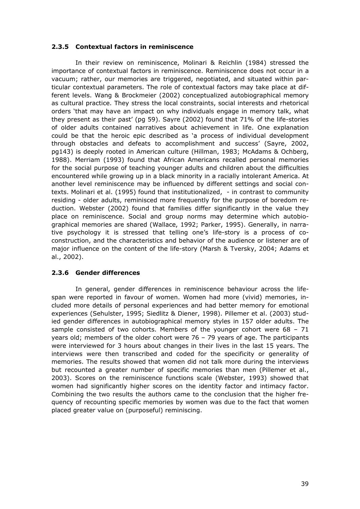### **2.3.5 Contextual factors in reminiscence**

 In their review on reminiscence, Molinari & Reichlin (1984) stressed the importance of contextual factors in reminiscence. Reminiscence does not occur in a vacuum; rather, our memories are triggered, negotiated, and situated within particular contextual parameters. The role of contextual factors may take place at different levels. Wang & Brockmeier (2002) conceptualized autobiographical memory as cultural practice. They stress the local constraints, social interests and rhetorical orders 'that may have an impact on why individuals engage in memory talk, what they present as their past' (pg 59). Sayre (2002) found that 71% of the life-stories of older adults contained narratives about achievement in life. One explanation could be that the heroic epic described as 'a process of individual development through obstacles and defeats to accomplishment and success' (Sayre, 2002, pg143) is deeply rooted in American culture (Hillman, 1983; McAdams & Ochberg, 1988). Merriam (1993) found that African Americans recalled personal memories for the social purpose of teaching younger adults and children about the difficulties encountered while growing up in a black minority in a racially intolerant America. At another level reminiscence may be influenced by different settings and social contexts. Molinari et al. (1995) found that institutionalized, - in contrast to community residing - older adults, reminisced more frequently for the purpose of boredom reduction. Webster (2002) found that families differ significantly in the value they place on reminiscence. Social and group norms may determine which autobiographical memories are shared (Wallace, 1992; Parker, 1995). Generally, in narrative psychology it is stressed that telling one's life-story is a process of coconstruction, and the characteristics and behavior of the audience or listener are of major influence on the content of the life-story (Marsh & Tversky, 2004; Adams et al., 2002).

### **2.3.6 Gender differences**

 In general, gender differences in reminiscence behaviour across the lifespan were reported in favour of women. Women had more (vivid) memories, included more details of personal experiences and had better memory for emotional experiences (Sehulster, 1995; Siedlitz & Diener, 1998). Pillemer et al. (2003) studied gender differences in autobiographical memory styles in 157 older adults. The sample consisted of two cohorts. Members of the younger cohort were  $68 - 71$ years old; members of the older cohort were 76 – 79 years of age. The participants were interviewed for 3 hours about changes in their lives in the last 15 years. The interviews were then transcribed and coded for the specificity or generality of memories. The results showed that women did not talk more during the interviews but recounted a greater number of specific memories than men (Pillemer et al., 2003). Scores on the reminiscence functions scale (Webster, 1993) showed that women had significantly higher scores on the identity factor and intimacy factor. Combining the two results the authors came to the conclusion that the higher frequency of recounting specific memories by women was due to the fact that women placed greater value on (purposeful) reminiscing.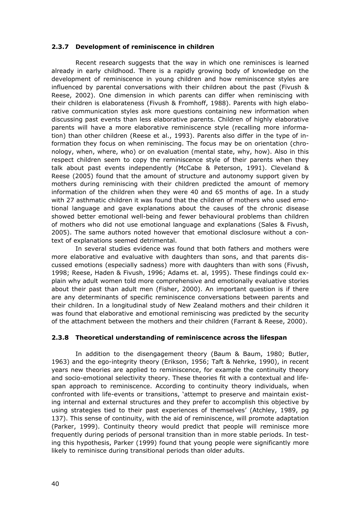### **2.3.7 Development of reminiscence in children**

 Recent research suggests that the way in which one reminisces is learned already in early childhood. There is a rapidly growing body of knowledge on the development of reminiscence in young children and how reminiscence styles are influenced by parental conversations with their children about the past (Fivush & Reese, 2002). One dimension in which parents can differ when reminiscing with their children is elaborateness (Fivush & Fromhoff, 1988). Parents with high elaborative communication styles ask more questions containing new information when discussing past events than less elaborative parents. Children of highly elaborative parents will have a more elaborative reminiscence style (recalling more information) than other children (Reese et al., 1993). Parents also differ in the type of information they focus on when reminiscing. The focus may be on orientation (chronology, when, where, who) or on evaluation (mental state, why, how). Also in this respect children seem to copy the reminiscence style of their parents when they talk about past events independently (McCabe & Peterson, 1991). Cleveland & Reese (2005) found that the amount of structure and autonomy support given by mothers during reminiscing with their children predicted the amount of memory information of the children when they were 40 and 65 months of age. In a study with 27 asthmatic children it was found that the children of mothers who used emotional language and gave explanations about the causes of the chronic disease showed better emotional well-being and fewer behavioural problems than children of mothers who did not use emotional language and explanations (Sales & Fivush, 2005). The same authors noted however that emotional disclosure without a context of explanations seemed detrimental.

 In several studies evidence was found that both fathers and mothers were more elaborative and evaluative with daughters than sons, and that parents discussed emotions (especially sadness) more with daughters than with sons (Fivush, 1998; Reese, Haden & Fivush, 1996; Adams et. al, 1995). These findings could explain why adult women told more comprehensive and emotionally evaluative stories about their past than adult men (Fisher, 2000). An important question is if there are any determinants of specific reminiscence conversations between parents and their children. In a longitudinal study of New Zealand mothers and their children it was found that elaborative and emotional reminiscing was predicted by the security of the attachment between the mothers and their children (Farrant & Reese, 2000).

### **2.3.8 Theoretical understanding of reminiscence across the lifespan**

 In addition to the disengagement theory (Baum & Baum, 1980; Butler, 1963) and the ego-integrity theory (Erikson, 1956; Taft & Nehrke, 1990), in recent years new theories are applied to reminiscence, for example the continuity theory and socio-emotional selectivity theory. These theories fit with a contextual and lifespan approach to reminiscence. According to continuity theory individuals, when confronted with life-events or transitions, 'attempt to preserve and maintain existing internal and external structures and they prefer to accomplish this objective by using strategies tied to their past experiences of themselves' (Atchley, 1989, pg 137). This sense of continuity, with the aid of reminiscence, will promote adaptation (Parker, 1999). Continuity theory would predict that people will reminisce more frequently during periods of personal transition than in more stable periods. In testing this hypothesis, Parker (1999) found that young people were significantly more likely to reminisce during transitional periods than older adults.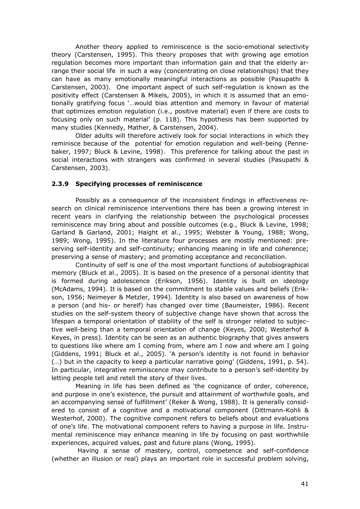Another theory applied to reminiscence is the socio-emotional selectivity theory (Carstensen, 1995). This theory proposes that with growing age emotion regulation becomes more important than information gain and that the elderly arrange their social life in such a way (concentrating on close relationships) that they can have as many emotionally meaningful interactions as possible (Pasupathi & Carstensen, 2003). One important aspect of such self-regulation is known as the positivity effect (Carstensen & Mikels, 2005), in which it is assumed that an emotionally gratifying focus '…would bias attention and memory in favour of material that optimizes emotion regulation (i.e., positive material) even if there are costs to focusing only on such material' (p. 118). This hypothesis has been supported by many studies (Kennedy, Mather, & Carstensen, 2004).

 Older adults will therefore actively look for social interactions in which they reminisce because of the potential for emotion regulation and well-being (Pennebaker, 1997; Bluck & Levine, 1998). This preference for talking about the past in social interactions with strangers was confirmed in several studies (Pasupathi & Carstensen, 2003).

### **2.3.9 Specifying processes of reminiscence**

 Possibly as a consequence of the inconsistent findings in effectiveness research on clinical reminiscence interventions there has been a growing interest in recent years in clarifying the relationship between the psychological processes reminiscence may bring about and possible outcomes (e.g., Bluck & Levine, 1998; Garland & Garland, 2001; Haight et al., 1995; Webster & Young, 1988; Wong, 1989; Wong, 1995). In the literature four processes are mostly mentioned: preserving self-identity and self-continuity; enhancing meaning in life and coherence; preserving a sense of mastery; and promoting acceptance and reconciliation.

 Continuity of self is one of the most important functions of autobiographical memory (Bluck et al., 2005). It is based on the presence of a personal identity that is formed during adolescence (Erikson, 1956). Identity is built on ideology (McAdams, 1994). It is based on the commitment to stable values and beliefs (Erikson, 1956; Neimeyer & Metzler, 1994). Identity is also based on awareness of how a person (and his- or herelf) has changed over time (Baumeister, 1986). Recent studies on the self-system theory of subjective change have shown that across the lifespan a temporal orientation of stability of the self is stronger related to subjective well-being than a temporal orientation of change (Keyes, 2000; Westerhof & Keyes, in press). Identity can be seen as an authentic biography that gives answers to questions like where am I coming from, where am I now and where am I going (Giddens, 1991; Bluck et al., 2005). 'A person's identity is not found in behavior (…) but in the capacity to keep a particular narrative going' (Giddens, 1991, p. 54). In particular, integrative reminiscence may contribute to a person's self-identity by letting people tell and retell the story of their lives.

 Meaning in life has been defined as 'the cognizance of order, coherence, and purpose in one's existence, the pursuit and attainment of worthwhile goals, and an accompanying sense of fulfillment' (Reker & Wong, 1988). It is generally considered to consist of a cognitive and a motivational component (Dittmann-Kohli & Westerhof, 2000). The cognitive component refers to beliefs about and evaluations of one's life. The motivational component refers to having a purpose in life. Instrumental reminiscence may enhance meaning in life by focusing on past worthwhile experiences, acquired values, past and future plans (Wong, 1995).

 Having a sense of mastery, control, competence and self-confidence (whether an illusion or real) plays an important role in successful problem solving,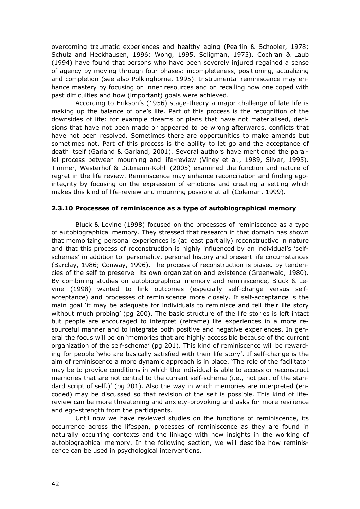overcoming traumatic experiences and healthy aging (Pearlin & Schooler, 1978; Schulz and Heckhausen, 1996; Wong, 1995, Seligman, 1975). Cochran & Laub (1994) have found that persons who have been severely injured regained a sense of agency by moving through four phases: incompleteness, positioning, actualizing and completion (see also Polkinghorne, 1995). Instrumental reminiscence may enhance mastery by focusing on inner resources and on recalling how one coped with past difficulties and how (important) goals were achieved.

 According to Erikson's (1956) stage-theory a major challenge of late life is making up the balance of one's life. Part of this process is the recognition of the downsides of life: for example dreams or plans that have not materialised, decisions that have not been made or appeared to be wrong afterwards, conflicts that have not been resolved. Sometimes there are opportunities to make amends but sometimes not. Part of this process is the ability to let go and the acceptance of death itself (Garland & Garland, 2001). Several authors have mentioned the parallel process between mourning and life-review (Viney et al., 1989, Silver, 1995). Timmer, Westerhof & Dittmann-Kohli (2005) examined the function and nature of regret in the life review. Reminiscence may enhance reconciliation and finding egointegrity by focusing on the expression of emotions and creating a setting which makes this kind of life-review and mourning possible at all (Coleman, 1999).

#### **2.3.10 Processes of reminiscence as a type of autobiographical memory**

 Bluck & Levine (1998) focused on the processes of reminiscence as a type of autobiographical memory. They stressed that research in that domain has shown that memorizing personal experiences is (at least partially) reconstructive in nature and that this process of reconstruction is highly influenced by an individual's 'selfschemas' in addition to personality, personal history and present life circumstances (Barclay, 1986; Conway, 1996). The process of reconstruction is biased by tendencies of the self to preserve its own organization and existence (Greenwald, 1980). By combining studies on autobiographical memory and reminiscence, Bluck & Levine (1998) wanted to link outcomes (especially self-change versus selfacceptance) and processes of reminiscence more closely. If self-acceptance is the main goal 'it may be adequate for individuals to reminisce and tell their life story without much probing' (pg 200). The basic structure of the life stories is left intact but people are encouraged to interpret (reframe) life experiences in a more resourceful manner and to integrate both positive and negative experiences. In general the focus will be on 'memories that are highly accessible because of the current organization of the self-schema' (pg 201). This kind of reminiscence will be rewarding for people 'who are basically satisfied with their life story'. If self-change is the aim of reminiscence a more dynamic approach is in place. 'The role of the facilitator may be to provide conditions in which the individual is able to access or reconstruct memories that are not central to the current self-schema (i.e., not part of the standard script of self.)' (pg 201). Also the way in which memories are interpreted (encoded) may be discussed so that revision of the self is possible. This kind of lifereview can be more threatening and anxiety-provoking and asks for more resilience and ego-strength from the participants.

 Until now we have reviewed studies on the functions of reminiscence, its occurrence across the lifespan, processes of reminiscence as they are found in naturally occurring contexts and the linkage with new insights in the working of autobiographical memory. In the following section, we will describe how reminiscence can be used in psychological interventions.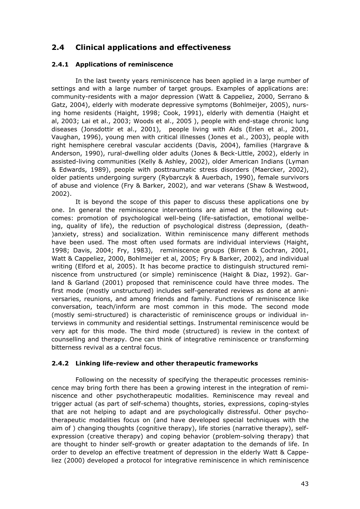### **2.4 Clinical applications and effectiveness**

### **2.4.1 Applications of reminiscence**

 In the last twenty years reminiscence has been applied in a large number of settings and with a large number of target groups. Examples of applications are: community-residents with a major depression (Watt & Cappeliez, 2000, Serrano & Gatz, 2004), elderly with moderate depressive symptoms (Bohlmeijer, 2005), nursing home residents (Haight, 1998; Cook, 1991), elderly with dementia (Haight et al, 2003; Lai et al., 2003; Woods et al., 2005 ), people with end-stage chronic lung diseases (Jonsdottir et al., 2001), people living with Aids (Erlen et al., 2001, Vaughan, 1996), young men with critical illnesses (Jones et al., 2003), people with right hemisphere cerebral vascular accidents (Davis, 2004), families (Hargrave & Anderson, 1990), rural-dwelling older adults (Jones & Beck-Little, 2002), elderly in assisted-living communities (Kelly & Ashley, 2002), older American Indians (Lyman & Edwards, 1989), people with posttraumatic stress disorders (Maercker, 2002), older patients undergoing surgery (Rybarczyk & Auerbach, 1990), female survivors of abuse and violence (Fry & Barker, 2002), and war veterans (Shaw & Westwood, 2002).

 It is beyond the scope of this paper to discuss these applications one by one. In general the reminiscence interventions are aimed at the following outcomes: promotion of psychological well-being (life-satisfaction, emotional wellbeing, quality of life), the reduction of psychological distress (depression, (death- )anxiety, stress) and socialization. Within reminiscence many different methods have been used. The most often used formats are individual interviews (Haight, 1998; Davis, 2004; Fry, 1983), reminiscence groups (Birren & Cochran, 2001, Watt & Cappeliez, 2000, Bohlmeijer et al, 2005; Fry & Barker, 2002), and individual writing (Elford et al, 2005). It has become practice to distinguish structured reminiscence from unstructured (or simple) reminiscence (Haight & Diaz, 1992). Garland & Garland (2001) proposed that reminiscence could have three modes. The first mode (mostly unstructured) includes self-generated reviews as done at anniversaries, reunions, and among friends and family. Functions of reminiscence like conversation, teach/inform are most common in this mode. The second mode (mostly semi-structured) is characteristic of reminiscence groups or individual interviews in community and residential settings. Instrumental reminiscence would be very apt for this mode. The third mode (structured) is review in the context of counselling and therapy. One can think of integrative reminiscence or transforming bitterness revival as a central focus.

### **2.4.2 Linking life-review and other therapeutic frameworks**

 Following on the necessity of specifying the therapeutic processes reminiscence may bring forth there has been a growing interest in the integration of reminiscence and other psychotherapeutic modalities. Reminiscence may reveal and trigger actual (as part of self-schema) thoughts, stories, expressions, coping-styles that are not helping to adapt and are psychologically distressful. Other psychotherapeutic modalities focus on (and have developed special techniques with the aim of ) changing thoughts (cognitive therapy), life stories (narrative therapy), selfexpression (creative therapy) and coping behavior (problem-solving therapy) that are thought to hinder self-growth or greater adaptation to the demands of life. In order to develop an effective treatment of depression in the elderly Watt & Cappeliez (2000) developed a protocol for integrative reminiscence in which reminiscence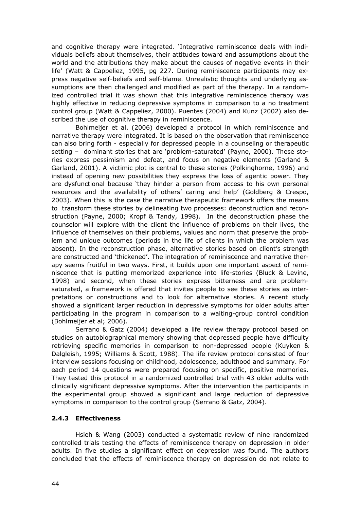and cognitive therapy were integrated. 'Integrative reminiscence deals with individuals beliefs about themselves, their attitudes toward and assumptions about the world and the attributions they make about the causes of negative events in their life' (Watt & Cappeliez, 1995, pg 227. During reminiscence participants may express negative self-beliefs and self-blame. Unrealistic thoughts and underlying assumptions are then challenged and modified as part of the therapy. In a randomized controlled trial it was shown that this integrative reminiscence therapy was highly effective in reducing depressive symptoms in comparison to a no treatment control group (Watt & Cappeliez, 2000). Puentes (2004) and Kunz (2002) also described the use of cognitive therapy in reminiscence.

 Bohlmeijer et al. (2006) developed a protocol in which reminiscence and narrative therapy were integrated. It is based on the observation that reminiscence can also bring forth - especially for depressed people in a counseling or therapeutic setting – dominant stories that are 'problem-saturated' (Payne, 2000). These stories express pessimism and defeat, and focus on negative elements (Garland & Garland, 2001). A victimic plot is central to these stories (Polkinghorne, 1996) and instead of opening new possibilities they express the loss of agentic power. They are dysfunctional because 'they hinder a person from access to his own personal resources and the availability of others' caring and help' (Goldberg & Crespo, 2003). When this is the case the narrative therapeutic framework offers the means to transform these stories by delineating two processes: deconstruction and reconstruction (Payne, 2000; Kropf & Tandy, 1998). In the deconstruction phase the counselor will explore with the client the influence of problems on their lives, the influence of themselves on their problems, values and norm that preserve the problem and unique outcomes (periods in the life of clients in which the problem was absent). In the reconstruction phase, alternative stories based on client's strength are constructed and 'thickened'. The integration of reminiscence and narrative therapy seems fruitful in two ways. First, it builds upon one important aspect of reminiscence that is putting memorized experience into life-stories (Bluck & Levine, 1998) and second, when these stories express bitterness and are problemsaturated, a framework is offered that invites people to see these stories as interpretations or constructions and to look for alternative stories. A recent study showed a significant larger reduction in depressive symptoms for older adults after participating in the program in comparison to a waiting-group control condition (Bohlmeijer et al; 2006).

 Serrano & Gatz (2004) developed a life review therapy protocol based on studies on autobiographical memory showing that depressed people have difficulty retrieving specific memories in comparison to non-depressed people (Kuyken & Dalgleish, 1995; Williams & Scott, 1988). The life review protocol consisted of four interview sessions focusing on childhood, adolescence, adulthood and summary. For each period 14 questions were prepared focusing on specific, positive memories. They tested this protocol in a randomized controlled trial with 43 older adults with clinically significant depressive symptoms. After the intervention the participants in the experimental group showed a significant and large reduction of depressive symptoms in comparison to the control group (Serrano & Gatz, 2004).

### **2.4.3 Effectiveness**

 Hsieh & Wang (2003) conducted a systematic review of nine randomized controlled trials testing the effects of reminiscence therapy on depression in older adults. In five studies a significant effect on depression was found. The authors concluded that the effects of reminiscence therapy on depression do not relate to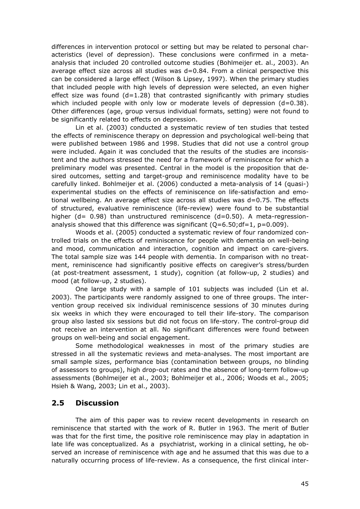differences in intervention protocol or setting but may be related to personal characteristics (level of depression). These conclusions were confirmed in a metaanalysis that included 20 controlled outcome studies (Bohlmeijer et. al., 2003). An average effect size across all studies was  $d=0.84$ . From a clinical perspective this can be considered a large effect (Wilson & Lipsey, 1997). When the primary studies that included people with high levels of depression were selected, an even higher effect size was found  $(d=1.28)$  that contrasted significantly with primary studies which included people with only low or moderate levels of depression  $(d=0.38)$ . Other differences (age, group versus individual formats, setting) were not found to be significantly related to effects on depression.

 Lin et al. (2003) conducted a systematic review of ten studies that tested the effects of reminiscence therapy on depression and psychological well-being that were published between 1986 and 1998. Studies that did not use a control group were included. Again it was concluded that the results of the studies are inconsistent and the authors stressed the need for a framework of reminiscence for which a preliminary model was presented. Central in the model is the proposition that desired outcomes, setting and target-group and reminiscence modality have to be carefully linked. Bohlmeijer et al. (2006) conducted a meta-analysis of 14 (quasi-) experimental studies on the effects of reminiscence on life-satisfaction and emotional wellbeing. An average effect size across all studies was d=0.75. The effects of structured, evaluative reminiscence (life-review) were found to be substantial higher  $(d= 0.98)$  than unstructured reminiscence  $(d=0.50)$ . A meta-regressionanalysis showed that this difference was significant  $(Q=6.50; df=1, p=0.009)$ .

 Woods et al. (2005) conducted a systematic review of four randomized controlled trials on the effects of reminiscence for people with dementia on well-being and mood, communication and interaction, cognition and impact on care-givers. The total sample size was 144 people with dementia. In comparison with no treatment, reminiscence had significantly positive effects on caregiver's stress/burden (at post-treatment assessment, 1 study), cognition (at follow-up, 2 studies) and mood (at follow-up, 2 studies).

 One large study with a sample of 101 subjects was included (Lin et al. 2003). The participants were randomly assigned to one of three groups. The intervention group received six individual reminiscence sessions of 30 minutes during six weeks in which they were encouraged to tell their life-story. The comparison group also lasted six sessions but did not focus on life-story. The control-group did not receive an intervention at all. No significant differences were found between groups on well-being and social engagement.

 Some methodological weaknesses in most of the primary studies are stressed in all the systematic reviews and meta-analyses. The most important are small sample sizes, performance bias (contamination between groups, no blinding of assessors to groups), high drop-out rates and the absence of long-term follow-up assessments (Bohlmeijer et al., 2003; Bohlmeijer et al., 2006; Woods et al., 2005; Hsieh & Wang, 2003; Lin et al., 2003).

### **2.5 Discussion**

 The aim of this paper was to review recent developments in research on reminiscence that started with the work of R. Butler in 1963. The merit of Butler was that for the first time, the positive role reminiscence may play in adaptation in late life was conceptualized. As a psychiatrist, working in a clinical setting, he observed an increase of reminiscence with age and he assumed that this was due to a naturally occurring process of life-review. As a consequence, the first clinical inter-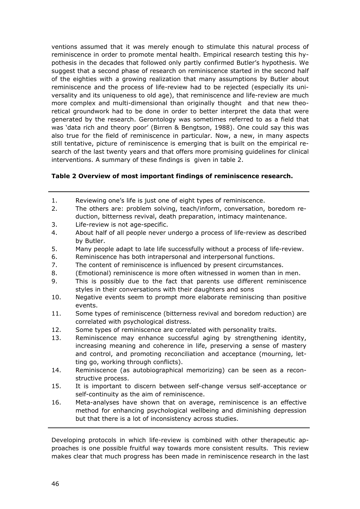ventions assumed that it was merely enough to stimulate this natural process of reminiscence in order to promote mental health. Empirical research testing this hypothesis in the decades that followed only partly confirmed Butler's hypothesis. We suggest that a second phase of research on reminiscence started in the second half of the eighties with a growing realization that many assumptions by Butler about reminiscence and the process of life-review had to be rejected (especially its universality and its uniqueness to old age), that reminiscence and life-review are much more complex and multi-dimensional than originally thought and that new theoretical groundwork had to be done in order to better interpret the data that were generated by the research. Gerontology was sometimes referred to as a field that was 'data rich and theory poor' (Birren & Bengtson, 1988). One could say this was also true for the field of reminiscence in particular. Now, a new, in many aspects still tentative, picture of reminiscence is emerging that is built on the empirical research of the last twenty years and that offers more promising guidelines for clinical interventions. A summary of these findings is given in table 2.

### **Table 2 Overview of most important findings of reminiscence research.**

- 1. Reviewing one's life is just one of eight types of reminiscence.
- 2. The others are: problem solving, teach/inform, conversation, boredom reduction, bitterness revival, death preparation, intimacy maintenance.
- 3. Life-review is not age-specific.
- 4. About half of all people never undergo a process of life-review as described by Butler.
- 5. Many people adapt to late life successfully without a process of life-review.
- 6. Reminiscence has both intrapersonal and interpersonal functions.
- 7. The content of reminiscence is influenced by present circumstances.
- 8. (Emotional) reminiscence is more often witnessed in women than in men.
- 9. This is possibly due to the fact that parents use different reminiscence styles in their conversations with their daughters and sons
- 10. Negative events seem to prompt more elaborate reminiscing than positive events.
- 11. Some types of reminiscence (bitterness revival and boredom reduction) are correlated with psychological distress.
- 12. Some types of reminiscence are correlated with personality traits.
- 13. Reminiscence may enhance successful aging by strengthening identity, increasing meaning and coherence in life, preserving a sense of mastery and control, and promoting reconciliation and acceptance (mourning, letting go, working through conflicts).
- 14. Reminiscence (as autobiographical memorizing) can be seen as a reconstructive process.
- 15. It is important to discern between self-change versus self-acceptance or self-continuity as the aim of reminiscence.
- 16. Meta-analyses have shown that on average, reminiscence is an effective method for enhancing psychological wellbeing and diminishing depression but that there is a lot of inconsistency across studies.

Developing protocols in which life-review is combined with other therapeutic approaches is one possible fruitful way towards more consistent results. This review makes clear that much progress has been made in reminiscence research in the last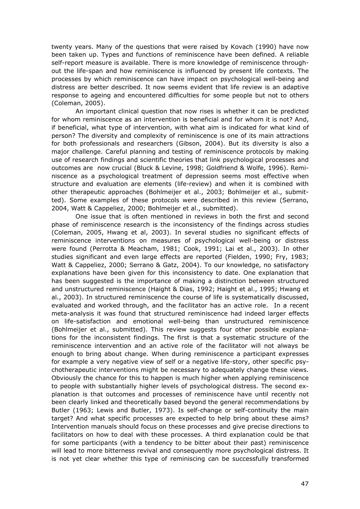twenty years. Many of the questions that were raised by Kovach (1990) have now been taken up. Types and functions of reminiscence have been defined. A reliable self-report measure is available. There is more knowledge of reminiscence throughout the life-span and how reminiscence is influenced by present life contexts. The processes by which reminiscence can have impact on psychological well-being and distress are better described. It now seems evident that life review is an adaptive response to ageing and encountered difficulties for some people but not to others (Coleman, 2005).

 An important clinical question that now rises is whether it can be predicted for whom reminiscence as an intervention is beneficial and for whom it is not? And, if beneficial, what type of intervention, with what aim is indicated for what kind of person? The diversity and complexity of reminiscence is one of its main attractions for both professionals and researchers (Gibson, 2004). But its diversity is also a major challenge. Careful planning and testing of reminiscence protocols by making use of research findings and scientific theories that link psychological processes and outcomes are now crucial (Bluck & Levine, 1998; Goldfriend & Wolfe, 1996). Reminiscence as a psychological treatment of depression seems most effective when structure and evaluation are elements (life-review) and when it is combined with other therapeutic approaches (Bohlmeijer et al., 2003; Bohlmeijer et al., submitted). Some examples of these protocols were described in this review (Serrano, 2004, Watt & Cappeliez, 2000; Bohlmeijer et al., submitted).

 One issue that is often mentioned in reviews in both the first and second phase of reminiscence research is the inconsistency of the findings across studies (Coleman, 2005, Hwang et al, 2003). In several studies no significant effects of reminiscence interventions on measures of psychological well-being or distress were found (Perrotta & Meacham, 1981; Cook, 1991; Lai et al., 2003). In other studies significant and even large effects are reported (Fielden, 1990; Fry, 1983; Watt & Cappeliez, 2000; Serrano & Gatz, 2004). To our knowledge, no satisfactory explanations have been given for this inconsistency to date. One explanation that has been suggested is the importance of making a distinction between structured and unstructured reminiscence (Haight & Dias, 1992; Haight et al., 1995; Hwang et al., 2003). In structured reminiscence the course of life is systematically discussed, evaluated and worked through, and the facilitator has an active role. In a recent meta-analysis it was found that structured reminiscence had indeed larger effects on life-satisfaction and emotional well-being than unstructured reminiscence (Bohlmeijer et al., submitted). This review suggests four other possible explanations for the inconsistent findings. The first is that a systematic structure of the reminiscence intervention and an active role of the facilitator will not always be enough to bring about change. When during reminiscence a participant expresses for example a very negative view of self or a negative life-story, other specific psychotherapeutic interventions might be necessary to adequately change these views. Obviously the chance for this to happen is much higher when applying reminiscence to people with substantially higher levels of psychological distress. The second explanation is that outcomes and processes of reminiscence have until recently not been clearly linked and theoretically based beyond the general recommendations by Butler (1963; Lewis and Butler, 1973). Is self-change or self-continuity the main target? And what specific processes are expected to help bring about these aims? Intervention manuals should focus on these processes and give precise directions to facilitators on how to deal with these processes. A third explanation could be that for some participants (with a tendency to be bitter about their past) reminiscence will lead to more bitterness revival and consequently more psychological distress. It is not yet clear whether this type of reminiscing can be successfully transformed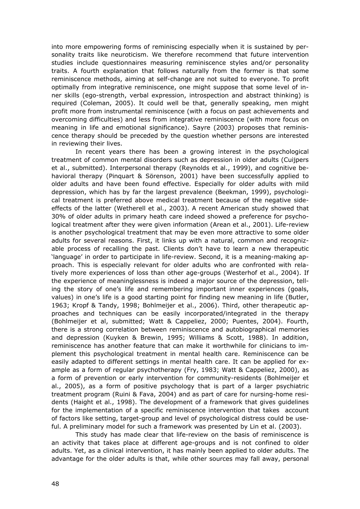into more empowering forms of reminiscing especially when it is sustained by personality traits like neuroticism. We therefore recommend that future intervention studies include questionnaires measuring reminiscence styles and/or personality traits. A fourth explanation that follows naturally from the former is that some reminiscence methods, aiming at self-change are not suited to everyone. To profit optimally from integrative reminiscence, one might suppose that some level of inner skills (ego-strength, verbal expression, introspection and abstract thinking) is required (Coleman, 2005). It could well be that, generally speaking, men might profit more from instrumental reminiscence (with a focus on past achievements and overcoming difficulties) and less from integrative reminiscence (with more focus on meaning in life and emotional significance). Sayre (2003) proposes that reminiscence therapy should be preceded by the question whether persons are interested in reviewing their lives.

 In recent years there has been a growing interest in the psychological treatment of common mental disorders such as depression in older adults (Cuijpers et al., submitted). Interpersonal therapy (Reynolds et al., 1999), and cognitive behavioral therapy (Pinquart & Sörenson, 2001) have been successfully applied to older adults and have been found effective. Especially for older adults with mild depression, which has by far the largest prevalence (Beekman, 1999), psychological treatment is preferred above medical treatment because of the negative sideeffects of the latter (Wetherell et al., 2003). A recent American study showed that 30% of older adults in primary heath care indeed showed a preference for psychological treatment after they were given information (Arean et al., 2001). Life-review is another psychological treatment that may be even more attractive to some older adults for several reasons. First, it links up with a natural, common and recognizable process of recalling the past. Clients don't have to learn a new therapeutic 'language' in order to participate in life-review. Second, it is a meaning-making approach. This is especially relevant for older adults who are confronted with relatively more experiences of loss than other age-groups (Westerhof et al., 2004). If the experience of meaninglessness is indeed a major source of the depression, telling the story of one's life and remembering important inner experiences (goals, values) in one's life is a good starting point for finding new meaning in life (Butler, 1963; Kropf & Tandy, 1998; Bohlmeijer et al., 2006). Third, other therapeutic approaches and techniques can be easily incorporated/integrated in the therapy (Bohlmeijer et al, submitted; Watt & Cappeliez, 2000; Puentes, 2004). Fourth, there is a strong correlation between reminiscence and autobiographical memories and depression (Kuyken & Brewin, 1995; Williams & Scott, 1988). In addition, reminiscence has another feature that can make it worthwhile for clinicians to implement this psychological treatment in mental health care. Reminiscence can be easily adapted to different settings in mental health care. It can be applied for example as a form of regular psychotherapy (Fry, 1983; Watt & Cappeliez, 2000), as a form of prevention or early intervention for community-residents (Bohlmeijer et al., 2005), as a form of positive psychology that is part of a larger psychiatric treatment program (Ruini & Fava, 2004) and as part of care for nursing-home residents (Haight et al., 1998). The development of a framework that gives guidelines for the implementation of a specific reminiscence intervention that takes account of factors like setting, target-group and level of psychological distress could be useful. A preliminary model for such a framework was presented by Lin et al. (2003).

 This study has made clear that life-review on the basis of reminiscence is an activity that takes place at different age-groups and is not confined to older adults. Yet, as a clinical intervention, it has mainly been applied to older adults. The advantage for the older adults is that, while other sources may fall away, personal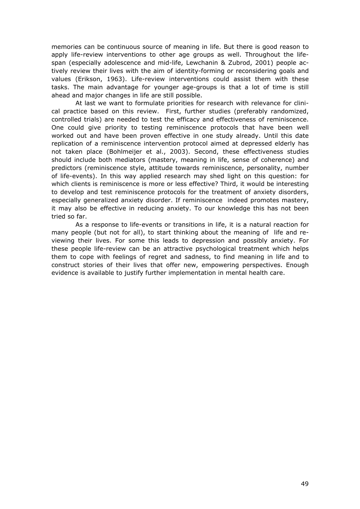memories can be continuous source of meaning in life. But there is good reason to apply life-review interventions to other age groups as well. Throughout the lifespan (especially adolescence and mid-life, Lewchanin & Zubrod, 2001) people actively review their lives with the aim of identity-forming or reconsidering goals and values (Erikson, 1963). Life-review interventions could assist them with these tasks. The main advantage for younger age-groups is that a lot of time is still ahead and major changes in life are still possible.

 At last we want to formulate priorities for research with relevance for clinical practice based on this review. First, further studies (preferably randomized, controlled trials) are needed to test the efficacy and effectiveness of reminiscence. One could give priority to testing reminiscence protocols that have been well worked out and have been proven effective in one study already. Until this date replication of a reminiscence intervention protocol aimed at depressed elderly has not taken place (Bohlmeijer et al., 2003). Second, these effectiveness studies should include both mediators (mastery, meaning in life, sense of coherence) and predictors (reminiscence style, attitude towards reminiscence, personality, number of life-events). In this way applied research may shed light on this question: for which clients is reminiscence is more or less effective? Third, it would be interesting to develop and test reminiscence protocols for the treatment of anxiety disorders, especially generalized anxiety disorder. If reminiscence indeed promotes mastery, it may also be effective in reducing anxiety. To our knowledge this has not been tried so far.

 As a response to life-events or transitions in life, it is a natural reaction for many people (but not for all), to start thinking about the meaning of life and reviewing their lives. For some this leads to depression and possibly anxiety. For these people life-review can be an attractive psychological treatment which helps them to cope with feelings of regret and sadness, to find meaning in life and to construct stories of their lives that offer new, empowering perspectives. Enough evidence is available to justify further implementation in mental health care.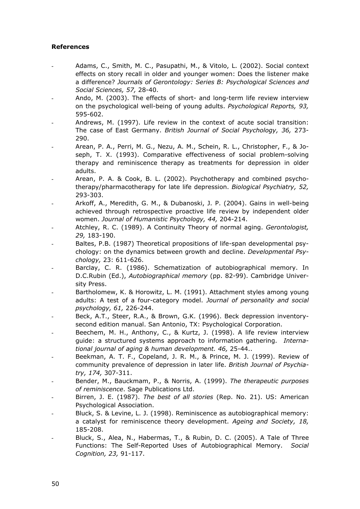### **References**

- Adams, C., Smith, M. C., Pasupathi, M., & Vitolo, L. (2002). Social context effects on story recall in older and younger women: Does the listener make a difference? *Journals of Gerontology: Series B: Psychological Sciences and Social Sciences, 57,* 28-40.
- Ando, M. (2003). The effects of short- and long-term life review interview on the psychological well-being of young adults. *Psychological Reports, 93,* 595-602.
- Andrews, M. (1997). Life review in the context of acute social transition: The case of East Germany. *British Journal of Social Psychology, 36,* 273- 290.
- Arean, P. A., Perri, M. G., Nezu, A. M., Schein, R. L., Christopher, F., & Joseph, T. X. (1993). Comparative effectiveness of social problem-solving therapy and reminiscence therapy as treatments for depression in older adults.
- Arean, P. A. & Cook, B. L. (2002). Psychotherapy and combined psychotherapy/pharmacotherapy for late life depression. *Biological Psychiatry, 52,* 293-303.
- Arkoff, A., Meredith, G. M., & Dubanoski, J. P. (2004). Gains in well-being achieved through retrospective proactive life review by independent older women. *Journal of Humanistic Psychology, 44,* 204-214.
- Atchley, R. C. (1989). A Continuity Theory of normal aging. *Gerontologist, 29,* 183-190.
- Baltes, P.B. (1987) Theoretical propositions of life-span developmental psychology: on the dynamics between growth and decline. *Developmental Psychology,* 23: 611-626.
- Barclay, C. R. (1986). Schematization of autobiographical memory. In D.C.Rubin (Ed.), *Autobiographical memory* (pp. 82-99). Cambridge University Press.
- Bartholomew, K. & Horowitz, L. M. (1991). Attachment styles among young adults: A test of a four-category model. *Journal of personality and social psychology, 61,* 226-244.
- Beck, A.T., Steer, R.A., & Brown, G.K. (1996). Beck depression inventorysecond edition manual. San Antonio, TX: Psychological Corporation.
- Beechem, M. H., Anthony, C., & Kurtz, J. (1998). A life review interview guide: a structured systems approach to information gathering. *International journal of aging & human development. 46,* 25-44..
- Beekman, A. T. F., Copeland, J. R. M., & Prince, M. J. (1999). Review of community prevalence of depression in later life. *British Journal of Psychiatry, 174,* 307-311.
- Bender, M., Bauckmam, P., & Norris, A. (1999). *The therapeutic purposes of reminiscence*. Sage Publications Ltd.
- Birren, J. E. (1987). *The best of all stories* (Rep. No. 21). US: American Psychological Association.
- Bluck, S. & Levine, L. J. (1998). Reminiscence as autobiographical memory: a catalyst for reminiscence theory development. *Ageing and Society, 18,* 185-208.
- Bluck, S., Alea, N., Habermas, T., & Rubin, D. C. (2005). A Tale of Three Functions: The Self-Reported Uses of Autobiographical Memory. *Social Cognition, 23,* 91-117.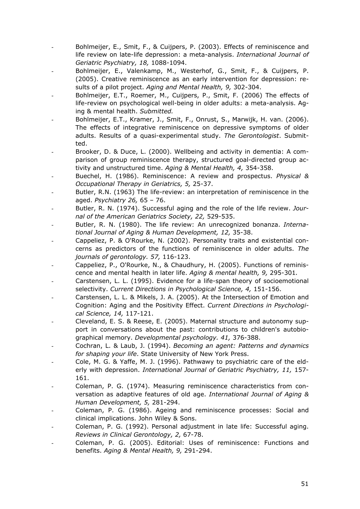- Bohlmeijer, E., Smit, F., & Cuijpers, P. (2003). Effects of reminiscence and life review on late-life depression: a meta-analysis. *International Journal of Geriatric Psychiatry, 18,* 1088-1094.
- Bohlmeijer, E., Valenkamp, M., Westerhof, G., Smit, F., & Cuiipers, P. (2005). Creative reminiscence as an early intervention for depression: results of a pilot project. *Aging and Mental Health, 9,* 302-304.
- Bohlmeijer, E.T., Roemer, M., Cuijpers, P., Smit, F. (2006) The effects of life-review on psychological well-being in older adults: a meta-analysis. Aging & mental health. *Submitted.*
- Bohlmeijer, E.T., Kramer, J., Smit, F., Onrust, S., Marwijk, H. van. (2006). The effects of integrative reminiscence on depressive symptoms of older adults. Results of a quasi-experimental study. *The Gerontologist*. Submitted.
- Brooker, D. & Duce, L. (2000). Wellbeing and activity in dementia: A comparison of group reminiscence therapy, structured goal-directed group activity and unstructured time. *Aging & Mental Health, 4,* 354-358.
- Buechel, H. (1986). Reminiscence: A review and prospectus. *Physical & Occupational Therapy in Geriatrics, 5,* 25-37.
- Butler, R.N. (1963) The life-review: an interpretation of reminiscence in the aged. *Psychiatry 26,* 65 – 76.
- Butler, R. N. (1974). Successful aging and the role of the life review. *Journal of the American Geriatrics Society, 22,* 529-535.
- Butler, R. N. (1980). The life review: An unrecognized bonanza. *International Journal of Aging & Human Development, 12,* 35-38.
- Cappeliez, P. & O'Rourke, N. (2002). Personality traits and existential concerns as predictors of the functions of reminiscence in older adults. *The journals of gerontology. 57,* 116-123.
- Cappeliez, P., O'Rourke, N., & Chaudhury, H. (2005). Functions of reminiscence and mental health in later life. *Aging & mental health, 9,* 295-301*.*
- Carstensen, L. L. (1995). Evidence for a life-span theory of socioemotional selectivity. *Current Directions in Psychological Science, 4,* 151-156.
- Carstensen, L. L. & Mikels, J. A. (2005). At the Intersection of Emotion and Cognition: Aging and the Positivity Effect. *Current Directions in Psychological Science, 14,* 117-121.
- Cleveland, E. S. & Reese, E. (2005). Maternal structure and autonomy support in conversations about the past: contributions to children's autobiographical memory. *Developmental psychology. 41,* 376-388.
- Cochran, L. & Laub, J. (1994). *Becoming an agent: Patterns and dynamics for shaping your life*. State University of New York Press.
- Cole, M. G. & Yaffe, M. J. (1996). Pathwawy to psychiatric care of the elderly with depression. *International Journal of Geriatric Psychiatry, 11,* 157- 161.
- Coleman, P. G. (1974). Measuring reminiscence characteristics from conversation as adaptive features of old age. *International Journal of Aging & Human Development, 5,* 281-294.
- Coleman, P. G. (1986). Ageing and reminiscence processes: Social and clinical implications. John Wiley & Sons.
- Coleman, P. G. (1992). Personal adjustment in late life: Successful aging. *Reviews in Clinical Gerontology, 2,* 67-78.
- Coleman, P. G. (2005). Editorial: Uses of reminiscence: Functions and benefits. *Aging & Mental Health, 9,* 291-294.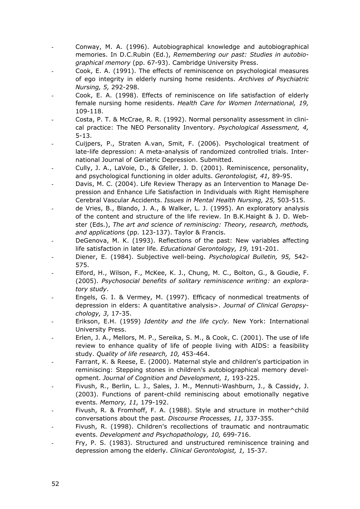- Conway, M. A. (1996). Autobiographical knowledge and autobiographical memories. In D.C.Rubin (Ed.), *Remembering our past: Studies in autobiographical memory* (pp. 67-93). Cambridge University Press.
- Cook, E. A. (1991). The effects of reminiscence on psychological measures of ego integrity in elderly nursing home residents. *Archives of Psychiatric Nursing, 5,* 292-298.
- Cook, E. A. (1998). Effects of reminiscence on life satisfaction of elderly female nursing home residents. *Health Care for Women International, 19,* 109-118.
- Costa, P. T. & McCrae, R. R. (1992). Normal personality assessment in clinical practice: The NEO Personality Inventory. *Psychological Assessment, 4,* 5-13.
- Cuijpers, P., Straten A.van, Smit, F. (2006). Psychological treatment of late-life depression: A meta-analysis of randomized controlled trials. International Journal of Geriatric Depression. Submitted.
- Cully, J. A., LaVoie, D., & Gfeller, J. D. (2001). Reminiscence, personality, and psychological functioning in older adults. *Gerontologist, 41,* 89-95.
- Davis, M. C. (2004). Life Review Therapy as an Intervention to Manage Depression and Enhance Life Satisfaction in Individuals with Right Hemisphere Cerebral Vascular Accidents. *Issues in Mental Health Nursing, 25,* 503-515.
- de Vries, B., Blando, J. A., & Walker, L. J. (1995). An exploratory analysis of the content and structure of the life review. In B.K.Haight & J. D. Webster (Eds.), *The art and science of reminiscing: Theory, research, methods, and applications* (pp. 123-137). Taylor & Francis.
- DeGenova, M. K. (1993). Reflections of the past: New variables affecting life satisfaction in later life. *Educational Gerontology, 19,* 191-201.
- Diener, E. (1984). Subjective well-being. *Psychological Bulletin, 95,* 542- 575.
- Elford, H., Wilson, F., McKee, K. J., Chung, M. C., Bolton, G., & Goudie, F. (2005). *Psychosocial benefits of solitary reminiscence writing: an exploratory study*.
- Engels, G. I. & Vermey, M. (1997). Efficacy of nonmedical treatments of depression in elders: A quantitative analysis>. *Journal of Clinical Geropsychology, 3,* 17-35.
- Erikson, E.H. (1959) *Identity and the life cycly.* New York: International University Press.
- Erlen, J. A., Mellors, M. P., Sereika, S. M., & Cook, C. (2001). The use of life review to enhance quality of life of people living with AIDS: a feasibility study. *Quality of life research, 10,* 453-464.
- Farrant, K. & Reese, E. (2000). Maternal style and children's participation in reminiscing: Stepping stones in children's autobiographical memory development. *Journal of Cognition and Development, 1,* 193-225.
- Fivush, R., Berlin, L. J., Sales, J. M., Mennuti-Washburn, J., & Cassidy, J. (2003). Functions of parent-child reminiscing about emotionally negative events. *Memory, 11,* 179-192.
- Fivush, R. & Fromhoff, F. A. (1988). Style and structure in mother^child conversations about the past. *Discourse Processes, 11,* 337-355.
- Fivush, R. (1998). Children's recollections of traumatic and nontraumatic events. *Development and Psychopathology, 10,* 699-716.
- Fry, P. S. (1983). Structured and unstructured reminiscence training and depression among the elderly. *Clinical Gerontologist, 1,* 15-37.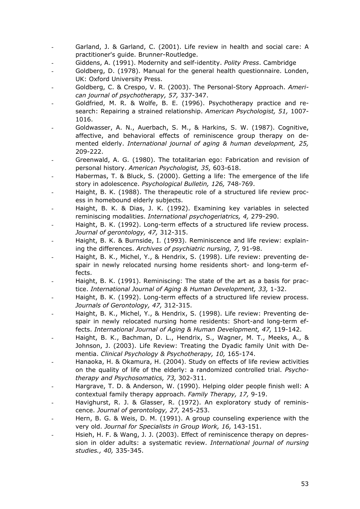- Garland, J. & Garland, C. (2001). Life review in health and social care: A practitioner's guide. Brunner-Routledge.
- Giddens, A. (1991). Modernity and self-identity. *Polity Press*. Cambridge
- Goldberg, D. (1978). Manual for the general health questionnaire. Londen, UK: Oxford University Press.
- Goldberg, C. & Crespo, V. R. (2003). The Personal-Story Approach. *American journal of psychotherapy, 57,* 337-347.
- Goldfried, M. R. & Wolfe, B. E. (1996). Psychotherapy practice and research: Repairing a strained relationship. *American Psychologist, 51,* 1007- 1016.
- Goldwasser, A. N., Auerbach, S. M., & Harkins, S. W. (1987). Cognitive, affective, and behavioral effects of reminiscence group therapy on demented elderly. *International journal of aging & human development, 25,*  209-222.
- Greenwald, A. G. (1980). The totalitarian ego: Fabrication and revision of personal history. *American Psychologist, 35,* 603-618.
- Habermas, T. & Bluck, S. (2000). Getting a life: The emergence of the life story in adolescence. *Psychological Bulletin, 126,* 748-769.
- Haight, B. K. (1988). The therapeutic role of a structured life review process in homebound elderly subjects.
- Haight, B. K. & Dias, J. K. (1992). Examining key variables in selected reminiscing modalities. *International psychogeriatrics, 4,* 279-290.
- Haight, B. K. (1992). Long-term effects of a structured life review process. *Journal of gerontology, 47,* 312-315.
- Haight, B. K. & Burnside, I. (1993). Reminiscence and life review: explaining the differences. *Archives of psychiatric nursing, 7,* 91-98.
- Haight, B. K., Michel, Y., & Hendrix, S. (1998). Life review: preventing despair in newly relocated nursing home residents short- and long-term effects.
- Haight, B. K. (1991). Reminiscing: The state of the art as a basis for practice. *International Journal of Aging & Human Development, 33,* 1-32.
- Haight, B. K. (1992). Long-term effects of a structured life review process. *Journals of Gerontology, 47,* 312-315.
- Haight, B. K., Michel, Y., & Hendrix, S. (1998). Life review: Preventing despair in newly relocated nursing home residents: Short-and long-term effects. *International Journal of Aging & Human Development, 47,* 119-142.
- Haight, B. K., Bachman, D. L., Hendrix, S., Wagner, M. T., Meeks, A., & Johnson, J. (2003). Life Review: Treating the Dyadic family Unit with Dementia. *Clinical Psychology & Psychotherapy, 10,* 165-174.
- Hanaoka, H. & Okamura, H. (2004). Study on effects of life review activities on the quality of life of the elderly: a randomized controlled trial. *Psychotherapy and Psychosomatics, 73,* 302-311.
- Hargrave, T. D. & Anderson, W. (1990). Helping older people finish well: A contextual family therapy approach. *Family Therapy, 17,* 9-19.
- Havighurst, R. J. & Glasser, R. (1972). An exploratory study of reminiscence. *Journal of gerontology, 27,* 245-253.
- Hern, B. G. & Weis, D. M. (1991). A group counseling experience with the very old. *Journal for Specialists in Group Work, 16,* 143-151.
- Hsieh, H. F. & Wang, J. J. (2003). Effect of reminiscence therapy on depression in older adults: a systematic review. *International journal of nursing studies., 40,* 335-345.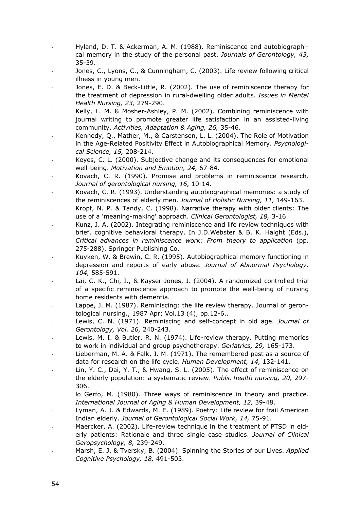- Hyland, D. T. & Ackerman, A. M. (1988). Reminiscence and autobiographical memory in the study of the personal past. *Journals of Gerontology, 43,* 35-39.
- Jones, C., Lyons, C., & Cunningham, C. (2003). Life review following critical illness in young men.
- Jones, E. D. & Beck-Little, R. (2002). The use of reminiscence therapy for the treatment of depression in rural-dwelling older adults. *Issues in Mental Health Nursing, 23,* 279-290.
- Kelly, L. M. & Mosher-Ashley, P. M. (2002). Combining reminiscence with journal writing to promote greater life satisfaction in an assisted-living community. *Activities, Adaptation & Aging, 26,* 35-46.
- Kennedy, Q., Mather, M., & Carstensen, L. L. (2004). The Role of Motivation in the Age-Related Positivity Effect in Autobiographical Memory. *Psychological Science, 15,* 208-214.
- Keyes, C. L. (2000). Subjective change and its consequences for emotional well-being. *Motivation and Emotion, 24,* 67-84.
- Kovach, C. R. (1990). Promise and problems in reminiscence research. *Journal of gerontological nursing, 16,* 10-14.
- Kovach, C. R. (1993). Understanding autobiographical memories: a study of the reminiscences of elderly men. *Journal of Holistic Nursing, 11,* 149-163.
- Kropf, N. P. & Tandy, C. (1998). Narrative therapy with older clients: The use of a 'meaning-making' approach. *Clinical Gerontologist, 18,* 3-16.
- Kunz, J. A. (2002). Integrating reminiscence and life review techniques with brief, cognitive behavioral therapy. In J.D.Webster & B. K. Haight (Eds.), *Critical advances in reminiscence work: From theory to application* (pp. 275-288). Springer Publishing Co.
- Kuyken, W. & Brewin, C. R. (1995). Autobiographical memory functioning in depression and reports of early abuse. *Journal of Abnormal Psychology, 104,* 585-591.
- Lai, C. K., Chi, I., & Kayser-Jones, J. (2004). A randomized controlled trial of a specific reminiscence approach to promote the well-being of nursing home residents with dementia.
- Lappe, J. M. (1987). Reminiscing: the life review therapy. Journal of gerontological nursing., 1987 Apr; Vol.13 (4), pp.12-6..
- Lewis, C. N. (1971). Reminiscing and self-concept in old age. *Journal of Gerontology, Vol. 26,* 240-243.
- Lewis, M. I. & Butler, R. N. (1974). Life-review therapy. Putting memories to work in individual and group psychotherapy. *Geriatrics, 29,* 165-173.
- Lieberman, M. A. & Falk, J. M. (1971). The remembered past as a source of data for research on the life cycle. *Human Development, 14,* 132-141.
- Lin, Y. C., Dai, Y. T., & Hwang, S. L. (2005). The effect of reminiscence on the elderly population: a systematic review. *Public health nursing, 20,* 297- 306.
- lo Gerfo, M. (1980). Three ways of reminiscence in theory and practice. *International Journal of Aging & Human Development, 12,* 39-48.
- Lyman, A. J. & Edwards, M. E. (1989). Poetry: Life review for frail American Indian elderly. *Journal of Gerontological Social Work, 14,* 75-91.
- Maercker, A. (2002). Life-review technique in the treatment of PTSD in elderly patients: Rationale and three single case studies. *Journal of Clinical Geropsychology, 8,* 239-249.
- Marsh, E. J. & Tversky, B. (2004). Spinning the Stories of our Lives. *Applied Cognitive Psychology, 18,* 491-503.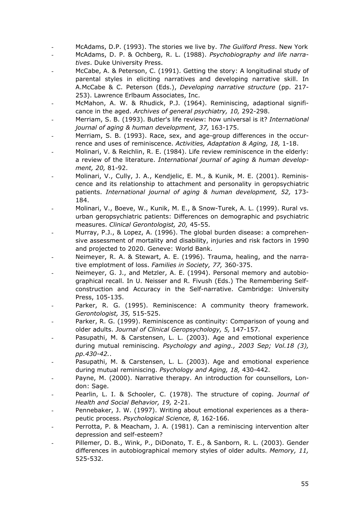- McAdams, D.P. (1993). The stories we live by. *The Guilford Press*. New York
- McAdams, D. P. & Ochberg, R. L. (1988). *Psychobiography and life narratives*. Duke University Press.
- McCabe, A. & Peterson, C. (1991). Getting the story: A longitudinal study of parental styles in eliciting narratives and developing narrative skill. In A.McCabe & C. Peterson (Eds.), *Developing narrative structure* (pp. 217- 253). Lawrence Erlbaum Associates, Inc.
- McMahon, A. W. & Rhudick, P.J. (1964). Reminiscing, adaptional significance in the aged. *Archives of general psychiatry, 10,* 292-298.
- Merriam, S. B. (1993). Butler's life review: how universal is it? *International journal of aging & human development, 37,* 163-175.
- Merriam, S. B. (1993). Race, sex, and age-group differences in the occurrence and uses of reminiscence. *Activities, Adaptation & Aging, 18,* 1-18.
- Molinari, V. & Reichlin, R. E. (1984). Life review reminiscence in the elderly: a review of the literature. *International journal of aging & human development, 20,* 81-92.
- Molinari, V., Cully, J. A., Kendjelic, E. M., & Kunik, M. E. (2001). Reminiscence and its relationship to attachment and personality in geropsychiatric patients. *International journal of aging & human development, 52,* 173- 184.
- Molinari, V., Boeve, W., Kunik, M. E., & Snow-Turek, A. L. (1999). Rural vs. urban geropsychiatric patients: Differences on demographic and psychiatric measures. *Clinical Gerontologist, 20,* 45-55.
- Murray, P.J., & Lopez, A. (1996). The global burden disease: a comprehensive assessment of mortality and disability, injuries and risk factors in 1990 and projected to 2020. Geneve: World Bank.
- Neimeyer, R. A. & Stewart, A. E. (1996). Trauma, healing, and the narrative emplotment of loss. *Families in Society, 77,* 360-375.
- Neimeyer, G. J., and Metzler, A. E. (1994). Personal memory and autobiographical recall. In U. Neisser and R. Fivush (Eds.) The Remembering Selfconstruction and Accuracy in the Self-narrative. Cambridge: University Press, 105-135.
- Parker, R. G. (1995). Reminiscence: A community theory framework. *Gerontologist, 35,* 515-525.
- Parker, R. G. (1999). Reminiscence as continuity: Comparison of young and older adults. *Journal of Clinical Geropsychology, 5,* 147-157.
- Pasupathi, M. & Carstensen, L. L. (2003). Age and emotional experience during mutual reminiscing. *Psychology and aging., 2003 Sep; Vol.18 (3), pp.430-42.*.
- Pasupathi, M. & Carstensen, L. L. (2003). Age and emotional experience during mutual reminiscing. *Psychology and Aging, 18,* 430-442.
- Payne, M. (2000). Narrative therapy. An introduction for counsellors, London: Sage.
- Pearlin, L. I. & Schooler, C. (1978). The structure of coping. *Journal of Health and Social Behavior, 19,* 2-21.
- Pennebaker, J. W. (1997). Writing about emotional experiences as a therapeutic process. *Psychological Science, 8,* 162-166.
- Perrotta, P. & Meacham, J. A. (1981). Can a reminiscing intervention alter depression and self-esteem?
- Pillemer, D. B., Wink, P., DiDonato, T. E., & Sanborn, R. L. (2003). Gender differences in autobiographical memory styles of older adults. *Memory, 11,*  525-532.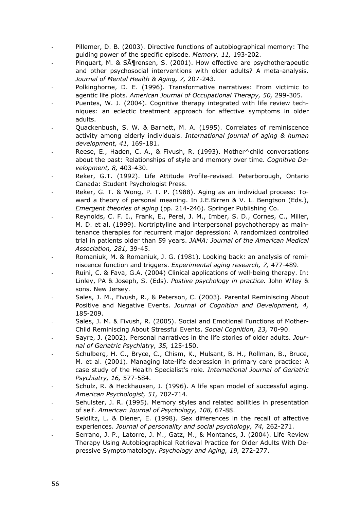- Pillemer, D. B. (2003). Directive functions of autobiographical memory: The guiding power of the specific episode. *Memory, 11,* 193-202.
- Pinquart, M. &  $S\tilde{A}$  rensen, S. (2001). How effective are psychotherapeutic and other psychosocial interventions with older adults? A meta-analysis. *Journal of Mental Health & Aging, 7,* 207-243.
- Polkinghorne, D. E. (1996). Transformative narratives: From victimic to agentic life plots. *American Journal of Occupational Therapy, 50,* 299-305.
- Puentes, W. J. (2004). Cognitive therapy integrated with life review techniques: an eclectic treatment approach for affective symptoms in older adults.
- Quackenbush, S. W. & Barnett, M. A. (1995). Correlates of reminiscence activity among elderly individuals. *International journal of aging & human development, 41,* 169-181.
- Reese, E., Haden, C. A., & Fivush, R. (1993). Mother^child conversations about the past: Relationships of style and memory over time. *Cognitive Development, 8,* 403-430.
- Reker, G.T. (1992). Life Attitude Profile-revised. Peterborough, Ontario Canada: Student Psychologist Press.
- Reker, G. T. & Wong, P. T. P. (1988). Aging as an individual process: Toward a theory of personal meaning. In J.E.Birren & V. L. Bengtson (Eds.), *Emergent theories of aging* (pp. 214-246). Springer Publishing Co.
- Reynolds, C. F. I., Frank, E., Perel, J. M., Imber, S. D., Cornes, C., Miller, M. D. et al. (1999). Nortriptyline and interpersonal psychotherapy as maintenance therapies for recurrent major depression: A randomized controlled trial in patients older than 59 years. *JAMA: Journal of the American Medical Association, 281,* 39-45.
- Romaniuk, M. & Romaniuk, J. G. (1981). Looking back: an analysis of reminiscence function and triggers. *Experimental aging research, 7,* 477-489.
- Ruini, C. & Fava, G.A. (2004) Clinical applications of well-being therapy. In: Linley, PA & Joseph, S. (Eds). *Postive psychology in practice.* John Wiley & sons. New Jersey.
- Sales, J. M., Fivush, R., & Peterson, C. (2003). Parental Reminiscing About Positive and Negative Events. *Journal of Cognition and Development, 4,* 185-209.
- Sales, J. M. & Fivush, R. (2005). Social and Emotional Functions of Mother-Child Reminiscing About Stressful Events. *Social Cognition, 23,* 70-90.
- Sayre, J. (2002). Personal narratives in the life stories of older adults. *Journal of Geriatric Psychiatry, 35,* 125-150.
- Schulberg, H. C., Bryce, C., Chism, K., Mulsant, B. H., Rollman, B., Bruce, M. et al. (2001). Managing late-life depression in primary care practice: A case study of the Health Specialist's role. *International Journal of Geriatric Psychiatry, 16,* 577-584.
- Schulz, R. & Heckhausen, J. (1996). A life span model of successful aging. *American Psychologist, 51,* 702-714.
- Sehulster, J. R. (1995). Memory styles and related abilities in presentation of self. *American Journal of Psychology, 108,* 67-88.
- Seidlitz, L. & Diener, E. (1998). Sex differences in the recall of affective experiences. *Journal of personality and social psychology, 74,* 262-271.
- Serrano, J. P., Latorre, J. M., Gatz, M., & Montanes, J. (2004). Life Review Therapy Using Autobiographical Retrieval Practice for Older Adults With Depressive Symptomatology. *Psychology and Aging, 19,* 272-277.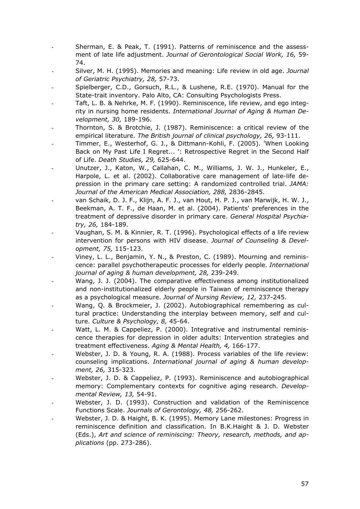- Sherman, E. & Peak, T. (1991). Patterns of reminiscence and the assessment of late life adjustment. *Journal of Gerontological Social Work, 16,* 59- 74.
- Silver, M. H. (1995). Memories and meaning: Life review in old age. *Journal of Geriatric Psychiatry, 28,* 57-73.
- Spielberger, C.D., Gorsuch, R.L., & Lushene, R.E. (1970). Manual for the State-trait inventory. Palo Alto, CA: Consulting Psychologists Press.
- Taft, L. B. & Nehrke, M. F. (1990). Reminiscence, life review, and ego integrity in nursing home residents. *International Journal of Aging & Human Development, 30,* 189-196.
- Thornton, S. & Brotchie, J. (1987). Reminiscence: a critical review of the empirical literature. *The British journal of clinical psychology, 26,* 93-111.
- Timmer, E., Westerhof, G. J., & Dittmann-Kohli, F. (2005). 'When Looking Back on My Past Life I Regret... ': Retrospective Regret in the Second Half of Life. *Death Studies, 29,* 625-644.
- Unutzer, J., Katon, W., Callahan, C. M., Williams, J. W. J., Hunkeler, E., Harpole, L. et al. (2002). Collaborative care management of late-life depression in the primary care setting: A randomized controlled trial. *JAMA: Journal of the American Medical Association, 288,* 2836-2845.
- van Schaik, D. J. F., Klijn, A. F. J., van Hout, H. P. J., van Marwijk, H. W. J., Beekman, A. T. F., de Haan, M. et al. (2004). Patients' preferences in the treatment of depressive disorder in primary care. *General Hospital Psychiatry, 26,* 184-189.
- Vaughan, S. M. & Kinnier, R. T. (1996). Psychological effects of a life review intervention for persons with HIV disease. *Journal of Counseling & Development, 75,* 115-123.
- Viney, L. L., Benjamin, Y. N., & Preston, C. (1989). Mourning and reminiscence: parallel psychotherapeutic processes for elderly people. *International journal of aging & human development, 28,* 239-249.
- Wang, J. J. (2004). The comparative effectiveness among institutionalized and non-institutionalized elderly people in Taiwan of reminiscence therapy as a psychological measure. *Journal of Nursing Review, 12,* 237-245.
- Wang, Q. & Brockmeier, J. (2002). Autobiographical remembering as cultural practice: Understanding the interplay between memory, self and culture. *Culture & Psychology, 8,* 45-64.
- Watt, L. M. & Cappeliez, P. (2000). Integrative and instrumental reminiscence therapies for depression in older adults: Intervention strategies and treatment effectiveness. *Aging & Mental Health, 4,* 166-177.
- Webster, J. D. & Young, R. A. (1988). Process variables of the life review: counseling implications. *International journal of aging & human development, 26,* 315-323.
- Webster, J. D. & Cappeliez, P. (1993). Reminiscence and autobiographical memory: Complementary contexts for cognitive aging research. *Developmental Review, 13,* 54-91.
- Webster, J. D. (1993). Construction and validation of the Reminiscence Functions Scale. *Journals of Gerontology, 48,* 256-262.
- Webster, J. D. & Haight, B. K. (1995). Memory Lane milestones: Progress in reminiscence definition and classification. In B.K.Haight & J. D. Webster (Eds.), *Art and science of reminiscing: Theory, research, methods, and applications* (pp. 273-286).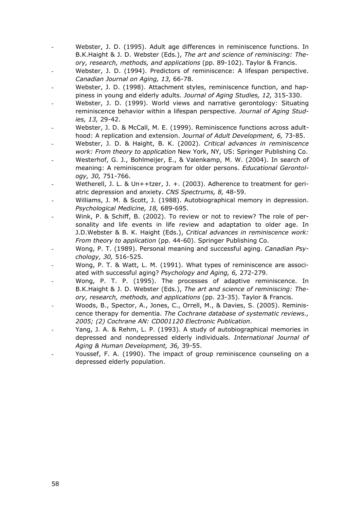- Webster, J. D. (1995). Adult age differences in reminiscence functions. In B.K.Haight & J. D. Webster (Eds.), *The art and science of reminiscing: Theory, research, methods, and applications* (pp. 89-102). Taylor & Francis.
- Webster, J. D. (1994). Predictors of reminiscence: A lifespan perspective. *Canadian Journal on Aging, 13,* 66-78.
- Webster, J. D. (1998). Attachment styles, reminiscence function, and happiness in young and elderly adults. *Journal of Aging Studies, 12,* 315-330.
- Webster, J. D. (1999). World views and narrative gerontology: Situating reminiscence behavior within a lifespan perspective. *Journal of Aging Studies, 13,* 29-42.
- Webster, J. D. & McCall, M. E. (1999). Reminiscence functions across adulthood: A replication and extension. *Journal of Adult Development, 6,* 73-85.
- Webster, J. D. & Haight, B. K. (2002). *Critical advances in reminiscence work: From theory to application* New York, NY, US: Springer Publishing Co.
- Westerhof, G. J., Bohlmeijer, E., & Valenkamp, M. W. (2004). In search of meaning: A reminiscence program for older persons. *Educational Gerontology, 30,* 751-766.
- Wetherell, J. L. & Un++tzer, J. +. (2003). Adherence to treatment for geriatric depression and anxiety. *CNS Spectrums, 8,* 48-59.
- Williams, J. M. & Scott, J. (1988). Autobiographical memory in depression. *Psychological Medicine, 18,* 689-695.
- Wink, P. & Schiff, B. (2002). To review or not to review? The role of personality and life events in life review and adaptation to older age. In J.D.Webster & B. K. Haight (Eds.), *Critical advances in reminiscence work: From theory to application* (pp. 44-60). Springer Publishing Co.
- Wong, P. T. (1989). Personal meaning and successful aging. *Canadian Psychology, 30,* 516-525.
- Wong, P. T. & Watt, L. M. (1991). What types of reminiscence are associated with successful aging? *Psychology and Aging, 6,* 272-279.
- Wong, P. T. P. (1995). The processes of adaptive reminiscence. In B.K.Haight & J. D. Webster (Eds.), *The art and science of reminiscing: Theory, research, methods, and applications* (pp. 23-35). Taylor & Francis.
- Woods, B., Spector, A., Jones, C., Orrell, M., & Davies, S. (2005). Reminiscence therapy for dementia. *The Cochrane database of systematic reviews., 2005; (2) Cochrane AN: CD001120 Electronic Publication*.
- Yang, J. A. & Rehm, L. P. (1993). A study of autobiographical memories in depressed and nondepressed elderly individuals. *International Journal of Aging & Human Development, 36,* 39-55.
- Youssef, F. A. (1990). The impact of group reminiscence counseling on a depressed elderly population.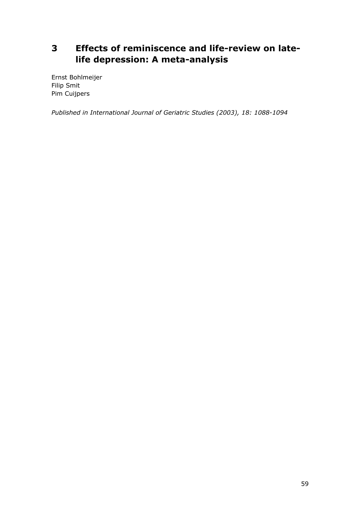# **3 Effects of reminiscence and life-review on latelife depression: A meta-analysis**

Ernst Bohlmeijer Filip Smit Pim Cuijpers

*Published in International Journal of Geriatric Studies (2003), 18: 1088-1094*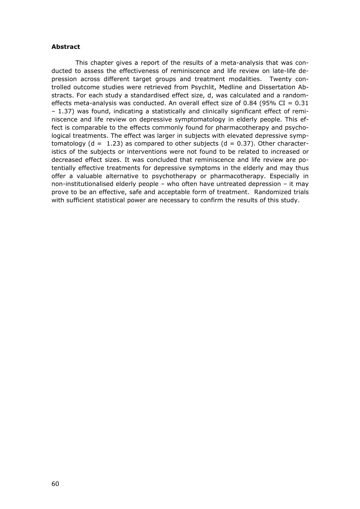### **Abstract**

 This chapter gives a report of the results of a meta-analysis that was conducted to assess the effectiveness of reminiscence and life review on late-life depression across different target groups and treatment modalities. Twenty controlled outcome studies were retrieved from Psychlit, Medline and Dissertation Abstracts. For each study a standardised effect size, d, was calculated and a randomeffects meta-analysis was conducted. An overall effect size of 0.84 (95% CI =  $0.31$ ) – 1.37) was found, indicating a statistically and clinically significant effect of reminiscence and life review on depressive symptomatology in elderly people. This effect is comparable to the effects commonly found for pharmacotherapy and psychological treatments. The effect was larger in subjects with elevated depressive symptomatology ( $d = 1.23$ ) as compared to other subjects ( $d = 0.37$ ). Other characteristics of the subjects or interventions were not found to be related to increased or decreased effect sizes. It was concluded that reminiscence and life review are potentially effective treatments for depressive symptoms in the elderly and may thus offer a valuable alternative to psychotherapy or pharmacotherapy. Especially in non-institutionalised elderly people – who often have untreated depression – it may prove to be an effective, safe and acceptable form of treatment. Randomized trials with sufficient statistical power are necessary to confirm the results of this study.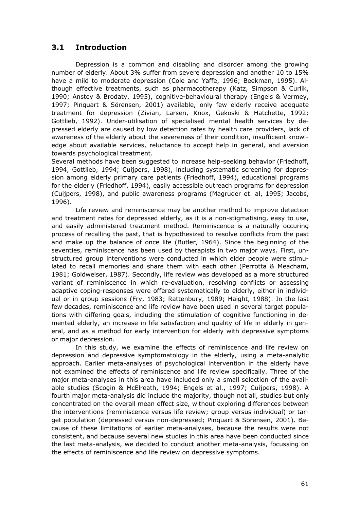### **3.1 Introduction**

 Depression is a common and disabling and disorder among the growing number of elderly. About 3% suffer from severe depression and another 10 to 15% have a mild to moderate depression (Cole and Yaffe, 1996; Beekman, 1995). Although effective treatments, such as pharmacotherapy (Katz, Simpson & Curlik, 1990; Anstey & Brodaty, 1995), cognitive-behavioural therapy (Engels & Vermey, 1997; Pinquart & Sörensen, 2001) available, only few elderly receive adequate treatment for depression (Zivian, Larsen, Knox, Gekoski & Hatchette, 1992; Gottlieb, 1992). Under-utilisation of specialised mental health services by depressed elderly are caused by low detection rates by health care providers, lack of awareness of the elderly about the severeness of their condition, insufficient knowledge about available services, reluctance to accept help in general, and aversion towards psychological treatment.

Several methods have been suggested to increase help-seeking behavior (Friedhoff, 1994, Gottlieb, 1994; Cuijpers, 1998), including systematic screening for depression among elderly primary care patients (Friedhoff, 1994), educational programs for the elderly (Friedhoff, 1994), easily accessible outreach programs for depression (Cuijpers, 1998), and public awareness programs (Magruder et. al, 1995; Jacobs, 1996).

 Life review and reminiscence may be another method to improve detection and treatment rates for depressed elderly, as it is a non-stigmatising, easy to use, and easily administered treatment method. Reminiscence is a naturally occuring process of recalling the past, that is hypothesized to resolve conflicts from the past and make up the balance of once life (Butler, 1964). Since the beginning of the seventies, reminiscence has been used by therapists in two major ways. First, unstructured group interventions were conducted in which elder people were stimulated to recall memories and share them with each other (Perrotta & Meacham, 1981; Goldweiser, 1987). Secondly, life review was developed as a more structured variant of reminiscence in which re-evaluation, resolving conflicts or assessing adaptive coping-responses were offered systematically to elderly, either in individual or in group sessions (Fry, 1983; Rattenbury, 1989; Haight, 1988). In the last few decades, reminiscence and life review have been used in several target populations with differing goals, including the stimulation of cognitive functioning in demented elderly, an increase in life satisfaction and quality of life in elderly in general, and as a method for early intervention for elderly with depressive symptoms or major depression.

 In this study, we examine the effects of reminiscence and life review on depression and depressive symptomatology in the elderly, using a meta-analytic approach. Earlier meta-analyses of psychological intervention in the elderly have not examined the effects of reminiscence and life review specifically. Three of the major meta-analyses in this area have included only a small selection of the available studies (Scogin & McElreath, 1994; Engels et al., 1997; Cuijpers, 1998). A fourth major meta-analysis did include the majority, though not all, studies but only concentrated on the overall mean effect size, without exploring differences between the interventions (reminiscence versus life review; group versus individual) or target population (depressed versus non-depressed; Pinquart & Sörensen, 2001). Because of these limitations of earlier meta-analyses, because the results were not consistent, and because several new studies in this area have been conducted since the last meta-analysis, we decided to conduct another meta-analysis, focussing on the effects of reminiscence and life review on depressive symptoms.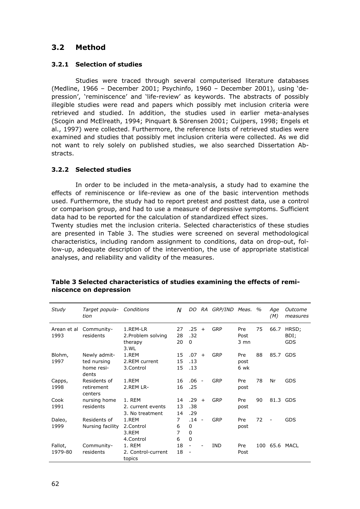## **3.2 Method**

### **3.2.1 Selection of studies**

 Studies were traced through several computerised literature databases (Medline, 1966 – December 2001; Psychinfo, 1960 – December 2001), using 'depression', 'reminiscence' and 'life-review' as keywords. The abstracts of possibly illegible studies were read and papers which possibly met inclusion criteria were retrieved and studied. In addition, the studies used in earlier meta-analyses (Scogin and McElreath, 1994; Pinquart & Sörensen 2001; Cuijpers, 1998; Engels et al., 1997) were collected. Furthermore, the reference lists of retrieved studies were examined and studies that possibly met inclusion criteria were collected. As we did not want to rely solely on published studies, we also searched Dissertation Abstracts.

### **3.2.2 Selected studies**

 In order to be included in the meta-analysis, a study had to examine the effects of reminiscence or life-review as one of the basic intervention methods used. Furthermore, the study had to report pretest and posttest data, use a control or comparison group, and had to use a measure of depressive symptoms. Sufficient data had to be reported for the calculation of standardized effect sizes.

Twenty studies met the inclusion criteria. Selected characteristics of these studies are presented in Table 3. The studies were screened on several methodological characteristics, including random assignment to conditions, data on drop-out, follow-up, adequate description of the intervention, the use of appropriate statistical analyses, and reliability and validity of the measures.

| Study               | Target popula-<br>tion                             | Conditions                                        | N                | DO -                               |                | RA GRP/IND Meas. |                     | $\%$ | Age<br>(M)               | Outcome<br>measures         |
|---------------------|----------------------------------------------------|---------------------------------------------------|------------------|------------------------------------|----------------|------------------|---------------------|------|--------------------------|-----------------------------|
| Arean et al<br>1993 | Community-<br>residents                            | 1.REM-LR<br>2. Problem solving<br>therapy<br>3.WL | 27<br>28<br>20   | .25<br>.32<br>0                    | $+$            | <b>GRP</b>       | Pre<br>Post<br>3 mn | 75   | 66.7                     | HRSD;<br>BDI;<br><b>GDS</b> |
| Blohm,<br>1997      | Newly admit-<br>ted nursing<br>home resi-<br>dents | 1.REM<br>2.REM current<br>3.Control               | 15<br>15<br>15   | .07<br>.13<br>.13                  | $+$            | <b>GRP</b>       | Pre<br>post<br>6 wk | 88   | 85.7 GDS                 |                             |
| Capps,<br>1998      | Residents of<br>retirement<br>centers              | 1.REM<br>2.REM LR-                                | 16<br>16         | $.06 -$<br>.25                     |                | GRP              | Pre<br>post         | 78   | Nr                       | <b>GDS</b>                  |
| Cook<br>1991        | nursing home<br>residents                          | 1. REM<br>2. current events<br>3. No treatment    | 14<br>13<br>14   | .29<br>.38<br>.29                  | $+$            | GRP              | Pre<br>post         | 90   | 81.3 GDS                 |                             |
| Daleo,<br>1999      | Residents of<br>Nursing facility                   | 1.REM<br>2.Control<br>3.REM<br>4.Control          | 7<br>6<br>7<br>6 | .14<br>0<br>0<br>$\mathbf 0$       | $\overline{a}$ | <b>GRP</b>       | Pre<br>post         | 72   | $\overline{\phantom{0}}$ | <b>GDS</b>                  |
| Fallot,<br>1979-80  | Community-<br>residents                            | 1. REM<br>2. Control-current<br>topics            | 18<br>18         | $\overline{\phantom{a}}$<br>$\sim$ |                | <b>IND</b>       | Pre<br>Post         | 100  |                          | 65.6 MACL                   |

### **Table 3 Selected characteristics of studies examining the effects of reminiscence on depression**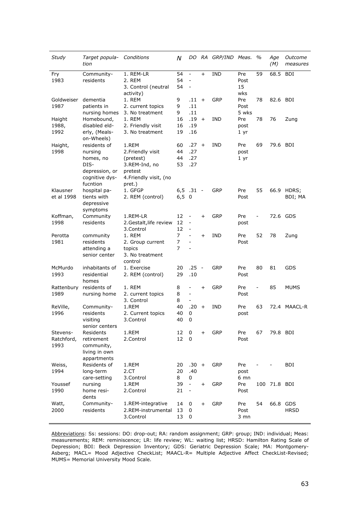| Study      | Target popula-<br>tion      | Conditions                       | N         |                                                      |                          | DO RA GRP/IND Meas. |                 | %  | Age<br>(M)   | Outcome<br>measures |
|------------|-----------------------------|----------------------------------|-----------|------------------------------------------------------|--------------------------|---------------------|-----------------|----|--------------|---------------------|
| Fry        | Community-                  | 1. REM-LR                        | 54        | $\overline{\phantom{a}}$                             | $+$                      | <b>IND</b>          | Pre             | 59 | 68.5         | BDI                 |
| 1983       | residents                   | 2. REM                           | 54        |                                                      |                          |                     | Post            |    |              |                     |
|            |                             | 3. Control (neutral              | 54        |                                                      |                          |                     | 15              |    |              |                     |
|            |                             | activity)                        |           |                                                      |                          |                     | wks             |    |              |                     |
| Goldweiser | dementia                    | 1. REM                           | 9         | $.11 +$                                              |                          | GRP                 | Pre             | 78 | 82.6 BDI     |                     |
| 1987       | patients in                 | 2. current topics                | 9         | .11                                                  |                          |                     | Post            |    |              |                     |
|            | nursing homes               | 3. No treatment                  | 9         | .11                                                  |                          |                     | 5 wks           |    |              |                     |
| Haight     | Homebound,                  | 1. REM                           | 16        | .19                                                  | $+$                      | <b>IND</b>          | Pre             | 78 | 76           | Zung                |
| 1988,      | disabled eld-               | 2. Friendly visit                | 16        | .19                                                  |                          |                     | post            |    |              |                     |
| 1992       | erly, (Meals-<br>on-Wheels) | 3. No treatment                  | 19        | .16                                                  |                          |                     | 1 <sub>yr</sub> |    |              |                     |
| Haight,    | residents of                | 1.REM                            | 60        | .27                                                  | $+$                      | <b>IND</b>          | Pre             | 69 | 79.6 BDI     |                     |
| 1998       | nursing                     | 2. Friendly visit                | 44        | .27                                                  |                          |                     | post            |    |              |                     |
|            | homes, no                   | (pretest)                        | 44        | .27                                                  |                          |                     | 1 <sub>yr</sub> |    |              |                     |
|            | DIS-                        | 3.REM-Ind, no                    | 53        | .27                                                  |                          |                     |                 |    |              |                     |
|            | depression, or              | pretest                          |           |                                                      |                          |                     |                 |    |              |                     |
|            | cognitive dys-<br>fucntion  | 4. Friendly visit, (no<br>pret.) |           |                                                      |                          |                     |                 |    |              |                     |
| Klausner   | hospital pa-                | 1. GFGP                          |           | $6,5$ .31 -                                          |                          | GRP                 | Pre             | 55 |              | 66.9 HDRS;          |
| et al 1998 | tients with                 | 2. REM (control)                 | $6,5 \ 0$ |                                                      |                          |                     | Post            |    |              | BDI; MA             |
|            | depressive<br>symptoms      |                                  |           |                                                      |                          |                     |                 |    |              |                     |
| Koffman,   | Community                   | 1.REM-LR                         | 12        | $\overline{\phantom{a}}$                             | $+$                      | GRP                 | Pre             |    | 72.6 GDS     |                     |
| 1998       | residents                   | 2. Gestalt, life review          | 12        | $\blacksquare$                                       |                          |                     | post            |    |              |                     |
|            |                             | 3.Control                        | 12        |                                                      |                          |                     |                 |    |              |                     |
| Perotta    | community                   | 1. REM                           | 7         | $\overline{\phantom{a}}$                             | $+$                      | <b>IND</b>          | Pre             | 52 | 78           | Zung                |
| 1981       | residents                   | 2. Group current                 | 7         | $\overline{\phantom{a}}$                             |                          |                     | Post            |    |              |                     |
|            | attending a                 | topics                           | 7         |                                                      |                          |                     |                 |    |              |                     |
|            | senior center               | 3. No treatment                  |           |                                                      |                          |                     |                 |    |              |                     |
|            |                             | control                          |           |                                                      |                          |                     |                 |    |              |                     |
| McMurdo    | inhabitants of              | 1. Exercise                      | 20        | .25                                                  | $\overline{\phantom{a}}$ | GRP                 | Pre             | 80 | 81           | <b>GDS</b>          |
| 1993       | residential                 | 2. REM (control)                 | 29        | .10                                                  |                          |                     | Post            |    |              |                     |
| homes      |                             |                                  |           |                                                      |                          |                     |                 |    |              |                     |
| Rattenbury | residents of                | 1. REM                           | 8<br>8    |                                                      | $\ddot{}$                | GRP                 | Pre             |    | 85           | <b>MUMS</b>         |
| 1989       | nursing home                | 2. current topics                |           | $\overline{\phantom{a}}$<br>$\overline{\phantom{a}}$ |                          |                     | Post            |    |              |                     |
| ReVille,   |                             | 3. Control<br>1.REM              | 8<br>40   | $.20 +$                                              |                          | <b>IND</b>          | Pre             | 63 |              | 72.4 MAACL-R        |
| 1996       | Community-<br>residents     | 2. Current topics                | 40        | 0                                                    |                          |                     | post            |    |              |                     |
|            | visiting                    | 3.Control                        | 40        | $\pmb{0}$                                            |                          |                     |                 |    |              |                     |
|            | senior centers              |                                  |           |                                                      |                          |                     |                 |    |              |                     |
| Stevens-   | Residents                   | 1.REM                            | 12        | 0                                                    | $+$                      | <b>GRP</b>          | Pre             | 67 | 79.8 BDI     |                     |
| Ratchford, | retirement                  | 2.Control                        | 12        | 0                                                    |                          |                     | Post            |    |              |                     |
| 1993       | community,                  |                                  |           |                                                      |                          |                     |                 |    |              |                     |
|            | living in own               |                                  |           |                                                      |                          |                     |                 |    |              |                     |
|            | appartments                 |                                  |           |                                                      |                          |                     |                 |    |              |                     |
| Weiss,     | Residents of                | 1.REM                            | 20        | $.30 +$                                              |                          | <b>GRP</b>          | Pre             |    |              | BDI                 |
| 1994       | long-term                   | 2.CT                             | 20        | .40                                                  |                          |                     | post            |    |              |                     |
|            | care-setting                | 3.Control                        | 8         | 0                                                    |                          |                     | 6 mn            |    |              |                     |
| Youssef    | nursing                     | 1.REM                            | 39        | $\blacksquare$                                       | $\ddot{}$                | <b>GRP</b>          | Pre             |    | 100 71.8 BDI |                     |
| 1990       | home resi-                  | 2.Control                        | 21        | $\overline{\phantom{a}}$                             |                          |                     | Post            |    |              |                     |
|            | dents                       |                                  |           |                                                      |                          |                     |                 |    |              |                     |
| Watt,      | Community-                  | 1.REM-integrative                | 14        | 0                                                    | $+$                      | <b>GRP</b>          | Pre             | 54 | 66.8 GDS     |                     |
| 2000       | residents                   | 2.REM-instrumental               | 13        | 0                                                    |                          |                     | Post            |    |              | <b>HRSD</b>         |
|            |                             | 3.Control                        | 13        | 0                                                    |                          |                     | $3 \text{ mm}$  |    |              |                     |

Abbreviations: Ss: sessions: DO: drop-out; RA: random assignment; GRP: group; IND: individual; Meas: measurements; REM: reminiscence; LR: life review; WL: waiting list; HRSD: Hamilton Rating Scale of Depression; BDI: Beck Depression Inventory; GDS: Geriatric Depression Scale; MA: Montgomery-Asberg; MACL= Mood Adjective CheckList; MAACL-R= Multiple Adjective Affect CheckList-Revised; MUMS= Memorial University Mood Scale.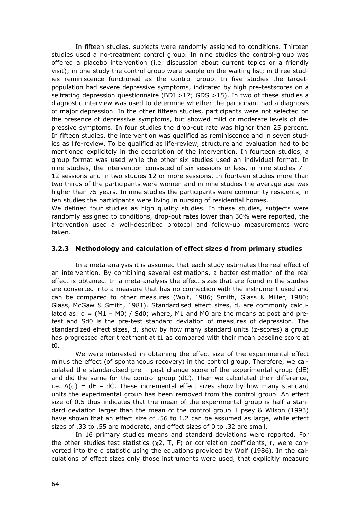In fifteen studies, subjects were randomly assigned to conditions. Thirteen studies used a no-treatment control group. In nine studies the control-group was offered a placebo intervention (i.e. discussion about current topics or a friendly visit); in one study the control group were people on the waiting list; in three studies reminiscence functioned as the control group. In five studies the targetpopulation had severe depressive symptoms, indicated by high pre-testscores on a selfrating depression questionnaire (BDI >17; GDS >15). In two of these studies a diagnostic interview was used to determine whether the participant had a diagnosis of major depression. In the other fifteen studies, participants were not selected on the presence of depressive symptoms, but showed mild or moderate levels of depressive symptoms. In four studies the drop-out rate was higher than 25 percent. In fifteen studies, the intervention was qualified as reminiscence and in seven studies as life-review. To be qualified as life-review, structure and evaluation had to be mentioned explicitely in the description of the intervention. In fourteen studies, a group format was used while the other six studies used an individual format. In nine studies, the intervention consisted of six sessions or less, in nine studies 7 – 12 sessions and in two studies 12 or more sessions. In fourteen studies more than two thirds of the participants were women and in nine studies the average age was higher than 75 years. In nine studies the participants were community residents, in ten studies the participants were living in nursing of residential homes.

We defined four studies as high quality studies. In these studies, subjects were randomly assigned to conditions, drop-out rates lower than 30% were reported, the intervention used a well-described protocol and follow-up measurements were taken.

### **3.2.3 Methodology and calculation of effect sizes d from primary studies**

 In a meta-analysis it is assumed that each study estimates the real effect of an intervention. By combining several estimations, a better estimation of the real effect is obtained. In a meta-analysis the effect sizes that are found in the studies are converted into a measure that has no connection with the instrument used and can be compared to other measures (Wolf, 1986; Smith, Glass & Miller, 1980; Glass, McGaw & Smith, 1981). Standardised effect sizes, d, are commonly calculated as:  $d = (M1 - M0) / Sd0$ ; where, M1 and M0 are the means at post and pretest and Sd0 is the pre-test standard deviation of measures of depression. The standardized effect sizes, d, show by how many standard units (z-scores) a group has progressed after treatment at t1 as compared with their mean baseline score at t0.

 We were interested in obtaining the effect size of the experimental effect minus the effect (of spontaneous recovery) in the control group. Therefore, we calculated the standardised pre – post change score of the experimental group  $(dE)$ and did the same for the control group (dC). Then we calculated their difference, i.e.  $\Delta(d)$  = dE – dC. These incremental effect sizes show by how many standard units the experimental group has been removed from the control group. An effect size of 0.5 thus indicates that the mean of the experimental group is half a standard deviation larger than the mean of the control group. Lipsey & Wilson (1993) have shown that an effect size of .56 to 1.2 can be assumed as large, while effect sizes of .33 to .55 are moderate, and effect sizes of 0 to .32 are small.

 In 16 primary studies means and standard deviations were reported. For the other studies test statistics  $(x2, T, F)$  or correlation coefficients, r, were converted into the d statistic using the equations provided by Wolf (1986). In the calculations of effect sizes only those instruments were used, that explicitly measure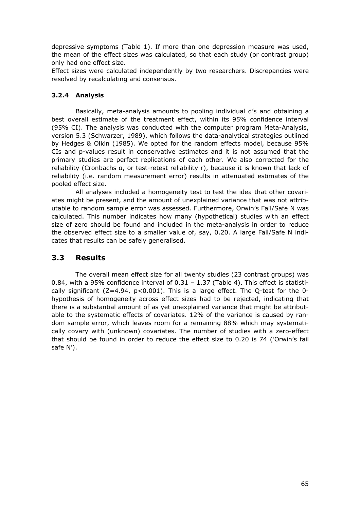depressive symptoms (Table 1). If more than one depression measure was used, the mean of the effect sizes was calculated, so that each study (or contrast group) only had one effect size.

Effect sizes were calculated independently by two researchers. Discrepancies were resolved by recalculating and consensus.

### **3.2.4 Analysis**

 Basically, meta-analysis amounts to pooling individual d's and obtaining a best overall estimate of the treatment effect, within its 95% confidence interval (95% CI). The analysis was conducted with the computer program Meta-Analysis, version 5.3 (Schwarzer, 1989), which follows the data-analytical strategies outlined by Hedges & Olkin (1985). We opted for the random effects model, because 95% CIs and p-values result in conservative estimates and it is not assumed that the primary studies are perfect replications of each other. We also corrected for the reliability (Cronbachs α, or test-retest reliability r), because it is known that lack of reliability (i.e. random measurement error) results in attenuated estimates of the pooled effect size.

 All analyses included a homogeneity test to test the idea that other covariates might be present, and the amount of unexplained variance that was not attributable to random sample error was assessed. Furthermore, Orwin's Fail/Safe N was calculated. This number indicates how many (hypothetical) studies with an effect size of zero should be found and included in the meta-analysis in order to reduce the observed effect size to a smaller value of, say, 0.20. A large Fail/Safe N indicates that results can be safely generalised.

### **3.3 Results**

 The overall mean effect size for all twenty studies (23 contrast groups) was 0.84, with a 95% confidence interval of  $0.31 - 1.37$  (Table 4). This effect is statistically significant ( $Z=4.94$ ,  $p<0.001$ ). This is a large effect. The Q-test for the 0hypothesis of homogeneity across effect sizes had to be rejected, indicating that there is a substantial amount of as yet unexplained variance that might be attributable to the systematic effects of covariates. 12% of the variance is caused by random sample error, which leaves room for a remaining 88% which may systematically covary with (unknown) covariates. The number of studies with a zero-effect that should be found in order to reduce the effect size to 0.20 is 74 ('Orwin's fail safe N').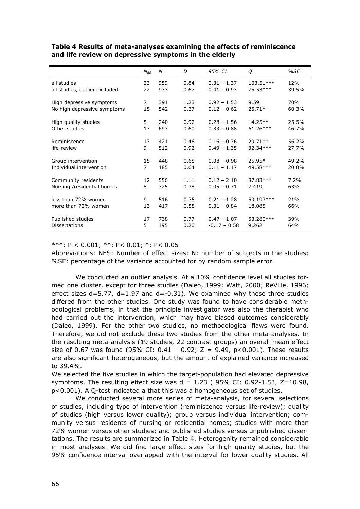|                               | $N_{FS}$ | N   | D    | 95% CI         | Q          | %SE   |
|-------------------------------|----------|-----|------|----------------|------------|-------|
| all studies                   | 23       | 959 | 0.84 | $0.31 - 1.37$  | 103.51***  | 12%   |
| all studies, outlier excluded | 22       | 933 | 0.67 | $0.41 - 0.93$  | 75.53***   | 39.5% |
| High depressive symptoms      | 7        | 391 | 1.23 | $0.92 - 1.53$  | 9.59       | 70%   |
| No high depressive symptoms   | 15       | 542 | 0.37 | $0.12 - 0.62$  | $25.71*$   | 60.3% |
| High quality studies          | 5        | 240 | 0.92 | $0.28 - 1.56$  | 14.25**    | 25.5% |
| Other studies                 | 17       | 693 | 0.60 | $0.33 - 0.88$  | $61.26***$ | 46.7% |
| Reminiscence                  | 13       | 421 | 0.46 | $0.16 - 0.76$  | $29.71**$  | 56.2% |
| life-review                   | 9        | 512 | 0.92 | $0.49 - 1.35$  | $32.34***$ | 27,7% |
| Group intervention            | 15       | 448 | 0.68 | $0.38 - 0.98$  | $25.95*$   | 49.2% |
| Individual intervention       | 7        | 485 | 0.64 | $0.11 - 1.17$  | 49.58***   | 20.0% |
| Community residents           | 12       | 556 | 1.11 | $0.12 - 2.10$  | 87.83***   | 7.2%  |
| Nursing /residential homes    | 8        | 325 | 0.38 | $0.05 - 0.71$  | 7.419      | 63%   |
| less than 72% women           | 9        | 516 | 0.75 | $0.21 - 1.28$  | 59.193***  | 21%   |
| more than 72% women           | 13       | 417 | 0.58 | $0.31 - 0.84$  | 18.085     | 66%   |
| Published studies             | 17       | 738 | 0.77 | $0.47 - 1.07$  | 53.280 *** | 39%   |
| <b>Dissertations</b>          | 5        | 195 | 0.20 | $-0.17 - 0.58$ | 9.262      | 64%   |

#### **Table 4 Results of meta-analyses examining the effects of reminiscence and life review on depressive symptoms in the elderly**

#### \*\*\*: P < 0.001; \*\*: P< 0.01; \*: P< 0.05

Abbreviations: NES: Number of effect sizes; N: number of subjects in the studies; %SE: percentage of the variance accounted for by random sample error.

 We conducted an outlier analysis. At a 10% confidence level all studies formed one cluster, except for three studies (Daleo, 1999; Watt, 2000; ReVille, 1996; effect sizes  $d=5.77$ ,  $d=1.97$  and  $d=-0.31$ ). We examined why these three studies differed from the other studies. One study was found to have considerable methodological problems, in that the principle investigator was also the therapist who had carried out the intervention, which may have biased outcomes considerably (Daleo, 1999). For the other two studies, no methodological flaws were found. Therefore, we did not exclude these two studies from the other meta-analyses. In the resulting meta-analysis (19 studies, 22 contrast groups) an overall mean effect size of 0.67 was found (95% CI: 0.41 - 0.92; Z = 9.49,  $p < 0.001$ ). These results are also significant heterogeneous, but the amount of explained variance increased to 39.4%.

We selected the five studies in which the target-population had elevated depressive symptoms. The resulting effect size was  $d = 1.23$  (95% CI: 0.92-1.53, Z=10.98, p<0.001). A Q-test indicated a that this was a homogeneous set of studies.

 We conducted several more series of meta-analysis, for several selections of studies, including type of intervention (reminiscence versus life-review); quality of studies (high versus lower quality); group versus individual intervention; community versus residents of nursing or residential homes; studies with more than 72% women versus other studies; and published studies versus unpublished dissertations. The results are summarized in Table 4. Heterogenity remained considerable in most analyses. We did find large effect sizes for high quality studies, but the 95% confidence interval overlapped with the interval for lower quality studies. All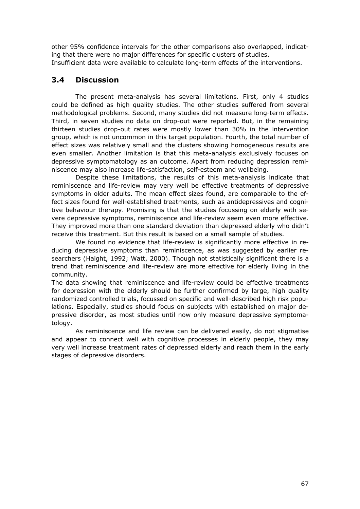other 95% confidence intervals for the other comparisons also overlapped, indicating that there were no major differences for specific clusters of studies. Insufficient data were available to calculate long-term effects of the interventions.

## **3.4 Discussion**

 The present meta-analysis has several limitations. First, only 4 studies could be defined as high quality studies. The other studies suffered from several methodological problems. Second, many studies did not measure long-term effects. Third, in seven studies no data on drop-out were reported. But, in the remaining thirteen studies drop-out rates were mostly lower than 30% in the intervention group, which is not uncommon in this target population. Fourth, the total number of effect sizes was relatively small and the clusters showing homogeneous results are even smaller. Another limitation is that this meta-analysis exclusively focuses on depressive symptomatology as an outcome. Apart from reducing depression reminiscence may also increase life-satisfaction, self-esteem and wellbeing.

 Despite these limitations, the results of this meta-analysis indicate that reminiscence and life-review may very well be effective treatments of depressive symptoms in older adults. The mean effect sizes found, are comparable to the effect sizes found for well-established treatments, such as antidepressives and cognitive behaviour therapy. Promising is that the studies focussing on elderly with severe depressive symptoms, reminiscence and life-review seem even more effective. They improved more than one standard deviation than depressed elderly who didn't receive this treatment. But this result is based on a small sample of studies.

 We found no evidence that life-review is significantly more effective in reducing depressive symptoms than reminiscence, as was suggested by earlier researchers (Haight, 1992; Watt, 2000). Though not statistically significant there is a trend that reminiscence and life-review are more effective for elderly living in the community.

The data showing that reminiscence and life-review could be effective treatments for depression with the elderly should be further confirmed by large, high quality randomized controlled trials, focussed on specific and well-described high risk populations. Especially, studies should focus on subjects with established on major depressive disorder, as most studies until now only measure depressive symptomatology.

 As reminiscence and life review can be delivered easily, do not stigmatise and appear to connect well with cognitive processes in elderly people, they may very well increase treatment rates of depressed elderly and reach them in the early stages of depressive disorders.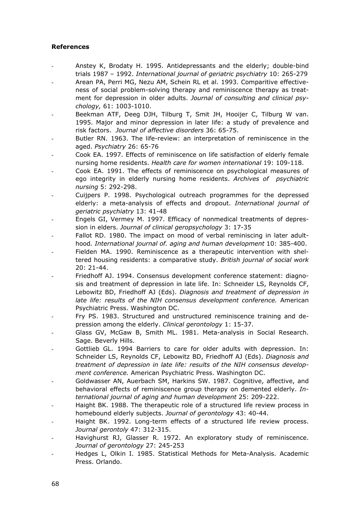### **References**

- Anstey K, Brodaty H. 1995. Antidepressants and the elderly; double-bind trials 1987 – 1992. *International journal of geriatric psychiatry* 10: 265-279
- Arean PA, Perri MG, Nezu AM, Schein RL et al. 1993. Comparitive effectiveness of social problem-solving therapy and reminiscence therapy as treatment for depression in older adults. *Journal of consulting and clinical psychology,* 61: 1003-1010.
- Beekman ATF, Deeg DJH, Tilburg T, Smit JH, Hooijer C, Tilburg W van. 1995. Major and minor depression in later life: a study of prevalence and risk factors. *Journal of affective disorders* 36: 65-75.
- Butler RN. 1963. The life-review: an interpretation of reminiscence in the aged. *Psychiatry* 26: 65-76
- Cook EA. 1997. Effects of reminiscence on life satisfaction of elderly female nursing home residents. *Health care for women international* 19: 109-118.
- Cook EA. 1991. The effects of reminiscence on psychological measures of ego integrity in elderly nursing home residents. *Archives of psychiatric nursing* 5: 292-298.
- Cuijpers P. 1998. Psychological outreach programmes for the depressed elderly: a meta-analysis of effects and dropout. *International journal of geriatric psychiatry* 13: 41-48
- Engels GI, Vermey M. 1997. Efficacy of nonmedical treatments of depression in elders. *Journal of clinical geropsychology* 3: 17-35
- Fallot RD. 1980. The impact on mood of verbal reminiscing in later adulthood*. International journal of. aging and human development* 10: 385-400.
- Fielden MA. 1990. Reminiscence as a therapeutic intervention with sheltered housing residents: a comparative study. *British journal of social work* 20: 21-44.
- Friedhoff AJ. 1994. Consensus development conference statement: diagnosis and treatment of depression in late life. In: Schneider LS, Reynolds CF, Lebowitz BD, Friedhoff AJ (Eds). *Diagnosis and treatment of depression in late life: results of the NIH consensus development conference.* American Psychiatric Press. Washington DC.
- Fry PS. 1983. Structured and unstructured reminiscence training and depression among the elderly. *Clinical gerontology* 1: 15-37.
- Glass GV, McGaw B, Smith ML. 1981. Meta-analysis in Social Research. Sage. Beverly Hills.
- Gottlieb GL. 1994 Barriers to care for older adults with depression. In: Schneider LS, Reynolds CF, Lebowitz BD, Friedhoff AJ (Eds). *Diagnosis and treatment of depression in late life: results of the NIH consensus development conference.* American Psychiatric Press. Washington DC.
- Goldwasser AN, Auerbach SM, Harkins SW. 1987. Cognitive, affective, and behavioral effects of reminiscence group therapy on demented elderly. *International journal of aging and human development* 25: 209-222.
- Haight BK. 1988. The therapeutic role of a structured life review process in homebound elderly subjects. *Journal of gerontology* 43: 40-44.
- Haight BK. 1992. Long-term effects of a structured life review process. *Journal gerontoly* 47: 312-315.
- Havighurst RJ, Glasser R. 1972. An exploratory study of reminiscence. *Journal of gerontology* 27: 245-253
- Hedges L, Olkin I. 1985. Statistical Methods for Meta-Analysis. Academic Press. Orlando.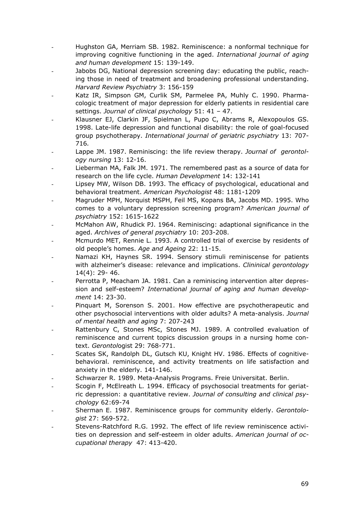- Hughston GA, Merriam SB. 1982. Reminiscence: a nonformal technique for improving cognitive functioning in the aged. *International journal of aging and human development* 15: 139-149.
- Jabobs DG, National depression screening day: educating the public, reaching those in need of treatment and broadening professional understanding. *Harvard Review Psychiatry* 3: 156-159
- Katz IR, Simpson GM, Curlik SM, Parmelee PA, Muhly C. 1990. Pharmacologic treatment of major depression for elderly patients in residential care settings. *Journal of clinical psychology* 51: 41 – 47.
- Klausner EJ, Clarkin JF, Spielman L, Pupo C, Abrams R, Alexopoulos GS. 1998. Late-life depression and functional disability: the role of goal-focused group psychotherapy. *International journal of geriatric psychiatry* 13: 707- 716*.*
- Lappe JM. 1987. Reminiscing: the life review therapy. Journal of gerontol*ogy nursing* 13: 12-16.
- Lieberman MA, Falk JM. 1971. The remembered past as a source of data for research on the life cycle. *Human Development* 14: 132-141
- Lipsey MW, Wilson DB. 1993. The efficacy of psychological, educational and behavioral treatment. *American Psychologist* 48: 1181-1209
- Magruder MPH, Norquist MSPH, Feil MS, Kopans BA, Jacobs MD. 1995. Who comes to a voluntary depression screening program? *American journal of psychiatry* 152: 1615-1622
- McMahon AW, Rhudick PJ. 1964. Reminiscing: adaptional significance in the aged. *Archives of general psychiatry* 10: 203-208.
- Mcmurdo MET, Rennie L. 1993. A controlled trial of exercise by residents of old people's homes. *Age and Ageing* 22: 11-15.
- Namazi KH, Haynes SR. 1994. Sensory stimuli reminiscense for patients with alzheimer's disease: relevance and implications. *Clininical gerontology* 14(4): 29- 46.
- Perrotta P, Meacham JA. 1981. Can a reminiscing intervention alter depression and self-esteem? *International journal of aging and human development* 14: 23-30.
- Pinquart M, Sorenson S. 2001. How effective are psychotherapeutic and other psychosocial interventions with older adults? A meta-analysis. *Journal of mental health and aging* 7: 207-243
- Rattenbury C, Stones MSc, Stones MJ. 1989. A controlled evaluation of reminiscence and current topics discussion groups in a nursing home context. *Gerontol*ogist 29: 768-771.
- Scates SK, Randolph DL, Gutsch KU, Knight HV. 1986. Effects of cognitivebehavioral. reminiscence, and activity treatments on life satisfaction and anxiety in the elderly. 141-146.
- Schwarzer R. 1989. Meta-Analysis Programs. Freie Universitat. Berlin.
- Scogin F, McElreath L. 1994. Efficacy of psychosocial treatments for geriatric depression: a quantitative review. *Journal of consulting and clinical psychology* 62:69-74
- Sherman E. 1987. Reminiscence groups for community elderly. *Gerontologist* 27: 569-572.
- Stevens-Ratchford R.G. 1992. The effect of life review reminiscence activities on depression and self-esteem in older adults. *American journal of occupational therapy* 47: 413-420.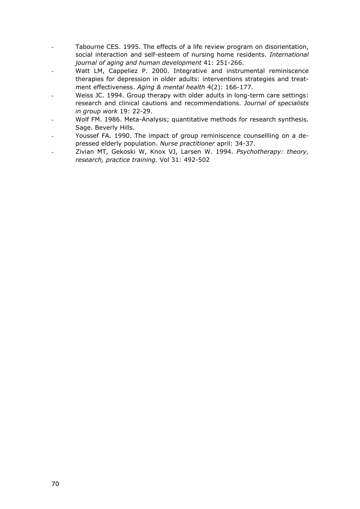- Tabourne CES. 1995. The effects of a life review program on disorientation, social interaction and self-esteem of nursing home residents. *International journal of aging and human development* 41: 251-266.
- Watt LM, Cappeliez P. 2000. Integrative and instrumental reminiscence therapies for depression in older adults: interventions strategies and treatment effectiveness. *Aging & mental health* 4(2): 166-177.
- Weiss JC. 1994. Group therapy with older adults in long-term care settings: research and clinical cautions and recommendations. *Journal of specialists in group work* 19: 22-29.
- Wolf FM. 1986. Meta-Analysis; quantitative methods for research synthesis. Sage. Beverly Hills.
- Youssef FA. 1990. The impact of group reminiscence counsellling on a depressed elderly population. *Nurse practitioner* april: 34-37.
- Zivian MT, Gekoski W, Knox VJ, Larsen W. 1994. *Psychotherapy: theory, research, practice training.* Vol 31: 492-502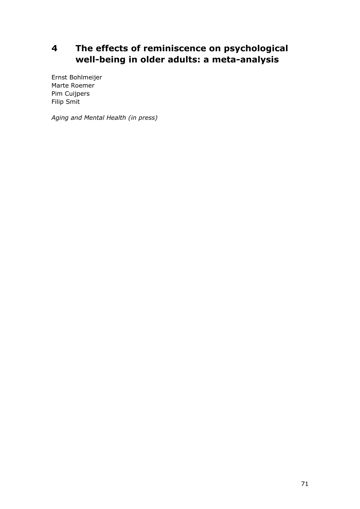# **4 The effects of reminiscence on psychological well-being in older adults: a meta-analysis**

Ernst Bohlmeijer Marte Roemer Pim Cuijpers Filip Smit

*Aging and Mental Health (in press)*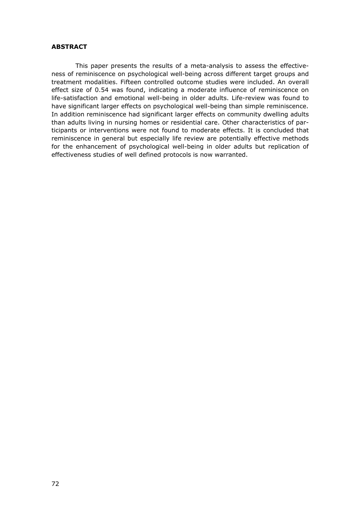#### **ABSTRACT**

 This paper presents the results of a meta-analysis to assess the effectiveness of reminiscence on psychological well-being across different target groups and treatment modalities. Fifteen controlled outcome studies were included. An overall effect size of 0.54 was found, indicating a moderate influence of reminiscence on life-satisfaction and emotional well-being in older adults. Life-review was found to have significant larger effects on psychological well-being than simple reminiscence. In addition reminiscence had significant larger effects on community dwelling adults than adults living in nursing homes or residential care. Other characteristics of participants or interventions were not found to moderate effects. It is concluded that reminiscence in general but especially life review are potentially effective methods for the enhancement of psychological well-being in older adults but replication of effectiveness studies of well defined protocols is now warranted.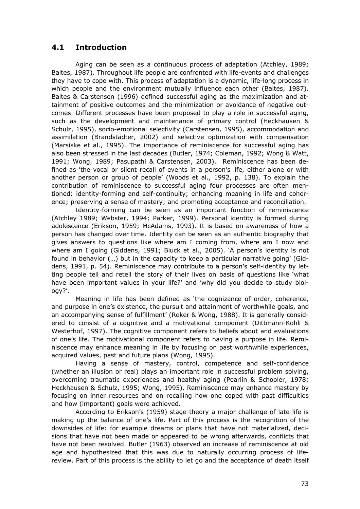# **4.1 Introduction**

 Aging can be seen as a continuous process of adaptation (Atchley, 1989; Baltes, 1987). Throughout life people are confronted with life-events and challenges they have to cope with. This process of adaptation is a dynamic, life-long process in which people and the environment mutually influence each other (Baltes, 1987). Baltes & Carstensen (1996) defined successful aging as the maximization and attainment of positive outcomes and the minimization or avoidance of negative outcomes. Different processes have been proposed to play a role in successful aging, such as the development and maintenance of primary control (Heckhausen & Schulz, 1995), socio-emotional selectivity (Carstensen, 1995), accommodation and assimilation (Brandstädter, 2002) and selective optimization with compensation (Marsiske et al., 1995). The importance of reminiscence for successful aging has also been stressed in the last decades (Butler, 1974; Coleman, 1992; Wong & Watt, 1991; Wong, 1989; Pasupathi & Carstensen, 2003). Reminiscence has been defined as 'the vocal or silent recall of events in a person's life, either alone or with another person or group of people' (Woods et al., 1992, p. 138). To explain the contribution of reminiscence to successful aging four processes are often mentioned: identity-forming and self-continuity; enhancing meaning in life and coherence; preserving a sense of mastery; and promoting acceptance and reconciliation.

 Identity-forming can be seen as an important function of reminiscence (Atchley 1989; Webster, 1994; Parker, 1999). Personal identity is formed during adolescence (Erikson, 1959; McAdams, 1993). It is based on awareness of how a person has changed over time. Identity can be seen as an authentic biography that gives answers to questions like where am I coming from, where am I now and where am I going (Giddens, 1991; Bluck et al., 2005). 'A person's identity is not found in behavior (…) but in the capacity to keep a particular narrative going' (Giddens, 1991, p. 54). Reminiscence may contribute to a person's self-identity by letting people tell and retell the story of their lives on basis of questions like 'what have been important values in your life?' and 'why did you decide to study biology?'.

 Meaning in life has been defined as 'the cognizance of order, coherence, and purpose in one's existence, the pursuit and attainment of worthwhile goals, and an accompanying sense of fulfillment' (Reker & Wong, 1988). It is generally considered to consist of a cognitive and a motivational component (Dittmann-Kohli & Westerhof, 1997). The cognitive component refers to beliefs about and evaluations of one's life. The motivational component refers to having a purpose in life. Reminiscence may enhance meaning in life by focusing on past worthwhile experiences, acquired values, past and future plans (Wong, 1995).

 Having a sense of mastery, control, competence and self-confidence (whether an illusion or real) plays an important role in successful problem solving, overcoming traumatic experiences and healthy aging (Pearlin & Schooler, 1978; Heckhausen & Schulz, 1995; Wong, 1995). Reminiscence may enhance mastery by focusing on inner resources and on recalling how one coped with past difficulties and how (important) goals were achieved.

 According to Erikson's (1959) stage-theory a major challenge of late life is making up the balance of one's life. Part of this process is the recognition of the downsides of life: for example dreams or plans that have not materialized, decisions that have not been made or appeared to be wrong afterwards, conflicts that have not been resolved. Butler (1963) observed an increase of reminiscence at old age and hypothesized that this was due to naturally occurring process of lifereview. Part of this process is the ability to let go and the acceptance of death itself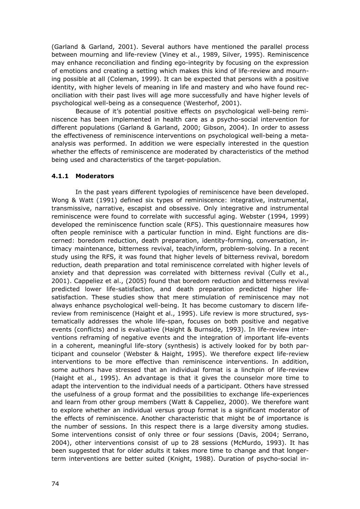(Garland & Garland, 2001). Several authors have mentioned the parallel process between mourning and life-review (Viney et al., 1989, Silver, 1995). Reminiscence may enhance reconciliation and finding ego-integrity by focusing on the expression of emotions and creating a setting which makes this kind of life-review and mourning possible at all (Coleman, 1999). It can be expected that persons with a positive identity, with higher levels of meaning in life and mastery and who have found reconciliation with their past lives will age more successfully and have higher levels of psychological well-being as a consequence (Westerhof, 2001).

 Because of it's potential positive effects on psychological well-being reminiscence has been implemented in health care as a psycho-social intervention for different populations (Garland & Garland, 2000; Gibson, 2004). In order to assess the effectiveness of reminiscence interventions on psychological well-being a metaanalysis was performed. In addition we were especially interested in the question whether the effects of reminiscence are moderated by characteristics of the method being used and characteristics of the target-population.

#### **4.1.1 Moderators**

 In the past years different typologies of reminiscence have been developed. Wong & Watt (1991) defined six types of reminiscence: integrative, instrumental, transmissive, narrative, escapist and obsessive. Only integrative and instrumental reminiscence were found to correlate with successful aging. Webster (1994, 1999) developed the reminiscence function scale (RFS). This questionnaire measures how often people reminisce with a particular function in mind. Eight functions are discerned: boredom reduction, death preparation, identity-forming, conversation, intimacy maintenance, bitterness revival, teach/inform, problem-solving. In a recent study using the RFS, it was found that higher levels of bitterness revival, boredom reduction, death preparation and total reminiscence correlated with higher levels of anxiety and that depression was correlated with bitterness revival (Cully et al., 2001). Cappeliez et al., (2005) found that boredom reduction and bitterness revival predicted lower life-satisfaction, and death preparation predicted higher lifesatisfaction. These studies show that mere stimulation of reminiscence may not always enhance psychological well-being. It has become customary to discern lifereview from reminiscence (Haight et al., 1995). Life review is more structured, systematically addresses the whole life-span, focuses on both positive and negative events (conflicts) and is evaluative (Haight & Burnside, 1993). In life-review interventions reframing of negative events and the integration of important life-events in a coherent, meaningful life-story (synthesis) is actively looked for by both participant and counselor (Webster & Haight, 1995). We therefore expect life-review interventions to be more effective than reminiscence interventions. In addition, some authors have stressed that an individual format is a linchpin of life-review (Haight et al., 1995). An advantage is that it gives the counselor more time to adapt the intervention to the individual needs of a participant. Others have stressed the usefulness of a group format and the possibilities to exchange life-experiences and learn from other group members (Watt & Cappeliez, 2000). We therefore want to explore whether an individual versus group format is a significant moderator of the effects of reminiscence. Another characteristic that might be of importance is the number of sessions. In this respect there is a large diversity among studies. Some interventions consist of only three or four sessions (Davis, 2004; Serrano, 2004), other interventions consist of up to 28 sessions (McMurdo, 1993). It has been suggested that for older adults it takes more time to change and that longerterm interventions are better suited (Knight, 1988). Duration of psycho-social in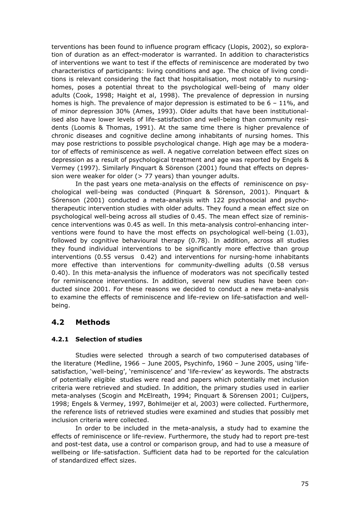terventions has been found to influence program efficacy (Llopis, 2002), so exploration of duration as an effect-moderator is warranted. In addition to characteristics of interventions we want to test if the effects of reminiscence are moderated by two characteristics of participants: living conditions and age. The choice of living conditions is relevant considering the fact that hospitalisation, most notably to nursinghomes, poses a potential threat to the psychological well-being of many older adults (Cook, 1998; Haight et al, 1998). The prevalence of depression in nursing homes is high. The prevalence of major depression is estimated to be  $6 - 11\%$ , and of minor depression 30% (Ames, 1993). Older adults that have been institutionalised also have lower levels of life-satisfaction and well-being than community residents (Loomis & Thomas, 1991). At the same time there is higher prevalence of chronic diseases and cognitive decline among inhabitants of nursing homes. This may pose restrictions to possible psychological change. High age may be a moderator of effects of reminiscence as well. A negative correlation between effect sizes on depression as a result of psychological treatment and age was reported by Engels & Vermey (1997). Similarly Pinquart & Sörenson (2001) found that effects on depression were weaker for older  $(> 77$  years) than younger adults.

 In the past years one meta-analysis on the effects of reminiscence on psychological well-being was conducted (Pinquart & Sörenson, 2001). Pinquart & Sörenson (2001) conducted a meta-analysis with 122 psychosocial and psychotherapeutic intervention studies with older adults. They found a mean effect size on psychological well-being across all studies of 0.45. The mean effect size of reminiscence interventions was 0.45 as well. In this meta-analysis control-enhancing interventions were found to have the most effects on psychological well-being (1.03), followed by cognitive behavioural therapy (0.78). In addition, across all studies they found individual interventions to be significantly more effective than group interventions (0.55 versus 0.42) and interventions for nursing-home inhabitants more effective than interventions for community-dwelling adults (0.58 versus 0.40). In this meta-analysis the influence of moderators was not specifically tested for reminiscence interventions. In addition, several new studies have been conducted since 2001. For these reasons we decided to conduct a new meta-analysis to examine the effects of reminiscence and life-review on life-satisfaction and wellbeing.

# **4.2 Methods**

#### **4.2.1 Selection of studies**

 Studies were selected through a search of two computerised databases of the literature (Medline, 1966 – June 2005, Psychinfo, 1960 – June 2005, using 'lifesatisfaction, 'well-being', 'reminiscence' and 'life-review' as keywords. The abstracts of potentially eligible studies were read and papers which potentially met inclusion criteria were retrieved and studied. In addition, the primary studies used in earlier meta-analyses (Scogin and McElreath, 1994; Pinquart & Sörensen 2001; Cuijpers, 1998; Engels & Vermey, 1997, Bohlmeijer et al, 2003) were collected. Furthermore, the reference lists of retrieved studies were examined and studies that possibly met inclusion criteria were collected.

 In order to be included in the meta-analysis, a study had to examine the effects of reminiscence or life-review. Furthermore, the study had to report pre-test and post-test data, use a control or comparison group, and had to use a measure of wellbeing or life-satisfaction. Sufficient data had to be reported for the calculation of standardized effect sizes.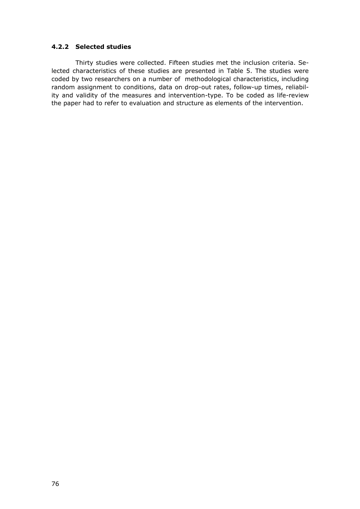#### **4.2.2 Selected studies**

 Thirty studies were collected. Fifteen studies met the inclusion criteria. Selected characteristics of these studies are presented in Table 5. The studies were coded by two researchers on a number of methodological characteristics, including random assignment to conditions, data on drop-out rates, follow-up times, reliability and validity of the measures and intervention-type. To be coded as life-review the paper had to refer to evaluation and structure as elements of the intervention.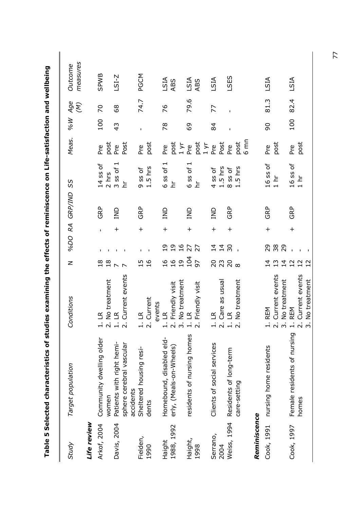|              | respected to the proportional contribution of the end of the end of the statular states which is the control of the control of the control of the control of the control of the control of the control of the control of the c |                                           |                                                                                                                                                                                                                                                                                                                                          |                  |              |                |                                |              |               |                   |                     |
|--------------|--------------------------------------------------------------------------------------------------------------------------------------------------------------------------------------------------------------------------------|-------------------------------------------|------------------------------------------------------------------------------------------------------------------------------------------------------------------------------------------------------------------------------------------------------------------------------------------------------------------------------------------|------------------|--------------|----------------|--------------------------------|--------------|---------------|-------------------|---------------------|
| Study        | Target population                                                                                                                                                                                                              | Conditions                                | $\geq$                                                                                                                                                                                                                                                                                                                                   |                  |              | %DO RA GRP/IND | SS                             | Meas.        | <b>M%</b>     | Age<br>$(\kappa)$ | measures<br>Outcome |
| Life review  |                                                                                                                                                                                                                                |                                           |                                                                                                                                                                                                                                                                                                                                          |                  |              |                |                                |              |               |                   |                     |
| Arkof, 2004  | Community dwelling older                                                                                                                                                                                                       | $\Xi$                                     | 18                                                                                                                                                                                                                                                                                                                                       | $\mathbf I$      | $\mathbf{I}$ | GRP            | $14$ ss of                     | Pre          | 100           | $\overline{C}$    | <b>SPWB</b>         |
|              | women                                                                                                                                                                                                                          | No treatment                              | $18$                                                                                                                                                                                                                                                                                                                                     |                  |              |                |                                |              |               |                   |                     |
| Davis, 2004  | Patients with right hemi-                                                                                                                                                                                                      | $\Xi$                                     |                                                                                                                                                                                                                                                                                                                                          |                  | $\ddag$      | qNI            | $2 hrs$<br>$3 ss$ of $1$<br>hr | post<br>Pre  | $\frac{1}{2}$ | 89                | $LST-Z$             |
|              | sphere cerebral vascular<br>accidents                                                                                                                                                                                          | Current events                            |                                                                                                                                                                                                                                                                                                                                          |                  |              |                |                                | Post         |               |                   |                     |
| Fielden,     | Sheltered housing resi-                                                                                                                                                                                                        | $\overline{\Xi}$                          | w                                                                                                                                                                                                                                                                                                                                        | $\mathbf I$      | $\ddag$      | GRP            |                                | Pre          | $\mathbf I$   | 74.7              | PGCM                |
| 1990         | dents                                                                                                                                                                                                                          | Current<br>$\overline{\mathsf{N}}$        | $\frac{91}{5}$                                                                                                                                                                                                                                                                                                                           |                  |              |                | 9 ss of<br>1.5 hrs             | post         |               |                   |                     |
|              |                                                                                                                                                                                                                                | events                                    |                                                                                                                                                                                                                                                                                                                                          |                  |              |                |                                |              |               |                   |                     |
| Haight       | Homebound, disabled eld-                                                                                                                                                                                                       | $\leq$                                    | $\frac{9}{1}$                                                                                                                                                                                                                                                                                                                            |                  | $\ddot{}$    | qNI            | ᆏ<br>6 ss of                   | p<br>Pre     | 78            | 94                |                     |
| 1988, 1992   | erly, (Meals-on-Wheels)                                                                                                                                                                                                        | Friendly visit<br>$\overline{N}$          | $\frac{91}{5}$                                                                                                                                                                                                                                                                                                                           |                  |              |                | 보                              |              |               |                   | LSIA<br>ABS         |
|              |                                                                                                                                                                                                                                | No treatment                              | $19$                                                                                                                                                                                                                                                                                                                                     |                  |              |                |                                | post<br>1 yr |               |                   |                     |
| Haight,      | residents of nursing homes                                                                                                                                                                                                     | $\mathbb{R}$                              | 104                                                                                                                                                                                                                                                                                                                                      |                  | $\ddag$      | qNI            | ᅱ<br>$6$ ss of                 | Pre          | 69            | 79.6              |                     |
| 1998         |                                                                                                                                                                                                                                | Friendly visit                            | 57                                                                                                                                                                                                                                                                                                                                       |                  |              |                | 보                              | post         |               |                   | LSIA<br>ABS         |
|              |                                                                                                                                                                                                                                |                                           |                                                                                                                                                                                                                                                                                                                                          |                  |              |                |                                | $1 \vee r$   |               |                   |                     |
| Serrano,     | Clients of social services                                                                                                                                                                                                     | $\mathbb{R}$                              | $\overline{c}$                                                                                                                                                                                                                                                                                                                           | $\vec{4}$        | $\ddot{}$    | qNI            | 4 ss of                        | Pre          | 84            | 77                | LSIA                |
| 2004         |                                                                                                                                                                                                                                | Care as usual                             |                                                                                                                                                                                                                                                                                                                                          |                  |              |                |                                | Post         |               |                   |                     |
| Weiss, 1994  | Residents of long-term                                                                                                                                                                                                         | $\mathbb{R}$                              | $\begin{smallmatrix} 2 & 3 \\ 2 & 0 \\ 2 & 0 \\ 0 & 0 \\ 0 & 0 \\ 0 & 0 \\ 0 & 0 \\ 0 & 0 \\ 0 & 0 \\ 0 & 0 \\ 0 & 0 & 0 \\ 0 & 0 & 0 \\ 0 & 0 & 0 \\ 0 & 0 & 0 \\ 0 & 0 & 0 \\ 0 & 0 & 0 & 0 \\ 0 & 0 & 0 & 0 \\ 0 & 0 & 0 & 0 \\ 0 & 0 & 0 & 0 & 0 \\ 0 & 0 & 0 & 0 & 0 \\ 0 & 0 & 0 & 0 & 0 \\ 0 & 0 & 0 & 0 & 0 & 0 \\ 0 & 0 & 0 & $ | $\frac{1}{4}$ 80 | $\ddag$      | <b>GRP</b>     | $1.5$ hrs<br>8 ss of           | Pre          |               |                   | LSES                |
|              | care-setting                                                                                                                                                                                                                   | No treatment                              |                                                                                                                                                                                                                                                                                                                                          | $\mathbf{I}$     |              |                | $1.5$ hrs                      | post<br>6 mn |               |                   |                     |
|              |                                                                                                                                                                                                                                |                                           |                                                                                                                                                                                                                                                                                                                                          |                  |              |                |                                |              |               |                   |                     |
| Reminiscence |                                                                                                                                                                                                                                |                                           |                                                                                                                                                                                                                                                                                                                                          |                  |              |                |                                |              |               |                   |                     |
| Cook, 1991   | nursing home residents                                                                                                                                                                                                         | <b>REM</b>                                | $\vec{4}$                                                                                                                                                                                                                                                                                                                                |                  | $\ddot{}$    | GRP            | 16 ss of                       | Pre          | 90            | 81.3              | LSIA                |
|              |                                                                                                                                                                                                                                | Current events<br>$\overline{\mathsf{N}}$ | 13                                                                                                                                                                                                                                                                                                                                       | 29<br>38         |              |                | $\frac{1}{1}$ hr               | post         |               |                   |                     |
|              |                                                                                                                                                                                                                                | No treatment<br>$\dot{\mathsf{c}}$        | 4                                                                                                                                                                                                                                                                                                                                        | 29               |              |                |                                |              |               |                   |                     |
| Cook, 1997   | Female residents of nursing                                                                                                                                                                                                    | <b>REM</b><br>$\div$                      | $\frac{2}{1}$                                                                                                                                                                                                                                                                                                                            |                  | $\ddot{}$    | <b>GRP</b>     | $\frac{16}{1}$ hr              | Pre          | 100           | 82.4              | LSIA                |
|              | homes                                                                                                                                                                                                                          | Current events<br>$\overline{\mathsf{N}}$ |                                                                                                                                                                                                                                                                                                                                          |                  |              |                |                                | post         |               |                   |                     |
|              |                                                                                                                                                                                                                                | No treatment                              | 12                                                                                                                                                                                                                                                                                                                                       |                  |              |                |                                |              |               |                   |                     |

**Table 5 Selected characteristics of studies examining the effects of reminiscence on Life-satisfaction and wellbeing**  na hoilaina : +-- +-- +-<u>ي</u><br>:  $\ddot{\phantom{a}}$ Ĭ Ĭ  $\frac{1}{2}$  $\overline{\phantom{a}}$  $\frac{1}{2}$ Ę j i.<br>S Table 5 Selected ch

77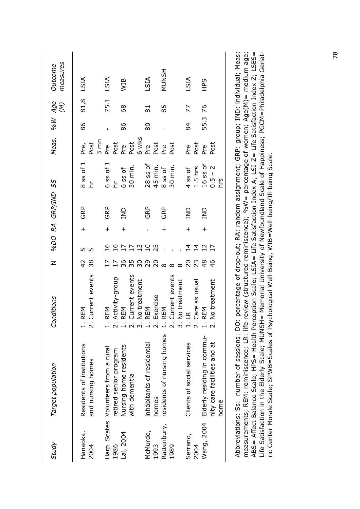| Study               | Target population                                                 | Conditions                                                                          | $\overline{z}$                  |                                         |     | %DO RA GRP/IND SS              | Meas. %W                       |      | Age<br>$\begin{pmatrix} \mathcal{N} \end{pmatrix}$ | measures<br>Outcome |
|---------------------|-------------------------------------------------------------------|-------------------------------------------------------------------------------------|---------------------------------|-----------------------------------------|-----|--------------------------------|--------------------------------|------|----------------------------------------------------|---------------------|
| Hanaoka,<br>2004    | Residents of institutions<br>and nursing homes                    | Current events<br><b>REM</b><br>÷<br>$\overline{\mathsf{N}}$                        | 38                              | $\ddot{}$<br>LO                         |     | $8$ ss of $1$<br>보<br>GRP      | $3 \text{ mm}$<br>Post<br>Pre, | 86   | 81,8                                               | LSIA                |
| 1986                | Harp Scates Volunteers from a rural<br>retired senior program     | Activity-group<br><b>REM</b><br><br>C                                               |                                 | $\ddag$<br>16<br>11<br>17               |     | $6$ ss of $1$<br>보<br>GRP      | Post<br>Pre                    |      | 75.1                                               | LSIA                |
| Lai, 2004           | Nursing home residents<br>with dementia                           | Current events<br>No treatment<br><b>REM</b><br>j<br>C                              | 35<br>50                        | $\frac{17}{13}$                         |     | 30 min.<br>6 ss of<br>ani      | 6 wks<br>Post<br>P.<br>Pre     | 86   | 89                                                 | WIB                 |
| McMurdo,<br>1993    | inhabitants of residential<br>homes                               | Exercise<br><b>REM</b><br>å<br>J                                                    |                                 | $\begin{array}{c} 25 \\ 25 \end{array}$ |     | $28$ ss of<br>45 min.<br>GRP   | Post<br>Pre                    | 80   | $\overline{8}$                                     | LSIA                |
| Rattenbury,<br>1989 | residents of nursing homes                                        | Current events<br>No treatment<br><b>REM</b><br>m                                   | $R$ $R$ $\infty$ $\infty$       | $\ddot{}$                               |     | 30 min.<br>$8$ ss of<br>GRP    | Post<br>Pre                    |      | 85                                                 | <b>MUNSH</b>        |
| Serrano,<br>2004    | Clients of social services                                        | Care as usual<br>$\mathbb{R}$<br>÷                                                  | 23<br>$\overline{c}$            | $\ddag$<br>$\vec{4}$<br>$\overline{4}$  | SND | $1.5$ hrs<br>4 ss of           | Post<br>Pre                    | 84   | 77                                                 | LSIA                |
| Wang, 2004          | Elderly residing in commu-<br>nity care facilities and at<br>home | No treatment<br><b>REM</b><br>$\div$                                                | $\frac{48}{5}$<br>$\frac{4}{6}$ | $\ddot{}$<br>12<br>$\overline{17}$      | SND | $16$ ss of<br>$0.5 - 2$<br>SJŲ | Post<br>Pre                    | 55.3 | 76                                                 | <b>SdH</b>          |
|                     | Abbreviations: Ss: number of sessions: DO                         | : percentage of drop-out: RA: random assignment: GRP: group: IND: individual: Meas: |                                 |                                         |     |                                |                                |      |                                                    |                     |

Abbreviations: Ss: number of sessions: DO: percentage of drop-out; RA: random assignment; GRP: group; IND: individual; Meas: measurements; REM: reminiscence; LR: life review (structured reminiscence); %W= percentage of women; Age(M)= medium age; ABS= Affect Balance Scale; HPS= Health Perception Scale; LSIA= Life Satisfaction Index A; LSI-Z= Life Satisfaction Index Z; LSES= ABS = Affect Balance Scale; HPS = Health Perception Scale; LSIA = Life Satisfaction Index A; LSI-Z = Life Satisfaction Index Z; LSES = Life Satisfaction in the Elderly Scale; MUNSH= Memorial University of Newfoundland Scale of Happiness; PGCM=Philadelphia Geriatmeasurements; REM: reminiscence; LR: life review (structured reminiscence); %W= percentage of women; Age(M)= medium age;<br>measurements; REM: reminiscence; LR: life review (structured reminiscence); %W= percentage of women; Life Satisfaction in the Elderly Scale; MUNSH= Memorial University of Newfoundland Scale of Happiness; PGCM=Philadelphia Geriatric Center Morale Scale; SPWB=Scales of Psychological Well-Being, WIB=Well-being/Ill-being Scale. ric Center Morale Scale; SPWB=Scales of Psychological Well-Being, WIB=Well-being/Ill-being Scale.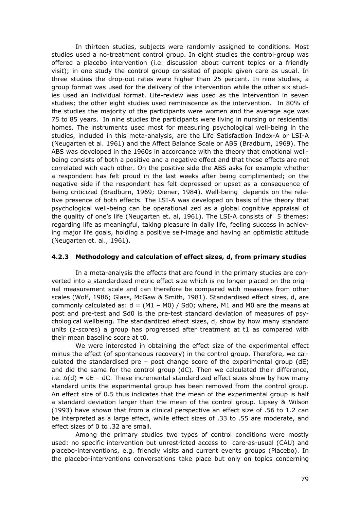In thirteen studies, subjects were randomly assigned to conditions. Most studies used a no-treatment control group. In eight studies the control-group was offered a placebo intervention (i.e. discussion about current topics or a friendly visit); in one study the control group consisted of people given care as usual. In three studies the drop-out rates were higher than 25 percent. In nine studies, a group format was used for the delivery of the intervention while the other six studies used an individual format. Life-review was used as the intervention in seven studies; the other eight studies used reminiscence as the intervention. In 80% of the studies the majority of the participants were women and the average age was 75 to 85 years. In nine studies the participants were living in nursing or residential homes. The instruments used most for measuring psychological well-being in the studies, included in this meta-analysis, are the Life Satisfaction Index-A or LSI-A (Neugarten et al. 1961) and the Affect Balance Scale or ABS (Bradburn, 1969). The ABS was developed in the 1960s in accordance with the theory that emotional wellbeing consists of both a positive and a negative effect and that these effects are not correlated with each other. On the positive side the ABS asks for example whether a respondent has felt proud in the last weeks after being complimented; on the negative side if the respondent has felt depressed or upset as a consequence of being criticized (Bradburn, 1969; Diener, 1984). Well-being depends on the relative presence of both effects. The LSI-A was developed on basis of the theory that psychological well-being can be operational zed as a global cognitive appraisal of the quality of one's life (Neugarten et. al, 1961). The LSI-A consists of 5 themes: regarding life as meaningful, taking pleasure in daily life, feeling success in achieving major life goals, holding a positive self-image and having an optimistic attitude (Neugarten et. al., 1961).

#### **4.2.3 Methodology and calculation of effect sizes, d, from primary studies**

 In a meta-analysis the effects that are found in the primary studies are converted into a standardized metric effect size which is no longer placed on the original measurement scale and can therefore be compared with measures from other scales (Wolf, 1986; Glass, McGaw & Smith, 1981). Standardised effect sizes, d, are commonly calculated as:  $d = (M1 - M0) / Sd0$ ; where, M1 and M0 are the means at post and pre-test and Sd0 is the pre-test standard deviation of measures of psychological wellbeing. The standardized effect sizes, d, show by how many standard units (z-scores) a group has progressed after treatment at t1 as compared with their mean baseline score at t0.

 We were interested in obtaining the effect size of the experimental effect minus the effect (of spontaneous recovery) in the control group. Therefore, we calculated the standardised pre – post change score of the experimental group  $(dE)$ and did the same for the control group (dC). Then we calculated their difference, i.e. ∆(d) = dE – dC. These incremental standardized effect sizes show by how many standard units the experimental group has been removed from the control group. An effect size of 0.5 thus indicates that the mean of the experimental group is half a standard deviation larger than the mean of the control group. Lipsey & Wilson (1993) have shown that from a clinical perspective an effect size of .56 to 1.2 can be interpreted as a large effect, while effect sizes of .33 to .55 are moderate, and effect sizes of 0 to .32 are small.

 Among the primary studies two types of control conditions were mostly used: no specific intervention but unrestricted access to care-as-usual (CAU) and placebo-interventions, e.g. friendly visits and current events groups (Placebo). In the placebo-interventions conversations take place but only on topics concerning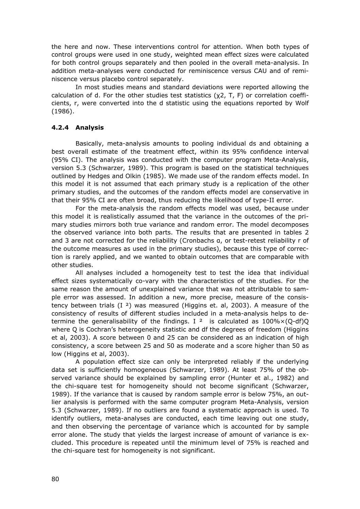the here and now. These interventions control for attention. When both types of control groups were used in one study, weighted mean effect sizes were calculated for both control groups separately and then pooled in the overall meta-analysis. In addition meta-analyses were conducted for reminiscence versus CAU and of reminiscence versus placebo control separately.

 In most studies means and standard deviations were reported allowing the calculation of d. For the other studies test statistics  $(y2, T, F)$  or correlation coefficients, r, were converted into the d statistic using the equations reported by Wolf (1986).

#### **4.2.4 Analysis**

 Basically, meta-analysis amounts to pooling individual ds and obtaining a best overall estimate of the treatment effect, within its 95% confidence interval (95% CI). The analysis was conducted with the computer program Meta-Analysis, version 5.3 (Schwarzer, 1989). This program is based on the statistical techniques outlined by Hedges and Olkin (1985). We made use of the random effects model. In this model it is not assumed that each primary study is a replication of the other primary studies, and the outcomes of the random effects model are conservative in that their 95% CI are often broad, thus reducing the likelihood of type-II error.

 For the meta-analysis the random effects model was used, because under this model it is realistically assumed that the variance in the outcomes of the primary studies mirrors both true variance and random error. The model decomposes the observed variance into both parts. The results that are presented in tables 2 and 3 are not corrected for the reliability (Cronbachs α, or test-retest reliability r of the outcome measures as used in the primary studies), because this type of correction is rarely applied, and we wanted to obtain outcomes that are comparable with other studies.

 All analyses included a homogeneity test to test the idea that individual effect sizes systematically co-vary with the characteristics of the studies. For the same reason the amount of unexplained variance that was not attributable to sample error was assessed. In addition a new, more precise, measure of the consistency between trials  $(I<sup>2</sup>)$  was measured (Higgins et. al, 2003). A measure of the consistency of results of different studies included in a meta-analysis helps to determine the generalisability of the findings. I <sup>2</sup> is calculated as  $100\% \times (O-df)O$ where Q is Cochran's heterogeneity statistic and df the degrees of freedom (Higgins et al, 2003). A score between 0 and 25 can be considered as an indication of high consistency, a score between 25 and 50 as moderate and a score higher than 50 as low (Higgins et al, 2003).

 A population effect size can only be interpreted reliably if the underlying data set is sufficiently homogeneous (Schwarzer, 1989). At least 75% of the observed variance should be explained by sampling error (Hunter et al., 1982) and the chi-square test for homogeneity should not become significant (Schwarzer, 1989). If the variance that is caused by random sample error is below 75%, an outlier analysis is performed with the same computer program Meta-Analysis, version 5.3 (Schwarzer, 1989). If no outliers are found a systematic approach is used. To identify outliers, meta-analyses are conducted, each time leaving out one study, and then observing the percentage of variance which is accounted for by sample error alone. The study that yields the largest increase of amount of variance is excluded. This procedure is repeated until the minimum level of 75% is reached and the chi-square test for homogeneity is not significant.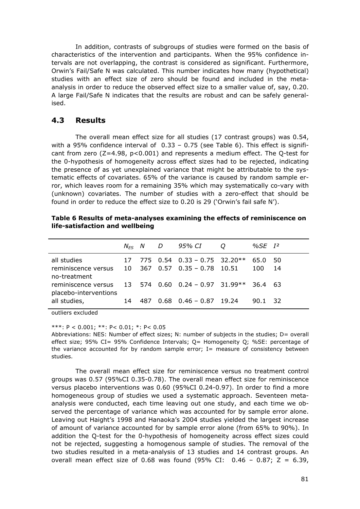In addition, contrasts of subgroups of studies were formed on the basis of characteristics of the intervention and participants. When the 95% confidence intervals are not overlapping, the contrast is considered as significant. Furthermore, Orwin's Fail/Safe N was calculated. This number indicates how many (hypothetical) studies with an effect size of zero should be found and included in the metaanalysis in order to reduce the observed effect size to a smaller value of, say, 0.20. A large Fail/Safe N indicates that the results are robust and can be safely generalised.

# **4.3 Results**

 The overall mean effect size for all studies (17 contrast groups) was 0.54, with a 95% confidence interval of 0.33 – 0.75 (see Table 6). This effect is significant from zero  $(Z=4.98, p<0.001)$  and represents a medium effect. The Q-test for the 0-hypothesis of homogeneity across effect sizes had to be rejected, indicating the presence of as yet unexplained variance that might be attributable to the systematic effects of covariates. 65% of the variance is caused by random sample error, which leaves room for a remaining 35% which may systematically co-vary with (unknown) covariates. The number of studies with a zero-effect that should be found in order to reduce the effect size to 0.20 is 29 ('Orwin's fail safe N').

|                                                    |    | $N_{FS}$ N D | 95% CI                                                           | O | %SE $I^2$   |           |
|----------------------------------------------------|----|--------------|------------------------------------------------------------------|---|-------------|-----------|
| all studies<br>reminiscence versus<br>no-treatment | 10 |              | 775 $0.54$ $0.33 - 0.75$ 32.20**<br>$367$ 0.57 0.35 - 0.78 10.51 |   | 65.0<br>100 | 50<br>-14 |
| reminiscence versus<br>placebo-interventions       |    |              | $13$ 574 0.60 0.24 - 0.97 31.99**                                |   | 36.4 63     |           |
| all studies,                                       | 14 | 487          | $0.68$ $0.46 - 0.87$ 19.24                                       |   | 90.1        | - 32      |

|                                 | Table 6 Results of meta-analyses examining the effects of reminiscence on |
|---------------------------------|---------------------------------------------------------------------------|
| life-satisfaction and wellbeing |                                                                           |

outliers excluded

\*\*\*: P < 0.001; \*\*: P< 0.01; \*: P< 0.05

Abbreviations: NES: Number of effect sizes: N: number of subjects in the studies: D= overall effect size; 95% CI= 95% Confidence Intervals; Q= Homogeneity Q; %SE: percentage of the variance accounted for by random sample error;  $I=$  measure of consistency between studies.

 The overall mean effect size for reminiscence versus no treatment control groups was 0.57 (95%CI 0.35-0.78). The overall mean effect size for reminiscence versus placebo interventions was 0.60 (95%CI 0.24-0.97). In order to find a more homogeneous group of studies we used a systematic approach. Seventeen metaanalysis were conducted, each time leaving out one study, and each time we observed the percentage of variance which was accounted for by sample error alone. Leaving out Haight's 1998 and Hanaoka's 2004 studies yielded the largest increase of amount of variance accounted for by sample error alone (from 65% to 90%). In addition the Q-test for the 0-hypothesis of homogeneity across effect sizes could not be rejected, suggesting a homogenous sample of studies. The removal of the two studies resulted in a meta-analysis of 13 studies and 14 contrast groups. An overall mean effect size of 0.68 was found  $(95\%$  CI: 0.46 - 0.87; Z = 6.39,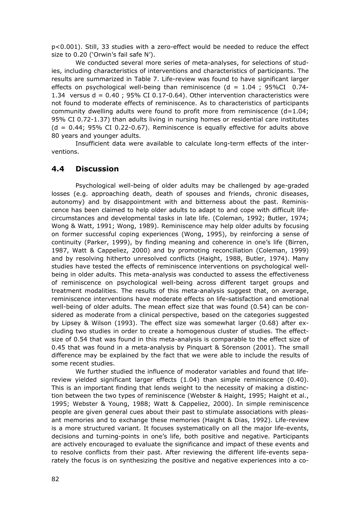p<0.001). Still, 33 studies with a zero-effect would be needed to reduce the effect size to 0.20 ('Orwin's fail safe N').

 We conducted several more series of meta-analyses, for selections of studies, including characteristics of interventions and characteristics of participants. The results are summarized in Table 7. Life-review was found to have significant larger effects on psychological well-being than reminiscence ( $d = 1.04$ ; 95%CI 0.74-1.34 versus  $d = 0.40$ ; 95% CI 0.17-0.64). Other intervention characteristics were not found to moderate effects of reminiscence. As to characteristics of participants community dwelling adults were found to profit more from reminiscence  $(d=1.04)$ ; 95% CI 0.72-1.37) than adults living in nursing homes or residential care institutes  $(d = 0.44; 95\% \text{ CI } 0.22-0.67)$ . Reminiscence is equally effective for adults above 80 years and younger adults.

 Insufficient data were available to calculate long-term effects of the interventions.

## **4.4 Discussion**

 Psychological well-being of older adults may be challenged by age-graded losses (e.g. approaching death, death of spouses and friends, chronic diseases, autonomy) and by disappointment with and bitterness about the past. Reminiscence has been claimed to help older adults to adapt to and cope with difficult lifecircumstances and developmental tasks in late life. (Coleman, 1992; Butler, 1974; Wong & Watt, 1991; Wong, 1989). Reminiscence may help older adults by focusing on former successful coping experiences (Wong, 1995), by reinforcing a sense of continuity (Parker, 1999), by finding meaning and coherence in one's life (Birren, 1987, Watt & Cappeliez, 2000) and by promoting reconciliation (Coleman, 1999) and by resolving hitherto unresolved conflicts (Haight, 1988, Butler, 1974). Many studies have tested the effects of reminiscence interventions on psychological wellbeing in older adults. This meta-analysis was conducted to assess the effectiveness of reminiscence on psychological well-being across different target groups and treatment modalities. The results of this meta-analysis suggest that, on average, reminiscence interventions have moderate effects on life-satisfaction and emotional well-being of older adults. The mean effect size that was found (0.54) can be considered as moderate from a clinical perspective, based on the categories suggested by Lipsey & Wilson (1993). The effect size was somewhat larger (0.68) after excluding two studies in order to create a homogenous cluster of studies. The effectsize of 0.54 that was found in this meta-analysis is comparable to the effect size of 0.45 that was found in a meta-analysis by Pinquart & Sörenson (2001). The small difference may be explained by the fact that we were able to include the results of some recent studies.

 We further studied the influence of moderator variables and found that lifereview yielded significant larger effects (1.04) than simple reminiscence (0.40). This is an important finding that lends weight to the necessity of making a distinction between the two types of reminiscence (Webster & Haight, 1995; Haight et al., 1995; Webster & Young, 1988; Watt & Cappeliez, 2000). In simple reminiscence people are given general cues about their past to stimulate associations with pleasant memories and to exchange these memories (Haight & Dias, 1992). Life-review is a more structured variant. It focuses systematically on all the major life-events, decisions and turning-points in one's life, both positive and negative. Participants are actively encouraged to evaluate the significance and impact of these events and to resolve conflicts from their past. After reviewing the different life-events separately the focus is on synthesizing the positive and negative experiences into a co-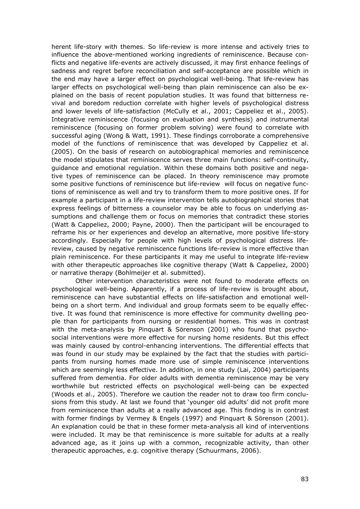herent life-story with themes. So life-review is more intense and actively tries to influence the above-mentioned working ingredients of reminiscence. Because conflicts and negative life-events are actively discussed, it may first enhance feelings of sadness and regret before reconciliation and self-acceptance are possible which in the end may have a larger effect on psychological well-being. That life-review has larger effects on psychological well-being than plain reminiscence can also be explained on the basis of recent population studies. It was found that bitterness revival and boredom reduction correlate with higher levels of psychological distress and lower levels of life-satisfaction (McCully et al., 2001; Cappeliez et al., 2005). Integrative reminiscence (focusing on evaluation and synthesis) and instrumental reminiscence (focusing on former problem solving) were found to correlate with successful aging (Wong & Watt, 1991). These findings corroborate a comprehensive model of the functions of reminiscence that was developed by Cappeliez et al. (2005). On the basis of research on autobiographical memories and reminiscence the model stipulates that reminiscence serves three main functions: self-continuity, guidance and emotional regulation. Within these domains both positive and negative types of reminiscence can be placed. In theory reminiscence may promote some positive functions of reminiscence but life-review will focus on negative functions of reminiscence as well and try to transform them to more positive ones. If for example a participant in a life-review intervention tells autobiographical stories that express feelings of bitterness a counselor may be able to focus on underlying assumptions and challenge them or focus on memories that contradict these stories (Watt & Cappeliez, 2000; Payne, 2000). Then the participant will be encouraged to reframe his or her experiences and develop an alternative, more positive life-story accordingly. Especially for people with high levels of psychological distress lifereview, caused by negative reminiscence functions life-review is more effective than plain reminiscence. For these participants it may me useful to integrate life-review with other therapeutic approaches like cognitive therapy (Watt & Cappeliez, 2000) or narrative therapy (Bohlmeijer et al. submitted).

 Other intervention characteristics were not found to moderate effects on psychological well-being. Apparently, if a process of life-review is brought about, reminiscence can have substantial effects on life-satisfaction and emotional wellbeing on a short term. And individual and group formats seem to be equally effective. It was found that reminiscence is more effective for community dwelling people than for participants from nursing or residential homes. This was in contrast with the meta-analysis by Pinquart & Sörenson (2001) who found that psychosocial interventions were more effective for nursing home residents. But this effect was mainly caused by control-enhancing interventions. The differential effects that was found in our study may be explained by the fact that the studies with participants from nursing homes made more use of simple reminiscence interventions which are seemingly less effective. In addition, in one study (Lai, 2004) participants suffered from dementia. For older adults with dementia reminiscence may be very worthwhile but restricted effects on psychological well-being can be expected (Woods et al., 2005). Therefore we caution the reader not to draw too firm conclusions from this study. At last we found that 'younger old adults' did not profit more from reminiscence than adults at a really advanced age. This finding is in contrast with former findings by Vermey & Engels (1997) and Pinquart & Sörenson (2001). An explanation could be that in these former meta-analysis all kind of interventions were included. It may be that reminiscence is more suitable for adults at a really advanced age, as it joins up with a common, recognizable activity, than other therapeutic approaches, e.g. cognitive therapy (Schuurmans, 2006).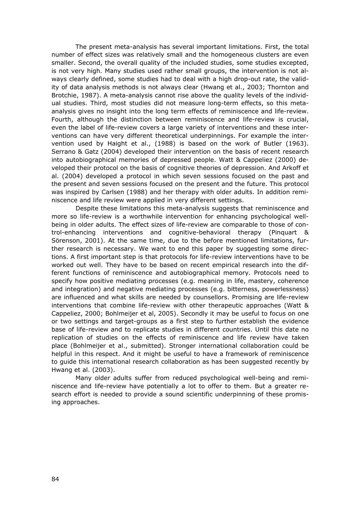The present meta-analysis has several important limitations. First, the total number of effect sizes was relatively small and the homogeneous clusters are even smaller. Second, the overall quality of the included studies, some studies excepted, is not very high. Many studies used rather small groups, the intervention is not always clearly defined, some studies had to deal with a high drop-out rate, the validity of data analysis methods is not always clear (Hwang et al., 2003; Thornton and Brotchie, 1987). A meta-analysis cannot rise above the quality levels of the individual studies. Third, most studies did not measure long-term effects, so this metaanalysis gives no insight into the long term effects of reminiscence and life-review. Fourth, although the distinction between reminiscence and life-review is crucial, even the label of life-review covers a large variety of interventions and these interventions can have very different theoretical underpinnings. For example the intervention used by Haight et al., (1988) is based on the work of Butler (1963). Serrano & Gatz (2004) developed their intervention on the basis of recent research into autobiographical memories of depressed people. Watt & Cappeliez (2000) developed their protocol on the basis of cognitive theories of depression. And Arkoff et al. (2004) developed a protocol in which seven sessions focused on the past and the present and seven sessions focused on the present and the future. This protocol was inspired by Carlsen (1988) and her therapy with older adults. In addition reminiscence and life review were applied in very different settings.

 Despite these limitations this meta-analysis suggests that reminiscence and more so life-review is a worthwhile intervention for enhancing psychological wellbeing in older adults. The effect sizes of life-review are comparable to those of control-enhancing interventions and cognitive-behavioral therapy (Pinquart & Sörenson, 2001). At the same time, due to the before mentioned limitations, further research is necessary. We want to end this paper by suggesting some directions. A first important step is that protocols for life-review interventions have to be worked out well. They have to be based on recent empirical research into the different functions of reminiscence and autobiographical memory. Protocols need to specify how positive mediating processes (e.g. meaning in life, mastery, coherence and integration) and negative mediating processes (e.g. bitterness, powerlessness) are influenced and what skills are needed by counsellors. Promising are life-review interventions that combine life-review with other therapeutic approaches (Watt & Cappeliez, 2000; Bohlmeijer et al, 2005). Secondly it may be useful to focus on one or two settings and target-groups as a first step to further establish the evidence base of life-review and to replicate studies in different countries. Until this date no replication of studies on the effects of reminiscence and life review have taken place (Bohlmeijer et al., submitted). Stronger international collaboration could be helpful in this respect. And it might be useful to have a framework of reminiscence to guide this international research collaboration as has been suggested recently by Hwang et al. (2003).

 Many older adults suffer from reduced psychological well-being and reminiscence and life-review have potentially a lot to offer to them. But a greater research effort is needed to provide a sound scientific underpinning of these promising approaches.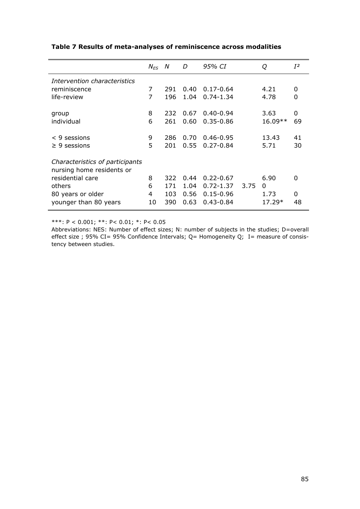|                                 | $N_{FS}$       | N   | D    | 95% CI        |      | Q        | $I^2$    |
|---------------------------------|----------------|-----|------|---------------|------|----------|----------|
| Intervention characteristics    |                |     |      |               |      |          |          |
| reminiscence                    | 7              | 291 | 0.40 | $0.17 - 0.64$ |      | 4.21     | 0        |
| life-review                     | 7              | 196 | 1.04 | $0.74 - 1.34$ |      | 4.78     | 0        |
|                                 |                |     |      |               |      |          |          |
| group                           | 8              | 232 | 0.67 | $0.40 - 0.94$ |      | 3.63     | 0        |
| individual                      | 6              | 261 | 0.60 | $0.35 - 0.86$ |      | 16.09**  | 69       |
|                                 |                |     |      |               |      |          |          |
| $< 9$ sessions                  | 9              | 286 | 0.70 | $0.46 - 0.95$ |      | 13.43    | 41       |
| $\geq 9$ sessions               | 5              | 201 | 0.55 | $0.27 - 0.84$ |      | 5.71     | 30       |
|                                 |                |     |      |               |      |          |          |
| Characteristics of participants |                |     |      |               |      |          |          |
| nursing home residents or       |                |     |      |               |      |          |          |
| residential care                | 8              | 322 | 0.44 | $0.22 - 0.67$ |      | 6.90     | $\Omega$ |
| others                          | 6              | 171 | 1.04 | $0.72 - 1.37$ | 3.75 | $\Omega$ |          |
| 80 years or older               | $\overline{4}$ | 103 | 0.56 | $0.15 - 0.96$ |      | 1.73     | $\Omega$ |
| younger than 80 years           | 10             | 390 | 0.63 | $0.43 - 0.84$ |      | 17.29*   | 48       |

#### **Table 7 Results of meta-analyses of reminiscence across modalities**

\*\*\*: P < 0.001; \*\*: P< 0.01; \*: P< 0.05

Abbreviations: NES: Number of effect sizes; N: number of subjects in the studies; D=overall effect size ; 95% CI= 95% Confidence Intervals; Q= Homogeneity Q; I= measure of consistency between studies.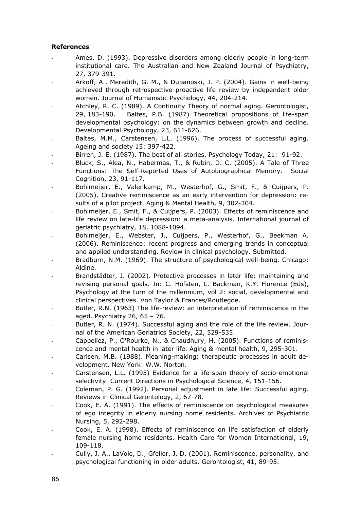#### **References**

- Ames, D. (1993). Depressive disorders among elderly people in long-term institutional care. The Australian and New Zealand Journal of Psychiatry, 27, 379-391.
- Arkoff, A., Meredith, G. M., & Dubanoski, J. P. (2004). Gains in well-being achieved through retrospective proactive life review by independent older women. Journal of Humanistic Psychology, 44, 204-214.
- Atchley, R. C. (1989). A Continuity Theory of normal aging. Gerontologist, 29, 183-190. Baltes, P.B. (1987) Theoretical propositions of life-span developmental psychology: on the dynamics between growth and decline. Developmental Psychology, 23, 611-626.
- Baltes, M.M., Carstensen, L.L. (1996). The process of successful aging. Ageing and society 15: 397-422.
- Birren, J. E. (1987). The best of all stories. Psychology Today, 21: 91-92.
- Bluck, S., Alea, N., Habermas, T., & Rubin, D. C. (2005). A Tale of Three Functions: The Self-Reported Uses of Autobiographical Memory. Social Cognition, 23, 91-117.
- Bohlmeijer, E., Valenkamp, M., Westerhof, G., Smit, F., & Cuijpers, P. (2005). Creative reminiscence as an early intervention for depression: results of a pilot project. Aging & Mental Health, 9, 302-304.
- Bohlmeijer, E., Smit, F., & Cuijpers, P. (2003). Effects of reminiscence and life review on late-life depression: a meta-analysis. International journal of geriatric psychiatry, 18, 1088-1094.
- Bohlmeijer, E., Webster, J., Cuijpers, P., Westerhof, G., Beekman A. (2006). Reminiscence: recent progress and emerging trends in conceptual and applied understanding. Review in clinical psychology. Submitted.
- Bradburn, N.M. (1969). The structure of psychological well-being. Chicago: Aldine.
- Brandstädter, J. (2002). Protective processes in later life: maintaining and revising personal goals. In: C. Hofsten, L. Backman, K.Y. Florence (Eds), Psychology at the turn of the millennium, vol 2: social, developmental and clinical perspectives. Von Taylor & Frances/Routlegde.
- Butler, R.N. (1963) The life-review: an interpretation of reminiscence in the aged. Psychiatry  $26, 65 - 76$ .
- Butler, R. N. (1974). Successful aging and the role of the life review. Journal of the American Geriatrics Society, 22, 529-535.
- Cappeliez, P., O'Rourke, N., & Chaudhury, H. (2005). Functions of reminiscence and mental health in later life. Aging & mental health, 9, 295-301.
- Carlsen, M.B. (1988). Meaning-making: therapeutic processes in adult development. New York: W.W. Norton.
- Carstensen, L.L. (1995) Evidence for a life-span theory of socio-emotional selectivity. Current Directions in Psychological Science, 4, 151-156.
- Coleman, P. G. (1992). Personal adjustment in late life: Successful aging. Reviews in Clinical Gerontology, 2, 67-78.
- Cook, E. A. (1991). The effects of reminiscence on psychological measures of ego integrity in elderly nursing home residents. Archives of Psychiatric Nursing, 5, 292-298.
- Cook, E. A. (1998). Effects of reminiscence on life satisfaction of elderly female nursing home residents. Health Care for Women International, 19, 109-118.
- Cully, J. A., LaVoie, D., Gfeller, J. D. (2001). Reminiscence, personality, and psychological functioning in older adults. Gerontologist, 41, 89-95.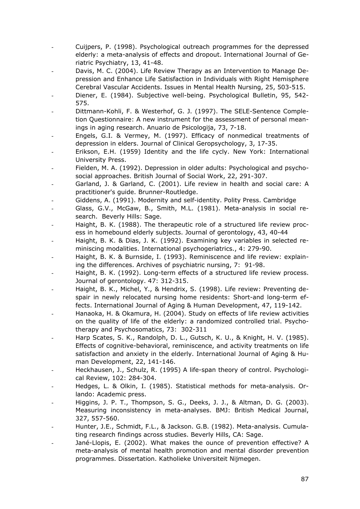- Cuijpers, P. (1998). Psychological outreach programmes for the depressed elderly: a meta-analysis of effects and dropout. International Journal of Geriatric Psychiatry, 13, 41-48.
- Davis, M. C. (2004). Life Review Therapy as an Intervention to Manage Depression and Enhance Life Satisfaction in Individuals with Right Hemisphere Cerebral Vascular Accidents. Issues in Mental Health Nursing, 25, 503-515.
- Diener, E. (1984). Subjective well-being. Psychological Bulletin, 95, 542- 575.
- Dittmann-Kohli, F. & Westerhof, G. J. (1997). The SELE-Sentence Completion Questionnaire: A new instrument for the assessment of personal meanings in aging research. Anuario de Psicologija, 73, 7-18.
- Engels, G.I. & Vermey, M. (1997). Efficacy of nonmedical treatments of depression in elders. Journal of Clinical Geropsychology, 3, 17-35.
- Erikson, E.H. (1959) Identity and the life cycly. New York: International University Press.
- Fielden, M. A. (1992). Depression in older adults: Psychological and psychosocial approaches. British Journal of Social Work, 22, 291-307.
- Garland, J. & Garland, C. (2001). Life review in health and social care: A practitioner's guide. Brunner-Routledge.
- Giddens, A. (1991). Modernity and self-identity. Polity Press. Cambridge
- Glass, G.V., McGaw, B., Smith, M.L. (1981). Meta-analysis in social research. Beverly Hills: Sage.
- Haight, B. K. (1988). The therapeutic role of a structured life review process in homebound elderly subjects. Journal of gerontology, 43, 40-44
- Haight, B. K. & Dias, J. K. (1992). Examining key variables in selected reminiscing modalities. International psychogeriatrics., 4: 279-90.
- Haight, B. K. & Burnside, I. (1993). Reminiscence and life review: explaining the differences. Archives of psychiatric nursing, 7: 91-98.
- Haight, B. K. (1992). Long-term effects of a structured life review process. Journal of gerontology. 47: 312-315.
- Haight, B. K., Michel, Y., & Hendrix, S. (1998). Life review: Preventing despair in newly relocated nursing home residents: Short-and long-term effects. International Journal of Aging & Human Development, 47, 119-142.
- Hanaoka, H. & Okamura, H. (2004). Study on effects of life review activities on the quality of life of the elderly: a randomized controlled trial. Psychotherapy and Psychosomatics, 73: 302-311
- Harp Scates, S. K., Randolph, D. L., Gutsch, K. U., & Knight, H. V. (1985). Effects of cognitive-behavioral, reminiscence, and activity treatments on life satisfaction and anxiety in the elderly. International Journal of Aging & Human Development, 22, 141-146.
- Heckhausen, J., Schulz, R. (1995) A life-span theory of control. Psychological Review, 102: 284-304.
- Hedges, L. & Olkin, I. (1985). Statistical methods for meta-analysis. Orlando: Academic press.
- Higgins, J. P. T., Thompson, S. G., Deeks, J. J., & Altman, D. G. (2003). Measuring inconsistency in meta-analyses. BMJ: British Medical Journal, 327, 557-560.
- Hunter, J.E., Schmidt, F.L., & Jackson. G.B. (1982). Meta-analysis. Cumulating research findings across studies. Beverly Hills, CA: Sage.
- Jané-Llopis, E. (2002). What makes the ounce of prevention effective? A meta-analysis of mental health promotion and mental disorder prevention programmes. Dissertation. Katholieke Universiteit Nijmegen.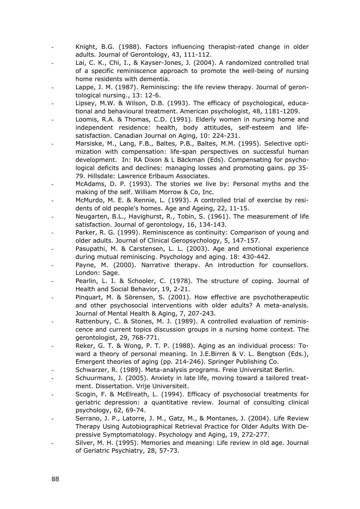- Knight, B.G. (1988). Factors influencing therapist-rated change in older adults. Journal of Gerontology, 43, 111-112.
- Lai, C. K., Chi, I., & Kayser-Jones, J. (2004). A randomized controlled trial of a specific reminiscence approach to promote the well-being of nursing home residents with dementia.
- Lappe, J. M. (1987). Reminiscing: the life review therapy. Journal of gerontological nursing., 13: 12-6.
- Lipsey, M.W. & Wilson, D.B. (1993). The efficacy of psychological, educational and behavioural treatment. American psychologist, 48, 1181-1209.
- Loomis, R.A. & Thomas, C.D. (1991). Elderly women in nursing home and independent residence: health, body attitudes, self-esteem and lifesatisfaction. Canadian Journal on Aging, 10: 224-231.
- Marsiske, M., Lang, F.B., Baltes, P.B., Baltes, M.M. (1995). Selective optimization with compensation: life-span perspectives on successful human development. In: RA Dixon & L Bäckman (Eds). Compensating for psychological deficits and declines: managing losses and promoting gains. pp 35- 79. Hillsdale: Lawrence Erlbaum Associates.
- McAdams, D. P. (1993). The stories we live by: Personal myths and the making of the self. William Morrow & Co, Inc.
- McMurdo, M. E. & Rennie, L. (1993). A controlled trial of exercise by residents of old people's homes. Age and Ageing, 22, 11-15.
- Neugarten, B.L., Havighurst, R., Tobin, S. (1961). The measurement of life satisfaction. Journal of gerontology, 16, 134-143.
- Parker, R. G. (1999). Reminiscence as continuity: Comparison of young and older adults. Journal of Clinical Geropsychology, 5, 147-157.
- Pasupathi, M. & Carstensen, L. L. (2003). Age and emotional experience during mutual reminiscing. Psychology and aging. 18: 430-442.
- Payne, M. (2000). Narrative therapy. An introduction for counsellors. London: Sage.
- Pearlin, L. I. & Schooler, C. (1978). The structure of coping. Journal of Health and Social Behavior, 19, 2-21.
- Pinquart, M. & Sörensen, S. (2001). How effective are psychotherapeutic and other psychosocial interventions with older adults? A meta-analysis. Journal of Mental Health & Aging, 7, 207-243.
- Rattenbury, C. & Stones, M. J. (1989). A controlled evaluation of reminiscence and current topics discussion groups in a nursing home context. The gerontologist, 29, 768-771.
- Reker, G. T. & Wong, P. T. P. (1988). Aging as an individual process: Toward a theory of personal meaning. In J.E.Birren & V. L. Bengtson (Eds.), Emergent theories of aging (pp. 214-246). Springer Publishing Co.
- Schwarzer, R. (1989). Meta-analysis programs. Freie Universitat Berlin.
- Schuurmans, J. (2005). Anxiety in late life, moving toward a tailored treatment. Dissertation. Vrije Universiteit.
- Scogin, F. & McElreath, L. (1994). Efficacy of psychosocial treatments for geriatric depression: a quantitative review. Journal of consulting clinical psychology, 62, 69-74.
- Serrano, J. P., Latorre, J. M., Gatz, M., & Montanes, J. (2004). Life Review Therapy Using Autobiographical Retrieval Practice for Older Adults With Depressive Symptomatology. Psychology and Aging, 19, 272-277.
- Silver, M. H. (1995). Memories and meaning: Life review in old age. Journal of Geriatric Psychiatry, 28, 57-73.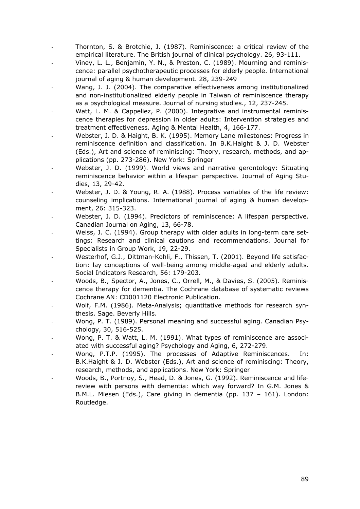- Thornton, S. & Brotchie, J. (1987). Reminiscence: a critical review of the empirical literature. The British journal of clinical psychology. 26, 93-111.
- Viney, L. L., Benjamin, Y. N., & Preston, C. (1989). Mourning and reminiscence: parallel psychotherapeutic processes for elderly people. International journal of aging & human development. 28, 239-249
- Wang, J. J. (2004). The comparative effectiveness among institutionalized and non-institutionalized elderly people in Taiwan of reminiscence therapy as a psychological measure. Journal of nursing studies., 12, 237-245.
- Watt, L. M. & Cappeliez, P. (2000). Integrative and instrumental reminiscence therapies for depression in older adults: Intervention strategies and treatment effectiveness. Aging & Mental Health, 4, 166-177.
- Webster, J. D. & Haight, B. K. (1995). Memory Lane milestones: Progress in reminiscence definition and classification. In B.K.Haight & J. D. Webster (Eds.), Art and science of reminiscing: Theory, research, methods, and applications (pp. 273-286). New York: Springer
- Webster, J. D. (1999). World views and narrative gerontology: Situating reminiscence behavior within a lifespan perspective. Journal of Aging Studies, 13, 29-42.
- Webster, J. D. & Young, R. A. (1988). Process variables of the life review: counseling implications. International journal of aging & human development, 26: 315-323.
- Webster, J. D. (1994). Predictors of reminiscence: A lifespan perspective. Canadian Journal on Aging, 13, 66-78.
- Weiss, J. C. (1994). Group therapy with older adults in long-term care settings: Research and clinical cautions and recommendations. Journal for Specialists in Group Work, 19, 22-29.
- Westerhof, G.J., Dittman-Kohli, F., Thissen, T. (2001). Beyond life satisfaction: lay conceptions of well-being among middle-aged and elderly adults. Social Indicators Research, 56: 179-203.
- Woods, B., Spector, A., Jones, C., Orrell, M., & Davies, S. (2005). Reminiscence therapy for dementia. The Cochrane database of systematic reviews Cochrane AN: CD001120 Electronic Publication.
- Wolf, F.M. (1986). Meta-Analysis; quantitative methods for research synthesis. Sage. Beverly Hills.
- Wong, P. T. (1989). Personal meaning and successful aging. Canadian Psychology, 30, 516-525.
- Wong, P. T. & Watt, L. M. (1991). What types of reminiscence are associated with successful aging? Psychology and Aging, 6, 272-279.
- Wong, P.T.P. (1995). The processes of Adaptive Reminiscences. In: B.K.Haight & J. D. Webster (Eds.), Art and science of reminiscing: Theory, research, methods, and applications. New York: Springer
- Woods, B., Portnoy, S., Head, D. & Jones, G. (1992). Reminiscence and lifereview with persons with dementia: which way forward? In G.M. Jones & B.M.L. Miesen (Eds.), Care giving in dementia (pp. 137 – 161). London: Routledge.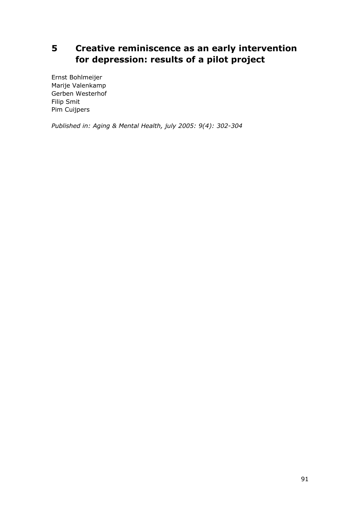# **5 Creative reminiscence as an early intervention for depression: results of a pilot project**

Ernst Bohlmeijer Marije Valenkamp Gerben Westerhof Filip Smit Pim Cuijpers

*Published in: Aging & Mental Health, july 2005: 9(4): 302-304*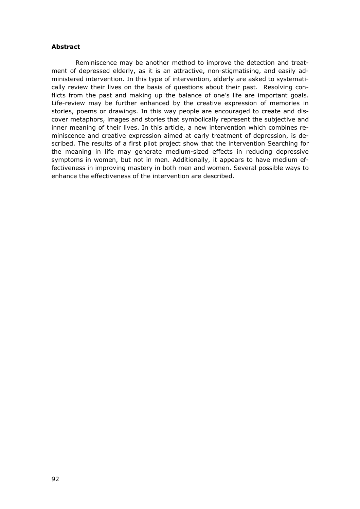#### **Abstract**

 Reminiscence may be another method to improve the detection and treatment of depressed elderly, as it is an attractive, non-stigmatising, and easily administered intervention. In this type of intervention, elderly are asked to systematically review their lives on the basis of questions about their past. Resolving conflicts from the past and making up the balance of one's life are important goals. Life-review may be further enhanced by the creative expression of memories in stories, poems or drawings. In this way people are encouraged to create and discover metaphors, images and stories that symbolically represent the subjective and inner meaning of their lives. In this article, a new intervention which combines reminiscence and creative expression aimed at early treatment of depression, is described. The results of a first pilot project show that the intervention Searching for the meaning in life may generate medium-sized effects in reducing depressive symptoms in women, but not in men. Additionally, it appears to have medium effectiveness in improving mastery in both men and women. Several possible ways to enhance the effectiveness of the intervention are described.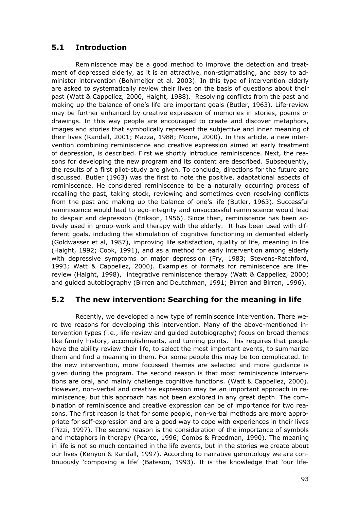# **5.1 Introduction**

 Reminiscence may be a good method to improve the detection and treatment of depressed elderly, as it is an attractive, non-stigmatising, and easy to administer intervention (Bohlmeijer et al. 2003). In this type of intervention elderly are asked to systematically review their lives on the basis of questions about their past (Watt & Cappeliez, 2000, Haight, 1988). Resolving conflicts from the past and making up the balance of one's life are important goals (Butler, 1963). Life-review may be further enhanced by creative expression of memories in stories, poems or drawings. In this way people are encouraged to create and discover metaphors, images and stories that symbolically represent the subjective and inner meaning of their lives (Randall, 2001; Mazza, 1988; Moore, 2000). In this article, a new intervention combining reminiscence and creative expression aimed at early treatment of depression, is described. First we shortly introduce reminiscence. Next, the reasons for developing the new program and its content are described. Subsequently, the results of a first pilot-study are given. To conclude, directions for the future are discussed. Butler (1963) was the first to note the positive, adaptational aspects of reminiscence. He considered reminiscence to be a naturally occurring process of recalling the past, taking stock, reviewing and sometimes even resolving conflicts from the past and making up the balance of one's life (Butler, 1963). Successful reminiscence would lead to ego-integrity and unsuccessful reminiscence would lead to despair and depression (Erikson, 1956). Since then, reminiscence has been actively used in group-work and therapy with the elderly. It has been used with different goals, including the stimulation of cognitive functioning in demented elderly (Goldwasser et al, 1987), improving life satisfaction, quality of life, meaning in life (Haight, 1992; Cook, 1991), and as a method for early intervention among elderly with depressive symptoms or major depression (Fry, 1983; Stevens-Ratchford, 1993; Watt & Cappeliez, 2000). Examples of formats for reminiscence are lifereview (Haight, 1998), integrative reminiscence therapy (Watt & Cappeliez, 2000) and guided autobiography (Birren and Deutchman, 1991; Birren and Birren, 1996).

## **5.2 The new intervention: Searching for the meaning in life**

 Recently, we developed a new type of reminiscence intervention. There were two reasons for developing this intervention. Many of the above-mentioned intervention types (i.e., life-review and guided autobiography) focus on broad themes like family history, accomplishments, and turning points. This requires that people have the ability review their life, to select the most important events, to summarize them and find a meaning in them. For some people this may be too complicated. In the new intervention, more focussed themes are selected and more guidance is given during the program. The second reason is that most reminiscence interventions are oral, and mainly challenge cognitive functions. (Watt & Cappeliez, 2000). However, non-verbal and creative expression may be an important approach in reminiscence, but this approach has not been explored in any great depth. The combination of reminiscence and creative expression can be of importance for two reasons. The first reason is that for some people, non-verbal methods are more appropriate for self-expression and are a good way to cope with experiences in their lives (Pizzi, 1997). The second reason is the consideration of the importance of symbols and metaphors in therapy (Pearce, 1996; Combs & Freedman, 1990). The meaning in life is not so much contained in the life events, but in the stories we create about our lives (Kenyon & Randall, 1997). According to narrative gerontology we are continuously 'composing a life' (Bateson, 1993). It is the knowledge that 'our life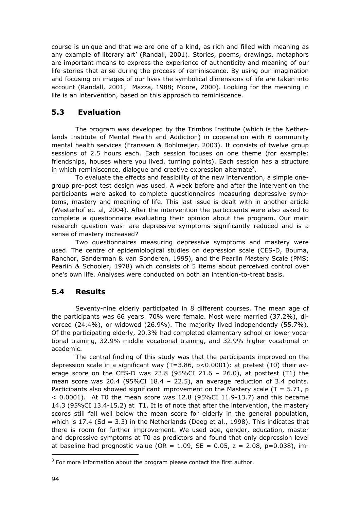course is unique and that we are one of a kind, as rich and filled with meaning as any example of literary art' (Randall, 2001). Stories, poems, drawings, metaphors are important means to express the experience of authenticity and meaning of our life-stories that arise during the process of reminiscence. By using our imagination and focusing on images of our lives the symbolical dimensions of life are taken into account (Randall, 2001; Mazza, 1988; Moore, 2000). Looking for the meaning in life is an intervention, based on this approach to reminiscence.

# **5.3 Evaluation**

 The program was developed by the Trimbos Institute (which is the Netherlands Institute of Mental Health and Addiction) in cooperation with 6 community mental health services (Franssen & Bohlmeijer, 2003). It consists of twelve group sessions of 2.5 hours each. Each session focuses on one theme (for example: friendships, houses where you lived, turning points). Each session has a structure in which reminiscence, dialogue and creative expression alternate<sup>3</sup>.

 To evaluate the effects and feasibility of the new intervention, a simple onegroup pre-post test design was used. A week before and after the intervention the participants were asked to complete questionnaires measuring depressive symptoms, mastery and meaning of life. This last issue is dealt with in another article (Westerhof et. al, 2004). After the intervention the participants were also asked to complete a questionnaire evaluating their opinion about the program. Our main research question was: are depressive symptoms significantly reduced and is a sense of mastery increased?

 Two questionnaires measuring depressive symptoms and mastery were used. The centre of epidemiological studies on depression scale (CES-D, Bouma, Ranchor, Sanderman & van Sonderen, 1995), and the Pearlin Mastery Scale (PMS; Pearlin & Schooler, 1978) which consists of 5 items about perceived control over one's own life. Analyses were conducted on both an intention-to-treat basis.

# **5.4 Results**

 Seventy-nine elderly participated in 8 different courses. The mean age of the participants was 66 years. 70% were female. Most were married (37.2%), divorced (24.4%), or widowed (26.9%). The majority lived independently (55.7%). Of the participating elderly, 20.3% had completed elementary school or lower vocational training, 32.9% middle vocational training, and 32.9% higher vocational or academic.

 The central finding of this study was that the participants improved on the depression scale in a significant way (T=3.86, p<0.0001): at pretest (T0) their average score on the CES-D was 23.8 (95%CI 21.6 - 26.0), at posttest (T1) the mean score was  $20.4$  (95%CI 18.4 – 22.5), an average reduction of 3.4 points. Participants also showed significant improvement on the Mastery scale  $(T = 5.71, p)$  $<$  0.0001). At T0 the mean score was 12.8 (95%CI 11.9-13.7) and this became 14.3 (95%CI 13.4-15.2) at T1. It is of note that after the intervention, the mastery scores still fall well below the mean score for elderly in the general population, which is 17.4 (Sd = 3.3) in the Netherlands (Deeg et al., 1998). This indicates that there is room for further improvement. We used age, gender, education, master and depressive symptoms at T0 as predictors and found that only depression level at baseline had prognostic value (OR =  $1.09$ , SE = 0.05, z = 2.08, p=0.038), im-

ł

 $3$  For more information about the program please contact the first author.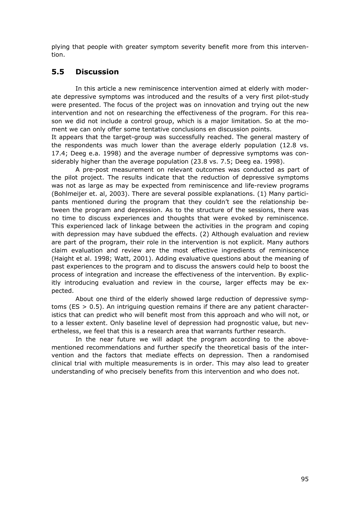plying that people with greater symptom severity benefit more from this intervention.

### **5.5 Discussion**

 In this article a new reminiscence intervention aimed at elderly with moderate depressive symptoms was introduced and the results of a very first pilot-study were presented. The focus of the project was on innovation and trying out the new intervention and not on researching the effectiveness of the program. For this reason we did not include a control group, which is a major limitation. So at the moment we can only offer some tentative conclusions en discussion points.

It appears that the target-group was successfully reached. The general mastery of the respondents was much lower than the average elderly population (12.8 vs. 17.4; Deeg e.a. 1998) and the average number of depressive symptoms was considerably higher than the average population (23.8 vs. 7.5; Deeg ea. 1998).

 A pre-post measurement on relevant outcomes was conducted as part of the pilot project. The results indicate that the reduction of depressive symptoms was not as large as may be expected from reminiscence and life-review programs (Bohlmeijer et. al, 2003). There are several possible explanations. (1) Many participants mentioned during the program that they couldn't see the relationship between the program and depression. As to the structure of the sessions, there was no time to discuss experiences and thoughts that were evoked by reminiscence. This experienced lack of linkage between the activities in the program and coping with depression may have subdued the effects. (2) Although evaluation and review are part of the program, their role in the intervention is not explicit. Many authors claim evaluation and review are the most effective ingredients of reminiscence (Haight et al. 1998; Watt, 2001). Adding evaluative questions about the meaning of past experiences to the program and to discuss the answers could help to boost the process of integration and increase the effectiveness of the intervention. By explicitly introducing evaluation and review in the course, larger effects may be expected.

 About one third of the elderly showed large reduction of depressive symptoms ( $ES > 0.5$ ). An intriguing question remains if there are any patient characteristics that can predict who will benefit most from this approach and who will not, or to a lesser extent. Only baseline level of depression had prognostic value, but nevertheless, we feel that this is a research area that warrants further research.

 In the near future we will adapt the program according to the abovementioned recommendations and further specify the theoretical basis of the intervention and the factors that mediate effects on depression. Then a randomised clinical trial with multiple measurements is in order. This may also lead to greater understanding of who precisely benefits from this intervention and who does not.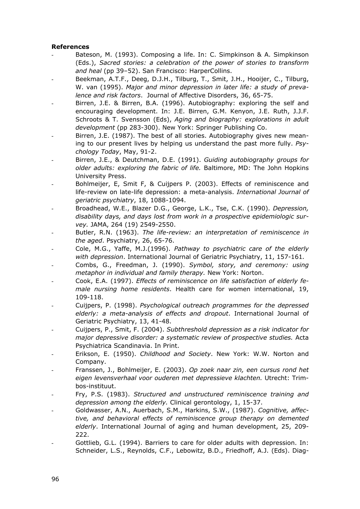#### **References**

- Bateson, M. (1993). Composing a life. In: C. Simpkinson & A. Simpkinson (Eds.), *Sacred stories: a celebration of the power of stories to transform and heal* (pp 39–52). San Francisco: HarperCollins.
- Beekman, A.T.F., Deeg, D.J.H., Tilburg, T., Smit, J.H., Hooijer, C., Tilburg, W. van (1995). *Major and minor depression in later life: a study of prevalence and risk factors*. Journal of Affective Disorders, 36, 65-75.
- Birren, J.E. & Birren, B.A. (1996). Autobiography: exploring the self and encouraging development. In: J.E. Birren, G.M. Kenyon, J.E. Ruth, J.J.F. Schroots & T. Svensson (Eds), *Aging and biography: explorations in adult development* (pp 283-300). New York: Springer Publishing Co.
- Birren, J.E. (1987). The best of all stories. Autobiography gives new meaning to our present lives by helping us understand the past more fully. *Psychology Today*, May, 91-2.
- Birren, J.E., & Deutchman, D.E. (1991). *Guiding autobiography groups for older adults: exploring the fabric of life.* Baltimore, MD: The John Hopkins University Press.
- Bohlmeijer, E, Smit F, & Cuijpers P. (2003). Effects of reminiscence and life-review on late-life depression: a meta-analysis. *International Journal of geriatric psychiatry*, 18, 1088-1094.
- Broadhead, W.E., Blazer D.G., George, L.K., Tse, C.K. (1990). *Depression, disability days, and days lost from work in a prospective epidemiologic survey.* JAMA, 264 (19) 2549-2550.
- Butler, R.N. (1963). *The life-review: an interpretation of reminiscence in the aged*. Psychiatry, 26, 65-76.
- Cole, M.G., Yaffe, M.J.(1996). *Pathway to psychiatric care of the elderly with depression*. International Journal of Geriatric Psychiatry, 11, 157-161*.*
- Combs, G., Freedman, J. (1990). *Symbol, story, and ceremony: using metaphor in individual and family therapy.* New York: Norton.
- Cook, E.A. (1997). *Effects of reminiscence on life satisfaction of elderly female nursing home residents*. Health care for women international, 19, 109-118.
- Cuijpers, P. (1998). *Psychological outreach programmes for the depressed elderly: a meta-analysis of effects and dropout*. International Journal of Geriatric Psychiatry, 13, 41-48.
- Cuijpers, P., Smit, F. (2004). *Subthreshold depression as a risk indicator for major depressive disorder: a systematic review of prospective studies.* Acta Psychiatrica Scandinavia. In Print.
- Erikson, E. (1950). *Childhood and Society*. New York: W.W. Norton and Company.
- Franssen, J., Bohlmeijer, E. (2003). *Op zoek naar zin, een cursus rond het eigen levensverhaal voor ouderen met depressieve klachten.* Utrecht: Trimbos-instituut.
- Fry, P.S. (1983). *Structured and unstructured reminiscence training and depression among the elderly.* Clinical gerontology, 1, 15-37.
- Goldwasser, A.N., Auerbach, S.M., Harkins, S.W., (1987). *Cognitive, affective, and behavioral effects of reminiscence group therapy on demented elderly*. International Journal of aging and human development, 25, 209- 222.
- Gottlieb, G.L. (1994). Barriers to care for older adults with depression. In: Schneider, L.S., Reynolds, C.F., Lebowitz, B.D., Friedhoff, A.J. (Eds). Diag-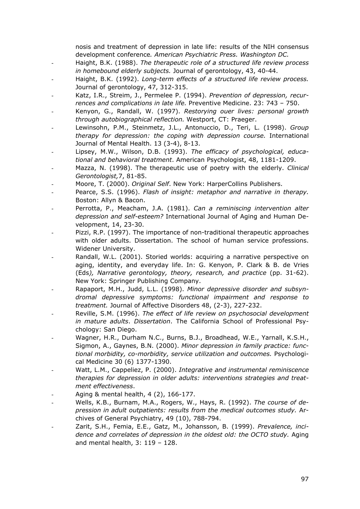nosis and treatment of depression in late life: results of the NIH consensus development conference*. American Psychiatric Press. Washington DC.* 

- Haight, B.K. (1988). *The therapeutic role of a structured life review process in homebound elderly subjects.* Journal of gerontology, 43, 40-44.
- Haight, B.K. (1992). *Long-term effects of a structured life review process.* Journal of gerontology, 47, 312-315.
- Katz, I.R., Streim, J., Permelee P. (1994). *Prevention of depression, recurrences and complications in late life.* Preventive Medicine. 23: 743 – 750.
- Kenyon, G., Randall, W. (1997). *Restorying ouer lives: personal growth through autobiographical reflection.* Westport, CT: Praeger.
- Lewinsohn, P.M., Steinmetz, J.L., Antonuccio, D., Teri, L. (1998). *Group therapy for depression: the coping with depression course.* International Journal of Mental Health. 13 (3-4), 8-13.
- Lipsey, M.W., Wilson, D.B. (1993). *The efficacy of psychological, educational and behavioral treatment*. American Psychologist, 48, 1181-1209.
- Mazza, N. (1998). The therapeutic use of poetry with the elderly. *Clinical Gerontologist,*7, 81-85.
- Moore, T. (2000). *Original Self*. New York: HarperCollins Publishers.
- Pearce, S.S. (1996). *Flash of insight: metaphor and narrative in therapy.* Boston: Allyn & Bacon.
- Perrotta, P., Meacham, J.A. (1981). *Can a reminiscing intervention alter depression and self-esteem?* International Journal of Aging and Human Development, 14, 23-30.
- Pizzi, R.P. (1997). The importance of non-traditional therapeutic approaches with older adults. Dissertation. The school of human service professions. Widener University.
- Randall, W.L. (2001). Storied worlds: acquiring a narrative perspective on aging, identity, and everyday life. In: G. Kenyon, P. Clark & B. de Vries (Eds*), Narrative gerontology, theory, research, and practice* (pp. 31-62). New York: Springer Publishing Company.
- Rapaport, M.H., Judd, L.L. (1998). *Minor depressive disorder and subsyndromal depressive symptoms: functional impairment and response to treatment.* Journal of Affective Disorders 48, (2-3), 227-232.
- Reville, S.M. (1996). *The effect of life review on psychosocial development in mature adults*. *Dissertation*. The California School of Professional Psychology: San Diego.
- Wagner, H.R., Durham N.C., Burns, B.J., Broadhead, W.E., Yarnall, K.S.H., Sigmon, A., Gaynes, B.N. (2000). *Minor depression in family practice: functional morbidity, co-morbidity, service utilization and outcomes.* Psychological Medicine 30 (6) 1377-1390.
- Watt, L.M., Cappeliez, P. (2000). *Integrative and instrumental reminiscence therapies for depression in older adults: interventions strategies and treatment effectiveness*.
- Aging & mental health, 4 (2), 166-177.
- Wells, K.B., Burnam, M.A., Rogers, W., Hays, R. (1992). *The course of depression in adult outpatients: results from the medical outcomes study.* Archives of General Psychiatry, 49 (10), 788-794.
- Zarit, S.H., Femia, E.E., Gatz, M., Johansson, B. (1999). *Prevalence, incidence and correlates of depression in the oldest old: the OCTO study.* Aging and mental health, 3: 119 – 128.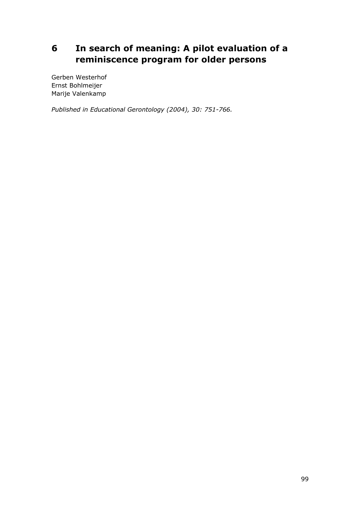# **6 In search of meaning: A pilot evaluation of a reminiscence program for older persons**

Gerben Westerhof Ernst Bohlmeijer Marije Valenkamp

*Published in Educational Gerontology (2004), 30: 751-766.*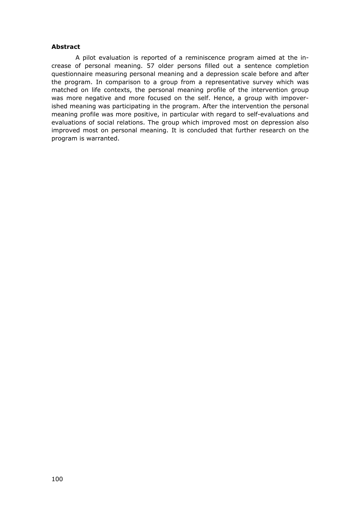#### **Abstract**

 A pilot evaluation is reported of a reminiscence program aimed at the increase of personal meaning. 57 older persons filled out a sentence completion questionnaire measuring personal meaning and a depression scale before and after the program. In comparison to a group from a representative survey which was matched on life contexts, the personal meaning profile of the intervention group was more negative and more focused on the self. Hence, a group with impoverished meaning was participating in the program. After the intervention the personal meaning profile was more positive, in particular with regard to self-evaluations and evaluations of social relations. The group which improved most on depression also improved most on personal meaning. It is concluded that further research on the program is warranted.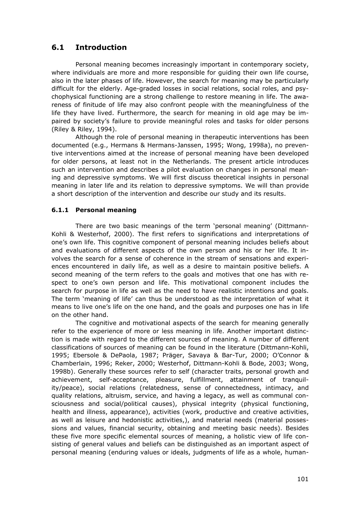# **6.1 Introduction**

 Personal meaning becomes increasingly important in contemporary society, where individuals are more and more responsible for guiding their own life course, also in the later phases of life. However, the search for meaning may be particularly difficult for the elderly. Age-graded losses in social relations, social roles, and psychophysical functioning are a strong challenge to restore meaning in life. The awareness of finitude of life may also confront people with the meaningfulness of the life they have lived. Furthermore, the search for meaning in old age may be impaired by society's failure to provide meaningful roles and tasks for older persons (Riley & Riley, 1994).

 Although the role of personal meaning in therapeutic interventions has been documented (e.g., Hermans & Hermans-Janssen, 1995; Wong, 1998a), no preventive interventions aimed at the increase of personal meaning have been developed for older persons, at least not in the Netherlands. The present article introduces such an intervention and describes a pilot evaluation on changes in personal meaning and depressive symptoms. We will first discuss theoretical insights in personal meaning in later life and its relation to depressive symptoms. We will than provide a short description of the intervention and describe our study and its results.

#### **6.1.1 Personal meaning**

 There are two basic meanings of the term 'personal meaning' (Dittmann-Kohli & Westerhof, 2000). The first refers to significations and interpretations of one's own life. This cognitive component of personal meaning includes beliefs about and evaluations of different aspects of the own person and his or her life. It involves the search for a sense of coherence in the stream of sensations and experiences encountered in daily life, as well as a desire to maintain positive beliefs. A second meaning of the term refers to the goals and motives that one has with respect to one's own person and life. This motivational component includes the search for purpose in life as well as the need to have realistic intentions and goals. The term 'meaning of life' can thus be understood as the interpretation of what it means to live one's life on the one hand, and the goals and purposes one has in life on the other hand.

 The cognitive and motivational aspects of the search for meaning generally refer to the experience of more or less meaning in life. Another important distinction is made with regard to the different sources of meaning. A number of different classifications of sources of meaning can be found in the literature (Dittmann-Kohli, 1995; Ebersole & DePaola, 1987; Präger, Savaya & Bar-Tur, 2000; O'Connor & Chamberlain, 1996; Reker, 2000; Westerhof, Dittmann-Kohli & Bode, 2003; Wong, 1998b). Generally these sources refer to self (character traits, personal growth and achievement, self-acceptance, pleasure, fulfillment, attainment of tranquility/peace), social relations (relatedness, sense of connectedness, intimacy, and quality relations, altruism, service, and having a legacy, as well as communal consciousness and social/political causes), physical integrity (physical functioning, health and illness, appearance), activities (work, productive and creative activities, as well as leisure and hedonistic activities,), and material needs (material possessions and values, financial security, obtaining and meeting basic needs). Besides these five more specific elemental sources of meaning, a holistic view of life consisting of general values and beliefs can be distinguished as an important aspect of personal meaning (enduring values or ideals, judgments of life as a whole, human-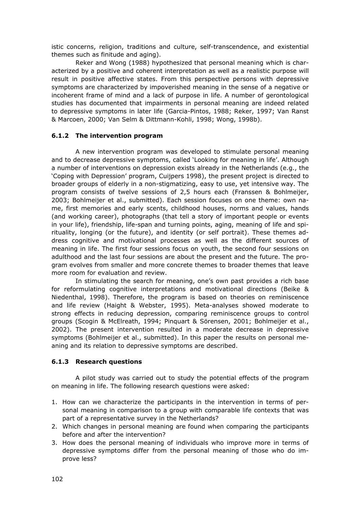istic concerns, religion, traditions and culture, self-transcendence, and existential themes such as finitude and aging).

 Reker and Wong (1988) hypothesized that personal meaning which is characterized by a positive and coherent interpretation as well as a realistic purpose will result in positive affective states. From this perspective persons with depressive symptoms are characterized by impoverished meaning in the sense of a negative or incoherent frame of mind and a lack of purpose in life. A number of gerontological studies has documented that impairments in personal meaning are indeed related to depressive symptoms in later life (Garcia-Pintos, 1988; Reker, 1997; Van Ranst & Marcoen, 2000; Van Selm & Dittmann-Kohli, 1998; Wong, 1998b).

#### **6.1.2 The intervention program**

 A new intervention program was developed to stimulate personal meaning and to decrease depressive symptoms, called 'Looking for meaning in life'. Although a number of interventions on depression exists already in the Netherlands (e.g., the 'Coping with Depression' program, Cuijpers 1998), the present project is directed to broader groups of elderly in a non-stigmatizing, easy to use, yet intensive way. The program consists of twelve sessions of 2,5 hours each (Franssen & Bohlmeijer, 2003; Bohlmeijer et al., submitted). Each session focuses on one theme: own name, first memories and early scents, childhood houses, norms and values, hands (and working career), photographs (that tell a story of important people or events in your life), friendship, life-span and turning points, aging, meaning of life and spirituality, longing (or the future), and identity (or self portrait). These themes address cognitive and motivational processes as well as the different sources of meaning in life. The first four sessions focus on youth, the second four sessions on adulthood and the last four sessions are about the present and the future. The program evolves from smaller and more concrete themes to broader themes that leave more room for evaluation and review.

 In stimulating the search for meaning, one's own past provides a rich base for reformulating cognitive interpretations and motivational directions (Beike & Niedenthal, 1998). Therefore, the program is based on theories on reminiscence and life review (Haight & Webster, 1995). Meta-analyses showed moderate to strong effects in reducing depression, comparing reminiscence groups to control groups (Scogin & McElreath, 1994; Pinquart & Sörensen, 2001; Bohlmeijer et al., 2002). The present intervention resulted in a moderate decrease in depressive symptoms (Bohlmeijer et al., submitted). In this paper the results on personal meaning and its relation to depressive symptoms are described.

#### **6.1.3 Research questions**

 A pilot study was carried out to study the potential effects of the program on meaning in life. The following research questions were asked:

- 1. How can we characterize the participants in the intervention in terms of personal meaning in comparison to a group with comparable life contexts that was part of a representative survey in the Netherlands?
- 2. Which changes in personal meaning are found when comparing the participants before and after the intervention?
- 3. How does the personal meaning of individuals who improve more in terms of depressive symptoms differ from the personal meaning of those who do improve less?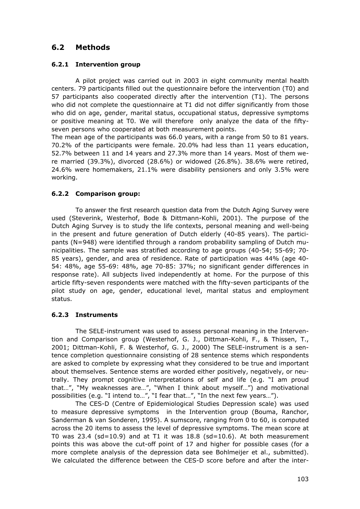# **6.2 Methods**

#### **6.2.1 Intervention group**

 A pilot project was carried out in 2003 in eight community mental health centers. 79 participants filled out the questionnaire before the intervention (T0) and 57 participants also cooperated directly after the intervention (T1). The persons who did not complete the questionnaire at T1 did not differ significantly from those who did on age, gender, marital status, occupational status, depressive symptoms or positive meaning at T0. We will therefore only analyze the data of the fiftyseven persons who cooperated at both measurement points.

The mean age of the participants was 66.0 years, with a range from 50 to 81 years. 70.2% of the participants were female. 20.0% had less than 11 years education, 52.7% between 11 and 14 years and 27.3% more than 14 years. Most of them were married (39.3%), divorced (28.6%) or widowed (26.8%). 38.6% were retired, 24.6% were homemakers, 21.1% were disability pensioners and only 3.5% were working.

#### **6.2.2 Comparison group:**

 To answer the first research question data from the Dutch Aging Survey were used (Steverink, Westerhof, Bode & Dittmann-Kohli, 2001). The purpose of the Dutch Aging Survey is to study the life contexts, personal meaning and well-being in the present and future generation of Dutch elderly (40-85 years). The participants (N=948) were identified through a random probability sampling of Dutch municipalities. The sample was stratified according to age groups (40-54; 55-69; 70- 85 years), gender, and area of residence. Rate of participation was 44% (age 40- 54: 48%, age 55-69: 48%, age 70-85: 37%; no significant gender differences in response rate). All subjects lived independently at home. For the purpose of this article fifty-seven respondents were matched with the fifty-seven participants of the pilot study on age, gender, educational level, marital status and employment status.

#### **6.2.3 Instruments**

 The SELE-instrument was used to assess personal meaning in the Intervention and Comparison group (Westerhof, G. J., Dittman-Kohli, F., & Thissen, T., 2001; Dittman-Kohli, F. & Westerhof, G. J., 2000) The SELE-instrument is a sentence completion questionnaire consisting of 28 sentence stems which respondents are asked to complete by expressing what they considered to be true and important about themselves. Sentence stems are worded either positively, negatively, or neutrally. They prompt cognitive interpretations of self and life (e.g. "I am proud that…", "My weaknesses are…", "When I think about myself…") and motivational possibilities (e.g. "I intend to…", "I fear that…", "In the next few years…").

 The CES-D (Centre of Epidemiological Studies Depression scale) was used to measure depressive symptoms in the Intervention group (Bouma, Ranchor, Sanderman & van Sonderen, 1995). A sumscore, ranging from 0 to 60, is computed across the 20 items to assess the level of depressive symptoms. The mean score at T0 was 23.4 (sd=10.9) and at T1 it was  $18.8$  (sd=10.6). At both measurement points this was above the cut-off point of 17 and higher for possible cases (for a more complete analysis of the depression data see Bohlmeijer et al., submitted). We calculated the difference between the CES-D score before and after the inter-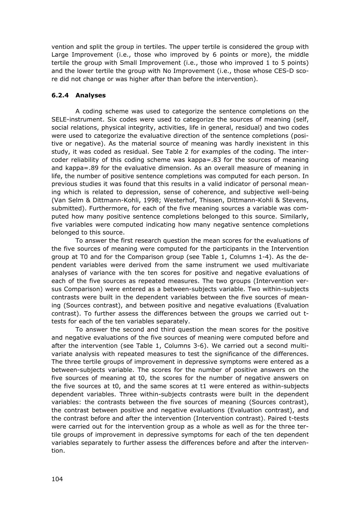vention and split the group in tertiles. The upper tertile is considered the group with Large Improvement (i.e., those who improved by 6 points or more), the middle tertile the group with Small Improvement (i.e., those who improved 1 to 5 points) and the lower tertile the group with No Improvement (i.e., those whose CES-D score did not change or was higher after than before the intervention).

#### **6.2.4 Analyses**

 A coding scheme was used to categorize the sentence completions on the SELE-instrument. Six codes were used to categorize the sources of meaning (self, social relations, physical integrity, activities, life in general, residual) and two codes were used to categorize the evaluative direction of the sentence completions (positive or negative). As the material source of meaning was hardly inexistent in this study, it was coded as residual. See Table 2 for examples of the coding. The intercoder reliability of this coding scheme was kappa=.83 for the sources of meaning and kappa=.89 for the evaluative dimension. As an overall measure of meaning in life, the number of positive sentence completions was computed for each person. In previous studies it was found that this results in a valid indicator of personal meaning which is related to depression, sense of coherence, and subjective well-being (Van Selm & Dittmann-Kohli, 1998; Westerhof, Thissen, Dittmann-Kohli & Stevens, submitted). Furthermore, for each of the five meaning sources a variable was computed how many positive sentence completions belonged to this source. Similarly, five variables were computed indicating how many negative sentence completions belonged to this source.

 To answer the first research question the mean scores for the evaluations of the five sources of meaning were computed for the participants in the Intervention group at T0 and for the Comparison group (see Table 1, Columns 1-4). As the dependent variables were derived from the same instrument we used multivariate analyses of variance with the ten scores for positive and negative evaluations of each of the five sources as repeated measures. The two groups (Intervention versus Comparison) were entered as a between-subjects variable. Two within-subjects contrasts were built in the dependent variables between the five sources of meaning (Sources contrast), and between positive and negative evaluations (Evaluation contrast). To further assess the differences between the groups we carried out ttests for each of the ten variables separately.

 To answer the second and third question the mean scores for the positive and negative evaluations of the five sources of meaning were computed before and after the intervention (see Table 1, Columns 3-6). We carried out a second multivariate analysis with repeated measures to test the significance of the differences. The three tertile groups of improvement in depressive symptoms were entered as a between-subjects variable. The scores for the number of positive answers on the five sources of meaning at t0, the scores for the number of negative answers on the five sources at t0, and the same scores at t1 were entered as within-subjects dependent variables. Three within-subjects contrasts were built in the dependent variables: the contrasts between the five sources of meaning (Sources contrast), the contrast between positive and negative evaluations (Evaluation contrast), and the contrast before and after the intervention (Intervention contrast). Paired t-tests were carried out for the intervention group as a whole as well as for the three tertile groups of improvement in depressive symptoms for each of the ten dependent variables separately to further assess the differences before and after the intervention.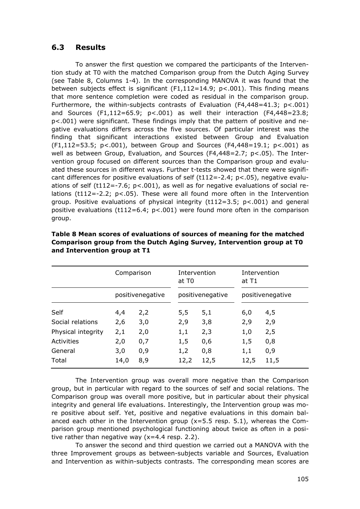#### **6.3 Results**

 To answer the first question we compared the participants of the Intervention study at T0 with the matched Comparison group from the Dutch Aging Survey (see Table 8, Columns 1-4). In the corresponding MANOVA it was found that the between subjects effect is significant (F1,112=14.9; p<.001). This finding means that more sentence completion were coded as residual in the comparison group. Furthermore, the within-subjects contrasts of Evaluation ( $F4.448=41.3$ ;  $p<.001$ ) and Sources  $(F1, 112=65.9; p<.001)$  as well their interaction  $(F4, 448=23.8;$ p<.001) were significant. These findings imply that the pattern of positive and negative evaluations differs across the five sources. Of particular interest was the finding that significant interactions existed between Group and Evaluation  $(F1,112=53.5; p<0.01)$ , between Group and Sources (F4,448=19.1; p<.001) as well as between Group, Evaluation, and Sources (F4,448=2.7; p<.05). The Intervention group focused on different sources than the Comparison group and evaluated these sources in different ways. Further t-tests showed that there were significant differences for positive evaluations of self  $(t112=-2.4; p<0.05)$ , negative evaluations of self (t112=-7.6;  $p < .001$ ), as well as for negative evaluations of social relations ( $t112=-2.2$ ;  $p<.05$ ). These were all found more often in the Intervention group. Positive evaluations of physical integrity (t112=3.5; p<.001) and general positive evaluations (t112=6.4;  $p < .001$ ) were found more often in the comparison group.

|                    | Comparison |                  | at T <sub>0</sub> | Intervention     | at T1 | Intervention     |
|--------------------|------------|------------------|-------------------|------------------|-------|------------------|
|                    |            | positivenegative |                   | positivenegative |       | positivenegative |
| Self               | 4,4        | 2,2              | 5,5               | 5,1              | 6,0   | 4,5              |
| Social relations   | 2,6        | 3,0              | 2,9               | 3,8              | 2,9   | 2,9              |
| Physical integrity | 2,1        | 2,0              | 1,1               | 2,3              | 1,0   | 2,5              |
| Activities         | 2,0        | 0,7              | 1,5               | 0,6              | 1,5   | 0,8              |
| General            | 3,0        | 0,9              | 1,2               | 0,8              | 1,1   | 0,9              |
| Total              | 14,0       | 8,9              | 12,2              | 12,5             | 12,5  | 11,5             |

#### **Table 8 Mean scores of evaluations of sources of meaning for the matched Comparison group from the Dutch Aging Survey, Intervention group at T0 and Intervention group at T1**

 The Intervention group was overall more negative than the Comparison group, but in particular with regard to the sources of self and social relations. The Comparison group was overall more positive, but in particular about their physical integrity and general life evaluations. Interestingly, the Intervention group was more positive about self. Yet, positive and negative evaluations in this domain balanced each other in the Intervention group  $(x=5.5$  resp. 5.1), whereas the Comparison group mentioned psychological functioning about twice as often in a positive rather than negative way (x=4.4 resp. 2.2).

 To answer the second and third question we carried out a MANOVA with the three Improvement groups as between-subjects variable and Sources, Evaluation and Intervention as within-subjects contrasts. The corresponding mean scores are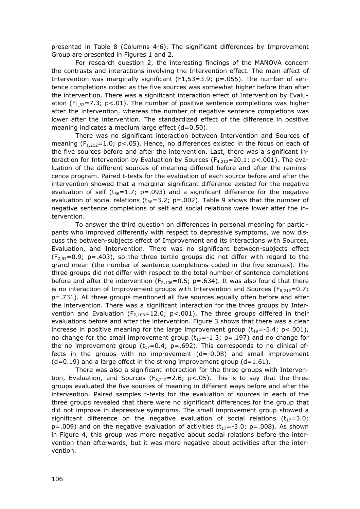presented in Table 8 (Columns 4-6). The significant differences by Improvement Group are presented in Figures 1 and 2.

 For research question 2, the interesting findings of the MANOVA concern the contrasts and interactions involving the Intervention effect. The main effect of Intervention was marginally significant (F1,53=3.9; p=.055). The number of sentence completions coded as the five sources was somewhat higher before than after the intervention. There was a significant interaction effect of Intervention by Evaluation ( $F_{1,53}$ =7.3; p<.01). The number of positive sentence completions was higher after the intervention, whereas the number of negative sentence completions was lower after the intervention. The standardized effect of the difference in positive meaning indicates a medium large effect (d=0.50).

 There was no significant interaction between Intervention and Sources of meaning  $(F_{1,212}=1.0; p<.05)$ . Hence, no differences existed in the focus on each of the five sources before and after the intervention. Last, there was a significant interaction for Intervention by Evaluation by Sources ( $F_{4,212}$ =20.1; p<.001). The evaluation of the different sources of meaning differed before and after the reminiscence program. Paired t-tests for the evaluation of each source before and after the intervention showed that a marginal significant difference existed for the negative evaluation of self ( $t_{56}=1.7$ ; p=.093) and a significant difference for the negative evaluation of social relations  $(t_{56}=3.2; p=.002)$ . Table 9 shows that the number of negative sentence completions of self and social relations were lower after the intervention.

 To answer the third question on differences in personal meaning for participants who improved differently with respect to depressive symptoms, we now discuss the between-subjects effect of Improvement and its interactions with Sources, Evaluation, and Intervention. There was no significant between-subjects effect  $(F_{2,53}=0.9; p=.403)$ , so the three tertile groups did not differ with regard to the grand mean (the number of sentence completions coded in the five sources). The three groups did not differ with respect to the total number of sentence completions before and after the intervention ( $F_{2,106}=0.5$ ; p=.634). It was also found that there is no interaction of Improvement groups with Intervention and Sources ( $F_{8,212}=0.7$ ; p=.731). All three groups mentioned all five sources equally often before and after the intervention. There was a significant interaction for the three groups by Intervention and Evaluation ( $F_{2,106}$ =12.0; p<.001). The three groups differed in their evaluations before and after the intervention. Figure 3 shows that there was a clear increase in positive meaning for the large improvement group  $(t_{19}=-5.4; p<.001)$ , no change for the small improvement group  $(t_{17}=-1.3; p=.197)$  and no change for the no improvement group ( $t_{17}=0.4$ ; p=.692). This corresponds to no clinical effects in the groups with no improvement (d=-0.08) and small improvement  $(d=0.19)$  and a large effect in the strong improvement group  $(d=1.61)$ .

 There was also a significant interaction for the three groups with Intervention, Evaluation, and Sources ( $F_{8,212}=2.6$ ;  $p<0.05$ ). This is to say that the three groups evaluated the five sources of meaning in different ways before and after the intervention. Paired samples t-tests for the evaluation of sources in each of the three groups revealed that there were no significant differences for the group that did not improve in depressive symptoms. The small improvement group showed a significant difference on the negative evaluation of social relations  $(t_{17}=3.0;$  $p=.009$ ) and on the negative evaluation of activities  $(t_{17}=-3.0; p=.008)$ . As shown in Figure 4, this group was more negative about social relations before the intervention than afterwards, but it was more negative about activities after the intervention.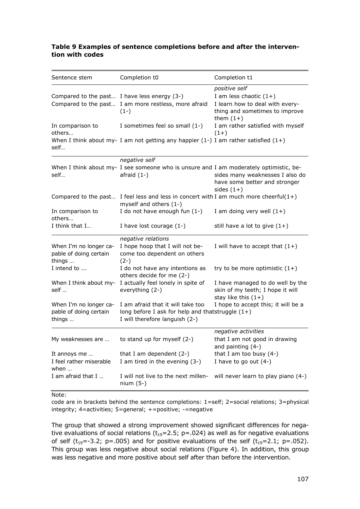#### **Table 9 Examples of sentence completions before and after the intervention with codes**

| Sentence stem                                              | Completion t0                                                                                                             | Completion t1                                                                                                                 |
|------------------------------------------------------------|---------------------------------------------------------------------------------------------------------------------------|-------------------------------------------------------------------------------------------------------------------------------|
| Compared to the past I have less energy (3-)               | Compared to the past I am more restless, more afraid<br>$(1-)$                                                            | positive self<br>I am less chaotic $(1+)$<br>I learn how to deal with every-<br>thing and sometimes to improve<br>them $(1+)$ |
| In comparison to<br>others                                 | I sometimes feel so small (1-)                                                                                            | I am rather satisfied with myself<br>$(1+)$                                                                                   |
| self                                                       | When I think about my- I am not getting any happier (1-) I am rather satisfied $(1+)$                                     |                                                                                                                               |
|                                                            | negative self                                                                                                             |                                                                                                                               |
| self                                                       | When I think about my- I see someone who is unsure and I am moderately optimistic, be-<br>afraid $(1-)$                   | sides many weaknesses I also do<br>have some better and stronger<br>sides $(1+)$                                              |
|                                                            | Compared to the past I feel less and less in concert with I am much more cheerful $(1+)$<br>myself and others (1-)        |                                                                                                                               |
| In comparison to<br>others                                 | I do not have enough fun $(1-)$                                                                                           | I am doing very well $(1+)$                                                                                                   |
| I think that I                                             | I have lost courage $(1-)$                                                                                                | still have a lot to give $(1+)$                                                                                               |
| When I'm no longer ca-<br>pable of doing certain<br>things | negative relations<br>I hope hoop that I will not be-<br>come too dependent on others<br>$(2-)$                           | I will have to accept that $(1+)$                                                                                             |
| I intend to                                                | I do not have any intentions as<br>others decide for me (2-)                                                              | try to be more optimistic $(1+)$                                                                                              |
| When I think about my-<br>self                             | I actually feel lonely in spite of<br>everything (2-)                                                                     | I have managed to do well by the<br>skin of my teeth; I hope it will<br>stay like this $(1+)$                                 |
| When I'm no longer ca-<br>pable of doing certain<br>things | I am afraid that it will take too<br>long before I ask for help and thatstruggle $(1+)$<br>I will therefore languish (2-) | I hope to accept this; it will be a                                                                                           |
| My weaknesses are                                          | to stand up for myself $(2-)$                                                                                             | negative activities<br>that I am not good in drawing<br>and painting $(4-)$                                                   |
| It annoys me<br>I feel rather miserable<br>when            | that I am dependent $(2-)$<br>I am tired in the evening (3-)                                                              | that I am too busy $(4-)$<br>I have to go out $(4-)$                                                                          |
| I am afraid that I                                         | I will not live to the next millen-<br>$nium (5-)$                                                                        | will never learn to play piano (4-)                                                                                           |

#### Note:

code are in brackets behind the sentence completions: 1=self; 2=social relations; 3=physical integrity; 4=activities; 5=general; +=positive; -=negative

The group that showed a strong improvement showed significant differences for negative evaluations of social relations ( $t_{19}=2.5$ ; p=.024) as well as for negative evaluations of self ( $t_{19}$ =-3.2; p=.005) and for positive evaluations of the self ( $t_{19}$ =2.1; p=.052). This group was less negative about social relations (Figure 4). In addition, this group was less negative and more positive about self after than before the intervention.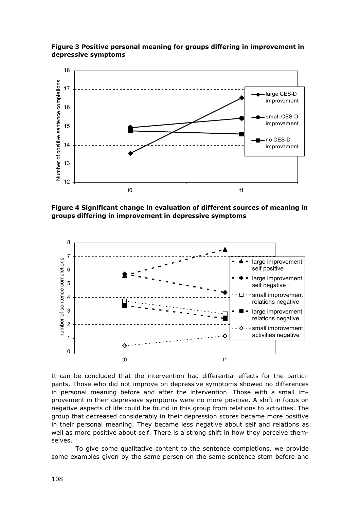

**Figure 3 Positive personal meaning for groups differing in improvement in depressive symptoms** 

**Figure 4 Significant change in evaluation of different sources of meaning in groups differing in improvement in depressive symptoms** 



It can be concluded that the intervention had differential effects for the participants. Those who did not improve on depressive symptoms showed no differences in personal meaning before and after the intervention. Those with a small improvement in their depressive symptoms were no more positive. A shift in focus on negative aspects of life could be found in this group from relations to activities. The group that decreased considerably in their depression scores became more positive in their personal meaning. They became less negative about self and relations as well as more positive about self. There is a strong shift in how they perceive themselves.

 To give some qualitative content to the sentence completions, we provide some examples given by the same person on the same sentence stem before and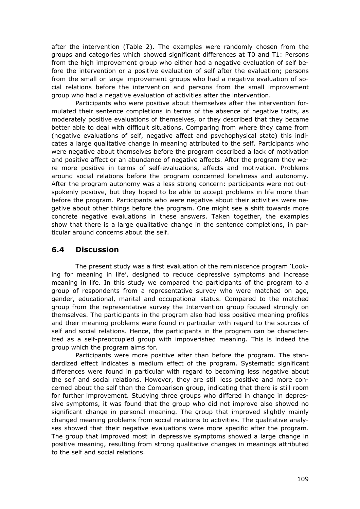after the intervention (Table 2). The examples were randomly chosen from the groups and categories which showed significant differences at T0 and T1: Persons from the high improvement group who either had a negative evaluation of self before the intervention or a positive evaluation of self after the evaluation; persons from the small or large improvement groups who had a negative evaluation of social relations before the intervention and persons from the small improvement group who had a negative evaluation of activities after the intervention.

 Participants who were positive about themselves after the intervention formulated their sentence completions in terms of the absence of negative traits, as moderately positive evaluations of themselves, or they described that they became better able to deal with difficult situations. Comparing from where they came from (negative evaluations of self, negative affect and psychophysical state) this indicates a large qualitative change in meaning attributed to the self. Participants who were negative about themselves before the program described a lack of motivation and positive affect or an abundance of negative affects. After the program they were more positive in terms of self-evaluations, affects and motivation. Problems around social relations before the program concerned loneliness and autonomy. After the program autonomy was a less strong concern: participants were not outspokenly positive, but they hoped to be able to accept problems in life more than before the program. Participants who were negative about their activities were negative about other things before the program. One might see a shift towards more concrete negative evaluations in these answers. Taken together, the examples show that there is a large qualitative change in the sentence completions, in particular around concerns about the self.

# **6.4 Discussion**

 The present study was a first evaluation of the reminiscence program 'Looking for meaning in life', designed to reduce depressive symptoms and increase meaning in life. In this study we compared the participants of the program to a group of respondents from a representative survey who were matched on age, gender, educational, marital and occupational status. Compared to the matched group from the representative survey the Intervention group focused strongly on themselves. The participants in the program also had less positive meaning profiles and their meaning problems were found in particular with regard to the sources of self and social relations. Hence, the participants in the program can be characterized as a self-preoccupied group with impoverished meaning. This is indeed the group which the program aims for.

 Participants were more positive after than before the program. The standardized effect indicates a medium effect of the program. Systematic significant differences were found in particular with regard to becoming less negative about the self and social relations. However, they are still less positive and more concerned about the self than the Comparison group, indicating that there is still room for further improvement. Studying three groups who differed in change in depressive symptoms, it was found that the group who did not improve also showed no significant change in personal meaning. The group that improved slightly mainly changed meaning problems from social relations to activities. The qualitative analyses showed that their negative evaluations were more specific after the program. The group that improved most in depressive symptoms showed a large change in positive meaning, resulting from strong qualitative changes in meanings attributed to the self and social relations.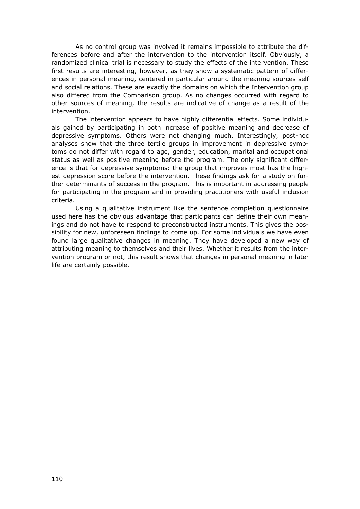As no control group was involved it remains impossible to attribute the differences before and after the intervention to the intervention itself. Obviously, a randomized clinical trial is necessary to study the effects of the intervention. These first results are interesting, however, as they show a systematic pattern of differences in personal meaning, centered in particular around the meaning sources self and social relations. These are exactly the domains on which the Intervention group also differed from the Comparison group. As no changes occurred with regard to other sources of meaning, the results are indicative of change as a result of the intervention.

 The intervention appears to have highly differential effects. Some individuals gained by participating in both increase of positive meaning and decrease of depressive symptoms. Others were not changing much. Interestingly, post-hoc analyses show that the three tertile groups in improvement in depressive symptoms do not differ with regard to age, gender, education, marital and occupational status as well as positive meaning before the program. The only significant difference is that for depressive symptoms: the group that improves most has the highest depression score before the intervention. These findings ask for a study on further determinants of success in the program. This is important in addressing people for participating in the program and in providing practitioners with useful inclusion criteria.

 Using a qualitative instrument like the sentence completion questionnaire used here has the obvious advantage that participants can define their own meanings and do not have to respond to preconstructed instruments. This gives the possibility for new, unforeseen findings to come up. For some individuals we have even found large qualitative changes in meaning. They have developed a new way of attributing meaning to themselves and their lives. Whether it results from the intervention program or not, this result shows that changes in personal meaning in later life are certainly possible.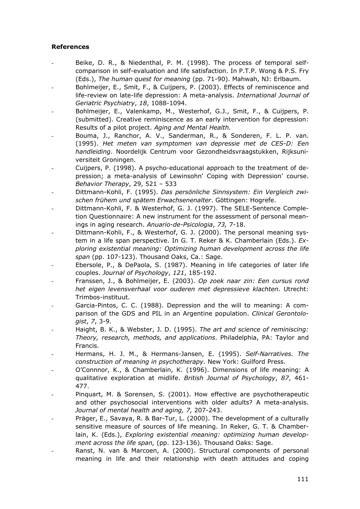#### **References**

- Beike, D. R., & Niedenthal, P. M. (1998). The process of temporal selfcomparison in self-evaluation and life satisfaction. In P.T.P. Wong & P.S. Fry (Eds.), *The human quest for meaning* (pp. 71-90). Mahwah, NJ: Erlbaum.
- Bohlmeijer, E., Smit, F., & Cuijpers, P. (2003). Effects of reminiscence and life-review on late-life depression: A meta-analysis. *International Journal of Geriatric Psychiatry*, *18*, 1088-1094.
- Bohlmeijer, E., Valenkamp, M., Westerhof, G.J., Smit, F., & Cuijpers, P. (submitted). Creative reminiscence as an early intervention for depression: Results of a pilot project. *Aging and Mental Health.*
- Bouma, J., Ranchor, A. V., Sanderman, R., & Sonderen, F. L. P. van. (1995). *Het meten van symptomen van depressie met de CES-D: Een handleiding*. Noordelijk Centrum voor Gezondheidsvraagstukken, Rijksuniversiteit Groningen.
- Cuijpers, P. (1998). A psycho-educational approach to the treatment of depression; a meta-analysis of Lewinsohn' Coping with Depression' course. *Behavior Therapy*, 29, 521 – 533
- Dittmann-Kohli, F. (1995). *Das persönliche Sinnsystem: Ein Vergleich zwischen frühem und spätem Erwachsenenalter*. Göttingen: Hogrefe.
- Dittmann-Kohli, F. & Westerhof, G. J. (1997). The SELE-Sentence Completion Questionnaire: A new instrument for the assessment of personal meanings in aging research. *Anuario-de-Psicologia*, *73,* 7-18.
- Dittmann-Kohli, F., & Westerhof, G. J. (2000). The personal meaning system in a life span perspective. In G. T. Reker & K. Chamberlain (Eds.). *Exploring existential meaning: Optimizing human development across the life span* (pp. 107-123). Thousand Oaks, Ca.: Sage.
- Ebersole, P., & DePaola, S. (1987). Meaning in life categories of later life couples. *Journal of Psychology*, *121*, 185-192.
- Franssen, J., & Bohlmeijer, E. (2003). *Op zoek naar zin: Een cursus rond het eigen levensverhaal voor ouderen met depressieve klachten*. Utrecht: Trimbos-instituut.
- Garcia-Pintos, C. C. (1988). Depression and the will to meaning: A comparison of the GDS and PIL in an Argentine population. *Clinical Gerontologist*, *7*, 3-9.
- Haight, B. K., & Webster, J. D. (1995). *The art and science of reminiscing: Theory, research, methods, and applications*. Philadelphia, PA: Taylor and Francis.
- Hermans, H. J. M., & Hermans-Jansen, E. (1995). *Self-Narratives. The construction of meaning in psychotherapy.* New York: Guilford Press.
- O'Connnor, K., & Chamberlain, K. (1996). Dimensions of life meaning: A qualitative exploration at midlife. *British Journal of Psychology*, *87*, 461- 477.
- Pinquart, M. & Sorensen, S. (2001). How effective are psychotherapeutic and other psychosocial interventions with older adults? A meta-analysis. *Journal of mental health and aging, 7,* 207-243.
- Präger, E., Savaya, R. & Bar-Tur, L. (2000). The development of a culturally sensitive measure of sources of life meaning. In Reker, G. T. & Chamberlain, K. (Eds.), *Exploring existential meaning: optimizing human development across the life span,* (pp. 123-136). Thousand Oaks: Sage.
- Ranst, N. van & Marcoen, A. (2000). Structural components of personal meaning in life and their relationship with death attitudes and coping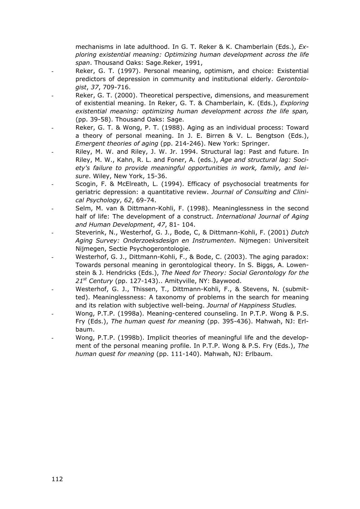mechanisms in late adulthood. In G. T. Reker & K. Chamberlain (Eds.), *Exploring existential meaning: Optimizing human development across the life span*. Thousand Oaks: Sage.Reker, 1991,

- Reker, G. T. (1997). Personal meaning, optimism, and choice: Existential predictors of depression in community and institutional elderly. *Gerontologist*, *37*, 709-716.
- Reker, G. T. (2000). Theoretical perspective, dimensions, and measurement of existential meaning. In Reker, G. T. & Chamberlain, K. (Eds.), *Exploring existential meaning: optimizing human development across the life span,* (pp. 39-58). Thousand Oaks: Sage.
- Reker, G. T. & Wong, P. T. (1988). Aging as an individual process: Toward a theory of personal meaning. In J. E. Birren & V. L. Bengtson (Eds.), *Emergent theories of aging* (pp. 214-246). New York: Springer.
- Riley, M. W. and Riley, J. W. Jr. 1994. Structural lag: Past and future. In Riley, M. W., Kahn, R. L. and Foner, A. (eds.), *Age and structural lag: Society's failure to provide meaningful opportunities in work, family, and leisure*. Wiley, New York, 15-36.
- Scogin, F. & McElreath, L. (1994). Efficacy of psychosocial treatments for geriatric depression: a quantitative review. *Journal of Consulting and Clinical Psychology*, *62*, 69-74.
- Selm, M. van & Dittmann-Kohli, F. (1998). Meaninglessness in the second half of life: The development of a construct. *International Journal of Aging and Human Development*, *47*, 81- 104.
- Steverink, N., Westerhof, G. J., Bode, C, & Dittmann-Kohli, F. (2001) *Dutch Aging Survey: Onderzoeksdesign en Instrumenten*. Nijmegen: Universiteit Nijmegen, Sectie Psychogerontologie.
- Westerhof, G. J., Dittmann-Kohli, F., & Bode, C. (2003). The aging paradox: Towards personal meaning in gerontological theory. In S. Biggs, A. Lowenstein & J. Hendricks (Eds.), *The Need for Theory: Social Gerontology for the 21st Century* (pp. 127-143).. Amityville, NY: Baywood.
- Westerhof, G. J., Thissen, T., Dittmann-Kohli, F., & Stevens, N. (submitted). Meaninglessness: A taxonomy of problems in the search for meaning and its relation with subjective well-being. *Journal of Happiness Studies.*
- Wong, P.T.P. (1998a). Meaning-centered counseling. In P.T.P. Wong & P.S. Fry (Eds.), *The human quest for meaning* (pp. 395-436). Mahwah, NJ: Erlbaum.
- Wong, P.T.P. (1998b). Implicit theories of meaningful life and the development of the personal meaning profile. In P.T.P. Wong & P.S. Fry (Eds.), *The human quest for meaning* (pp. 111-140). Mahwah, NJ: Erlbaum.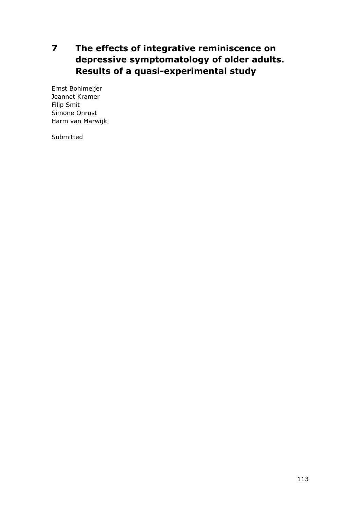# **7 The effects of integrative reminiscence on depressive symptomatology of older adults. Results of a quasi-experimental study**

Ernst Bohlmeijer Jeannet Kramer Filip Smit Simone Onrust Harm van Marwijk

Submitted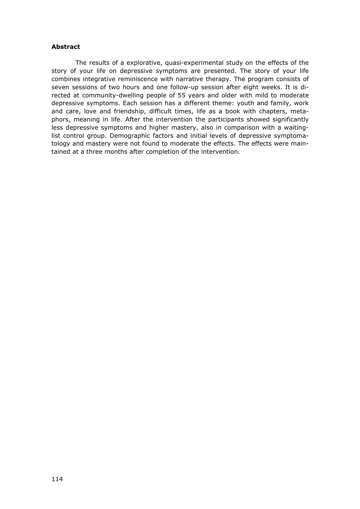#### **Abstract**

 The results of a explorative, quasi-experimental study on the effects of the story of your life on depressive symptoms are presented. The story of your life combines integrative reminiscence with narrative therapy. The program consists of seven sessions of two hours and one follow-up session after eight weeks. It is directed at community-dwelling people of 55 years and older with mild to moderate depressive symptoms. Each session has a different theme: youth and family, work and care, love and friendship, difficult times, life as a book with chapters, metaphors, meaning in life. After the intervention the participants showed significantly less depressive symptoms and higher mastery, also in comparison with a waitinglist control group. Demographic factors and initial levels of depressive symptomatology and mastery were not found to moderate the effects. The effects were maintained at a three months after completion of the intervention.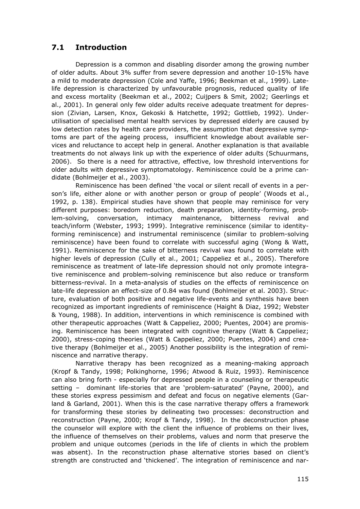# **7.1 Introduction**

 Depression is a common and disabling disorder among the growing number of older adults. About 3% suffer from severe depression and another 10-15% have a mild to moderate depression (Cole and Yaffe, 1996; Beekman et al., 1999). Latelife depression is characterized by unfavourable prognosis, reduced quality of life and excess mortality (Beekman et al., 2002; Cuijpers & Smit, 2002; Geerlings et al., 2001). In general only few older adults receive adequate treatment for depression (Zivian, Larsen, Knox, Gekoski & Hatchette, 1992; Gottlieb, 1992). Underutilisation of specialised mental health services by depressed elderly are caused by low detection rates by health care providers, the assumption that depressive symptoms are part of the ageing process, insufficient knowledge about available services and reluctance to accept help in general. Another explanation is that available treatments do not always link up with the experience of older adults (Schuurmans, 2006). So there is a need for attractive, effective, low threshold interventions for older adults with depressive symptomatology. Reminiscence could be a prime candidate (Bohlmeijer et al., 2003).

 Reminiscence has been defined 'the vocal or silent recall of events in a person's life, either alone or with another person or group of people' (Woods et al., 1992, p. 138). Empirical studies have shown that people may reminisce for very different purposes: boredom reduction, death preparation, identity-forming, problem-solving, conversation, intimacy maintenance, bitterness revival and teach/inform (Webster, 1993; 1999). Integrative reminiscence (similar to identityforming reminiscence) and instrumental reminiscence (similar to problem-solving reminiscence) have been found to correlate with successful aging (Wong & Watt, 1991). Reminiscence for the sake of bitterness revival was found to correlate with higher levels of depression (Cully et al., 2001; Cappeliez et al., 2005). Therefore reminiscence as treatment of late-life depression should not only promote integrative reminiscence and problem-solving reminiscence but also reduce or transform bitterness-revival. In a meta-analysis of studies on the effects of reminiscence on late-life depression an effect-size of 0.84 was found (Bohlmeijer et al. 2003). Structure, evaluation of both positive and negative life-events and synthesis have been recognized as important ingredients of reminiscence (Haight & Diaz, 1992; Webster & Young, 1988). In addition, interventions in which reminiscence is combined with other therapeutic approaches (Watt & Cappeliez, 2000; Puentes, 2004) are promising. Reminiscence has been integrated with cognitive therapy (Watt & Cappeliez; 2000), stress-coping theories (Watt & Cappeliez, 2000; Puentes, 2004) and creative therapy (Bohlmeijer et al., 2005) Another possibility is the integration of reminiscence and narrative therapy.

 Narrative therapy has been recognized as a meaning-making approach (Kropf & Tandy, 1998; Polkinghorne, 1996; Atwood & Ruiz, 1993). Reminiscence can also bring forth - especially for depressed people in a counseling or therapeutic setting – dominant life-stories that are 'problem-saturated' (Payne, 2000), and these stories express pessimism and defeat and focus on negative elements (Garland & Garland, 2001). When this is the case narrative therapy offers a framework for transforming these stories by delineating two processes: deconstruction and reconstruction (Payne, 2000; Kropf & Tandy, 1998). In the deconstruction phase the counselor will explore with the client the influence of problems on their lives, the influence of themselves on their problems, values and norm that preserve the problem and unique outcomes (periods in the life of clients in which the problem was absent). In the reconstruction phase alternative stories based on client's strength are constructed and 'thickened'. The integration of reminiscence and nar-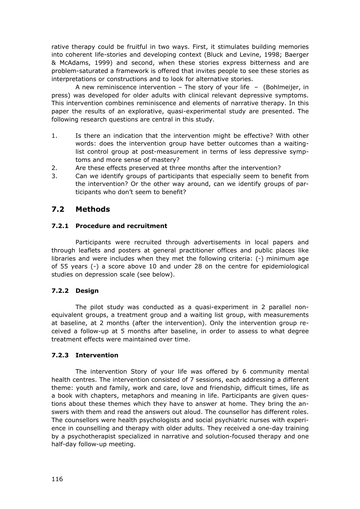rative therapy could be fruitful in two ways. First, it stimulates building memories into coherent life-stories and developing context (Bluck and Levine, 1998; Baerger & McAdams, 1999) and second, when these stories express bitterness and are problem-saturated a framework is offered that invites people to see these stories as interpretations or constructions and to look for alternative stories.

A new reminiscence intervention – The story of your life  $-$  (Bohlmeijer, in press) was developed for older adults with clinical relevant depressive symptoms. This intervention combines reminiscence and elements of narrative therapy. In this paper the results of an explorative, quasi-experimental study are presented. The following research questions are central in this study.

- 1. Is there an indication that the intervention might be effective? With other words: does the intervention group have better outcomes than a waitinglist control group at post-measurement in terms of less depressive symptoms and more sense of mastery?
- 2. Are these effects preserved at three months after the intervention?
- 3. Can we identify groups of participants that especially seem to benefit from the intervention? Or the other way around, can we identify groups of participants who don't seem to benefit?

# **7.2 Methods**

#### **7.2.1 Procedure and recruitment**

 Participants were recruited through advertisements in local papers and through leaflets and posters at general practitioner offices and public places like libraries and were includes when they met the following criteria: (-) minimum age of 55 years (-) a score above 10 and under 28 on the centre for epidemiological studies on depression scale (see below).

### **7.2.2 Design**

 The pilot study was conducted as a quasi-experiment in 2 parallel nonequivalent groups, a treatment group and a waiting list group, with measurements at baseline, at 2 months (after the intervention). Only the intervention group received a follow-up at 5 months after baseline, in order to assess to what degree treatment effects were maintained over time.

#### **7.2.3 Intervention**

 The intervention Story of your life was offered by 6 community mental health centres. The intervention consisted of 7 sessions, each addressing a different theme: youth and family, work and care, love and friendship, difficult times, life as a book with chapters, metaphors and meaning in life. Participants are given questions about these themes which they have to answer at home. They bring the answers with them and read the answers out aloud. The counsellor has different roles. The counsellors were health psychologists and social psychiatric nurses with experience in counselling and therapy with older adults. They received a one-day training by a psychotherapist specialized in narrative and solution-focused therapy and one half-day follow-up meeting.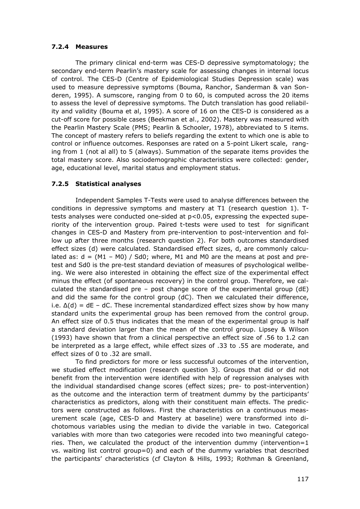#### **7.2.4 Measures**

 The primary clinical end-term was CES-D depressive symptomatology; the secondary end-term Pearlin's mastery scale for assessing changes in internal locus of control. The CES-D (Centre of Epidemiological Studies Depression scale) was used to measure depressive symptoms (Bouma, Ranchor, Sanderman & van Sonderen, 1995). A sumscore, ranging from 0 to 60, is computed across the 20 items to assess the level of depressive symptoms. The Dutch translation has good reliability and validity (Bouma et al, 1995). A score of 16 on the CES-D is considered as a cut-off score for possible cases (Beekman et al., 2002). Mastery was measured with the Pearlin Mastery Scale (PMS; Pearlin & Schooler, 1978), abbreviated to 5 items. The concept of mastery refers to beliefs regarding the extent to which one is able to control or influence outcomes. Responses are rated on a 5-point Likert scale, ranging from 1 (not al all) to 5 (always). Summation of the separate items provides the total mastery score. Also sociodemographic characteristics were collected: gender, age, educational level, marital status and employment status.

#### **7.2.5 Statistical analyses**

 Independent Samples T-Tests were used to analyse differences between the conditions in depressive symptoms and mastery at T1 (research question 1). Ttests analyses were conducted one-sided at p<0.05, expressing the expected superiority of the intervention group. Paired t-tests were used to test for significant changes in CES-D and Mastery from pre-intervention to post-intervention and follow up after three months (research question 2). For both outcomes standardised effect sizes (d) were calculated. Standardised effect sizes, d, are commonly calculated as:  $d = (M1 - M0) / Sd0$ ; where, M1 and M0 are the means at post and pretest and Sd0 is the pre-test standard deviation of measures of psychological wellbeing. We were also interested in obtaining the effect size of the experimental effect minus the effect (of spontaneous recovery) in the control group. Therefore, we calculated the standardised pre – post change score of the experimental group (dE) and did the same for the control group (dC). Then we calculated their difference, i.e.  $\Delta(d) = dE - dC$ . These incremental standardized effect sizes show by how many standard units the experimental group has been removed from the control group. An effect size of 0.5 thus indicates that the mean of the experimental group is half a standard deviation larger than the mean of the control group. Lipsey & Wilson (1993) have shown that from a clinical perspective an effect size of .56 to 1.2 can be interpreted as a large effect, while effect sizes of .33 to .55 are moderate, and effect sizes of 0 to .32 are small.

 To find predictors for more or less successful outcomes of the intervention, we studied effect modification (research question 3). Groups that did or did not benefit from the intervention were identified with help of regression analyses with the individual standardised change scores (effect sizes; pre- to post-intervention) as the outcome and the interaction term of treatment dummy by the participants' characteristics as predictors, along with their constituent main effects. The predictors were constructed as follows. First the characteristics on a continuous measurement scale (age, CES-D and Mastery at baseline) were transformed into dichotomous variables using the median to divide the variable in two. Categorical variables with more than two categories were recoded into two meaningful categories. Then, we calculated the product of the intervention dummy (intervention=1 vs. waiting list control group=0) and each of the dummy variables that described the participants' characteristics (cf Clayton & Hills, 1993; Rothman & Greenland,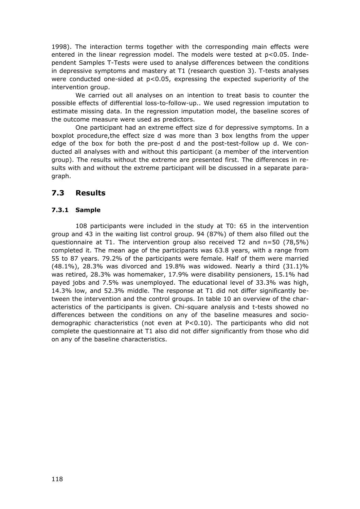1998). The interaction terms together with the corresponding main effects were entered in the linear regression model. The models were tested at  $p<0.05$ . Independent Samples T-Tests were used to analyse differences between the conditions in depressive symptoms and mastery at T1 (research question 3). T-tests analyses were conducted one-sided at  $p<0.05$ , expressing the expected superiority of the intervention group.

 We carried out all analyses on an intention to treat basis to counter the possible effects of differential loss-to-follow-up.. We used regression imputation to estimate missing data. In the regression imputation model, the baseline scores of the outcome measure were used as predictors.

 One participant had an extreme effect size d for depressive symptoms. In a boxplot procedure,the effect size d was more than 3 box lengths from the upper edge of the box for both the pre-post d and the post-test-follow up d. We conducted all analyses with and without this participant (a member of the intervention group). The results without the extreme are presented first. The differences in results with and without the extreme participant will be discussed in a separate paragraph.

# **7.3 Results**

### **7.3.1 Sample**

 108 participants were included in the study at T0: 65 in the intervention group and 43 in the waiting list control group. 94 (87%) of them also filled out the questionnaire at T1. The intervention group also received T2 and  $n=50$  (78.5%) completed it. The mean age of the participants was 63.8 years, with a range from 55 to 87 years. 79.2% of the participants were female. Half of them were married (48.1%), 28.3% was divorced and 19.8% was widowed. Nearly a third  $(31.1)$ % was retired, 28.3% was homemaker, 17.9% were disability pensioners, 15.1% had payed jobs and 7.5% was unemployed. The educational level of 33.3% was high, 14.3% low, and 52.3% middle. The response at T1 did not differ significantly between the intervention and the control groups. In table 10 an overview of the characteristics of the participants is given. Chi-square analysis and t-tests showed no differences between the conditions on any of the baseline measures and sociodemographic characteristics (not even at P<0.10). The participants who did not complete the questionnaire at T1 also did not differ significantly from those who did on any of the baseline characteristics.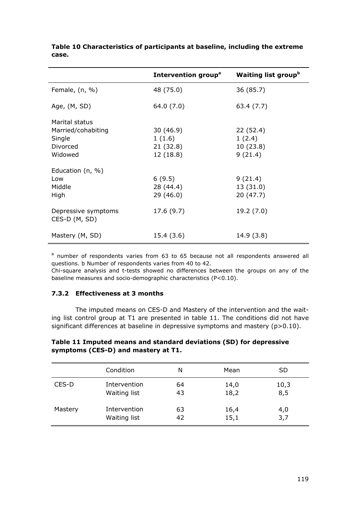|                                      | Intervention group <sup>a</sup> | <b>Waiting list group</b> <sup>b</sup> |
|--------------------------------------|---------------------------------|----------------------------------------|
| Female, $(n, %)$                     | 48 (75.0)                       | 36 (85.7)                              |
| Age, (M, SD)                         | 64.0 (7.0)                      | 63.4 (7.7)                             |
| Marital status                       |                                 |                                        |
| Married/cohabiting                   | 30 (46.9)                       | 22 (52.4)                              |
| Single                               | 1(1.6)                          | 1(2.4)                                 |
| Divorced                             | 21(32.8)                        | 10(23.8)                               |
| Widowed                              | 12 (18.8)                       | 9(21.4)                                |
| Education $(n, %)$                   |                                 |                                        |
| Low                                  | 6(9.5)                          | 9(21.4)                                |
| Middle                               | 28 (44.4)                       | 13(31.0)                               |
| High                                 | 29(46.0)                        | 20 (47.7)                              |
| Depressive symptoms<br>CES-D (M, SD) | 17.6 (9.7)                      | 19.2 (7.0)                             |
| Mastery (M, SD)                      | 15.4 (3.6)                      | 14.9 (3.8)                             |

#### **Table 10 Characteristics of participants at baseline, including the extreme case.**

<sup>a</sup> number of respondents varies from 63 to 65 because not all respondents answered all questions. b Number of respondents varies from 40 to 42.

Chi-square analysis and t-tests showed no differences between the groups on any of the baseline measures and socio-demographic characteristics (P<0.10).

#### **7.3.2 Effectiveness at 3 months**

 The imputed means on CES-D and Mastery of the intervention and the waiting list control group at T1 are presented in table 11. The conditions did not have significant differences at baseline in depressive symptoms and mastery (p>0.10).

#### **Table 11 Imputed means and standard deviations (SD) for depressive symptoms (CES-D) and mastery at T1.**

|         | Condition    | N  | Mean | <b>SD</b> |
|---------|--------------|----|------|-----------|
| CES-D   | Intervention | 64 | 14,0 | 10,3      |
|         | Waiting list | 43 | 18,2 | 8,5       |
| Mastery | Intervention | 63 | 16,4 | 4,0       |
|         | Waiting list | 42 | 15,1 | 3,7       |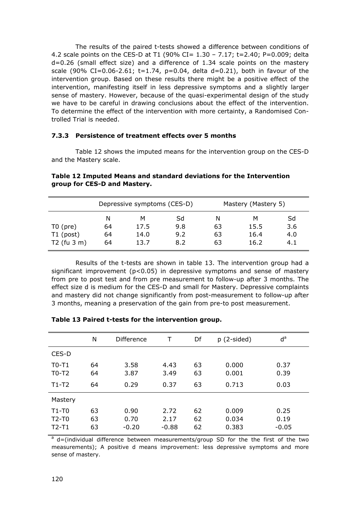The results of the paired t-tests showed a difference between conditions of 4.2 scale points on the CES-D at T1 (90% CI=  $1.30 - 7.17$ ; t=2.40; P=0.009; delta d=0.26 (small effect size) and a difference of 1.34 scale points on the mastery scale (90% CI=0.06-2.61; t=1.74, p=0.04, delta d=0.21), both in favour of the intervention group. Based on these results there might be a positive effect of the intervention, manifesting itself in less depressive symptoms and a slightly larger sense of mastery. However, because of the quasi-experimental design of the study we have to be careful in drawing conclusions about the effect of the intervention. To determine the effect of the intervention with more certainty, a Randomised Controlled Trial is needed.

#### **7.3.3 Persistence of treatment effects over 5 months**

 Table 12 shows the imputed means for the intervention group on the CES-D and the Mastery scale.

|                        | Depressive symptoms (CES-D)<br>Sd<br>м<br>N<br>9.8<br>64<br>17.5 |      |     | Mastery (Mastery 5) |      |     |  |
|------------------------|------------------------------------------------------------------|------|-----|---------------------|------|-----|--|
|                        |                                                                  |      |     | N                   | м    | Sd  |  |
| $T0$ (pre)             |                                                                  |      |     | 63                  | 15.5 | 3.6 |  |
| $T1$ (post)            | 64                                                               | 14.0 | 9.2 | 63                  | 16.4 | 4.0 |  |
| T2 (fu $3 \text{ m}$ ) | 64                                                               | 13.7 | 8.2 | 63                  | 16.2 | 4.1 |  |

**Table 12 Imputed Means and standard deviations for the Intervention group for CES-D and Mastery.** 

 Results of the t-tests are shown in table 13. The intervention group had a significant improvement ( $p<0.05$ ) in depressive symptoms and sense of mastery from pre to post test and from pre measurement to follow-up after 3 months. The effect size d is medium for the CES-D and small for Mastery. Depressive complaints and mastery did not change significantly from post-measurement to follow-up after 3 months, meaning a preservation of the gain from pre-to post measurement.

|                               | N              | <b>Difference</b>       | т                       | Df             | $p(2-sided)$            | $d^a$                   |
|-------------------------------|----------------|-------------------------|-------------------------|----------------|-------------------------|-------------------------|
| CES-D                         |                |                         |                         |                |                         |                         |
| $T0-T1$<br>$T0-T2$<br>$T1-T2$ | 64<br>64<br>64 | 3.58<br>3.87<br>0.29    | 4.43<br>3.49<br>0.37    | 63<br>63<br>63 | 0.000<br>0.001<br>0.713 | 0.37<br>0.39<br>0.03    |
| Mastery                       |                |                         |                         |                |                         |                         |
| $T1-T0$<br>$T2-T0$<br>$T2-T1$ | 63<br>63<br>63 | 0.90<br>0.70<br>$-0.20$ | 2.72<br>2.17<br>$-0.88$ | 62<br>62<br>62 | 0.009<br>0.034<br>0.383 | 0.25<br>0.19<br>$-0.05$ |

#### **Table 13 Paired t-tests for the intervention group.**

 $a$  d=(individual difference between measurements/group SD for the the first of the two measurements); A positive d means improvement: less depressive symptoms and more sense of mastery.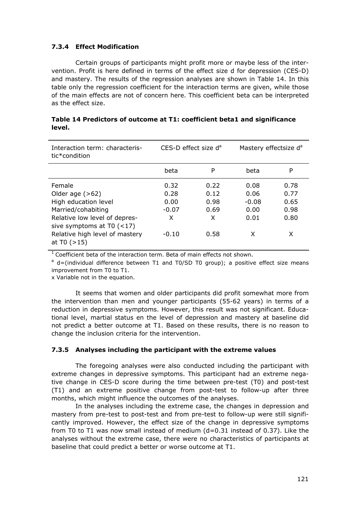#### **7.3.4 Effect Modification**

 Certain groups of participants might profit more or maybe less of the intervention. Profit is here defined in terms of the effect size d for depression (CES-D) and mastery. The results of the regression analyses are shown in Table 14. In this table only the regression coefficient for the interaction terms are given, while those of the main effects are not of concern here. This coefficient beta can be interpreted as the effect size.

| Interaction term: characteris-<br>tic*condition                                                                                           | CES-D effect size d <sup>a</sup>     |                                   | Mastery effectsize d <sup>a</sup>       |                                      |  |
|-------------------------------------------------------------------------------------------------------------------------------------------|--------------------------------------|-----------------------------------|-----------------------------------------|--------------------------------------|--|
|                                                                                                                                           | beta                                 | P                                 | beta                                    | P                                    |  |
| Female<br>Older age $(>62)$<br>High education level<br>Married/cohabiting<br>Relative low level of depres-<br>sive symptoms at $T0$ (<17) | 0.32<br>0.28<br>0.00<br>$-0.07$<br>X | 0.22<br>0.12<br>0.98<br>0.69<br>X | 0.08<br>0.06<br>$-0.08$<br>0.00<br>0.01 | 0.78<br>0.77<br>0.65<br>0.98<br>0.80 |  |
| Relative high level of mastery<br>at $T0$ ( $>15$ )                                                                                       | $-0.10$                              | 0.58                              | x                                       | X                                    |  |

|        | Table 14 Predictors of outcome at T1: coefficient beta1 and significance |  |  |  |
|--------|--------------------------------------------------------------------------|--|--|--|
| level. |                                                                          |  |  |  |

<sup>1</sup> Coefficient beta of the interaction term. Beta of main effects not shown.<br><sup>a</sup> d=(individual difference between T1 and T0/SD T0 group); a positive effect size means improvement from T0 to T1.

x Variable not in the equation.

 It seems that women and older participants did profit somewhat more from the intervention than men and younger participants (55-62 years) in terms of a reduction in depressive symptoms. However, this result was not significant. Educational level, martial status en the level of depression and mastery at baseline did not predict a better outcome at T1. Based on these results, there is no reason to change the inclusion criteria for the intervention.

#### **7.3.5 Analyses including the participant with the extreme values**

 The foregoing analyses were also conducted including the participant with extreme changes in depressive symptoms. This participant had an extreme negative change in CES-D score during the time between pre-test (T0) and post-test (T1) and an extreme positive change from post-test to follow-up after three months, which might influence the outcomes of the analyses.

 In the analyses including the extreme case, the changes in depression and mastery from pre-test to post-test and from pre-test to follow-up were still significantly improved. However, the effect size of the change in depressive symptoms from T0 to T1 was now small instead of medium (d=0.31 instead of 0.37). Like the analyses without the extreme case, there were no characteristics of participants at baseline that could predict a better or worse outcome at T1.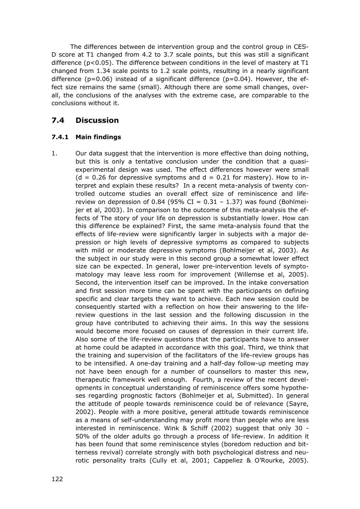The differences between de intervention group and the control group in CES-D score at T1 changed from 4.2 to 3.7 scale points, but this was still a significant difference ( $p<0.05$ ). The difference between conditions in the level of mastery at T1 changed from 1.34 scale points to 1.2 scale points, resulting in a nearly significant difference ( $p=0.06$ ) instead of a significant difference ( $p=0.04$ ). However, the effect size remains the same (small). Although there are some small changes, overall, the conclusions of the analyses with the extreme case, are comparable to the conclusions without it.

# **7.4 Discussion**

#### **7.4.1 Main findings**

1. Our data suggest that the intervention is more effective than doing nothing, but this is only a tentative conclusion under the condition that a quasiexperimental design was used. The effect differences however were small  $(d = 0.26$  for depressive symptoms and  $d = 0.21$  for mastery). How to interpret and explain these results? In a recent meta-analysis of twenty controlled outcome studies an overall effect size of reminiscence and lifereview on depression of 0.84 (95% CI =  $0.31 - 1.37$ ) was found (Bohlmeijer et al, 2003). In comparison to the outcome of this meta-analysis the effects of The story of your life on depression is substantially lower. How can this difference be explained? First, the same meta-analysis found that the effects of life-review were significantly larger in subjects with a major depression or high levels of depressive symptoms as compared to subjects with mild or moderate depressive symptoms (Bohlmeijer et al, 2003). As the subject in our study were in this second group a somewhat lower effect size can be expected. In general, lower pre-intervention levels of symptomatology may leave less room for improvement (Willemse et al, 2005). Second, the intervention itself can be improved. In the intake conversation and first session more time can be spent with the participants on defining specific and clear targets they want to achieve. Each new session could be consequently started with a reflection on how their answering to the lifereview questions in the last session and the following discussion in the group have contributed to achieving their aims. In this way the sessions would become more focused on causes of depression in their current life. Also some of the life-review questions that the participants have to answer at home could be adapted in accordance with this goal. Third, we think that the training and supervision of the facilitators of the life-review groups has to be intensified. A one-day training and a half-day follow-up meeting may not have been enough for a number of counsellors to master this new, therapeutic framework well enough. Fourth, a review of the recent developments in conceptual understanding of reminiscence offers some hypotheses regarding prognostic factors (Bohlmeijer et al, Submitted). In general the attitude of people towards reminiscence could be of relevance (Sayre, 2002). People with a more positive, general attitude towards reminiscence as a means of self-understanding may profit more than people who are less interested in reminiscence. Wink & Schiff (2002) suggest that only 30 - 50% of the older adults go through a process of life-review. In addition it has been found that some reminiscence styles (boredom reduction and bitterness revival) correlate strongly with both psychological distress and neurotic personality traits (Cully et al, 2001; Cappeliez & O'Rourke, 2005).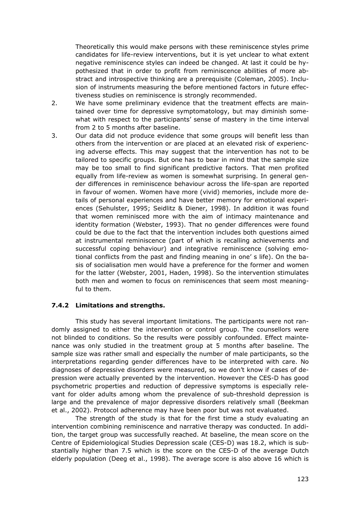Theoretically this would make persons with these reminiscence styles prime candidates for life-review interventions, but it is yet unclear to what extent negative reminiscence styles can indeed be changed. At last it could be hypothesized that in order to profit from reminiscence abilities of more abstract and introspective thinking are a prerequisite (Coleman, 2005). Inclusion of instruments measuring the before mentioned factors in future effectiveness studies on reminiscence is strongly recommended.

- 2. We have some preliminary evidence that the treatment effects are maintained over time for depressive symptomatology, but may diminish somewhat with respect to the participants' sense of mastery in the time interval from 2 to 5 months after baseline.
- 3. Our data did not produce evidence that some groups will benefit less than others from the intervention or are placed at an elevated risk of experiencing adverse effects. This may suggest that the intervention has not to be tailored to specific groups. But one has to bear in mind that the sample size may be too small to find significant predictive factors. That men profited equally from life-review as women is somewhat surprising. In general gender differences in reminiscence behaviour across the life-span are reported in favour of women. Women have more (vivid) memories, include more details of personal experiences and have better memory for emotional experiences (Sehulster, 1995; Seidlitz & Diener, 1998). In addition it was found that women reminisced more with the aim of intimacy maintenance and identity formation (Webster, 1993). That no gender differences were found could be due to the fact that the intervention includes both questions aimed at instrumental reminiscence (part of which is recalling achievements and successful coping behaviour) and integrative reminiscence (solving emotional conflicts from the past and finding meaning in one' s life). On the basis of socialisation men would have a preference for the former and women for the latter (Webster, 2001, Haden, 1998). So the intervention stimulates both men and women to focus on reminiscences that seem most meaningful to them.

#### **7.4.2 Limitations and strengths.**

 This study has several important limitations. The participants were not randomly assigned to either the intervention or control group. The counsellors were not blinded to conditions. So the results were possibly confounded. Effect maintenance was only studied in the treatment group at 5 months after baseline. The sample size was rather small and especially the number of male participants, so the interpretations regarding gender differences have to be interpreted with care. No diagnoses of depressive disorders were measured, so we don't know if cases of depression were actually prevented by the intervention. However the CES-D has good psychometric properties and reduction of depressive symptoms is especially relevant for older adults among whom the prevalence of sub-threshold depression is large and the prevalence of major depressive disorders relatively small (Beekman et al., 2002). Protocol adherence may have been poor but was not evaluated.

 The strength of the study is that for the first time a study evaluating an intervention combining reminiscence and narrative therapy was conducted. In addition, the target group was successfully reached. At baseline, the mean score on the Centre of Epidemiological Studies Depression scale (CES-D) was 18.2, which is substantially higher than 7.5 which is the score on the CES-D of the average Dutch elderly population (Deeg et al., 1998). The average score is also above 16 which is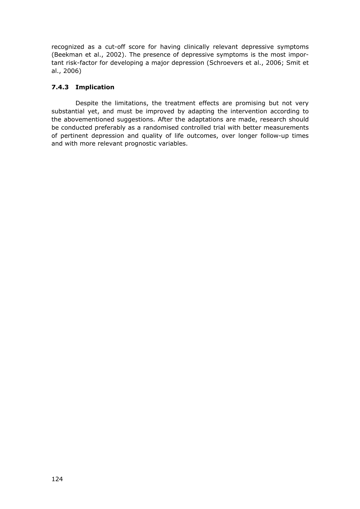recognized as a cut-off score for having clinically relevant depressive symptoms (Beekman et al., 2002). The presence of depressive symptoms is the most important risk-factor for developing a major depression (Schroevers et al., 2006; Smit et al., 2006)

### **7.4.3 Implication**

 Despite the limitations, the treatment effects are promising but not very substantial yet, and must be improved by adapting the intervention according to the abovementioned suggestions. After the adaptations are made, research should be conducted preferably as a randomised controlled trial with better measurements of pertinent depression and quality of life outcomes, over longer follow-up times and with more relevant prognostic variables.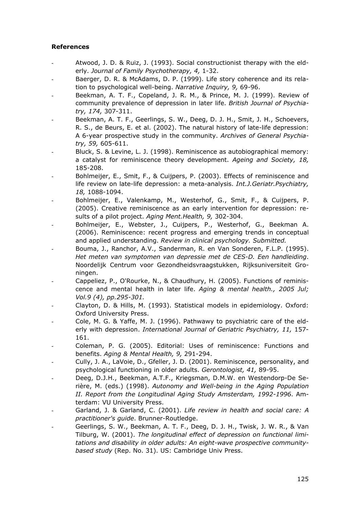#### **References**

- Atwood, J. D. & Ruiz, J. (1993). Social constructionist therapy with the elderly. *Journal of Family Psychotherapy, 4,* 1-32.
- Baerger, D. R. & McAdams, D. P. (1999). Life story coherence and its relation to psychological well-being. *Narrative Inquiry, 9,* 69-96.
- Beekman, A. T. F., Copeland, J. R. M., & Prince, M. J. (1999). Review of community prevalence of depression in later life. *British Journal of Psychiatry, 174,* 307-311.
- Beekman, A. T. F., Geerlings, S. W., Deeg, D. J. H., Smit, J. H., Schoevers, R. S., de Beurs, E. et al. (2002). The natural history of late-life depression: A 6-year prospective study in the community. *Archives of General Psychiatry, 59,* 605-611.
- Bluck, S. & Levine, L. J. (1998). Reminiscence as autobiographical memory: a catalyst for reminiscence theory development. *Ageing and Society, 18,* 185-208.
- Bohlmeijer, E., Smit, F., & Cuijpers, P. (2003). Effects of reminiscence and life review on late-life depression: a meta-analysis. *Int.J.Geriatr.Psychiatry, 18,* 1088-1094.
- Bohlmeijer, E., Valenkamp, M., Westerhof, G., Smit, F., & Cuijpers, P. (2005). Creative reminiscence as an early intervention for depression: results of a pilot project. *Aging Ment.Health, 9,* 302-304.
- Bohlmeijer, E., Webster, J., Cuijpers, P., Westerhof, G., Beekman A. (2006). Reminiscence: recent progress and emerging trends in conceptual and applied understanding. *Review in clinical psychology. Submitted.*
- Bouma, J., Ranchor, A.V., Sanderman, R. en Van Sonderen, F.L.P. (1995). *Het meten van symptomen van depressie met de CES-D. Een handleiding*. Noordelijk Centrum voor Gezondheidsvraagstukken, Rijksuniversiteit Groningen.
- Cappeliez, P., O'Rourke, N., & Chaudhury, H. (2005). Functions of reminiscence and mental health in later life. *Aging & mental health., 2005 Jul; Vol.9 (4), pp.295-301.*
- Clayton, D. & Hills, M. (1993). Statistical models in epidemiology. Oxford: Oxford University Press.
- Cole, M. G. & Yaffe, M. J. (1996). Pathwawy to psychiatric care of the elderly with depression. *International Journal of Geriatric Psychiatry, 11,* 157- 161.
- Coleman, P. G. (2005). Editorial: Uses of reminiscence: Functions and benefits. *Aging & Mental Health, 9,* 291-294.
- Cully, J. A., LaVoie, D., Gfeller, J. D. (2001). Reminiscence, personality, and psychological functioning in older adults. *Gerontologist, 41,* 89-95.
- Deeg, D.J.H., Beekman, A.T.F., Kriegsman, D.M.W. en Westendorp-De Serière, M. (eds.) (1998). *Autonomy and Well-being in the Aging Population II. Report from the Longitudinal Aging Study Amsterdam, 1992-1996*. Amterdam: VU University Press.
- Garland, J. & Garland, C. (2001). *Life review in health and social care: A practitioner's guide*. Brunner-Routledge.
- Geerlings, S. W., Beekman, A. T. F., Deeg, D. J. H., Twisk, J. W. R., & Van Tilburg, W. (2001). *The longitudinal effect of depression on functional limitations and disability in older adults: An eight-wave prospective communitybased study* (Rep. No. 31). US: Cambridge Univ Press.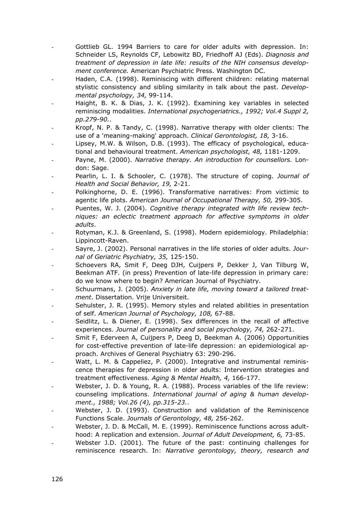- Gottlieb GL. 1994 Barriers to care for older adults with depression. In: Schneider LS, Reynolds CF, Lebowitz BD, Friedhoff AJ (Eds). *Diagnosis and treatment of depression in late life: results of the NIH consensus development conference.* American Psychiatric Press. Washington DC.
- Haden, C.A. (1998). Reminiscing with different children: relating maternal stylistic consistency and sibling similarity in talk about the past. *Developmental psychology, 34,* 99-114.
- Haight, B. K. & Dias, J. K. (1992). Examining key variables in selected reminiscing modalities. *International psychogeriatrics., 1992; Vol.4 Suppl 2, pp.279-90.*.
- Kropf, N. P. & Tandy, C. (1998). Narrative therapy with older clients: The use of a 'meaning-making' approach. *Clinical Gerontologist, 18,* 3-16.
- Lipsey, M.W. & Wilson, D.B. (1993). The efficacy of psychological, educational and behavioural treatment. *American psychologist, 48,* 1181-1209.
- Payne, M. (2000). *Narrative therapy. An introduction for counsellors.* London: Sage.
- Pearlin, L. I. & Schooler, C. (1978). The structure of coping. *Journal of Health and Social Behavior, 19,* 2-21.
- Polkinghorne, D. E. (1996). Transformative narratives: From victimic to agentic life plots. *American Journal of Occupational Therapy, 50,* 299-305.
- Puentes, W. J. (2004). *Cognitive therapy integrated with life review techniques: an eclectic treatment approach for affective symptoms in older adults*.
- Rotyman, K.J. & Greenland, S. (1998). Modern epidemiology. Philadelphia: Lippincott-Raven.
- Sayre, J. (2002). Personal narratives in the life stories of older adults. *Journal of Geriatric Psychiatry, 35,* 125-150.
- Schoevers RA, Smit F, Deeg DJH, Cuijpers P, Dekker J, Van Tilburg W, Beekman ATF. (in press) Prevention of late-life depression in primary care: do we know where to begin? American Journal of Psychiatry.
- Schuurmans, J. (2005). *Anxiety in late life, moving toward a tailored treatment*. Dissertation. Vrije Universiteit.
- Sehulster, J. R. (1995). Memory styles and related abilities in presentation of self. *American Journal of Psychology, 108,* 67-88.
- Seidlitz, L. & Diener, E. (1998). Sex differences in the recall of affective experiences. *Journal of personality and social psychology, 74,* 262-271.
- Smit F, Ederveen A, Cuijpers P, Deeg D, Beekman A. (2006) Opportunities for cost-effective prevention of late-life depression: an epidemiological approach. Archives of General Psychiatry 63: 290-296.
- Watt, L. M. & Cappeliez, P. (2000). Integrative and instrumental reminiscence therapies for depression in older adults: Intervention strategies and treatment effectiveness. *Aging & Mental Health, 4,* 166-177.
- Webster, J. D. & Young, R. A. (1988). Process variables of the life review: counseling implications. *International journal of aging & human development., 1988; Vol.26 (4), pp.315-23.*.
- Webster, J. D. (1993). Construction and validation of the Reminiscence Functions Scale. *Journals of Gerontology, 48,* 256-262.
- Webster, J. D. & McCall, M. E. (1999). Reminiscence functions across adulthood: A replication and extension. *Journal of Adult Development, 6,* 73-85.
- Webster J.D. (2001). The future of the past: continuing challenges for reminiscence research. In: *Narrative gerontology, theory, research and*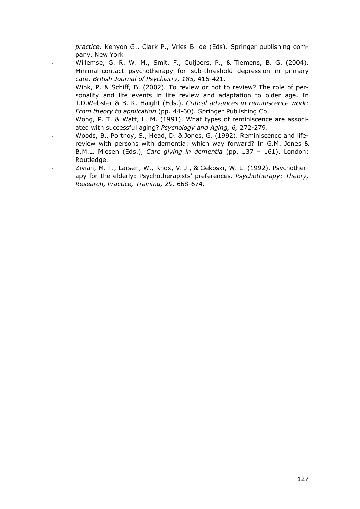*practice*. Kenyon G., Clark P., Vries B. de (Eds). Springer publishing company. New York

- Willemse, G. R. W. M., Smit, F., Cuijpers, P., & Tiemens, B. G. (2004). Minimal-contact psychotherapy for sub-threshold depression in primary care. *British Journal of Psychiatry, 185,* 416-421.
- Wink, P. & Schiff, B. (2002). To review or not to review? The role of personality and life events in life review and adaptation to older age. In J.D.Webster & B. K. Haight (Eds.), *Critical advances in reminiscence work: From theory to application* (pp. 44-60). Springer Publishing Co.
- Wong, P. T. & Watt, L. M. (1991). What types of reminiscence are associated with successful aging? *Psychology and Aging, 6,* 272-279.
- Woods, B., Portnoy, S., Head, D. & Jones, G. (1992). Reminiscence and lifereview with persons with dementia: which way forward? In G.M. Jones & B.M.L. Miesen (Eds.), *Care giving in dementia* (pp. 137 – 161). London: Routledge.
- Zivian, M. T., Larsen, W., Knox, V. J., & Gekoski, W. L. (1992). Psychotherapy for the elderly: Psychotherapists' preferences. *Psychotherapy: Theory, Research, Practice, Training, 29,* 668-674.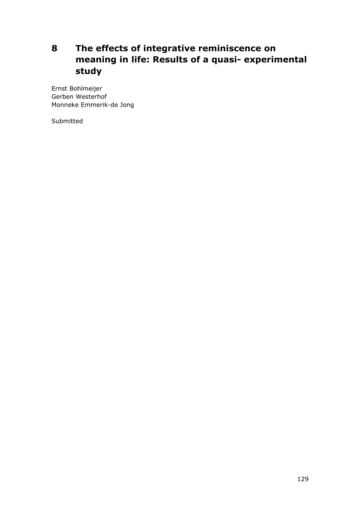# **8 The effects of integrative reminiscence on meaning in life: Results of a quasi- experimental study**

Ernst Bohlmeijer Gerben Westerhof Monneke Emmerik-de Jong

Submitted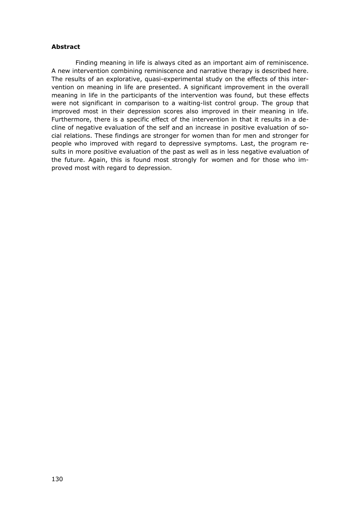#### **Abstract**

 Finding meaning in life is always cited as an important aim of reminiscence. A new intervention combining reminiscence and narrative therapy is described here. The results of an explorative, quasi-experimental study on the effects of this intervention on meaning in life are presented. A significant improvement in the overall meaning in life in the participants of the intervention was found, but these effects were not significant in comparison to a waiting-list control group. The group that improved most in their depression scores also improved in their meaning in life. Furthermore, there is a specific effect of the intervention in that it results in a decline of negative evaluation of the self and an increase in positive evaluation of social relations. These findings are stronger for women than for men and stronger for people who improved with regard to depressive symptoms. Last, the program results in more positive evaluation of the past as well as in less negative evaluation of the future. Again, this is found most strongly for women and for those who improved most with regard to depression.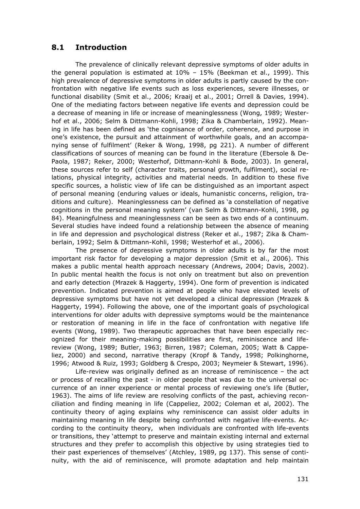## **8.1 Introduction**

 The prevalence of clinically relevant depressive symptoms of older adults in the general population is estimated at 10% – 15% (Beekman et al., 1999). This high prevalence of depressive symptoms in older adults is partly caused by the confrontation with negative life events such as loss experiences, severe illnesses, or functional disability (Smit et al., 2006; Kraaij et al., 2001; Orrell & Davies, 1994). One of the mediating factors between negative life events and depression could be a decrease of meaning in life or increase of meaninglessness (Wong, 1989; Westerhof et al., 2006; Selm & Dittmann-Kohli, 1998; Zika & Chamberlain, 1992). Meaning in life has been defined as 'the cognisance of order, coherence, and purpose in one's existence, the pursuit and attainment of worthwhile goals, and an accompanying sense of fulfilment' (Reker & Wong, 1998, pg 221). A number of different classifications of sources of meaning can be found in the literature (Ebersole & De-Paola, 1987; Reker, 2000; Westerhof, Dittmann-Kohli & Bode, 2003). In general, these sources refer to self (character traits, personal growth, fulfilment), social relations, physical integrity, activities and material needs. In addition to these five specific sources, a holistic view of life can be distinguished as an important aspect of personal meaning (enduring values or ideals, humanistic concerns, religion, traditions and culture). Meaninglessness can be defined as 'a constellation of negative cognitions in the personal meaning system' (van Selm & Dittmann-Kohli, 1998, pg 84). Meaningfulness and meaninglessness can be seen as two ends of a continuum. Several studies have indeed found a relationship between the absence of meaning in life and depression and psychological distress (Reker et al., 1987; Zika & Chamberlain, 1992; Selm & Dittmann-Kohli, 1998; Westerhof et al., 2006).

 The presence of depressive symptoms in older adults is by far the most important risk factor for developing a major depression (Smit et al., 2006). This makes a public mental health approach necessary (Andrews, 2004; Davis, 2002). In public mental health the focus is not only on treatment but also on prevention and early detection (Mrazek & Haggerty, 1994). One form of prevention is indicated prevention. Indicated prevention is aimed at people who have elevated levels of depressive symptoms but have not yet developed a clinical depression (Mrazek & Haggerty, 1994). Following the above, one of the important goals of psychological interventions for older adults with depressive symptoms would be the maintenance or restoration of meaning in life in the face of confrontation with negative life events (Wong, 1989). Two therapeutic approaches that have been especially recognized for their meaning-making possibilities are first, reminiscence and lifereview (Wong, 1989; Butler, 1963; Birren, 1987; Coleman, 2005; Watt & Cappeliez, 2000) and second, narrative therapy (Kropf & Tandy, 1998; Polkinghorne, 1996; Atwood & Ruiz, 1993; Goldberg & Crespo, 2003; Neymeier & Stewart, 1996).

 Life-review was originally defined as an increase of reminiscence – the act or process of recalling the past - in older people that was due to the universal occurrence of an inner experience or mental process of reviewing one's life (Butler, 1963). The aims of life review are resolving conflicts of the past, achieving reconciliation and finding meaning in life (Cappeliez, 2002; Coleman et al, 2002). The continuity theory of aging explains why reminiscence can assist older adults in maintaining meaning in life despite being confronted with negative life-events. According to the continuity theory, when individuals are confronted with life-events or transitions, they 'attempt to preserve and maintain existing internal and external structures and they prefer to accomplish this objective by using strategies tied to their past experiences of themselves' (Atchley, 1989, pg 137). This sense of continuity, with the aid of reminiscence, will promote adaptation and help maintain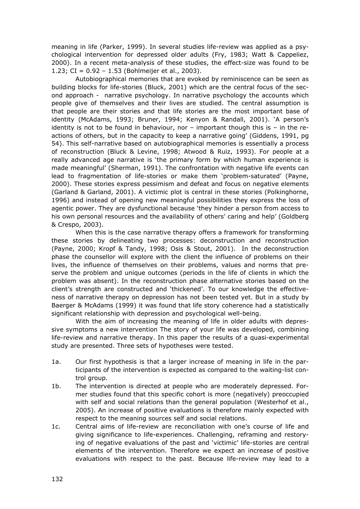meaning in life (Parker, 1999). In several studies life-review was applied as a psychological intervention for depressed older adults (Fry, 1983; Watt & Cappeliez, 2000). In a recent meta-analysis of these studies, the effect-size was found to be 1.23; CI =  $0.92 - 1.53$  (Bohlmeijer et al., 2003).

 Autobiographical memories that are evoked by reminiscence can be seen as building blocks for life-stories (Bluck, 2001) which are the central focus of the second approach - narrative psychology. In narrative psychology the accounts which people give of themselves and their lives are studied. The central assumption is that people are their stories and that life stories are the most important base of identity (McAdams, 1993; Bruner, 1994; Kenyon & Randall, 2001). 'A person's identity is not to be found in behaviour, nor – important though this is – in the reactions of others, but in the capacity to keep a narrative going' (Giddens, 1991, pg 54). This self-narrative based on autobiographical memories is essentially a process of reconstruction (Bluck & Levine, 1998; Atwood & Ruiz, 1993). For people at a really advanced age narrative is 'the primary form by which human experience is made meaningful' (Sherman, 1991). The confrontation with negative life events can lead to fragmentation of life-stories or make them 'problem-saturated' (Payne, 2000). These stories express pessimism and defeat and focus on negative elements (Garland & Garland, 2001). A victimic plot is central in these stories (Polkinghorne, 1996) and instead of opening new meaningful possibilities they express the loss of agentic power. They are dysfunctional because 'they hinder a person from access to his own personal resources and the availability of others' caring and help' (Goldberg & Crespo, 2003).

 When this is the case narrative therapy offers a framework for transforming these stories by delineating two processes: deconstruction and reconstruction (Payne, 2000; Kropf & Tandy, 1998; Osis & Stout, 2001). In the deconstruction phase the counsellor will explore with the client the influence of problems on their lives, the influence of themselves on their problems, values and norms that preserve the problem and unique outcomes (periods in the life of clients in which the problem was absent). In the reconstruction phase alternative stories based on the client's strength are constructed and 'thickened'. To our knowledge the effectiveness of narrative therapy on depression has not been tested yet. But in a study by Baerger & McAdams (1999) it was found that life story coherence had a statistically significant relationship with depression and psychological well-being.

 With the aim of increasing the meaning of life in older adults with depressive symptoms a new intervention The story of your life was developed, combining life-review and narrative therapy. In this paper the results of a quasi-experimental study are presented. Three sets of hypotheses were tested.

- 1a. Our first hypothesis is that a larger increase of meaning in life in the participants of the intervention is expected as compared to the waiting-list control group.
- 1b. The intervention is directed at people who are moderately depressed. Former studies found that this specific cohort is more (negatively) preoccupied with self and social relations than the general population (Westerhof et al., 2005). An increase of positive evaluations is therefore mainly expected with respect to the meaning sources self and social relations.
- 1c. Central aims of life-review are reconciliation with one's course of life and giving significance to life-experiences. Challenging, reframing and restorying of negative evaluations of the past and 'victimic' life-stories are central elements of the intervention. Therefore we expect an increase of positive evaluations with respect to the past. Because life-review may lead to a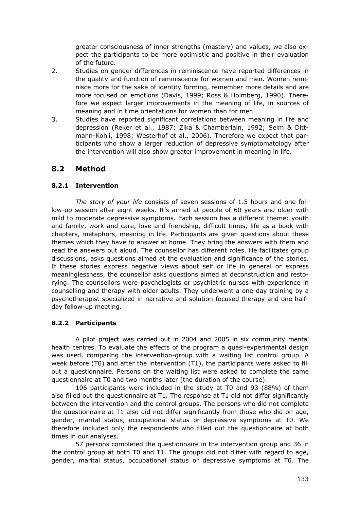greater consciousness of inner strengths (mastery) and values, we also expect the participants to be more optimistic and positive in their evaluation of the future.

- 2. Studies on gender differences in reminiscence have reported differences in the quality and function of reminiscence for women and men. Women reminisce more for the sake of identity forming, remember more details and are more focused on emotions (Davis, 1999; Ross & Holmberg, 1990). Therefore we expect larger improvements in the meaning of life, in sources of meaning and in time orientations for women than for men.
- 3. Studies have reported significant correlations between meaning in life and depression (Reker et al., 1987; Zika & Chamberlain, 1992; Selm & Dittmann-Kohli, 1998; Westerhof et al., 2006). Therefore we expect that participants who show a larger reduction of depressive symptomatology after the intervention will also show greater improvement in meaning in life.

# **8.2 Method**

### **8.2.1 Intervention**

 *The story of your life* consists of seven sessions of 1.5 hours and one follow-up session after eight weeks. It's aimed at people of 60 years and older with mild to moderate depressive symptoms. Each session has a different theme: youth and family, work and care, love and friendship, difficult times, life as a book with chapters, metaphors, meaning in life. Participants are given questions about these themes which they have to answer at home. They bring the answers with them and read the answers out aloud. The counsellor has different roles. He facilitates group discussions, asks questions aimed at the evaluation and significance of the stories. If these stories express negative views about self or life in general or express meaninglessness, the counsellor asks questions aimed at deconstruction and restorying. The counsellors were psychologists or psychiatric nurses with experience in counselling and therapy with older adults. They underwent a one-day training by a psychotherapist specialized in narrative and solution-focused therapy and one halfday follow-up meeting.

### **8.2.2 Participants**

 A pilot project was carried out in 2004 and 2005 in six community mental health centres. To evaluate the effects of the program a quasi-experimental design was used, comparing the intervention-group with a waiting list control group. A week before (T0) and after the intervention (T1), the participants were asked to fill out a questionnaire. Persons on the waiting list were asked to complete the same questionnaire at T0 and two months later (the duration of the course).

 106 participants were included in the study at T0 and 93 (88%) of them also filled out the questionnaire at T1. The response at T1 did not differ significantly between the intervention and the control groups. The persons who did not complete the questionnaire at T1 also did not differ significantly from those who did on age, gender, marital status, occupational status or depressive symptoms at T0. We therefore included only the respondents who filled out the questionnaire at both times in our analyses.

 57 persons completed the questionnaire in the intervention group and 36 in the control group at both T0 and T1. The groups did not differ with regard to age, gender, marital status, occupational status or depressive symptoms at T0. The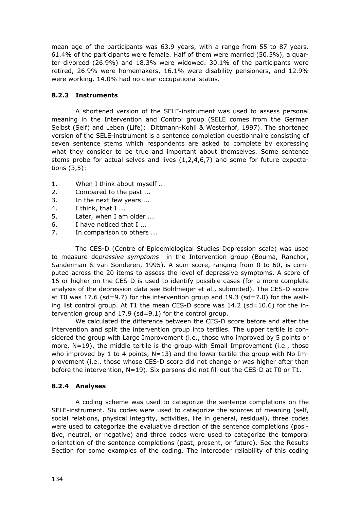mean age of the participants was 63.9 years, with a range from 55 to 87 years. 61.4% of the participants were female. Half of them were married (50.5%), a quarter divorced (26.9%) and 18.3% were widowed. 30.1% of the participants were retired, 26.9% were homemakers, 16.1% were disability pensioners, and 12.9% were working. 14.0% had no clear occupational status.

### **8.2.3 Instruments**

 A shortened version of the SELE-instrument was used to assess personal meaning in the Intervention and Control group (SELE comes from the German Selbst (Self) and Leben (Life); Dittmann-Kohli & Westerhof, 1997). The shortened version of the SELE-instrument is a sentence completion questionnaire consisting of seven sentence stems which respondents are asked to complete by expressing what they consider to be true and important about themselves. Some sentence stems probe for actual selves and lives (1,2,4,6,7) and some for future expectations (3,5):

- 1. When I think about myself ...
- 2. Compared to the past ...
- 3. In the next few years ...
- 4. I think, that I ...
- 5. Later, when I am older ...
- 6. I have noticed that I ...
- 7. In comparison to others ...

 The CES-D (Centre of Epidemiological Studies Depression scale) was used to measure de*pressive symptoms* in the Intervention group (Bouma, Ranchor, Sanderman & van Sonderen, 1995). A sum score, ranging from 0 to 60, is computed across the 20 items to assess the level of depressive symptoms. A score of 16 or higher on the CES-D is used to identify possible cases (for a more complete analysis of the depression data see Bohlmeijer et al., submitted). The CES-D score at T0 was 17.6 (sd=9.7) for the intervention group and 19.3 (sd=7.0) for the waiting list control group. At T1 the mean CES-D score was  $14.2$  (sd=10.6) for the intervention group and 17.9 (sd=9.1) for the control group.

 We calculated the difference between the CES-D score before and after the intervention and split the intervention group into tertiles. The upper tertile is considered the group with Large Improvement (i.e., those who improved by 5 points or more, N=19), the middle tertile is the group with Small Improvement (i.e., those who improved by 1 to 4 points,  $N=13$ ) and the lower tertile the group with No Improvement (i.e., those whose CES-D score did not change or was higher after than before the intervention, N=19). Six persons did not fill out the CES-D at T0 or T1.

### **8.2.4 Analyses**

 A coding scheme was used to categorize the sentence completions on the SELE-instrument. Six codes were used to categorize the sources of meaning (self, social relations, physical integrity, activities, life in general, residual), three codes were used to categorize the evaluative direction of the sentence completions (positive, neutral, or negative) and three codes were used to categorize the temporal orientation of the sentence completions (past, present, or future). See the Results Section for some examples of the coding. The intercoder reliability of this coding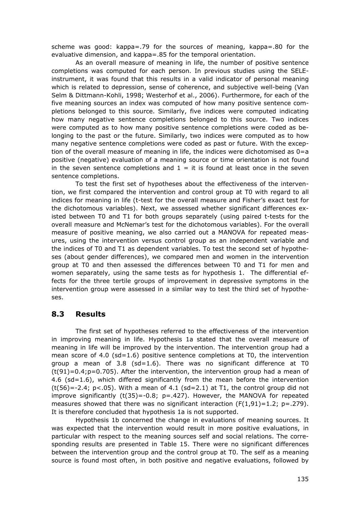scheme was good: kappa=.79 for the sources of meaning, kappa=.80 for the evaluative dimension, and kappa=.85 for the temporal orientation.

 As an overall measure of meaning in life, the number of positive sentence completions was computed for each person. In previous studies using the SELEinstrument, it was found that this results in a valid indicator of personal meaning which is related to depression, sense of coherence, and subjective well-being (Van Selm & Dittmann-Kohli, 1998; Westerhof et al., 2006). Furthermore, for each of the five meaning sources an index was computed of how many positive sentence completions belonged to this source. Similarly, five indices were computed indicating how many negative sentence completions belonged to this source. Two indices were computed as to how many positive sentence completions were coded as belonging to the past or the future. Similarly, two indices were computed as to how many negative sentence completions were coded as past or future. With the exception of the overall measure of meaning in life, the indices were dichotomised as  $0 = a$ positive (negative) evaluation of a meaning source or time orientation is not found in the seven sentence completions and  $1 =$  it is found at least once in the seven sentence completions.

 To test the first set of hypotheses about the effectiveness of the intervention, we first compared the intervention and control group at T0 with regard to all indices for meaning in life (t-test for the overall measure and Fisher's exact test for the dichotomous variables). Next, we assessed whether significant differences existed between T0 and T1 for both groups separately (using paired t-tests for the overall measure and McNemar's test for the dichotomous variables). For the overall measure of positive meaning, we also carried out a MANOVA for repeated measures, using the intervention versus control group as an independent variable and the indices of T0 and T1 as dependent variables. To test the second set of hypotheses (about gender differences), we compared men and women in the intervention group at T0 and then assessed the differences between T0 and T1 for men and women separately, using the same tests as for hypothesis 1. The differential effects for the three tertile groups of improvement in depressive symptoms in the intervention group were assessed in a similar way to test the third set of hypotheses.

## **8.3 Results**

 The first set of hypotheses referred to the effectiveness of the intervention in improving meaning in life. Hypothesis 1a stated that the overall measure of meaning in life will be improved by the intervention. The intervention group had a mean score of 4.0 (sd=1.6) positive sentence completions at T0, the intervention group a mean of 3.8 (sd=1.6). There was no significant difference at T0  $(t(91)=0.4; p=0.705)$ . After the intervention, the intervention group had a mean of 4.6 ( $sd=1.6$ ), which differed significantly from the mean before the intervention  $(t(56)=-2.4; p<0.05)$ . With a mean of 4.1 (sd=2.1) at T1, the control group did not improve significantly  $(t(35)=-0.8; p=.427)$ . However, the MANOVA for repeated measures showed that there was no significant interaction  $(F(1,91)=1.2; p=.279)$ . It is therefore concluded that hypothesis 1a is not supported.

 Hypothesis 1b concerned the change in evaluations of meaning sources. It was expected that the intervention would result in more positive evaluations, in particular with respect to the meaning sources self and social relations. The corresponding results are presented in Table 15. There were no significant differences between the intervention group and the control group at T0. The self as a meaning source is found most often, in both positive and negative evaluations, followed by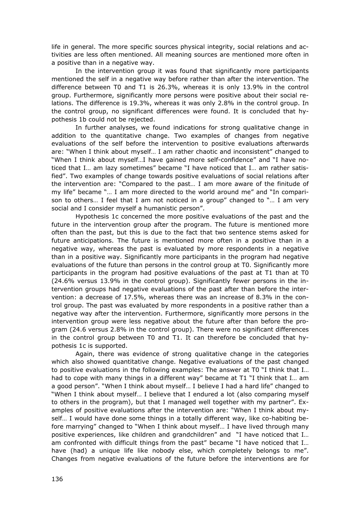life in general. The more specific sources physical integrity, social relations and activities are less often mentioned. All meaning sources are mentioned more often in a positive than in a negative way.

 In the intervention group it was found that significantly more participants mentioned the self in a negative way before rather than after the intervention. The difference between T0 and T1 is 26.3%, whereas it is only 13.9% in the control group. Furthermore, significantly more persons were positive about their social relations. The difference is 19.3%, whereas it was only 2.8% in the control group. In the control group, no significant differences were found. It is concluded that hypothesis 1b could not be rejected.

 In further analyses, we found indications for strong qualitative change in addition to the quantitative change. Two examples of changes from negative evaluations of the self before the intervention to positive evaluations afterwards are: "When I think about myself… I am rather chaotic and inconsistent" changed to "When I think about myself…I have gained more self-confidence" and "I have noticed that I… am lazy sometimes" became "I have noticed that I… am rather satisfied". Two examples of change towards positive evaluations of social relations after the intervention are: "Compared to the past… I am more aware of the finitude of my life" became "… I am more directed to the world around me" and "In comparison to others… I feel that I am not noticed in a group" changed to "… I am very social and I consider myself a humanistic person".

 Hypothesis 1c concerned the more positive evaluations of the past and the future in the intervention group after the program. The future is mentioned more often than the past, but this is due to the fact that two sentence stems asked for future anticipations. The future is mentioned more often in a positive than in a negative way, whereas the past is evaluated by more respondents in a negative than in a positive way. Significantly more participants in the program had negative evaluations of the future than persons in the control group at T0. Significantly more participants in the program had positive evaluations of the past at T1 than at T0 (24.6% versus 13.9% in the control group). Significantly fewer persons in the intervention groups had negative evaluations of the past after than before the intervention: a decrease of 17.5%, whereas there was an increase of 8.3% in the control group. The past was evaluated by more respondents in a positive rather than a negative way after the intervention. Furthermore, significantly more persons in the intervention group were less negative about the future after than before the program (24.6 versus 2.8% in the control group). There were no significant differences in the control group between T0 and T1. It can therefore be concluded that hypothesis 1c is supported.

 Again, there was evidence of strong qualitative change in the categories which also showed quantitative change. Negative evaluations of the past changed to positive evaluations in the following examples: The answer at T0 "I think that I… had to cope with many things in a different way" became at T1 "I think that I… am a good person". "When I think about myself… I believe I had a hard life" changed to "When I think about myself… I believe that I endured a lot (also comparing myself to others in the program), but that I managed well together with my partner". Examples of positive evaluations after the intervention are: "When I think about myself… I would have done some things in a totally different way, like co-habiting before marrying" changed to "When I think about myself… I have lived through many positive experiences, like children and grandchildren" and "I have noticed that I… am confronted with difficult things from the past" became "I have noticed that I… have (had) a unique life like nobody else, which completely belongs to me". Changes from negative evaluations of the future before the interventions are for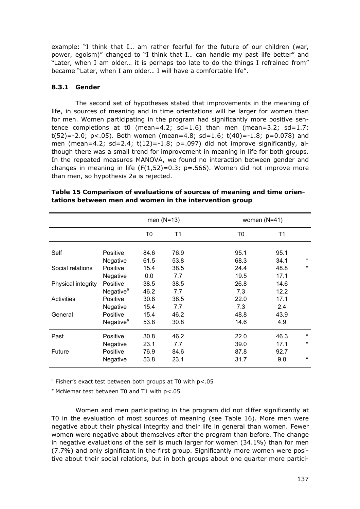example: "I think that I… am rather fearful for the future of our children (war, power, egoism)" changed to "I think that I… can handle my past life better" and "Later, when I am older… it is perhaps too late to do the things I refrained from" became "Later, when I am older… I will have a comfortable life".

#### **8.3.1 Gender**

 The second set of hypotheses stated that improvements in the meaning of life, in sources of meaning and in time orientations will be larger for women than for men. Women participating in the program had significantly more positive sentence completions at t0 (mean=4.2;  $sd=1.6$ ) than men (mean=3.2;  $sd=1.7$ ;  $t(52) = -2.0$ ;  $p < .05$ ). Both women (mean=4.8; sd=1.6;  $t(40) = -1.8$ ;  $p = 0.078$ ) and men (mean=4.2;  $sd=2.4$ ;  $t(12)=-1.8$ ;  $p=.097$ ) did not improve significantly, although there was a small trend for improvement in meaning in life for both groups. In the repeated measures MANOVA, we found no interaction between gender and changes in meaning in life  $(F(1,52)=0.3; p=.566)$ . Women did not improve more than men, so hypothesis 2a is rejected.

|                    |                       | men $(N=13)$ |      |      | women $(N=41)$ |         |
|--------------------|-----------------------|--------------|------|------|----------------|---------|
|                    |                       | T0           | Τ1   | T0   | T1             |         |
| Self               | Positive              | 84.6         | 76.9 | 95.1 | 95.1           |         |
|                    | Negative              | 61.5         | 53.8 | 68.3 | 34.1           | $\star$ |
| Social relations   | Positive              | 15.4         | 38.5 | 24.4 | 48.8           | $\star$ |
|                    | Negative              | 0.0          | 7.7  | 19.5 | 17.1           |         |
| Physical integrity | Positive              | 38.5         | 38.5 | 26.8 | 14.6           |         |
|                    | Negative <sup>a</sup> | 46.2         | 7.7  | 7,3  | 12.2           |         |
| Activities         | Positive              | 30.8         | 38.5 | 22.0 | 17.1           |         |
|                    | Negative              | 15.4         | 7.7  | 7.3  | 2.4            |         |
| General            | Positive              | 15.4         | 46.2 | 48.8 | 43.9           |         |
|                    | Negative <sup>a</sup> | 53.8         | 30.8 | 14.6 | 4.9            |         |
| Past               | Positive              | 30.8         | 46.2 | 22.0 | 46.3           | *       |
|                    | Negative              | 23.1         | 7.7  | 39.0 | 17.1           | $\star$ |
| Future             | Positive              | 76.9         | 84.6 | 87.8 | 92.7           |         |
|                    | Negative              | 53.8         | 23.1 | 31.7 | 9.8            | $\star$ |

**Table 15 Comparison of evaluations of sources of meaning and time orientations between men and women in the intervention group** 

<sup>a</sup> Fisher's exact test between both groups at T0 with p<.05

\* McNemar test between T0 and T1 with p<.05

 Women and men participating in the program did not differ significantly at T0 in the evaluation of most sources of meaning (see Table 16). More men were negative about their physical integrity and their life in general than women. Fewer women were negative about themselves after the program than before. The change in negative evaluations of the self is much larger for women (34.1%) than for men (7.7%) and only significant in the first group. Significantly more women were positive about their social relations, but in both groups about one quarter more partici-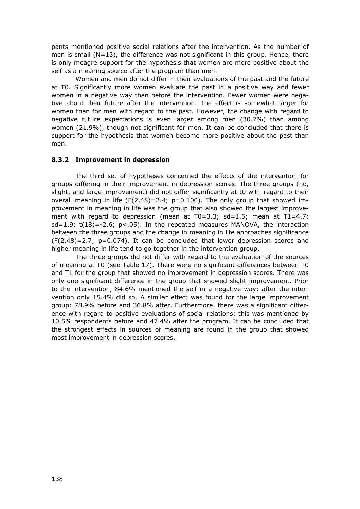pants mentioned positive social relations after the intervention. As the number of men is small  $(N=13)$ , the difference was not significant in this group. Hence, there is only meagre support for the hypothesis that women are more positive about the self as a meaning source after the program than men.

 Women and men do not differ in their evaluations of the past and the future at T0. Significantly more women evaluate the past in a positive way and fewer women in a negative way than before the intervention. Fewer women were negative about their future after the intervention. The effect is somewhat larger for women than for men with regard to the past. However, the change with regard to negative future expectations is even larger among men (30.7%) than among women (21.9%), though not significant for men. It can be concluded that there is support for the hypothesis that women become more positive about the past than men.

#### **8.3.2 Improvement in depression**

 The third set of hypotheses concerned the effects of the intervention for groups differing in their improvement in depression scores. The three groups (no, slight, and large improvement) did not differ significantly at t0 with regard to their overall meaning in life  $(F(2,48)=2.4; p=0.100)$ . The only group that showed improvement in meaning in life was the group that also showed the largest improvement with regard to depression (mean at  $T0=3.3$ ; sd=1.6; mean at  $T1=4.7$ ; sd=1.9; t(18)=-2.6; p<.05). In the repeated measures MANOVA, the interaction between the three groups and the change in meaning in life approaches significance  $(F(2,48)=2.7; p=0.074)$ . It can be concluded that lower depression scores and higher meaning in life tend to go together in the intervention group.

 The three groups did not differ with regard to the evaluation of the sources of meaning at T0 (see Table 17). There were no significant differences between T0 and T1 for the group that showed no improvement in depression scores. There was only one significant difference in the group that showed slight improvement. Prior to the intervention, 84.6% mentioned the self in a negative way; after the intervention only 15.4% did so. A similar effect was found for the large improvement group: 78.9% before and 36.8% after. Furthermore, there was a significant difference with regard to positive evaluations of social relations: this was mentioned by 10.5% respondents before and 47.4% after the program. It can be concluded that the strongest effects in sources of meaning are found in the group that showed most improvement in depression scores.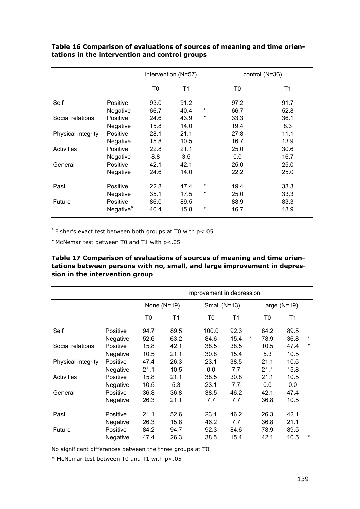|                    |                       | intervention (N=57) |      |   |      | control $(N=36)$ |
|--------------------|-----------------------|---------------------|------|---|------|------------------|
|                    |                       | T0                  | T1   |   | T0   | Τ1               |
| Self               | Positive              | 93.0                | 91.2 |   | 97.2 | 91.7             |
|                    | Negative              | 66.7                | 40.4 | * | 66.7 | 52.8             |
| Social relations   | Positive              | 24.6                | 43.9 | * | 33.3 | 36.1             |
|                    | Negative              | 15.8                | 14.0 |   | 19.4 | 8.3              |
| Physical integrity | Positive              | 28.1                | 21.1 |   | 27.8 | 11.1             |
|                    | Negative              | 15.8                | 10.5 |   | 16.7 | 13.9             |
| <b>Activities</b>  | Positive              | 22.8                | 21.1 |   | 25.0 | 30.6             |
|                    | Negative              | 8.8                 | 3.5  |   | 0.0  | 16.7             |
| General            | Positive              | 42.1                | 42.1 |   | 25.0 | 25.0             |
|                    | Negative              | 24.6                | 14.0 |   | 22.2 | 25.0             |
| Past               | Positive              | 22.8                | 47.4 | * | 19.4 | 33.3             |
|                    | Negative              | 35.1                | 17.5 | * | 25.0 | 33.3             |
| Future             | Positive              | 86.0                | 89.5 |   | 88.9 | 83.3             |
|                    | Negative <sup>a</sup> | 40.4                | 15.8 | * | 16.7 | 13.9             |

### **Table 16 Comparison of evaluations of sources of meaning and time orientations in the intervention and control groups**

 $a$  Fisher's exact test between both groups at T0 with  $p$ <.05

\* McNemar test between T0 and T1 with p<.05

#### **Table 17 Comparison of evaluations of sources of meaning and time orientations between persons with no, small, and large improvement in depression in the intervention group**

|                    |                 | Improvement in depression |               |       |                |   |                |      |         |
|--------------------|-----------------|---------------------------|---------------|-------|----------------|---|----------------|------|---------|
|                    |                 |                           | None $(N=19)$ |       | Small $(N=13)$ |   | Large $(N=19)$ |      |         |
|                    |                 | T0                        | Τ1            | T0    | T1             |   | T0             | T1   |         |
| Self               | Positive        | 94.7                      | 89.5          | 100.0 | 92.3           |   | 84.2           | 89.5 |         |
|                    | Negative        | 52.6                      | 63.2          | 84.6  | 15.4           | * | 78.9           | 36.8 | $\ast$  |
| Social relations   | Positive        | 15.8                      | 42.1          | 38.5  | 38.5           |   | 10.5           | 47.4 | $\star$ |
|                    | Negative        | 10.5                      | 21.1          | 30.8  | 15.4           |   | 5.3            | 10.5 |         |
| Physical integrity | <b>Positive</b> | 47.4                      | 26.3          | 23.1  | 38.5           |   | 21.1           | 10.5 |         |
|                    | Negative        | 21.1                      | 10.5          | 0.0   | 7.7            |   | 21.1           | 15.8 |         |
| <b>Activities</b>  | Positive        | 15.8                      | 21.1          | 38.5  | 30.8           |   | 21.1           | 10.5 |         |
|                    | Negative        | 10.5                      | 5.3           | 23.1  | 7.7            |   | 0.0            | 0.0  |         |
| General            | Positive        | 36.8                      | 36.8          | 38.5  | 46.2           |   | 42.1           | 47.4 |         |
|                    | Negative        | 26.3                      | 21.1          | 7.7   | 7.7            |   | 36.8           | 10.5 |         |
| Past               | Positive        | 21.1                      | 52.6          | 23.1  | 46.2           |   | 26.3           | 42.1 |         |
|                    | Negative        | 26.3                      | 15.8          | 46.2  | 7.7            |   | 36.8           | 21.1 |         |
| Future             | Positive        | 84.2                      | 94.7          | 92.3  | 84.6           |   | 78.9           | 89.5 |         |
|                    | Negative        | 47.4                      | 26.3          | 38.5  | 15.4           |   | 42.1           | 10.5 | $^\ast$ |

No significant differences between the three groups at T0

\* McNemar test between T0 and T1 with p<.05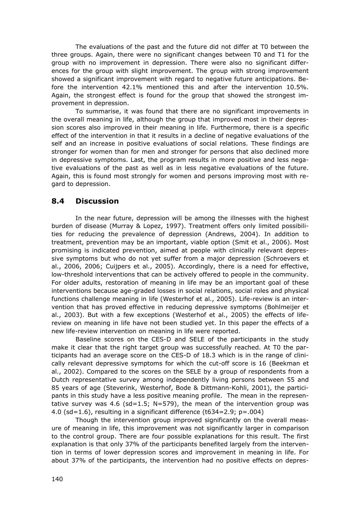The evaluations of the past and the future did not differ at T0 between the three groups. Again, there were no significant changes between T0 and T1 for the group with no improvement in depression. There were also no significant differences for the group with slight improvement. The group with strong improvement showed a significant improvement with regard to negative future anticipations. Before the intervention 42.1% mentioned this and after the intervention 10.5%. Again, the strongest effect is found for the group that showed the strongest improvement in depression.

 To summarise, it was found that there are no significant improvements in the overall meaning in life, although the group that improved most in their depression scores also improved in their meaning in life. Furthermore, there is a specific effect of the intervention in that it results in a decline of negative evaluations of the self and an increase in positive evaluations of social relations. These findings are stronger for women than for men and stronger for persons that also declined more in depressive symptoms. Last, the program results in more positive and less negative evaluations of the past as well as in less negative evaluations of the future. Again, this is found most strongly for women and persons improving most with regard to depression.

## **8.4 Discussion**

 In the near future, depression will be among the illnesses with the highest burden of disease (Murray & Lopez, 1997). Treatment offers only limited possibilities for reducing the prevalence of depression (Andrews, 2004). In addition to treatment, prevention may be an important, viable option (Smit et al., 2006). Most promising is indicated prevention, aimed at people with clinically relevant depressive symptoms but who do not yet suffer from a major depression (Schroevers et al., 2006, 2006; Cuijpers et al., 2005). Accordingly, there is a need for effective, low-threshold interventions that can be actively offered to people in the community. For older adults, restoration of meaning in life may be an important goal of these interventions because age-graded losses in social relations, social roles and physical functions challenge meaning in life (Westerhof et al., 2005). Life-review is an intervention that has proved effective in reducing depressive symptoms (Bohlmeijer et al., 2003). But with a few exceptions (Westerhof et al., 2005) the effects of lifereview on meaning in life have not been studied yet. In this paper the effects of a new life-review intervention on meaning in life were reported.

 Baseline scores on the CES-D and SELE of the participants in the study make it clear that the right target group was successfully reached. At T0 the participants had an average score on the CES-D of 18.3 which is in the range of clinically relevant depressive symptoms for which the cut-off score is 16 (Beekman et al., 2002). Compared to the scores on the SELE by a group of respondents from a Dutch representative survey among independently living persons between 55 and 85 years of age (Steverink, Westerhof, Bode & Dittmann-Kohli, 2001), the participants in this study have a less positive meaning profile. The mean in the representative survey was 4.6 (sd=1.5; N=579), the mean of the intervention group was 4.0 (sd=1.6), resulting in a significant difference (t634=2.9;  $p = .004$ )

 Though the intervention group improved significantly on the overall measure of meaning in life, this improvement was not significantly larger in comparison to the control group. There are four possible explanations for this result. The first explanation is that only 37% of the participants benefited largely from the intervention in terms of lower depression scores and improvement in meaning in life. For about 37% of the participants, the intervention had no positive effects on depres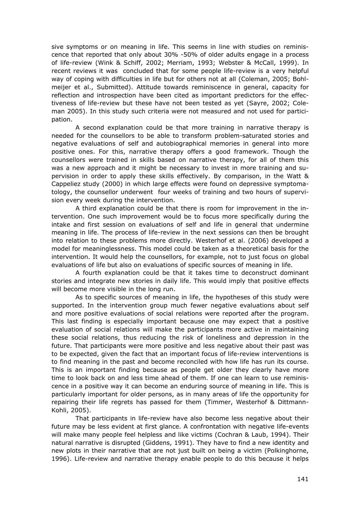sive symptoms or on meaning in life. This seems in line with studies on reminiscence that reported that only about 30% -50% of older adults engage in a process of life-review (Wink & Schiff, 2002; Merriam, 1993; Webster & McCall, 1999). In recent reviews it was concluded that for some people life-review is a very helpful way of coping with difficulties in life but for others not at all (Coleman, 2005; Bohlmeijer et al., Submitted). Attitude towards reminiscence in general, capacity for reflection and introspection have been cited as important predictors for the effectiveness of life-review but these have not been tested as yet (Sayre, 2002; Coleman 2005). In this study such criteria were not measured and not used for participation.

 A second explanation could be that more training in narrative therapy is needed for the counsellors to be able to transform problem-saturated stories and negative evaluations of self and autobiographical memories in general into more positive ones. For this, narrative therapy offers a good framework. Though the counsellors were trained in skills based on narrative therapy, for all of them this was a new approach and it might be necessary to invest in more training and supervision in order to apply these skills effectively. By comparison, in the Watt & Cappeliez study (2000) in which large effects were found on depressive symptomatology, the counsellor underwent four weeks of training and two hours of supervision every week during the intervention.

 A third explanation could be that there is room for improvement in the intervention. One such improvement would be to focus more specifically during the intake and first session on evaluations of self and life in general that undermine meaning in life. The process of life-review in the next sessions can then be brought into relation to these problems more directly. Westerhof et al. (2006) developed a model for meaninglessness. This model could be taken as a theoretical basis for the intervention. It would help the counsellors, for example, not to just focus on global evaluations of life but also on evaluations of specific sources of meaning in life.

 A fourth explanation could be that it takes time to deconstruct dominant stories and integrate new stories in daily life. This would imply that positive effects will become more visible in the long run.

 As to specific sources of meaning in life, the hypotheses of this study were supported. In the intervention group much fewer negative evaluations about self and more positive evaluations of social relations were reported after the program. This last finding is especially important because one may expect that a positive evaluation of social relations will make the participants more active in maintaining these social relations, thus reducing the risk of loneliness and depression in the future. That participants were more positive and less negative about their past was to be expected, given the fact that an important focus of life-review interventions is to find meaning in the past and become reconciled with how life has run its course. This is an important finding because as people get older they clearly have more time to look back on and less time ahead of them. If one can learn to use reminiscence in a positive way it can become an enduring source of meaning in life. This is particularly important for older persons, as in many areas of life the opportunity for repairing their life regrets has passed for them (Timmer, Westerhof & Dittmann-Kohli, 2005).

 That participants in life-review have also become less negative about their future may be less evident at first glance. A confrontation with negative life-events will make many people feel helpless and like victims (Cochran & Laub, 1994). Their natural narrative is disrupted (Giddens, 1991). They have to find a new identity and new plots in their narrative that are not just built on being a victim (Polkinghorne, 1996). Life-review and narrative therapy enable people to do this because it helps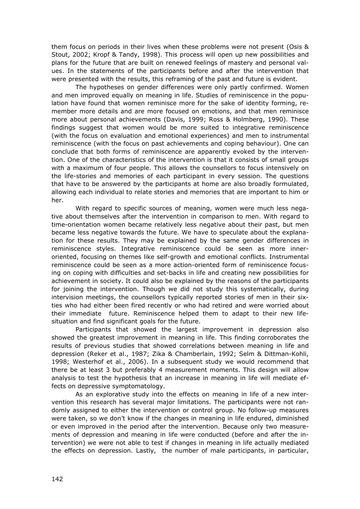them focus on periods in their lives when these problems were not present (Osis & Stout, 2002; Kropf & Tandy, 1998). This process will open up new possibilities and plans for the future that are built on renewed feelings of mastery and personal values. In the statements of the participants before and after the intervention that were presented with the results, this reframing of the past and future is evident.

 The hypotheses on gender differences were only partly confirmed. Women and men improved equally on meaning in life. Studies of reminiscence in the population have found that women reminisce more for the sake of identity forming, remember more details and are more focused on emotions, and that men reminisce more about personal achievements (Davis, 1999; Ross & Holmberg, 1990). These findings suggest that women would be more suited to integrative reminiscence (with the focus on evaluation and emotional experiences) and men to instrumental reminiscence (with the focus on past achievements and coping behaviour). One can conclude that both forms of reminiscence are apparently evoked by the intervention. One of the characteristics of the intervention is that it consists of small groups with a maximum of four people. This allows the counsellors to focus intensively on the life-stories and memories of each participant in every session. The questions that have to be answered by the participants at home are also broadly formulated, allowing each individual to relate stories and memories that are important to him or her.

 With regard to specific sources of meaning, women were much less negative about themselves after the intervention in comparison to men. With regard to time-orientation women became relatively less negative about their past, but men became less negative towards the future. We have to speculate about the explanation for these results. They may be explained by the same gender differences in reminiscence styles. Integrative reminiscence could be seen as more inneroriented, focusing on themes like self-growth and emotional conflicts. Instrumental reminiscence could be seen as a more action-oriented form of reminiscence focusing on coping with difficulties and set-backs in life and creating new possibilities for achievement in society. It could also be explained by the reasons of the participants for joining the intervention. Though we did not study this systematically, during intervision meetings, the counsellors typically reported stories of men in their sixties who had either been fired recently or who had retired and were worried about their immediate future. Reminiscence helped them to adapt to their new lifesituation and find significant goals for the future.

 Participants that showed the largest improvement in depression also showed the greatest improvement in meaning in life. This finding corroborates the results of previous studies that showed correlations between meaning in life and depression (Reker et al., 1987; Zika & Chamberlain, 1992; Selm & Dittman-Kohli, 1998; Westerhof et al., 2006). In a subsequent study we would recommend that there be at least 3 but preferably 4 measurement moments. This design will allow analysis to test the hypothesis that an increase in meaning in life will mediate effects on depressive symptomatology.

 As an explorative study into the effects on meaning in life of a new intervention this research has several major limitations. The participants were not randomly assigned to either the intervention or control group. No follow-up measures were taken, so we don't know if the changes in meaning in life endured, diminished or even improved in the period after the intervention. Because only two measurements of depression and meaning in life were conducted (before and after the intervention) we were not able to test if changes in meaning in life actually mediated the effects on depression. Lastly, the number of male participants, in particular,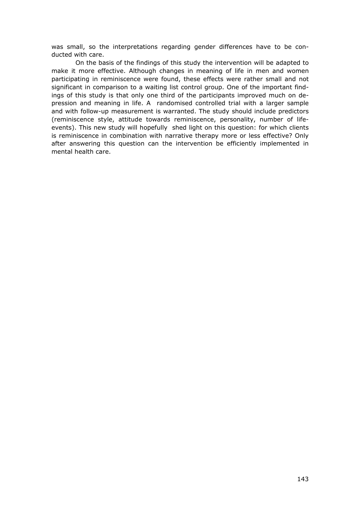was small, so the interpretations regarding gender differences have to be conducted with care.

 On the basis of the findings of this study the intervention will be adapted to make it more effective. Although changes in meaning of life in men and women participating in reminiscence were found, these effects were rather small and not significant in comparison to a waiting list control group. One of the important findings of this study is that only one third of the participants improved much on depression and meaning in life. A randomised controlled trial with a larger sample and with follow-up measurement is warranted. The study should include predictors (reminiscence style, attitude towards reminiscence, personality, number of lifeevents). This new study will hopefully shed light on this question: for which clients is reminiscence in combination with narrative therapy more or less effective? Only after answering this question can the intervention be efficiently implemented in mental health care.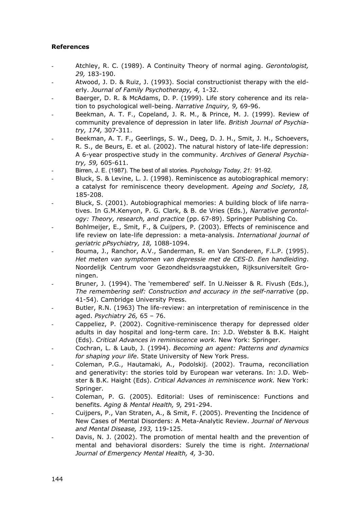#### **References**

- Atchley, R. C. (1989). A Continuity Theory of normal aging. *Gerontologist, 29,* 183-190.
- Atwood, J. D. & Ruiz, J. (1993). Social constructionist therapy with the elderly. *Journal of Family Psychotherapy, 4,* 1-32.
- Baerger, D. R. & McAdams, D. P. (1999). Life story coherence and its relation to psychological well-being. *Narrative Inquiry, 9,* 69-96.
- Beekman, A. T. F., Copeland, J. R. M., & Prince, M. J. (1999). Review of community prevalence of depression in later life. *British Journal of Psychiatry, 174,* 307-311.
- Beekman, A. T. F., Geerlings, S. W., Deeg, D. J. H., Smit, J. H., Schoevers, R. S., de Beurs, E. et al. (2002). The natural history of late-life depression: A 6-year prospective study in the community. *Archives of General Psychiatry, 59,* 605-611.
- Birren, J. E. (1987). The best of all stories. *Psychology Today, 21:* 91-92.
- Bluck, S. & Levine, L. J. (1998). Reminiscence as autobiographical memory: a catalyst for reminiscence theory development. *Ageing and Society, 18,* 185-208.
- Bluck, S. (2001). Autobiographical memories: A building block of life narratives. In G.M.Kenyon, P. G. Clark, & B. de Vries (Eds.), *Narrative gerontology: Theory, research, and practice* (pp. 67-89). Springer Publishing Co.
- Bohlmeijer, E., Smit, F., & Cuijpers, P. (2003). Effects of reminiscence and life review on late-life depression: a meta-analysis. *International journal of geriatric pPsychiatry, 18,* 1088-1094.
- Bouma, J., Ranchor, A.V., Sanderman, R. en Van Sonderen, F.L.P. (1995). *Het meten van symptomen van depressie met de CES-D. Een handleiding*. Noordelijk Centrum voor Gezondheidsvraagstukken, Rijksuniversiteit Groningen.
- Bruner, J. (1994). The 'remembered' self. In U.Neisser & R. Fivush (Eds.), *The remembering self: Construction and accuracy in the self-narrative* (pp. 41-54). Cambridge University Press.
- Butler, R.N. (1963) The life-review: an interpretation of reminiscence in the aged. *Psychiatry 26,* 65 – 76.
- Cappeliez, P. (2002). Cognitive-reminiscence therapy for depressed older adults in day hospital and long-term care. In: J.D. Webster & B.K. Haight (Eds). *Critical Advances in reminiscence work.* New York: Springer.
- Cochran, L. & Laub, J. (1994). *Becoming an agent: Patterns and dynamics for shaping your life*. State University of New York Press.
- Coleman, P.G., Hautamaki, A., Podolskij. (2002). Trauma, reconciliation and generativity: the stories told by European war veterans. In: J.D. Webster & B.K. Haight (Eds). *Critical Advances in reminiscence work.* New York: Springer.
- Coleman, P. G. (2005). Editorial: Uses of reminiscence: Functions and benefits. *Aging & Mental Health, 9,* 291-294.
- Cuijpers, P., Van Straten, A., & Smit, F. (2005). Preventing the Incidence of New Cases of Mental Disorders: A Meta-Analytic Review. *Journal of Nervous and Mental Disease, 193,* 119-125.
- Davis, N. J. (2002). The promotion of mental health and the prevention of mental and behavioral disorders: Surely the time is right. *International Journal of Emergency Mental Health, 4,* 3-30.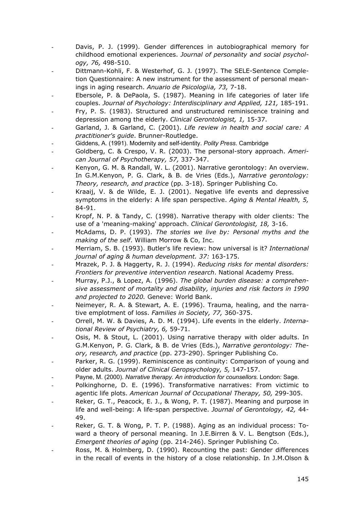- Davis, P. J. (1999). Gender differences in autobiographical memory for childhood emotional experiences. *Journal of personality and social psychology, 76,* 498-510.
- Dittmann-Kohli, F. & Westerhof, G. J. (1997). The SELE-Sentence Completion Questionnaire: A new instrument for the assessment of personal meanings in aging research. Anuario de Psicologiia, 73, 7-18.
- Ebersole, P. & DePaola, S. (1987). Meaning in life categories of later life couples. *Journal of Psychology: Interdisciplinary and Applied, 121,* 185-191.
- Fry, P. S. (1983). Structured and unstructured reminiscence training and depression among the elderly. *Clinical Gerontologist, 1,* 15-37.
- Garland, J. & Garland, C. (2001). *Life review in health and social care: A practitioner's guide*. Brunner-Routledge.
- Giddens, A. (1991). Modernity and self-identity. *Polity Press*. Cambridge
- Goldberg, C. & Crespo, V. R. (2003). The personal-story approach. *American Journal of Psychotherapy, 57,* 337-347.
- Kenyon, G. M. & Randall, W. L. (2001). Narrative gerontology: An overview. In G.M.Kenyon, P. G. Clark, & B. de Vries (Eds.), *Narrative gerontology: Theory, research, and practice* (pp. 3-18). Springer Publishing Co.
- Kraaij, V. & de Wilde, E. J. (2001). Negative life events and depressive symptoms in the elderly: A life span perspective. *Aging & Mental Health, 5,* 84-91.
- Kropf, N. P. & Tandy, C. (1998). Narrative therapy with older clients: The use of a 'meaning-making' approach. *Clinical Gerontologist, 18,* 3-16.
- McAdams, D. P. (1993). *The stories we live by: Personal myths and the making of the self*. William Morrow & Co, Inc.
- Merriam, S. B. (1993). Butler's life review: how universal is it? *International journal of aging & human development. 37:* 163-175.
- Mrazek, P. J. & Haggerty, R. J. (1994). *Reducing risks for mental disorders: Frontiers for preventive intervention research*. National Academy Press.
- Murray, P.J., & Lopez, A. (1996). The global burden disease: a comprehen*sive assessment of mortality and disability, injuries and risk factors in 1990 and projected to 2020.* Geneve: World Bank.
- Neimeyer, R. A. & Stewart, A. E. (1996). Trauma, healing, and the narrative emplotment of loss. *Families in Society, 77,* 360-375.
- Orrell, M. W. & Davies, A. D. M. (1994). Life events in the elderly. *International Review of Psychiatry, 6,* 59-71.
- Osis, M. & Stout, L. (2001). Using narrative therapy with older adults. In G.M.Kenyon, P. G. Clark, & B. de Vries (Eds.), *Narrative gerontology: Theory, research, and practice* (pp. 273-290). Springer Publishing Co.
- Parker, R. G. (1999). Reminiscence as continuity: Comparison of young and older adults. *Journal of Clinical Geropsychology, 5,* 147-157.
- Payne, M. (2000). *Narrative therapy. An introduction for counsellors.* London: Sage.
- Polkinghorne, D. E. (1996). Transformative narratives: From victimic to agentic life plots. *American Journal of Occupational Therapy, 50,* 299-305.
- Reker, G. T., Peacock, E. J., & Wong, P. T. (1987). Meaning and purpose in life and well-being: A life-span perspective. *Journal of Gerontology, 42,* 44- 49.
- Reker, G. T. & Wong, P. T. P. (1988). Aging as an individual process: Toward a theory of personal meaning. In J.E.Birren & V. L. Bengtson (Eds.), *Emergent theories of aging* (pp. 214-246). Springer Publishing Co.
- Ross, M. & Holmberg, D. (1990). Recounting the past: Gender differences in the recall of events in the history of a close relationship. In J.M.Olson &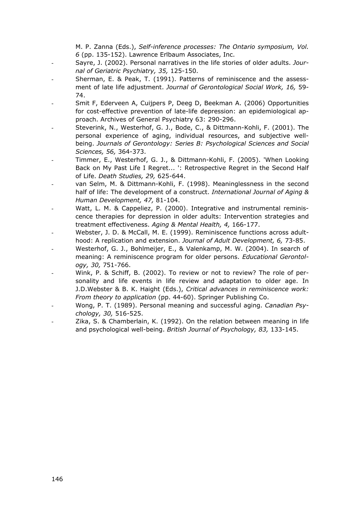M. P. Zanna (Eds.), *Self-inference processes: The Ontario symposium, Vol. 6* (pp. 135-152). Lawrence Erlbaum Associates, Inc.

- Sayre, J. (2002). Personal narratives in the life stories of older adults. *Journal of Geriatric Psychiatry, 35,* 125-150.
- Sherman, E. & Peak, T. (1991). Patterns of reminiscence and the assessment of late life adjustment. *Journal of Gerontological Social Work, 16,* 59- 74.
- Smit F, Ederveen A, Cuijpers P, Deeg D, Beekman A. (2006) Opportunities for cost-effective prevention of late-life depression: an epidemiological approach. Archives of General Psychiatry 63: 290-296.
- Steverink, N., Westerhof, G. J., Bode, C., & Dittmann-Kohli, F. (2001). The personal experience of aging, individual resources, and subjective wellbeing. *Journals of Gerontology: Series B: Psychological Sciences and Social Sciences, 56,* 364-373.
- Timmer, E., Westerhof, G. J., & Dittmann-Kohli, F. (2005). 'When Looking Back on My Past Life I Regret... ': Retrospective Regret in the Second Half of Life. *Death Studies, 29,* 625-644.
- van Selm, M. & Dittmann-Kohli, F. (1998). Meaninglessness in the second half of life: The development of a construct. *International Journal of Aging & Human Development, 47,* 81-104.
- Watt, L. M. & Cappeliez, P. (2000). Integrative and instrumental reminiscence therapies for depression in older adults: Intervention strategies and treatment effectiveness. *Aging & Mental Health, 4,* 166-177.
- Webster, J. D. & McCall, M. E. (1999). Reminiscence functions across adulthood: A replication and extension. *Journal of Adult Development, 6,* 73-85.
- Westerhof, G. J., Bohlmeijer, E., & Valenkamp, M. W. (2004). In search of meaning: A reminiscence program for older persons. *Educational Gerontology, 30,* 751-766.
- Wink, P. & Schiff, B. (2002). To review or not to review? The role of personality and life events in life review and adaptation to older age. In J.D.Webster & B. K. Haight (Eds.), *Critical advances in reminiscence work: From theory to application* (pp. 44-60). Springer Publishing Co.
- Wong, P. T. (1989). Personal meaning and successful aging. *Canadian Psychology, 30,* 516-525.
- Zika, S. & Chamberlain, K. (1992). On the relation between meaning in life and psychological well-being. *British Journal of Psychology, 83,* 133-145.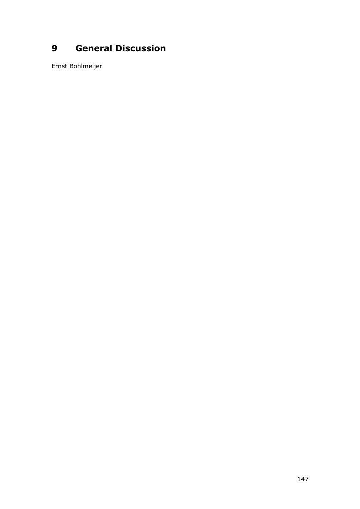# **General Discussion**

Ernst Bohlmeijer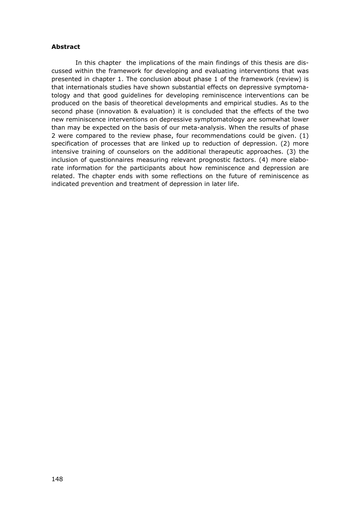#### **Abstract**

 In this chapter the implications of the main findings of this thesis are discussed within the framework for developing and evaluating interventions that was presented in chapter 1. The conclusion about phase 1 of the framework (review) is that internationals studies have shown substantial effects on depressive symptomatology and that good guidelines for developing reminiscence interventions can be produced on the basis of theoretical developments and empirical studies. As to the second phase (innovation & evaluation) it is concluded that the effects of the two new reminiscence interventions on depressive symptomatology are somewhat lower than may be expected on the basis of our meta-analysis. When the results of phase 2 were compared to the review phase, four recommendations could be given. (1) specification of processes that are linked up to reduction of depression. (2) more intensive training of counselors on the additional therapeutic approaches. (3) the inclusion of questionnaires measuring relevant prognostic factors. (4) more elaborate information for the participants about how reminiscence and depression are related. The chapter ends with some reflections on the future of reminiscence as indicated prevention and treatment of depression in later life.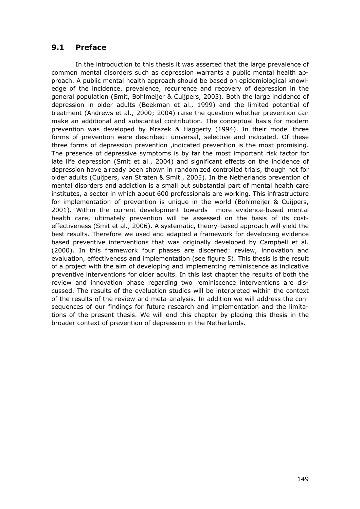## **9.1 Preface**

 In the introduction to this thesis it was asserted that the large prevalence of common mental disorders such as depression warrants a public mental health approach. A public mental health approach should be based on epidemiological knowledge of the incidence, prevalence, recurrence and recovery of depression in the general population (Smit, Bohlmeijer & Cuijpers, 2003). Both the large incidence of depression in older adults (Beekman et al., 1999) and the limited potential of treatment (Andrews et al., 2000; 2004) raise the question whether prevention can make an additional and substantial contribution. The conceptual basis for modern prevention was developed by Mrazek & Haggerty (1994). In their model three forms of prevention were described: universal, selective and indicated. Of these three forms of depression prevention ,indicated prevention is the most promising. The presence of depressive symptoms is by far the most important risk factor for late life depression (Smit et al., 2004) and significant effects on the incidence of depression have already been shown in randomized controlled trials, though not for older adults (Cuijpers, van Straten & Smit., 2005). In the Netherlands prevention of mental disorders and addiction is a small but substantial part of mental health care institutes, a sector in which about 600 professionals are working. This infrastructure for implementation of prevention is unique in the world (Bohlmeijer & Cuijpers, 2001). Within the current development towards more evidence-based mental health care, ultimately prevention will be assessed on the basis of its costeffectiveness (Smit et al., 2006). A systematic, theory-based approach will yield the best results. Therefore we used and adapted a framework for developing evidence based preventive interventions that was originally developed by Campbell et al. (2000). In this framework four phases are discerned: review, innovation and evaluation, effectiveness and implementation (see figure 5). This thesis is the result of a project with the aim of developing and implementing reminiscence as indicative preventive interventions for older adults. In this last chapter the results of both the review and innovation phase regarding two reminiscence interventions are discussed. The results of the evaluation studies will be interpreted within the context of the results of the review and meta-analysis. In addition we will address the consequences of our findings for future research and implementation and the limitations of the present thesis. We will end this chapter by placing this thesis in the broader context of prevention of depression in the Netherlands.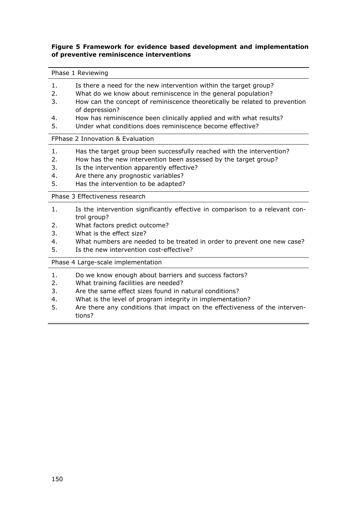### **Figure 5 Framework for evidence based development and implementation of preventive reminiscence interventions**

#### Phase 1 Reviewing

- 1. Is there a need for the new intervention within the target group?
- 2. What do we know about reminiscence in the general population?
- 3. How can the concept of reminiscence theoretically be related to prevention of depression?
- 4. How has reminiscence been clinically applied and with what results?
- 5. Under what conditions does reminiscence become effective?

#### FPhase 2 Innovation & Evaluation

- 1. Has the target group been successfully reached with the intervention?
- 2. How has the new intervention been assessed by the target group?
- 3. Is the intervention apparently effective?
- 4. Are there any prognostic variables?
- 5. Has the intervention to be adapted?

Phase 3 Effectiveness research

- 1. Is the intervention significantly effective in comparison to a relevant control group?
- 2. What factors predict outcome?
- 3. What is the effect size?
- 4. What numbers are needed to be treated in order to prevent one new case?
- 5. Is the new intervention cost-effective?

Phase 4 Large-scale implementation

- 1. Do we know enough about barriers and success factors?
- 2. What training facilities are needed?
- 3. Are the same effect sizes found in natural conditions?
- 4. What is the level of program integrity in implementation?
- 5. Are there any conditions that impact on the effectiveness of the interventions?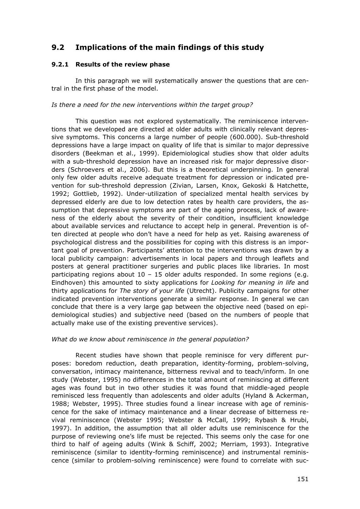## **9.2 Implications of the main findings of this study**

## **9.2.1 Results of the review phase**

 In this paragraph we will systematically answer the questions that are central in the first phase of the model.

### *Is there a need for the new interventions within the target group?*

 This question was not explored systematically. The reminiscence interventions that we developed are directed at older adults with clinically relevant depressive symptoms. This concerns a large number of people (600.000). Sub-threshold depressions have a large impact on quality of life that is similar to major depressive disorders (Beekman et al., 1999). Epidemiological studies show that older adults with a sub-threshold depression have an increased risk for major depressive disorders (Schroevers et al., 2006). But this is a theoretical underpinning. In general only few older adults receive adequate treatment for depression or indicated prevention for sub-threshold depression (Zivian, Larsen, Knox, Gekoski & Hatchette, 1992; Gottlieb, 1992). Under-utilization of specialized mental health services by depressed elderly are due to low detection rates by health care providers, the assumption that depressive symptoms are part of the ageing process, lack of awareness of the elderly about the severity of their condition, insufficient knowledge about available services and reluctance to accept help in general. Prevention is often directed at people who don't have a need for help as yet. Raising awareness of psychological distress and the possibilities for coping with this distress is an important goal of prevention. Participants' attention to the interventions was drawn by a local publicity campaign: advertisements in local papers and through leaflets and posters at general practitioner surgeries and public places like libraries. In most participating regions about  $10 - 15$  older adults responded. In some regions (e.g. Eindhoven) this amounted to sixty applications for *Looking for meaning in life* and thirty applications for *The story of your life* (Utrecht). Publicity campaigns for other indicated prevention interventions generate a similar response. In general we can conclude that there is a very large gap between the objective need (based on epidemiological studies) and subjective need (based on the numbers of people that actually make use of the existing preventive services).

### *What do we know about reminiscence in the general population?*

 Recent studies have shown that people reminisce for very different purposes: boredom reduction, death preparation, identity-forming, problem-solving, conversation, intimacy maintenance, bitterness revival and to teach/inform. In one study (Webster, 1995) no differences in the total amount of reminiscing at different ages was found but in two other studies it was found that middle-aged people reminisced less frequently than adolescents and older adults (Hyland & Ackerman, 1988; Webster, 1995). Three studies found a linear increase with age of reminiscence for the sake of intimacy maintenance and a linear decrease of bitterness revival reminiscence (Webster 1995; Webster & McCall, 1999; Rybash & Hrubi, 1997). In addition, the assumption that all older adults use reminiscence for the purpose of reviewing one's life must be rejected. This seems only the case for one third to half of ageing adults (Wink & Schiff, 2002; Merriam, 1993). Integrative reminiscence (similar to identity-forming reminiscence) and instrumental reminiscence (similar to problem-solving reminiscence) were found to correlate with suc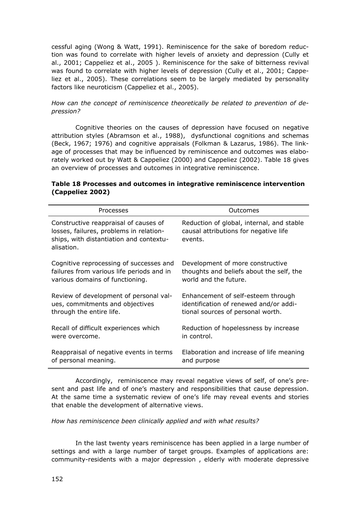cessful aging (Wong & Watt, 1991). Reminiscence for the sake of boredom reduction was found to correlate with higher levels of anxiety and depression (Cully et al., 2001; Cappeliez et al., 2005 ). Reminiscence for the sake of bitterness revival was found to correlate with higher levels of depression (Cully et al., 2001; Cappeliez et al., 2005). These correlations seem to be largely mediated by personality factors like neuroticism (Cappeliez et al., 2005).

## *How can the concept of reminiscence theoretically be related to prevention of depression?*

 Cognitive theories on the causes of depression have focused on negative attribution styles (Abramson et al., 1988), dysfunctional cognitions and schemas (Beck, 1967; 1976) and cognitive appraisals (Folkman & Lazarus, 1986). The linkage of processes that may be influenced by reminiscence and outcomes was elaborately worked out by Watt & Cappeliez (2000) and Cappeliez (2002). Table 18 gives an overview of processes and outcomes in integrative reminiscence.

| Processes                                                                                                                                 | Outcomes                                                                                      |  |  |
|-------------------------------------------------------------------------------------------------------------------------------------------|-----------------------------------------------------------------------------------------------|--|--|
| Constructive reappraisal of causes of<br>losses, failures, problems in relation-<br>ships, with distantiation and contextu-<br>alisation. | Reduction of global, internal, and stable<br>causal attributions for negative life<br>events. |  |  |
| Cognitive reprocessing of successes and                                                                                                   | Development of more constructive                                                              |  |  |
| failures from various life periods and in                                                                                                 | thoughts and beliefs about the self, the                                                      |  |  |
| various domains of functioning.                                                                                                           | world and the future.                                                                         |  |  |
| Review of development of personal val-                                                                                                    | Enhancement of self-esteem through                                                            |  |  |
| ues, commitments and objectives                                                                                                           | identification of renewed and/or addi-                                                        |  |  |
| through the entire life.                                                                                                                  | tional sources of personal worth.                                                             |  |  |
| Recall of difficult experiences which                                                                                                     | Reduction of hopelessness by increase                                                         |  |  |
| were overcome.                                                                                                                            | in control.                                                                                   |  |  |
| Reappraisal of negative events in terms                                                                                                   | Elaboration and increase of life meaning                                                      |  |  |
| of personal meaning.                                                                                                                      | and purpose                                                                                   |  |  |

## **Table 18 Processes and outcomes in integrative reminiscence intervention (Cappeliez 2002)**

 Accordingly, reminiscence may reveal negative views of self, of one's present and past life and of one's mastery and responsibilities that cause depression. At the same time a systematic review of one's life may reveal events and stories that enable the development of alternative views.

*How has reminiscence been clinically applied and with what results?* 

 In the last twenty years reminiscence has been applied in a large number of settings and with a large number of target groups. Examples of applications are: community-residents with a major depression , elderly with moderate depressive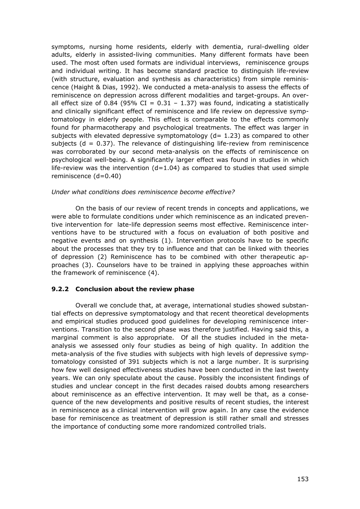symptoms, nursing home residents, elderly with dementia, rural-dwelling older adults, elderly in assisted-living communities. Many different formats have been used. The most often used formats are individual interviews, reminiscence groups and individual writing. It has become standard practice to distinguish life-review (with structure, evaluation and synthesis as characteristics) from simple reminiscence (Haight & Dias, 1992). We conducted a meta-analysis to assess the effects of reminiscence on depression across different modalities and target-groups. An overall effect size of 0.84 (95% CI =  $0.31 - 1.37$ ) was found, indicating a statistically and clinically significant effect of reminiscence and life review on depressive symptomatology in elderly people. This effect is comparable to the effects commonly found for pharmacotherapy and psychological treatments. The effect was larger in subjects with elevated depressive symptomatology  $(d= 1.23)$  as compared to other subjects ( $d = 0.37$ ). The relevance of distinguishing life-review from reminiscence was corroborated by our second meta-analysis on the effects of reminiscence on psychological well-being. A significantly larger effect was found in studies in which life-review was the intervention  $(d=1.04)$  as compared to studies that used simple reminiscence (d=0.40)

#### *Under what conditions does reminiscence become effective?*

 On the basis of our review of recent trends in concepts and applications, we were able to formulate conditions under which reminiscence as an indicated preventive intervention for late-life depression seems most effective. Reminiscence interventions have to be structured with a focus on evaluation of both positive and negative events and on synthesis (1). Intervention protocols have to be specific about the processes that they try to influence and that can be linked with theories of depression (2) Reminiscence has to be combined with other therapeutic approaches (3). Counselors have to be trained in applying these approaches within the framework of reminiscence (4).

### **9.2.2 Conclusion about the review phase**

 Overall we conclude that, at average, international studies showed substantial effects on depressive symptomatology and that recent theoretical developments and empirical studies produced good guidelines for developing reminiscence interventions. Transition to the second phase was therefore justified. Having said this, a marginal comment is also appropriate. Of all the studies included in the metaanalysis we assessed only four studies as being of high quality. In addition the meta-analysis of the five studies with subjects with high levels of depressive symptomatology consisted of 391 subjects which is not a large number. It is surprising how few well designed effectiveness studies have been conducted in the last twenty years. We can only speculate about the cause. Possibly the inconsistent findings of studies and unclear concept in the first decades raised doubts among researchers about reminiscence as an effective intervention. It may well be that, as a consequence of the new developments and positive results of recent studies, the interest in reminiscence as a clinical intervention will grow again. In any case the evidence base for reminiscence as treatment of depression is still rather small and stresses the importance of conducting some more randomized controlled trials.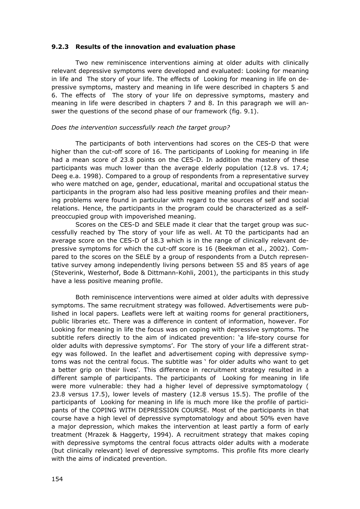#### **9.2.3 Results of the innovation and evaluation phase**

 Two new reminiscence interventions aiming at older adults with clinically relevant depressive symptoms were developed and evaluated: Looking for meaning in life and The story of your life. The effects of Looking for meaning in life on depressive symptoms, mastery and meaning in life were described in chapters 5 and 6. The effects of The story of your life on depressive symptoms, mastery and meaning in life were described in chapters 7 and 8. In this paragraph we will answer the questions of the second phase of our framework (fig. 9.1).

#### *Does the intervention successfully reach the target group?*

 The participants of both interventions had scores on the CES-D that were higher than the cut-off score of 16. The participants of Looking for meaning in life had a mean score of 23.8 points on the CES-D. In addition the mastery of these participants was much lower than the average elderly population (12.8 vs. 17.4; Deeg e.a. 1998). Compared to a group of respondents from a representative survey who were matched on age, gender, educational, marital and occupational status the participants in the program also had less positive meaning profiles and their meaning problems were found in particular with regard to the sources of self and social relations. Hence, the participants in the program could be characterized as a selfpreoccupied group with impoverished meaning.

 Scores on the CES-D and SELE made it clear that the target group was successfully reached by The story of your life as well. At T0 the participants had an average score on the CES-D of 18.3 which is in the range of clinically relevant depressive symptoms for which the cut-off score is 16 (Beekman et al., 2002). Compared to the scores on the SELE by a group of respondents from a Dutch representative survey among independently living persons between 55 and 85 years of age (Steverink, Westerhof, Bode & Dittmann-Kohli, 2001), the participants in this study have a less positive meaning profile.

 Both reminiscence interventions were aimed at older adults with depressive symptoms. The same recruitment strategy was followed. Advertisements were published in local papers. Leaflets were left at waiting rooms for general practitioners, public libraries etc. There was a difference in content of information, however. For Looking for meaning in life the focus was on coping with depressive symptoms. The subtitle refers directly to the aim of indicated prevention: 'a life-story course for older adults with depressive symptoms'. For The story of your life a different strategy was followed. In the leaflet and advertisement coping with depressive symptoms was not the central focus. The subtitle was ' for older adults who want to get a better grip on their lives'. This difference in recruitment strategy resulted in a different sample of participants. The participants of Looking for meaning in life were more vulnerable: they had a higher level of depressive symptomatology ( 23.8 versus 17.5), lower levels of mastery (12.8 versus 15.5). The profile of the participants of Looking for meaning in life is much more like the profile of participants of the COPING WITH DEPRESSION COURSE. Most of the participants in that course have a high level of depressive symptomatology and about 50% even have a major depression, which makes the intervention at least partly a form of early treatment (Mrazek & Haggerty, 1994). A recruitment strategy that makes coping with depressive symptoms the central focus attracts older adults with a moderate (but clinically relevant) level of depressive symptoms. This profile fits more clearly with the aims of indicated prevention.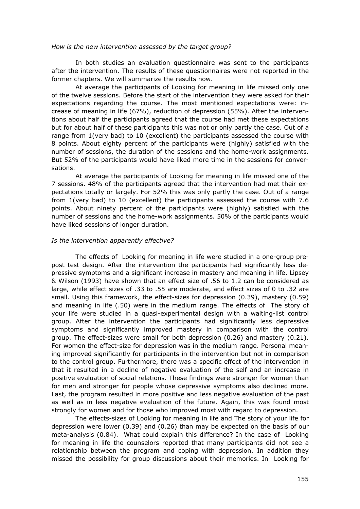#### *How is the new intervention assessed by the target group?*

 In both studies an evaluation questionnaire was sent to the participants after the intervention. The results of these questionnaires were not reported in the former chapters. We will summarize the results now.

 At average the participants of Looking for meaning in life missed only one of the twelve sessions. Before the start of the intervention they were asked for their expectations regarding the course. The most mentioned expectations were: increase of meaning in life (67%), reduction of depression (55%). After the interventions about half the participants agreed that the course had met these expectations but for about half of these participants this was not or only partly the case. Out of a range from 1(very bad) to 10 (excellent) the participants assessed the course with 8 points. About eighty percent of the participants were (highly) satisfied with the number of sessions, the duration of the sessions and the home-work assignments. But 52% of the participants would have liked more time in the sessions for conversations.

 At average the participants of Looking for meaning in life missed one of the 7 sessions. 48% of the participants agreed that the intervention had met their expectations totally or largely. For 52% this was only partly the case. Out of a range from 1(very bad) to 10 (excellent) the participants assessed the course with 7.6 points. About ninety percent of the participants were (highly) satisfied with the number of sessions and the home-work assignments. 50% of the participants would have liked sessions of longer duration.

#### *Is the intervention apparently effective?*

 The effects of Looking for meaning in life were studied in a one-group prepost test design. After the intervention the participants had significantly less depressive symptoms and a significant increase in mastery and meaning in life. Lipsey & Wilson (1993) have shown that an effect size of .56 to 1.2 can be considered as large, while effect sizes of .33 to .55 are moderate, and effect sizes of 0 to .32 are small. Using this framework, the effect-sizes for depression (0.39), mastery (0.59) and meaning in life (.50) were in the medium range. The effects of The story of your life were studied in a quasi-experimental design with a waiting-list control group. After the intervention the participants had significantly less depressive symptoms and significantly improved mastery in comparison with the control group. The effect-sizes were small for both depression (0.26) and mastery (0.21). For women the effect-size for depression was in the medium range. Personal meaning improved significantly for participants in the intervention but not in comparison to the control group. Furthermore, there was a specific effect of the intervention in that it resulted in a decline of negative evaluation of the self and an increase in positive evaluation of social relations. These findings were stronger for women than for men and stronger for people whose depressive symptoms also declined more. Last, the program resulted in more positive and less negative evaluation of the past as well as in less negative evaluation of the future. Again, this was found most strongly for women and for those who improved most with regard to depression.

 The effects-sizes of Looking for meaning in life and The story of your life for depression were lower (0.39) and (0.26) than may be expected on the basis of our meta-analysis (0.84). What could explain this difference? In the case of Looking for meaning in life the counselors reported that many participants did not see a relationship between the program and coping with depression. In addition they missed the possibility for group discussions about their memories. In Looking for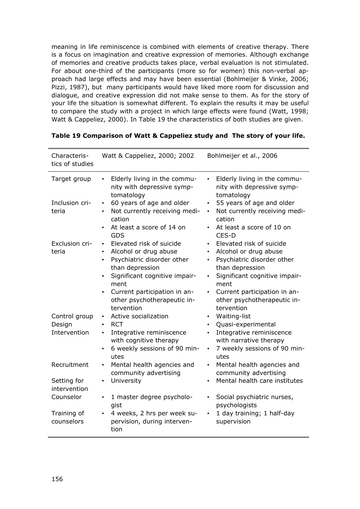meaning in life reminiscence is combined with elements of creative therapy. There is a focus on imagination and creative expression of memories. Although exchange of memories and creative products takes place, verbal evaluation is not stimulated. For about one-third of the participants (more so for women) this non-verbal approach had large effects and may have been essential (Bohlmeijer & Vinke, 2006; Pizzi, 1987), but many participants would have liked more room for discussion and dialogue, and creative expression did not make sense to them. As for the story of your life the situation is somewhat different. To explain the results it may be useful to compare the study with a project in which large effects were found (Watt, 1998; Watt & Cappeliez, 2000). In Table 19 the characteristics of both studies are given.

| Characteris-<br>tics of studies            | Watt & Cappeliez, 2000; 2002                                                                                                                                                                                                                                                 | Bohlmeijer et al., 2006                                                                                                                                                                                                                                                                   |  |  |
|--------------------------------------------|------------------------------------------------------------------------------------------------------------------------------------------------------------------------------------------------------------------------------------------------------------------------------|-------------------------------------------------------------------------------------------------------------------------------------------------------------------------------------------------------------------------------------------------------------------------------------------|--|--|
| Target group                               | Elderly living in the commu-<br>$\bullet$<br>nity with depressive symp-<br>tomatology                                                                                                                                                                                        | Elderly living in the commu-<br>$\bullet$<br>nity with depressive symp-<br>tomatology                                                                                                                                                                                                     |  |  |
| Inclusion cri-<br>teria                    | 60 years of age and older<br>$\bullet$<br>Not currently receiving medi-<br>$\bullet$<br>cation<br>At least a score of 14 on<br>$\bullet$<br><b>GDS</b>                                                                                                                       | 55 years of age and older<br>$\bullet$<br>Not currently receiving medi-<br>$\bullet$<br>cation<br>At least a score of 10 on<br>$\bullet$<br>CES-D                                                                                                                                         |  |  |
| Exclusion cri-<br>teria                    | Elevated risk of suicide<br>$\bullet$<br>Alcohol or drug abuse<br>$\bullet$<br>Psychiatric disorder other<br>$\bullet$<br>than depression<br>Significant cognitive impair-<br>ment<br>Current participation in an-<br>$\bullet$<br>other psychotherapeutic in-<br>tervention | Elevated risk of suicide<br>$\bullet$<br>Alcohol or drug abuse<br>$\bullet$<br>Psychiatric disorder other<br>$\bullet$<br>than depression<br>Significant cognitive impair-<br>$\bullet$<br>ment<br>Current participation in an-<br>$\bullet$<br>other psychotherapeutic in-<br>tervention |  |  |
| Control group<br>Design<br>Intervention    | Active socialization<br>$\bullet$<br><b>RCT</b><br>$\bullet$<br>Integrative reminiscence<br>$\bullet$<br>with cognitive therapy<br>6 weekly sessions of 90 min-<br>$\bullet$<br>utes                                                                                         | Waiting-list<br>$\bullet$<br>Quasi-experimental<br>$\bullet$<br>Integrative reminiscence<br>$\bullet$<br>with narrative therapy<br>7 weekly sessions of 90 min-<br>$\bullet$<br>utes                                                                                                      |  |  |
| Recruitment<br>Setting for<br>intervention | Mental health agencies and<br>$\bullet$<br>community advertising<br>University<br>$\bullet$                                                                                                                                                                                  | Mental health agencies and<br>$\bullet$<br>community advertising<br>Mental health care institutes<br>$\bullet$                                                                                                                                                                            |  |  |
| Counselor<br>Training of<br>counselors     | 1 master degree psycholo-<br>$\bullet$<br>gist<br>4 weeks, 2 hrs per week su-<br>$\bullet$<br>pervision, during interven-<br>tion                                                                                                                                            | Social psychiatric nurses,<br>$\bullet$<br>psychologists<br>1 day training; 1 half-day<br>$\bullet$<br>supervision                                                                                                                                                                        |  |  |

|  |  |  |  |  | Table 19 Comparison of Watt & Cappeliez study and The story of your life. |  |
|--|--|--|--|--|---------------------------------------------------------------------------|--|
|--|--|--|--|--|---------------------------------------------------------------------------|--|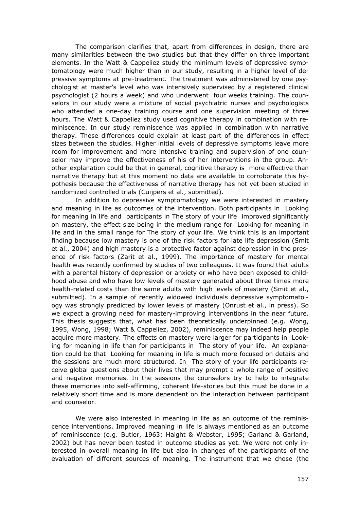The comparison clarifies that, apart from differences in design, there are many similarities between the two studies but that they differ on three important elements. In the Watt & Cappeliez study the minimum levels of depressive symptomatology were much higher than in our study, resulting in a higher level of depressive symptoms at pre-treatment. The treatment was administered by one psychologist at master's level who was intensively supervised by a registered clinical psychologist (2 hours a week) and who underwent four weeks training. The counselors in our study were a mixture of social psychiatric nurses and psychologists who attended a one-day training course and one supervision meeting of three hours. The Watt & Cappeliez study used cognitive therapy in combination with reminiscence. In our study reminiscence was applied in combination with narrative therapy. These differences could explain at least part of the differences in effect sizes between the studies. Higher initial levels of depressive symptoms leave more room for improvement and more intensive training and supervision of one counselor may improve the effectiveness of his of her interventions in the group. Another explanation could be that in general, cognitive therapy is more effective than narrative therapy but at this moment no data are available to corroborate this hypothesis because the effectiveness of narrative therapy has not yet been studied in randomized controlled trials (Cuijpers et al., submitted).

 In addition to depressive symptomatology we were interested in mastery and meaning in life as outcomes of the intervention. Both participants in Looking for meaning in life and participants in The story of your life improved significantly on mastery, the effect size being in the medium range for Looking for meaning in life and in the small range for The story of your life. We think this is an important finding because low mastery is one of the risk factors for late life depression (Smit et al., 2004) and high mastery is a protective factor against depression in the presence of risk factors (Zarit et al., 1999). The importance of mastery for mental health was recently confirmed by studies of two colleagues. It was found that adults with a parental history of depression or anxiety or who have been exposed to childhood abuse and who have low levels of mastery generated about three times more health-related costs than the same adults with high levels of mastery (Smit et al., submitted). In a sample of recently widowed individuals depressive symptomatology was strongly predicted by lower levels of mastery (Onrust et al., in press). So we expect a growing need for mastery-improving interventions in the near future. This thesis suggests that, what has been theoretically underpinned (e.g. Wong, 1995, Wong, 1998; Watt & Cappeliez, 2002), reminiscence may indeed help people acquire more mastery. The effects on mastery were larger for participants in Looking for meaning in life than for participants in The story of your life. An explanation could be that Looking for meaning in life is much more focused on details and the sessions are much more structured. In The story of your life participants receive global questions about their lives that may prompt a whole range of positive and negative memories. In the sessions the counselors try to help to integrate these memories into self-affirming, coherent life-stories but this must be done in a relatively short time and is more dependent on the interaction between participant and counselor.

 We were also interested in meaning in life as an outcome of the reminiscence interventions. Improved meaning in life is always mentioned as an outcome of reminiscence (e.g. Butler, 1963; Haight & Webster, 1995; Garland & Garland, 2002) but has never been tested in outcome studies as yet. We were not only interested in overall meaning in life but also in changes of the participants of the evaluation of different sources of meaning. The instrument that we chose (the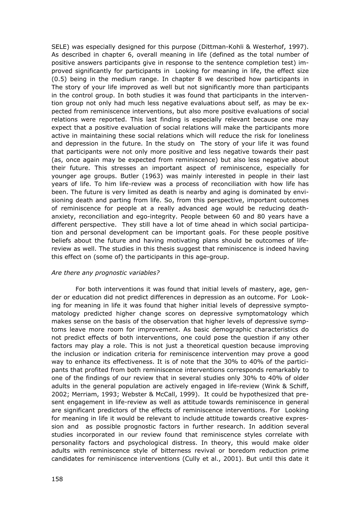SELE) was especially designed for this purpose (Dittman-Kohli & Westerhof, 1997). As described in chapter 6, overall meaning in life (defined as the total number of positive answers participants give in response to the sentence completion test) improved significantly for participants in Looking for meaning in life, the effect size (0.5) being in the medium range. In chapter 8 we described how participants in The story of your life improved as well but not significantly more than participants in the control group. In both studies it was found that participants in the intervention group not only had much less negative evaluations about self, as may be expected from reminiscence interventions, but also more positive evaluations of social relations were reported. This last finding is especially relevant because one may expect that a positive evaluation of social relations will make the participants more active in maintaining these social relations which will reduce the risk for loneliness and depression in the future. In the study on The story of your life it was found that participants were not only more positive and less negative towards their past (as, once again may be expected from reminiscence) but also less negative about their future. This stresses an important aspect of reminiscence, especially for younger age groups. Butler (1963) was mainly interested in people in their last years of life. To him life-review was a process of reconciliation with how life has been. The future is very limited as death is nearby and aging is dominated by envisioning death and parting from life. So, from this perspective, important outcomes of reminiscence for people at a really advanced age would be reducing deathanxiety, reconciliation and ego-integrity. People between 60 and 80 years have a different perspective. They still have a lot of time ahead in which social participation and personal development can be important goals. For these people positive beliefs about the future and having motivating plans should be outcomes of lifereview as well. The studies in this thesis suggest that reminiscence is indeed having this effect on (some of) the participants in this age-group.

#### *Are there any prognostic variables?*

 For both interventions it was found that initial levels of mastery, age, gender or education did not predict differences in depression as an outcome. For Looking for meaning in life it was found that higher initial levels of depressive symptomatology predicted higher change scores on depressive symptomatology which makes sense on the basis of the observation that higher levels of depressive symptoms leave more room for improvement. As basic demographic characteristics do not predict effects of both interventions, one could pose the question if any other factors may play a role. This is not just a theoretical question because improving the inclusion or indication criteria for reminiscence intervention may prove a good way to enhance its effectiveness. It is of note that the 30% to 40% of the participants that profited from both reminiscence interventions corresponds remarkably to one of the findings of our review that in several studies only 30% to 40% of older adults in the general population are actively engaged in life-review (Wink & Schiff, 2002; Merriam, 1993; Webster & McCall, 1999). It could be hypothesized that present engagement in life-review as well as attitude towards reminiscence in general are significant predictors of the effects of reminiscence interventions. For Looking for meaning in life it would be relevant to include attitude towards creative expression and as possible prognostic factors in further research. In addition several studies incorporated in our review found that reminiscence styles correlate with personality factors and psychological distress. In theory, this would make older adults with reminiscence style of bitterness revival or boredom reduction prime candidates for reminiscence interventions (Cully et al., 2001). But until this date it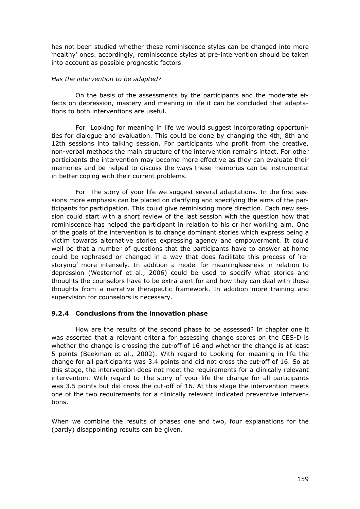has not been studied whether these reminiscence styles can be changed into more 'healthy' ones. accordingly, reminiscence styles at pre-intervention should be taken into account as possible prognostic factors.

#### *Has the intervention to be adapted?*

 On the basis of the assessments by the participants and the moderate effects on depression, mastery and meaning in life it can be concluded that adaptations to both interventions are useful.

 For Looking for meaning in life we would suggest incorporating opportunities for dialogue and evaluation. This could be done by changing the 4th, 8th and 12th sessions into talking session. For participants who profit from the creative, non-verbal methods the main structure of the intervention remains intact. For other participants the intervention may become more effective as they can evaluate their memories and be helped to discuss the ways these memories can be instrumental in better coping with their current problems.

 For The story of your life we suggest several adaptations. In the first sessions more emphasis can be placed on clarifying and specifying the aims of the participants for participation. This could give reminiscing more direction. Each new session could start with a short review of the last session with the question how that reminiscence has helped the participant in relation to his or her working aim. One of the goals of the intervention is to change dominant stories which express being a victim towards alternative stories expressing agency and empowerment. It could well be that a number of questions that the participants have to answer at home could be rephrased or changed in a way that does facilitate this process of 'restorying' more intensely. In addition a model for meaninglessness in relation to depression (Westerhof et al., 2006) could be used to specify what stories and thoughts the counselors have to be extra alert for and how they can deal with these thoughts from a narrative therapeutic framework. In addition more training and supervision for counselors is necessary.

### **9.2.4 Conclusions from the innovation phase**

 How are the results of the second phase to be assessed? In chapter one it was asserted that a relevant criteria for assessing change scores on the CES-D is whether the change is crossing the cut-off of 16 and whether the change is at least 5 points (Beekman et al., 2002). With regard to Looking for meaning in life the change for all participants was 3.4 points and did not cross the cut-off of 16. So at this stage, the intervention does not meet the requirements for a clinically relevant intervention. With regard to The story of your life the change for all participants was 3.5 points but did cross the cut-off of 16. At this stage the intervention meets one of the two requirements for a clinically relevant indicated preventive interventions.

When we combine the results of phases one and two, four explanations for the (partly) disappointing results can be given.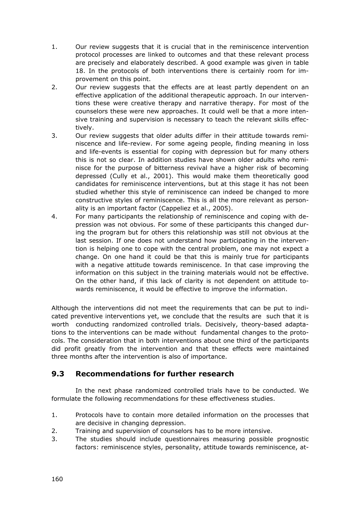- 1. Our review suggests that it is crucial that in the reminiscence intervention protocol processes are linked to outcomes and that these relevant process are precisely and elaborately described. A good example was given in table 18. In the protocols of both interventions there is certainly room for improvement on this point.
- 2. Our review suggests that the effects are at least partly dependent on an effective application of the additional therapeutic approach. In our interventions these were creative therapy and narrative therapy. For most of the counselors these were new approaches. It could well be that a more intensive training and supervision is necessary to teach the relevant skills effectively.
- 3. Our review suggests that older adults differ in their attitude towards reminiscence and life-review. For some ageing people, finding meaning in loss and life-events is essential for coping with depression but for many others this is not so clear. In addition studies have shown older adults who reminisce for the purpose of bitterness revival have a higher risk of becoming depressed (Cully et al., 2001). This would make them theoretically good candidates for reminiscence interventions, but at this stage it has not been studied whether this style of reminiscence can indeed be changed to more constructive styles of reminiscence. This is all the more relevant as personality is an important factor (Cappeliez et al., 2005).
- 4. For many participants the relationship of reminiscence and coping with depression was not obvious. For some of these participants this changed during the program but for others this relationship was still not obvious at the last session. If one does not understand how participating in the intervention is helping one to cope with the central problem, one may not expect a change. On one hand it could be that this is mainly true for participants with a negative attitude towards reminiscence. In that case improving the information on this subject in the training materials would not be effective. On the other hand, if this lack of clarity is not dependent on attitude towards reminiscence, it would be effective to improve the information.

Although the interventions did not meet the requirements that can be put to indicated preventive interventions yet, we conclude that the results are such that it is worth conducting randomized controlled trials. Decisively, theory-based adaptations to the interventions can be made without fundamental changes to the protocols. The consideration that in both interventions about one third of the participants did profit greatly from the intervention and that these effects were maintained three months after the intervention is also of importance.

## **9.3 Recommendations for further research**

 In the next phase randomized controlled trials have to be conducted. We formulate the following recommendations for these effectiveness studies.

- 1. Protocols have to contain more detailed information on the processes that are decisive in changing depression.
- 2. Training and supervision of counselors has to be more intensive.
- 3. The studies should include questionnaires measuring possible prognostic factors: reminiscence styles, personality, attitude towards reminiscence, at-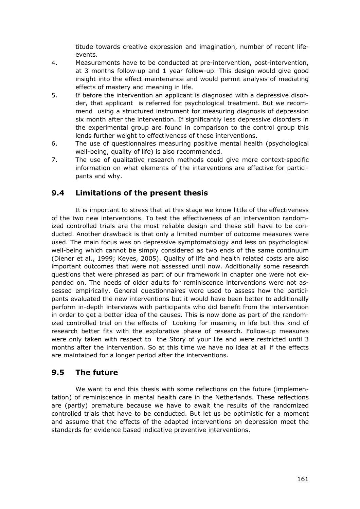titude towards creative expression and imagination, number of recent lifeevents.

- 4. Measurements have to be conducted at pre-intervention, post-intervention, at 3 months follow-up and 1 year follow-up. This design would give good insight into the effect maintenance and would permit analysis of mediating effects of mastery and meaning in life.
- 5. If before the intervention an applicant is diagnosed with a depressive disorder, that applicant is referred for psychological treatment. But we recommend using a structured instrument for measuring diagnosis of depression six month after the intervention. If significantly less depressive disorders in the experimental group are found in comparison to the control group this lends further weight to effectiveness of these interventions.
- 6. The use of questionnaires measuring positive mental health (psychological well-being, quality of life) is also recommended.
- 7. The use of qualitative research methods could give more context-specific information on what elements of the interventions are effective for participants and why.

## **9.4 Limitations of the present thesis**

 It is important to stress that at this stage we know little of the effectiveness of the two new interventions. To test the effectiveness of an intervention randomized controlled trials are the most reliable design and these still have to be conducted. Another drawback is that only a limited number of outcome measures were used. The main focus was on depressive symptomatology and less on psychological well-being which cannot be simply considered as two ends of the same continuum (Diener et al., 1999; Keyes, 2005). Quality of life and health related costs are also important outcomes that were not assessed until now. Additionally some research questions that were phrased as part of our framework in chapter one were not expanded on. The needs of older adults for reminiscence interventions were not assessed empirically. General questionnaires were used to assess how the participants evaluated the new interventions but it would have been better to additionally perform in-depth interviews with participants who did benefit from the intervention in order to get a better idea of the causes. This is now done as part of the randomized controlled trial on the effects of Looking for meaning in life but this kind of research better fits with the explorative phase of research. Follow-up measures were only taken with respect to the Story of your life and were restricted until 3 months after the intervention. So at this time we have no idea at all if the effects are maintained for a longer period after the interventions.

## **9.5 The future**

 We want to end this thesis with some reflections on the future (implementation) of reminiscence in mental health care in the Netherlands. These reflections are (partly) premature because we have to await the results of the randomized controlled trials that have to be conducted. But let us be optimistic for a moment and assume that the effects of the adapted interventions on depression meet the standards for evidence based indicative preventive interventions.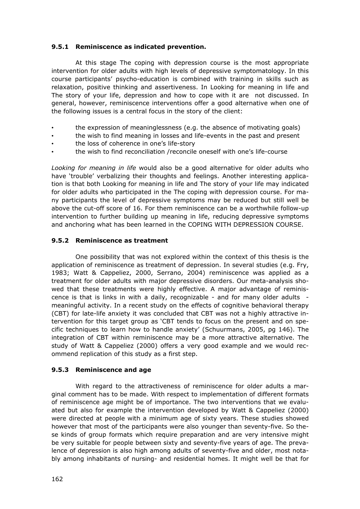### **9.5.1 Reminiscence as indicated prevention.**

 At this stage The coping with depression course is the most appropriate intervention for older adults with high levels of depressive symptomatology. In this course participants' psycho-education is combined with training in skills such as relaxation, positive thinking and assertiveness. In Looking for meaning in life and The story of your life, depression and how to cope with it are not discussed. In general, however, reminiscence interventions offer a good alternative when one of the following issues is a central focus in the story of the client:

- the expression of meaninglessness (e.g. the absence of motivating goals)
- the wish to find meaning in losses and life-events in the past and present
- the loss of coherence in one's life-story
- the wish to find reconciliation /reconcile oneself with one's life-course

*Looking for meaning in life* would also be a good alternative for older adults who have 'trouble' verbalizing their thoughts and feelings. Another interesting application is that both Looking for meaning in life and The story of your life may indicated for older adults who participated in the The coping with depression course. For many participants the level of depressive symptoms may be reduced but still well be above the cut-off score of 16. For them reminiscence can be a worthwhile follow-up intervention to further building up meaning in life, reducing depressive symptoms and anchoring what has been learned in the COPING WITH DEPRESSION COURSE.

#### **9.5.2 Reminiscence as treatment**

 One possibility that was not explored within the context of this thesis is the application of reminiscence as treatment of depression. In several studies (e.g. Fry, 1983; Watt & Cappeliez, 2000, Serrano, 2004) reminiscence was applied as a treatment for older adults with major depressive disorders. Our meta-analysis showed that these treatments were highly effective. A major advantage of reminiscence is that is links in with a daily, recognizable - and for many older adults meaningful activity. In a recent study on the effects of cognitive behavioral therapy (CBT) for late-life anxiety it was concluded that CBT was not a highly attractive intervention for this target group as 'CBT tends to focus on the present and on specific techniques to learn how to handle anxiety' (Schuurmans, 2005, pg 146). The integration of CBT within reminiscence may be a more attractive alternative. The study of Watt & Cappeliez (2000) offers a very good example and we would recommend replication of this study as a first step.

#### **9.5.3 Reminiscence and age**

 With regard to the attractiveness of reminiscence for older adults a marginal comment has to be made. With respect to implementation of different formats of reminiscence age might be of importance. The two interventions that we evaluated but also for example the intervention developed by Watt & Cappeliez (2000) were directed at people with a minimum age of sixty years. These studies showed however that most of the participants were also younger than seventy-five. So these kinds of group formats which require preparation and are very intensive might be very suitable for people between sixty and seventy-five years of age. The prevalence of depression is also high among adults of seventy-five and older, most notably among inhabitants of nursing- and residential homes. It might well be that for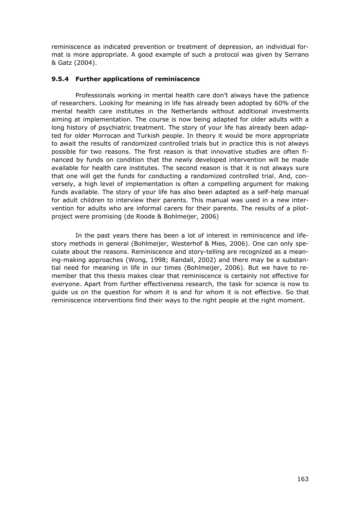reminiscence as indicated prevention or treatment of depression, an individual format is more appropriate. A good example of such a protocol was given by Serrano & Gatz (2004).

## **9.5.4 Further applications of reminiscence**

 Professionals working in mental health care don't always have the patience of researchers. Looking for meaning in life has already been adopted by 60% of the mental health care institutes in the Netherlands without additional investments aiming at implementation. The course is now being adapted for older adults with a long history of psychiatric treatment. The story of your life has already been adapted for older Morrocan and Turkish people. In theory it would be more appropriate to await the results of randomized controlled trials but in practice this is not always possible for two reasons. The first reason is that innovative studies are often financed by funds on condition that the newly developed intervention will be made available for health care institutes. The second reason is that it is not always sure that one will get the funds for conducting a randomized controlled trial. And, conversely, a high level of implementation is often a compelling argument for making funds available. The story of your life has also been adapted as a self-help manual for adult children to interview their parents. This manual was used in a new intervention for adults who are informal carers for their parents. The results of a pilotproject were promising (de Roode & Bohlmeijer, 2006)

 In the past years there has been a lot of interest in reminiscence and lifestory methods in general (Bohlmeijer, Westerhof & Mies, 2006). One can only speculate about the reasons. Reminiscence and story-telling are recognized as a meaning-making approaches (Wong, 1998; Randall, 2002) and there may be a substantial need for meaning in life in our times (Bohlmeijer, 2006). But we have to remember that this thesis makes clear that reminiscence is certainly not effective for everyone. Apart from further effectiveness research, the task for science is now to guide us on the question for whom it is and for whom it is not effective. So that reminiscence interventions find their ways to the right people at the right moment.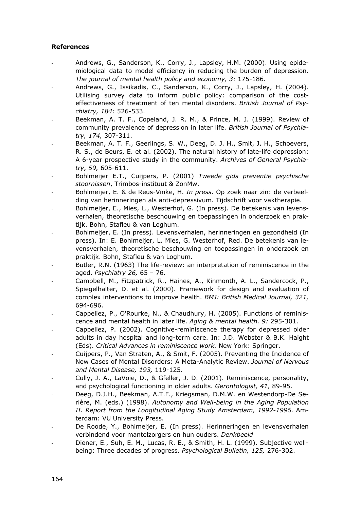## **References**

- Andrews, G., Sanderson, K., Corry, J., Lapsley, H.M. (2000). Using epidemiological data to model efficiency in reducing the burden of depression. *The journal of mental health policy and economy, 3:* 175-186.
- Andrews, G., Issikadis, C., Sanderson, K., Corry, J., Lapsley, H. (2004). Utilising survey data to inform public policy: comparison of the costeffectiveness of treatment of ten mental disorders. *British Journal of Psychiatry, 184:* 526-533.
- Beekman, A. T. F., Copeland, J. R. M., & Prince, M. J. (1999). Review of community prevalence of depression in later life. *British Journal of Psychiatry, 174,* 307-311.
- Beekman, A. T. F., Geerlings, S. W., Deeg, D. J. H., Smit, J. H., Schoevers, R. S., de Beurs, E. et al. (2002). The natural history of late-life depression: A 6-year prospective study in the community. *Archives of General Psychiatry, 59,* 605-611.
- Bohlmeijer E.T., Cuijpers, P. (2001) *Tweede gids preventie psychische stoornissen*, Trimbos-instituut & ZonMw.
- Bohlmeijer, E. & de Reus-Vinke, H. *In press*. Op zoek naar zin: de verbeelding van herinneringen als anti-depressivum. Tijdschrift voor vaktherapie.
- Bohlmeijer, E., Mies, L., Westerhof, G. (In press). De betekenis van levensverhalen, theoretische beschouwing en toepassingen in onderzoek en praktijk. Bohn, Stafleu & van Loghum.
- Bohlmeijer, E. (In press). Levensverhalen, herinneringen en gezondheid (In press). In: E. Bohlmeijer, L. Mies, G. Westerhof, Red. De betekenis van levensverhalen, theoretische beschouwing en toepassingen in onderzoek en praktijk. Bohn, Stafleu & van Loghum.
- Butler, R.N. (1963) The life-review: an interpretation of reminiscence in the aged. *Psychiatry 26,* 65 – 76.
- Campbell, M., Fitzpatrick, R., Haines, A., Kinmonth, A. L., Sandercock, P., Spiegelhalter, D. et al. (2000). Framework for design and evaluation of complex interventions to improve health. *BMJ: British Medical Journal, 321,* 694-696.
- Cappeliez, P., O'Rourke, N., & Chaudhury, H. (2005). Functions of reminiscence and mental health in later life. *Aging & mental health. 9:* 295-301.
- Cappeliez, P. (2002). Cognitive-reminiscence therapy for depressed older adults in day hospital and long-term care. In: J.D. Webster & B.K. Haight (Eds). *Critical Advances in reminiscence work.* New York: Springer.
- Cuijpers, P., Van Straten, A., & Smit, F. (2005). Preventing the Incidence of New Cases of Mental Disorders: A Meta-Analytic Review. *Journal of Nervous and Mental Disease, 193,* 119-125.
- Cully, J. A., LaVoie, D., & Gfeller, J. D. (2001). Reminiscence, personality, and psychological functioning in older adults. *Gerontologist, 41,* 89-95.
- Deeg, D.J.H., Beekman, A.T.F., Kriegsman, D.M.W. en Westendorp-De Serière, M. (eds.) (1998). *Autonomy and Well-being in the Aging Population II. Report from the Longitudinal Aging Study Amsterdam, 1992-1996*. Amterdam: VU University Press.
- De Roode, Y., Bohlmeijer, E. (In press). Herinneringen en levensverhalen verbindend voor mantelzorgers en hun ouders. *Denkbeeld*
- Diener, E., Suh, E. M., Lucas, R. E., & Smith, H. L. (1999). Subjective wellbeing: Three decades of progress. *Psychological Bulletin, 125,* 276-302.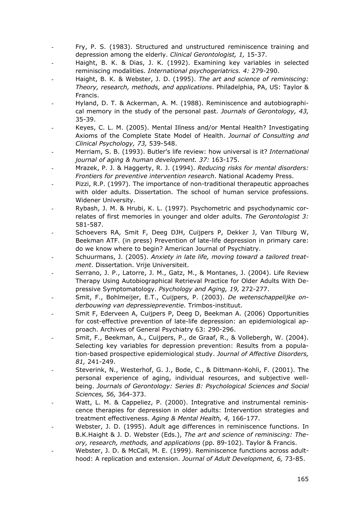- Fry, P. S. (1983). Structured and unstructured reminiscence training and depression among the elderly. *Clinical Gerontologist, 1,* 15-37.
- Haight, B. K. & Dias, J. K. (1992). Examining key variables in selected reminiscing modalities. *International psychogeriatrics. 4:* 279-290.
- Haight, B. K. & Webster, J. D. (1995). *The art and science of reminiscing: Theory, research, methods, and applications*. Philadelphia, PA, US: Taylor & Francis.
- Hyland, D. T. & Ackerman, A. M. (1988). Reminiscence and autobiographical memory in the study of the personal past. *Journals of Gerontology, 43,* 35-39.
- Keyes, C. L. M. (2005). Mental Illness and/or Mental Health? Investigating Axioms of the Complete State Model of Health. *Journal of Consulting and Clinical Psychology, 73,* 539-548.
- Merriam, S. B. (1993). Butler's life review: how universal is it? *International journal of aging & human development. 37:* 163-175.
- Mrazek, P. J. & Haggerty, R. J. (1994). *Reducing risks for mental disorders: Frontiers for preventive intervention research*. National Academy Press.
- Pizzi, R.P. (1997). The importance of non-traditional therapeutic approaches with older adults. Dissertation. The school of human service professions. Widener University.
- Rybash, J. M. & Hrubi, K. L. (1997). Psychometric and psychodynamic correlates of first memories in younger and older adults. *The Gerontologist 3:*  581-587.
- Schoevers RA, Smit F, Deeg DJH, Cuijpers P, Dekker J, Van Tilburg W, Beekman ATF. (in press) Prevention of late-life depression in primary care: do we know where to begin? American Journal of Psychiatry.
- Schuurmans, J. (2005). *Anxiety in late life, moving toward a tailored treatment*. Dissertation. Vrije Universiteit.
- Serrano, J. P., Latorre, J. M., Gatz, M., & Montanes, J. (2004). Life Review Therapy Using Autobiographical Retrieval Practice for Older Adults With Depressive Symptomatology. *Psychology and Aging, 19,* 272-277.
- Smit, F., Bohlmeijer, E.T., Cuijpers, P. (2003). *De wetenschappelijke onderbouwing van depressiepreventie*. Trimbos-instituut.
- Smit F, Ederveen A, Cuijpers P, Deeg D, Beekman A. (2006) Opportunities for cost-effective prevention of late-life depression: an epidemiological approach. Archives of General Psychiatry 63: 290-296.
- Smit, F., Beekman, A., Cuijpers, P., de Graaf, R., & Vollebergh, W. (2004). Selecting key variables for depression prevention: Results from a population-based prospective epidemiological study. *Journal of Affective Disorders, 81,* 241-249.
- Steverink, N., Westerhof, G. J., Bode, C., & Dittmann-Kohli, F. (2001). The personal experience of aging, individual resources, and subjective wellbeing. *Journals of Gerontology: Series B: Psychological Sciences and Social Sciences, 56,* 364-373.
- Watt, L. M. & Cappeliez, P. (2000). Integrative and instrumental reminiscence therapies for depression in older adults: Intervention strategies and treatment effectiveness. *Aging & Mental Health, 4,* 166-177.
- Webster, J. D. (1995). Adult age differences in reminiscence functions. In B.K.Haight & J. D. Webster (Eds.), *The art and science of reminiscing: Theory, research, methods, and applications* (pp. 89-102). Taylor & Francis.
- Webster, J. D. & McCall, M. E. (1999). Reminiscence functions across adulthood: A replication and extension. *Journal of Adult Development, 6,* 73-85.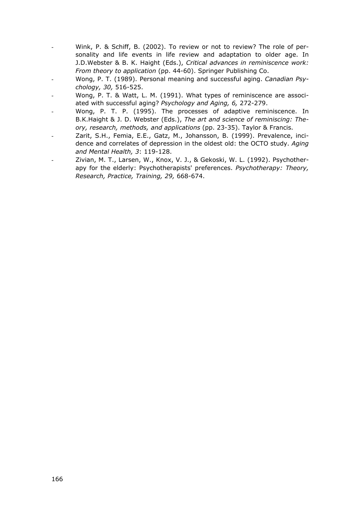- Wink, P. & Schiff, B. (2002). To review or not to review? The role of personality and life events in life review and adaptation to older age. In J.D.Webster & B. K. Haight (Eds.), *Critical advances in reminiscence work: From theory to application* (pp. 44-60). Springer Publishing Co.
- Wong, P. T. (1989). Personal meaning and successful aging. *Canadian Psychology, 30,* 516-525.
- Wong, P. T. & Watt, L. M. (1991). What types of reminiscence are associated with successful aging? *Psychology and Aging, 6,* 272-279.
- Wong, P. T. P. (1995). The processes of adaptive reminiscence. In B.K.Haight & J. D. Webster (Eds.), *The art and science of reminiscing: Theory, research, methods, and applications* (pp. 23-35). Taylor & Francis.
- Zarit, S.H., Femia, E.E., Gatz, M., Johansson, B. (1999). Prevalence, incidence and correlates of depression in the oldest old: the OCTO study. *Aging and Mental Health, 3*: 119-128.
- Zivian, M. T., Larsen, W., Knox, V. J., & Gekoski, W. L. (1992). Psychotherapy for the elderly: Psychotherapists' preferences. *Psychotherapy: Theory, Research, Practice, Training, 29,* 668-674.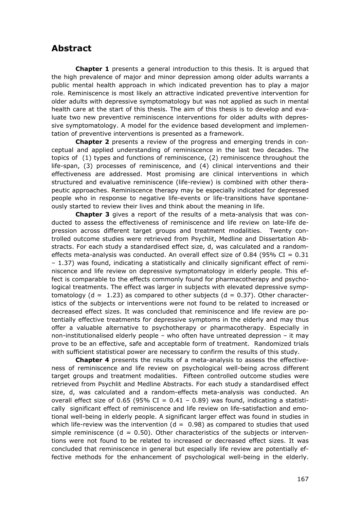## **Abstract**

 **Chapter 1** presents a general introduction to this thesis. It is argued that the high prevalence of major and minor depression among older adults warrants a public mental health approach in which indicated prevention has to play a major role. Reminiscence is most likely an attractive indicated preventive intervention for older adults with depressive symptomatology but was not applied as such in mental health care at the start of this thesis. The aim of this thesis is to develop and evaluate two new preventive reminiscence interventions for older adults with depressive symptomatology. A model for the evidence based development and implementation of preventive interventions is presented as a framework.

 **Chapter 2** presents a review of the progress and emerging trends in conceptual and applied understanding of reminiscence in the last two decades. The topics of (1) types and functions of reminiscence, (2) reminiscence throughout the life-span, (3) processes of reminiscence, and (4) clinical interventions and their effectiveness are addressed. Most promising are clinical interventions in which structured and evaluative reminiscence (life-review) is combined with other therapeutic approaches. Reminiscence therapy may be especially indicated for depressed people who in response to negative life-events or life-transitions have spontaneously started to review their lives and think about the meaning in life.

 **Chapter 3** gives a report of the results of a meta-analysis that was conducted to assess the effectiveness of reminiscence and life review on late-life depression across different target groups and treatment modalities. Twenty controlled outcome studies were retrieved from Psychlit, Medline and Dissertation Abstracts. For each study a standardised effect size, d, was calculated and a randomeffects meta-analysis was conducted. An overall effect size of 0.84 (95% CI =  $0.31$ ) – 1.37) was found, indicating a statistically and clinically significant effect of reminiscence and life review on depressive symptomatology in elderly people. This effect is comparable to the effects commonly found for pharmacotherapy and psychological treatments. The effect was larger in subjects with elevated depressive symptomatology ( $d = 1.23$ ) as compared to other subjects ( $d = 0.37$ ). Other characteristics of the subjects or interventions were not found to be related to increased or decreased effect sizes. It was concluded that reminiscence and life review are potentially effective treatments for depressive symptoms in the elderly and may thus offer a valuable alternative to psychotherapy or pharmacotherapy. Especially in non-institutionalised elderly people – who often have untreated depression – it may prove to be an effective, safe and acceptable form of treatment. Randomized trials with sufficient statistical power are necessary to confirm the results of this study.

 **Chapter 4** presents the results of a meta-analysis to assess the effectiveness of reminiscence and life review on psychological well-being across different target groups and treatment modalities. Fifteen controlled outcome studies were retrieved from Psychlit and Medline Abstracts. For each study a standardised effect size, d, was calculated and a random-effects meta-analysis was conducted. An overall effect size of 0.65 (95% CI =  $0.41 - 0.89$ ) was found, indicating a statistically significant effect of reminiscence and life review on life-satisfaction and emotional well-being in elderly people. A significant larger effect was found in studies in which life-review was the intervention  $(d = 0.98)$  as compared to studies that used simple reminiscence ( $d = 0.50$ ). Other characteristics of the subjects or interventions were not found to be related to increased or decreased effect sizes. It was concluded that reminiscence in general but especially life review are potentially effective methods for the enhancement of psychological well-being in the elderly.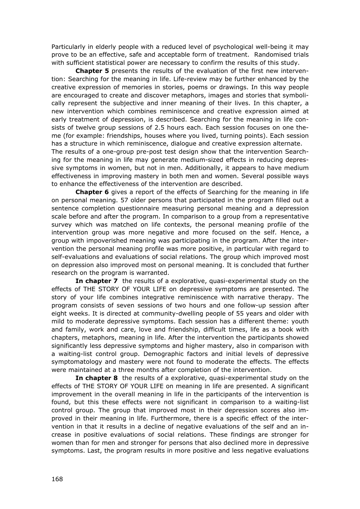Particularly in elderly people with a reduced level of psychological well-being it may prove to be an effective, safe and acceptable form of treatment. Randomised trials with sufficient statistical power are necessary to confirm the results of this study.

 **Chapter 5** presents the results of the evaluation of the first new intervention: Searching for the meaning in life. Life-review may be further enhanced by the creative expression of memories in stories, poems or drawings. In this way people are encouraged to create and discover metaphors, images and stories that symbolically represent the subjective and inner meaning of their lives. In this chapter, a new intervention which combines reminiscence and creative expression aimed at early treatment of depression, is described. Searching for the meaning in life consists of twelve group sessions of 2.5 hours each. Each session focuses on one theme (for example: friendships, houses where you lived, turning points). Each session has a structure in which reminiscence, dialogue and creative expression alternate.

The results of a one-group pre-post test design show that the intervention Searching for the meaning in life may generate medium-sized effects in reducing depressive symptoms in women, but not in men. Additionally, it appears to have medium effectiveness in improving mastery in both men and women. Several possible ways to enhance the effectiveness of the intervention are described.

 **Chapter 6** gives a report of the effects of Searching for the meaning in life on personal meaning. 57 older persons that participated in the program filled out a sentence completion questionnaire measuring personal meaning and a depression scale before and after the program. In comparison to a group from a representative survey which was matched on life contexts, the personal meaning profile of the intervention group was more negative and more focused on the self. Hence, a group with impoverished meaning was participating in the program. After the intervention the personal meaning profile was more positive, in particular with regard to self-evaluations and evaluations of social relations. The group which improved most on depression also improved most on personal meaning. It is concluded that further research on the program is warranted.

**In chapter 7** the results of a explorative, quasi-experimental study on the effects of THE STORY OF YOUR LIFE on depressive symptoms are presented. The story of your life combines integrative reminiscence with narrative therapy. The program consists of seven sessions of two hours and one follow-up session after eight weeks. It is directed at community-dwelling people of 55 years and older with mild to moderate depressive symptoms. Each session has a different theme: youth and family, work and care, love and friendship, difficult times, life as a book with chapters, metaphors, meaning in life. After the intervention the participants showed significantly less depressive symptoms and higher mastery, also in comparison with a waiting-list control group. Demographic factors and initial levels of depressive symptomatology and mastery were not found to moderate the effects. The effects were maintained at a three months after completion of the intervention.

 **In chapter 8** the results of a explorative, quasi-experimental study on the effects of THE STORY OF YOUR LIFE on meaning in life are presented. A significant improvement in the overall meaning in life in the participants of the intervention is found, but this these effects were not significant in comparison to a waiting-list control group. The group that improved most in their depression scores also improved in their meaning in life. Furthermore, there is a specific effect of the intervention in that it results in a decline of negative evaluations of the self and an increase in positive evaluations of social relations. These findings are stronger for women than for men and stronger for persons that also declined more in depressive symptoms. Last, the program results in more positive and less negative evaluations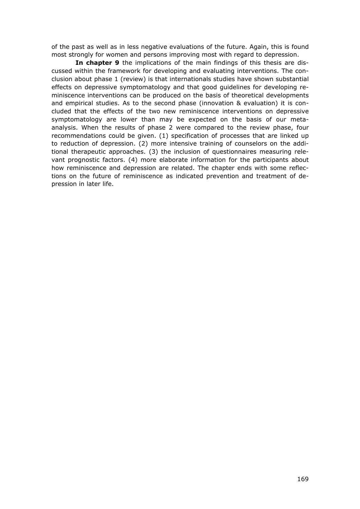of the past as well as in less negative evaluations of the future. Again, this is found most strongly for women and persons improving most with regard to depression.

 **In chapter 9** the implications of the main findings of this thesis are discussed within the framework for developing and evaluating interventions. The conclusion about phase 1 (review) is that internationals studies have shown substantial effects on depressive symptomatology and that good guidelines for developing reminiscence interventions can be produced on the basis of theoretical developments and empirical studies. As to the second phase (innovation & evaluation) it is concluded that the effects of the two new reminiscence interventions on depressive symptomatology are lower than may be expected on the basis of our metaanalysis. When the results of phase 2 were compared to the review phase, four recommendations could be given. (1) specification of processes that are linked up to reduction of depression. (2) more intensive training of counselors on the additional therapeutic approaches. (3) the inclusion of questionnaires measuring relevant prognostic factors. (4) more elaborate information for the participants about how reminiscence and depression are related. The chapter ends with some reflections on the future of reminiscence as indicated prevention and treatment of depression in later life.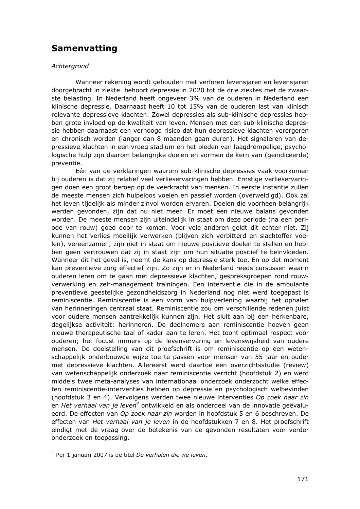# **Samenvatting**

#### *Achtergrond*

 Wanneer rekening wordt gehouden met verloren levensjaren en levensjaren doorgebracht in ziekte behoort depressie in 2020 tot de drie ziektes met de zwaarste belasting. In Nederland heeft ongeveer 3% van de ouderen in Nederland een klinische depressie. Daarnaast heeft 10 tot 15% van de ouderen last van klinisch relevante depressieve klachten. Zowel depressies als sub-klinische depressies hebben grote invloed op de kwaliteit van leven. Mensen met een sub-klinische depressie hebben daarnaast een verhoogd risico dat hun depressieve klachten verergeren en chronisch worden (langer dan 8 maanden gaan duren). Het signaleren van depressieve klachten in een vroeg stadium en het bieden van laagdrempelige, psychologische hulp zijn daarom belangrijke doelen en vormen de kern van (geïndiceerde) preventie.

 Eén van de verklaringen waarom sub-klinische depressies vaak voorkomen bij ouderen is dat zij relatief veel verlieservaringen hebben. Ernstige verlieservaringen doen een groot beroep op de veerkracht van mensen. In eerste instantie zullen de meeste mensen zich hulpeloos voelen en passief worden (overweldigd). Ook zal het leven tijdelijk als minder zinvol worden ervaren. Doelen die voorheen belangrijk werden gevonden, zijn dat nu niet meer. Er moet een nieuwe balans gevonden worden. De meeste mensen zijn uiteindelijk in staat om deze periode (na een periode van rouw) goed door te komen. Voor vele anderen geldt dit echter niet. Zij kunnen het verlies moeilijk verwerken (blijven zich verbitterd en slachtoffer voelen), vereenzamen, zijn niet in staat om nieuwe positieve doelen te stellen en hebben geen vertrouwen dat zij in staat zijn om hun situatie positief te beïnvloeden. Wanneer dit het geval is, neemt de kans op depressie sterk toe. En op dat moment kan preventieve zorg effectief zijn. Zo zijn er in Nederland reeds cursussen waarin ouderen leren om te gaan met depressieve klachten, gespreksgroepen rond rouwverwerking en zelf-management trainingen. Een interventie die in de ambulante preventieve geestelijke gezondheidszorg in Nederland nog niet werd toegepast is reminiscentie. Reminiscentie is een vorm van hulpverlening waarbij het ophalen van herinneringen centraal staat. Reminiscentie zou om verschillende redenen juist voor oudere mensen aantrekkelijk kunnen zijn. Het sluit aan bij een herkenbare, dagelijkse activiteit: herinneren. De deelnemers aan reminiscentie hoeven geen nieuwe therapeutische taal of kader aan te leren. Het toont optimaal respect voor ouderen; het focust immers op de levenservaring en levenswijsheid van oudere mensen. De doelstelling van dit proefschrift is om reminiscentie op een wetenschappelijk onderbouwde wijze toe te passen voor mensen van 55 jaar en ouder met depressieve klachten. Allereerst werd daartoe een overzichtsstudie (review) van wetenschappelijk onderzoek naar reminiscentie verricht (hoofdstuk 2) en werd middels twee meta-analyses van internationaal onderzoek onderzocht welke effecten reminiscentie-interventies hebben op depressie en psychologisch welbevinden (hoofdstuk 3 en 4). Vervolgens werden twee nieuwe interventies *Op zoek naar zin*  en *Het verhaal van je leven4* ontwikkeld en als onderdeel van de innovatie geëvalueerd. De effecten van *Op zoek naar zin* worden in hoofdstuk 5 en 6 beschreven. De effecten van *Het verhaal van je leven* in de hoofdstukken 7 en 8. Het proefschrift eindigt met de vraag over de betekenis van de gevonden resultaten voor verder onderzoek en toepassing.

l

<sup>4</sup> Per 1 januari 2007 is de titel *De verhalen die we leven*.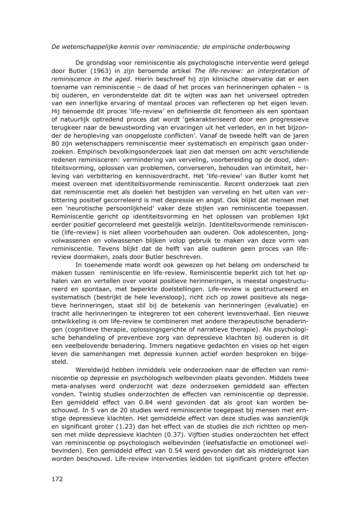#### *De wetenschappelijke kennis over reminiscentie: de empirische onderbouwing*

 De grondslag voor reminiscentie als psychologische interventie werd gelegd door Butler (1963) in zijn beroemde artikel *The life-review: an interpretation of reminiscence in the aged*. Hierin beschreef hij zijn klinische observatie dat er een toename van reminiscentie – de daad of het proces van herinneringen ophalen – is bij ouderen, en veronderstelde dat dit te wijten was aan het universeel optreden van een innerlijke ervaring of mentaal proces van reflecteren op het eigen leven. Hij benoemde dit proces 'life-review' en definieerde dit fenomeen als een spontaan of natuurlijk optredend proces dat wordt 'gekarakteriseerd door een progressieve terugkeer naar de bewustwording van ervaringen uit het verleden, en in het bijzonder de heropleving van onopgeloste conflicten'. Vanaf de tweede helft van de jaren 80 zijn wetenschappers reminiscentie meer systematisch en empirisch gaan onderzoeken. Empirisch bevolkingsonderzoek laat zien dat mensen om acht verschillende redenen reminisceren: vermindering van verveling, voorbereiding op de dood, identiteitsvorming, oplossen van problemen, converseren, behouden van intimiteit, herleving van verbittering en kennisoverdracht. Het 'life-review' van Butler komt het meest overeen met identiteitsvormende reminiscentie. Recent onderzoek laat zien dat reminiscentie met als doelen het bestijden van verveling en het uiten van verbittering positief gecorreleerd is met depressie en angst. Ook blijkt dat mensen met een 'neurotische persoonlijkheid' vaker deze stijlen van reminiscentie toepassen. Reminiscentie gericht op identiteitsvorming en het oplossen van problemen lijkt eerder positief gecorreleerd met geestelijk welzijn. Identiteitsvormende reminiscentie (life-review) is niet alleen voorbehouden aan ouderen. Ook adolescenten, jongvolwassenen en volwassenen blijken volop gebruik te maken van deze vorm van reminiscentie. Tevens blijkt dat de helft van alle ouderen geen proces van lifereview doormaken, zoals door Butler beschreven.

 In toenemende mate wordt ook gewezen op het belang om onderscheid te maken tussen reminiscentie en life-review. Reminiscentie beperkt zich tot het ophalen van en vertellen over vooral positieve herinneringen, is meestal ongestructureerd en spontaan, met beperkte doelstellingen. Life-review is gestructureerd en systematisch (bestrijkt de hele levensloop), richt zich op zowel positieve als negatieve herinneringen, staat stil bij de betekenis van herinneringen (evaluatie) en tracht alle herinneringen te integreren tot een coherent levensverhaal. Een nieuwe ontwikkeling is om life-review te combineren met andere therapeutische benaderingen (cognitieve therapie, oplossingsgerichte of narratieve therapie). Als psychologische behandeling of preventieve zorg van depressieve klachten bij ouderen is dit een veelbelovende benadering. Immers negatieve gedachten en visies op het eigen leven die samenhangen met depressie kunnen actief worden besproken en bijgesteld.

 Wereldwijd hebben inmiddels vele onderzoeken naar de effecten van reminiscentie op depressie en psychologisch welbevinden plaats gevonden. Middels twee meta-analyses werd onderzocht wat deze onderzoeken gemiddeld aan effecten vonden. Twintig studies onderzochten de effecten van reminiscentie op depressie. Een gemiddeld effect van 0.84 werd gevonden dat als groot kan worden beschouwd. In 5 van de 20 studies werd reminiscentie toegepast bij mensen met ernstige depressieve klachten. Het gemiddelde effect van deze studies was aanzienlijk en significant groter (1.23) dan het effect van de studies die zich richtten op mensen met milde depressieve klachten (0.37). Vijftien studies onderzochten het effect van reminiscentie op psychologisch welbevinden (leefsatisfactie en emotioneel welbevinden). Een gemiddeld effect van 0.54 werd gevonden dat als middelgroot kan worden beschouwd. Life-review interventies leidden tot significant grotere effecten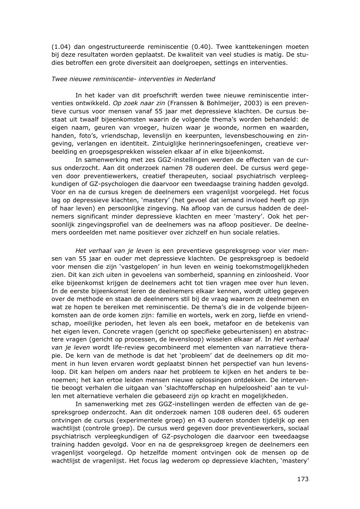(1.04) dan ongestructureerde reminiscentie (0.40). Twee kanttekeningen moeten bij deze resultaten worden geplaatst. De kwaliteit van veel studies is matig. De studies betroffen een grote diversiteit aan doelgroepen, settings en interventies.

#### *Twee nieuwe reminiscentie- interventies in Nederland*

 In het kader van dit proefschrift werden twee nieuwe reminiscentie interventies ontwikkeld. *Op zoek naar zin* (Franssen & Bohlmeijer, 2003) is een preventieve cursus voor mensen vanaf 55 jaar met depressieve klachten. De cursus bestaat uit twaalf bijeenkomsten waarin de volgende thema's worden behandeld: de eigen naam, geuren van vroeger, huizen waar je woonde, normen en waarden, handen, foto's, vriendschap, levenslijn en keerpunten, levensbeschouwing en zingeving, verlangen en identiteit. Zintuiglijke herinneringsoefeningen, creatieve verbeelding en groepsgesprekken wisselen elkaar af in elke bijeenkomst.

 In samenwerking met zes GGZ-instellingen werden de effecten van de cursus onderzocht. Aan dit onderzoek namen 78 ouderen deel. De cursus werd gegeven door preventiewerkers, creatief therapeuten, sociaal psychiatrisch verpleegkundigen of GZ-psychologen die daarvoor een tweedaagse training hadden gevolgd. Voor en na de cursus kregen de deelnemers een vragenlijst voorgelegd. Het focus lag op depressieve klachten, 'mastery' (het gevoel dat iemand invloed heeft op zijn of haar leven) en persoonlijke zingeving. Na afloop van de cursus hadden de deelnemers significant minder depressieve klachten en meer 'mastery'. Ook het persoonlijk zingevingsprofiel van de deelnemers was na afloop positiever. De deelnemers oordeelden met name positiever over zichzelf en hun sociale relaties.

 *Het verhaal van je leven* is een preventieve gespreksgroep voor vier mensen van 55 jaar en ouder met depressieve klachten. De gespreksgroep is bedoeld voor mensen die zijn 'vastgelopen' in hun leven en weinig toekomstmogelijkheden zien. Dit kan zich uiten in gevoelens van somberheid, spanning en zinloosheid. Voor elke bijeenkomst krijgen de deelnemers acht tot tien vragen mee over hun leven. In de eerste bijeenkomst leren de deelnemers elkaar kennen, wordt uitleg gegeven over de methode en staan de deelnemers stil bij de vraag waarom ze deelnemen en wat ze hopen te bereiken met reminiscentie. De thema's die in de volgende bijeenkomsten aan de orde komen zijn: familie en wortels, werk en zorg, liefde en vriendschap, moeilijke perioden, het leven als een boek, metafoor en de betekenis van het eigen leven. Concrete vragen (gericht op specifieke gebeurtenissen) en abstractere vragen (gericht op processen, de levensloop) wisselen elkaar af. In *Het verhaal van je leven* wordt life-review gecombineerd met elementen van narratieve therapie. De kern van de methode is dat het 'probleem' dat de deelnemers op dit moment in hun leven ervaren wordt geplaatst binnen het perspectief van hun levensloop. Dit kan helpen om anders naar het probleem te kijken en het anders te benoemen; het kan ertoe leiden mensen nieuwe oplossingen ontdekken. De interventie beoogt verhalen die uitgaan van 'slachtofferschap en hulpeloosheid' aan te vullen met alternatieve verhalen die gebaseerd zijn op kracht en mogelijkheden.

 In samenwerking met zes GGZ-instellingen werden de effecten van de gespreksgroep onderzocht. Aan dit onderzoek namen 108 ouderen deel. 65 ouderen ontvingen de cursus (experimentele groep) en 43 ouderen stonden tijdelijk op een wachtlijst (controle groep). De cursus werd gegeven door preventiewerkers, sociaal psychiatrisch verpleegkundigen of GZ-psychologen die daarvoor een tweedaagse training hadden gevolgd. Voor en na de gespreksgroep kregen de deelnemers een vragenlijst voorgelegd. Op hetzelfde moment ontvingen ook de mensen op de wachtlijst de vragenlijst. Het focus lag wederom op depressieve klachten, 'mastery'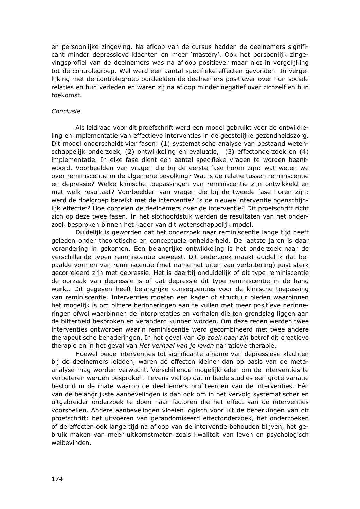en persoonlijke zingeving. Na afloop van de cursus hadden de deelnemers significant minder depressieve klachten en meer 'mastery'. Ook het persoonlijk zingevingsprofiel van de deelnemers was na afloop positiever maar niet in vergelijking tot de controlegroep. Wel werd een aantal specifieke effecten gevonden. In vergelijking met de controlegroep oordeelden de deelnemers positiever over hun sociale relaties en hun verleden en waren zij na afloop minder negatief over zichzelf en hun toekomst.

#### *Conclusie*

 Als leidraad voor dit proefschrift werd een model gebruikt voor de ontwikkeling en implementatie van effectieve interventies in de geestelijke gezondheidszorg. Dit model onderscheidt vier fasen: (1) systematische analyse van bestaand wetenschappelijk onderzoek, (2) ontwikkeling en evaluatie, (3) effectonderzoek en (4) implementatie. In elke fase dient een aantal specifieke vragen te worden beantwoord. Voorbeelden van vragen die bij de eerste fase horen zijn: wat weten we over reminiscentie in de algemene bevolking? Wat is de relatie tussen reminiscentie en depressie? Welke klinische toepassingen van reminiscentie zijn ontwikkeld en met welk resultaat? Voorbeelden van vragen die bij de tweede fase horen zijn: werd de doelgroep bereikt met de interventie? Is de nieuwe interventie ogenschijnlijk effectief? Hoe oordelen de deelnemers over de interventie? Dit proefschrift richt zich op deze twee fasen. In het slothoofdstuk werden de resultaten van het onderzoek besproken binnen het kader van dit wetenschappelijk model.

 Duidelijk is geworden dat het onderzoek naar reminiscentie lange tijd heeft geleden onder theoretische en conceptuele onhelderheid. De laatste jaren is daar verandering in gekomen. Een belangrijke ontwikkeling is het onderzoek naar de verschillende typen reminiscentie geweest. Dit onderzoek maakt duidelijk dat bepaalde vormen van reminiscentie (met name het uiten van verbittering) juist sterk gecorreleerd zijn met depressie. Het is daarbij onduidelijk of dit type reminiscentie de oorzaak van depressie is of dat depressie dit type reminiscentie in de hand werkt. Dit gegeven heeft belangrijke consequenties voor de klinische toepassing van reminiscentie. Interventies moeten een kader of structuur bieden waarbinnen het mogelijk is om bittere herinneringen aan te vullen met meer positieve herinneringen ofwel waarbinnen de interpretaties en verhalen die ten grondslag liggen aan de bitterheid besproken en veranderd kunnen worden. Om deze reden werden twee interventies ontworpen waarin reminiscentie werd gecombineerd met twee andere therapeutische benaderingen. In het geval van *Op zoek naar zin* betrof dit creatieve therapie en in het geval van *Het verhaal van je leven* narratieve therapie.

 Hoewel beide interventies tot significante afname van depressieve klachten bij de deelnemers leidden, waren de effecten kleiner dan op basis van de metaanalyse mag worden verwacht. Verschillende mogelijkheden om de interventies te verbeteren werden besproken. Tevens viel op dat in beide studies een grote variatie bestond in de mate waarop de deelnemers profiteerden van de interventies. Eén van de belangrijkste aanbevelingen is dan ook om in het vervolg systematischer en uitgebreider onderzoek te doen naar factoren die het effect van de interventies voorspellen. Andere aanbevelingen vloeien logisch voor uit de beperkingen van dit proefschrift: het uitvoeren van gerandomiseerd effectonderzoek, het onderzoeken of de effecten ook lange tijd na afloop van de interventie behouden blijven, het gebruik maken van meer uitkomstmaten zoals kwaliteit van leven en psychologisch welbevinden.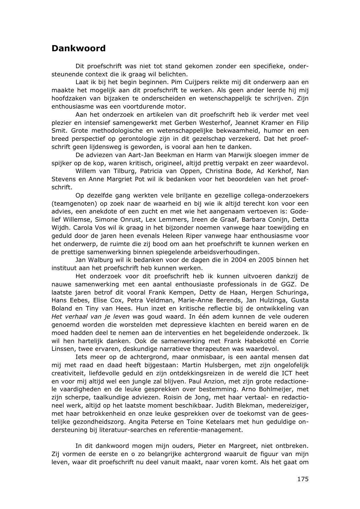## **Dankwoord**

 Dit proefschrift was niet tot stand gekomen zonder een specifieke, ondersteunende context die ik graag wil belichten.

 Laat ik bij het begin beginnen. Pim Cuijpers reikte mij dit onderwerp aan en maakte het mogelijk aan dit proefschrift te werken. Als geen ander leerde hij mij hoofdzaken van bijzaken te onderscheiden en wetenschappelijk te schrijven. Zijn enthousiasme was een voortdurende motor.

 Aan het onderzoek en artikelen van dit proefschrift heb ik verder met veel plezier en intensief samengewerkt met Gerben Westerhof, Jeannet Kramer en Filip Smit. Grote methodologische en wetenschappelijke bekwaamheid, humor en een breed perspectief op gerontologie zijn in dit gezelschap verzekerd. Dat het proefschrift geen lijdensweg is geworden, is vooral aan hen te danken.

 De adviezen van Aart-Jan Beekman en Harm van Marwijk sloegen immer de spijker op de kop, waren kritisch, origineel, altijd prettig verpakt en zeer waardevol.

 Willem van Tilburg, Patricia van Oppen, Christina Bode, Ad Kerkhof, Nan Stevens en Anne Margriet Pot wil ik bedanken voor het beoordelen van het proefschrift.

 Op dezelfde gang werkten vele briljante en gezellige collega-onderzoekers (teamgenoten) op zoek naar de waarheid en bij wie ik altijd terecht kon voor een advies, een anekdote of een zucht en met wie het aangenaam vertoeven is: Godelief Willemse, Simone Onrust, Lex Lemmers, Ireen de Graaf, Barbara Conijn, Detta Wijdh. Carola Vos wil ik graag in het bijzonder noemen vanwege haar toewijding en geduld door de jaren heen evenals Heleen Riper vanwege haar enthousiasme voor het onderwerp, de ruimte die zij bood om aan het proefschrift te kunnen werken en de prettige samenwerking binnen spiegelende arbeidsverhoudingen.

 Jan Walburg wil ik bedanken voor de dagen die in 2004 en 2005 binnen het instituut aan het proefschrift heb kunnen werken.

 Het onderzoek voor dit proefschrift heb ik kunnen uitvoeren dankzij de nauwe samenwerking met een aantal enthousiaste professionals in de GGZ. De laatste jaren betrof dit vooral Frank Kempen, Detty de Haan, Hergen Schuringa, Hans Eebes, Elise Cox, Petra Veldman, Marie-Anne Berends, Jan Hulzinga, Gusta Boland en Tiny van Hees. Hun inzet en kritische reflectie bij de ontwikkeling van *Het verhaal van je leven* was goud waard. In één adem kunnen de vele ouderen genoemd worden die worstelden met depressieve klachten en bereid waren en de moed hadden deel te nemen aan de interventies en het begeleidende onderzoek. Ik wil hen hartelijk danken. Ook de samenwerking met Frank Habekotté en Corrie Linssen, twee ervaren, deskundige narratieve therapeuten was waardevol.

 Iets meer op de achtergrond, maar onmisbaar, is een aantal mensen dat mij met raad en daad heeft bijgestaan: Martin Hulsbergen, met zijn ongelofelijk creativiteit, liefdevolle geduld en zijn ontdekkingsreizen in de wereld die ICT heet en voor mij altijd wel een jungle zal blijven. Paul Anzion, met zijn grote redactionele vaardigheden en de leuke gesprekken over bestemming. Arno Bohlmeijer, met zijn scherpe, taalkundige adviezen. Roisin de Jong, met haar vertaal- en redactioneel werk, altijd op het laatste moment beschikbaar. Judith Blekman, medereiziger, met haar betrokkenheid en onze leuke gesprekken over de toekomst van de geestelijke gezondheidszorg. Angita Peterse en Toine Ketelaars met hun geduldige ondersteuning bij literatuur-searches en referentie-management.

 In dit dankwoord mogen mijn ouders, Pieter en Margreet, niet ontbreken. Zij vormen de eerste en o zo belangrijke achtergrond waaruit de figuur van mijn leven, waar dit proefschrift nu deel vanuit maakt, naar voren komt. Als het gaat om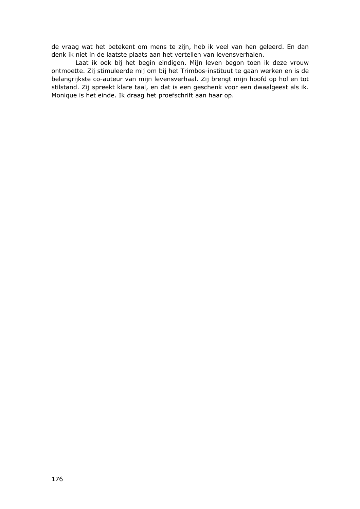de vraag wat het betekent om mens te zijn, heb ik veel van hen geleerd. En dan denk ik niet in de laatste plaats aan het vertellen van levensverhalen.

 Laat ik ook bij het begin eindigen. Mijn leven begon toen ik deze vrouw ontmoette. Zij stimuleerde mij om bij het Trimbos-instituut te gaan werken en is de belangrijkste co-auteur van mijn levensverhaal. Zij brengt mijn hoofd op hol en tot stilstand. Zij spreekt klare taal, en dat is een geschenk voor een dwaalgeest als ik. Monique is het einde. Ik draag het proefschrift aan haar op.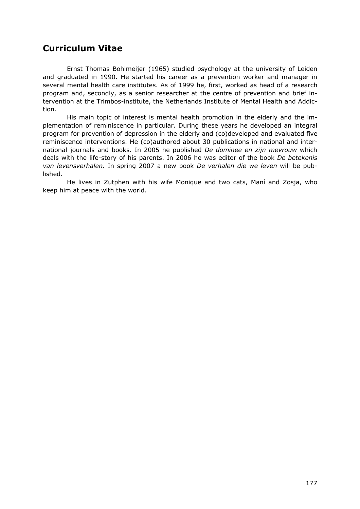# **Curriculum Vitae**

 Ernst Thomas Bohlmeijer (1965) studied psychology at the university of Leiden and graduated in 1990. He started his career as a prevention worker and manager in several mental health care institutes. As of 1999 he, first, worked as head of a research program and, secondly, as a senior researcher at the centre of prevention and brief intervention at the Trimbos-institute, the Netherlands Institute of Mental Health and Addiction.

 His main topic of interest is mental health promotion in the elderly and the implementation of reminiscence in particular. During these years he developed an integral program for prevention of depression in the elderly and (co)developed and evaluated five reminiscence interventions. He (co)authored about 30 publications in national and international journals and books. In 2005 he published *De dominee en zijn mevrouw* which deals with the life-story of his parents. In 2006 he was editor of the book *De betekenis van levensverhalen.* In spring 2007 a new book *De verhalen die we leven* will be published.

 He lives in Zutphen with his wife Monique and two cats, Maní and Zosja, who keep him at peace with the world.